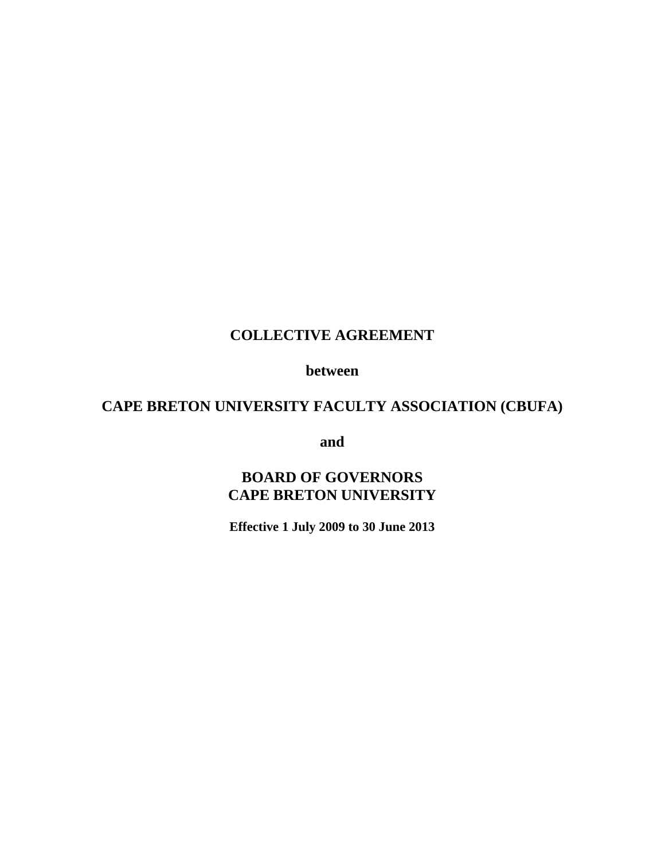# **COLLECTIVE AGREEMENT**

 **between** 

# **CAPE BRETON UNIVERSITY FACULTY ASSOCIATION (CBUFA)**

**and and** 

# **BOARD OF GOVERNORS CAPE BRETON UNIVERSITY**

**Effective 1 July 2009 to 30 June 2013**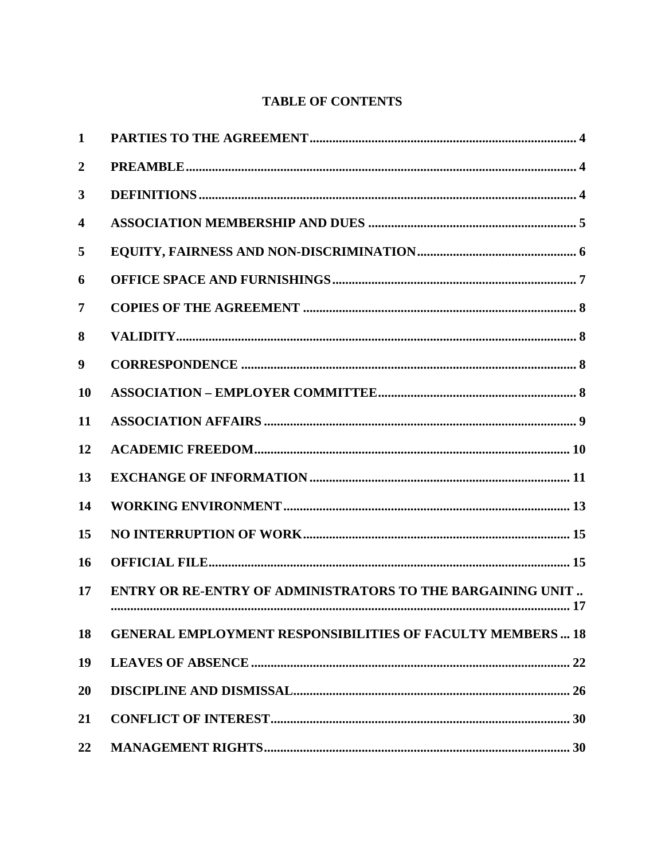# **TABLE OF CONTENTS**

| 1                       |                                                                   |
|-------------------------|-------------------------------------------------------------------|
| $\boldsymbol{2}$        |                                                                   |
| 3                       |                                                                   |
| $\overline{\mathbf{4}}$ |                                                                   |
| 5                       |                                                                   |
| 6                       |                                                                   |
| 7                       |                                                                   |
| 8                       |                                                                   |
| 9                       |                                                                   |
| 10                      |                                                                   |
| 11                      |                                                                   |
| 12                      |                                                                   |
| 13                      |                                                                   |
| 14                      |                                                                   |
| 15                      |                                                                   |
| 16                      |                                                                   |
| 17                      | <b>ENTRY OR RE-ENTRY OF ADMINISTRATORS TO THE BARGAINING UNIT</b> |
| 18                      | <b>GENERAL EMPLOYMENT RESPONSIBILITIES OF FACULTY MEMBERS 18</b>  |
| 19                      |                                                                   |
| <b>20</b>               |                                                                   |
| 21                      |                                                                   |
| 22                      |                                                                   |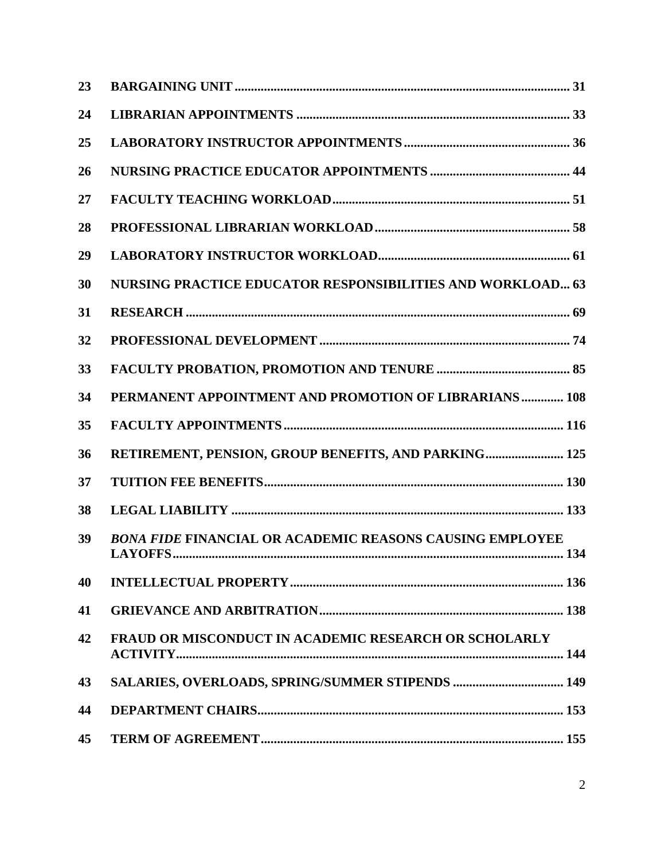| 23 |                                                                 |  |
|----|-----------------------------------------------------------------|--|
| 24 |                                                                 |  |
| 25 |                                                                 |  |
| 26 |                                                                 |  |
| 27 |                                                                 |  |
| 28 |                                                                 |  |
| 29 |                                                                 |  |
| 30 | NURSING PRACTICE EDUCATOR RESPONSIBILITIES AND WORKLOAD 63      |  |
| 31 |                                                                 |  |
| 32 |                                                                 |  |
| 33 |                                                                 |  |
| 34 | PERMANENT APPOINTMENT AND PROMOTION OF LIBRARIANS 108           |  |
| 35 |                                                                 |  |
| 36 | RETIREMENT, PENSION, GROUP BENEFITS, AND PARKING 125            |  |
| 37 |                                                                 |  |
| 38 |                                                                 |  |
| 39 | <b>BONA FIDE FINANCIAL OR ACADEMIC REASONS CAUSING EMPLOYEE</b> |  |
| 40 |                                                                 |  |
| 41 |                                                                 |  |
| 42 | <b>FRAUD OR MISCONDUCT IN ACADEMIC RESEARCH OR SCHOLARLY</b>    |  |
| 43 | SALARIES, OVERLOADS, SPRING/SUMMER STIPENDS  149                |  |
| 44 |                                                                 |  |
| 45 |                                                                 |  |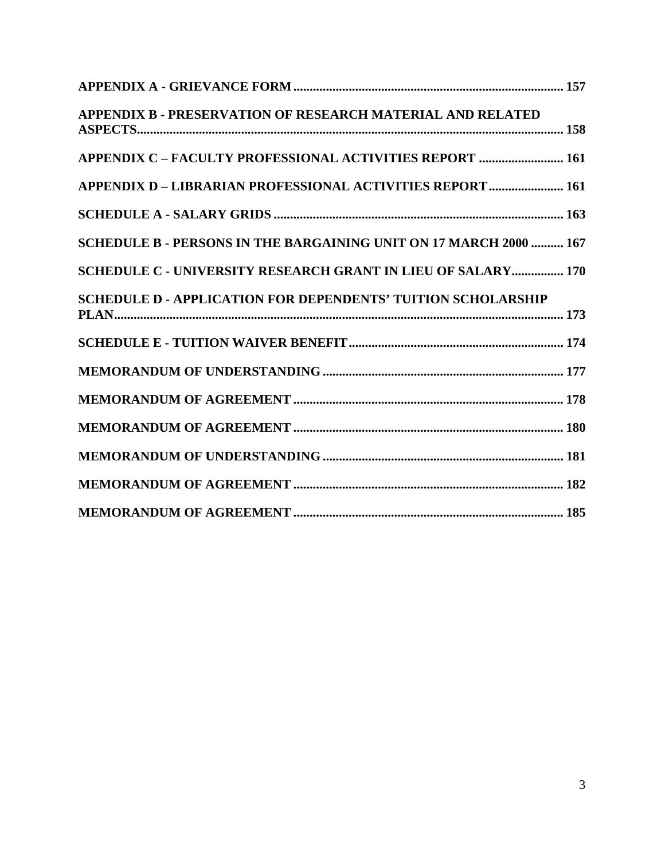| APPENDIX B - PRESERVATION OF RESEARCH MATERIAL AND RELATED          |
|---------------------------------------------------------------------|
| <b>APPENDIX C - FACULTY PROFESSIONAL ACTIVITIES REPORT  161</b>     |
| <b>APPENDIX D - LIBRARIAN PROFESSIONAL ACTIVITIES REPORT  161</b>   |
|                                                                     |
| SCHEDULE B - PERSONS IN THE BARGAINING UNIT ON 17 MARCH 2000  167   |
| <b>SCHEDULE C - UNIVERSITY RESEARCH GRANT IN LIEU OF SALARY 170</b> |
| <b>SCHEDULE D - APPLICATION FOR DEPENDENTS' TUITION SCHOLARSHIP</b> |
|                                                                     |
|                                                                     |
|                                                                     |
|                                                                     |
|                                                                     |
|                                                                     |
|                                                                     |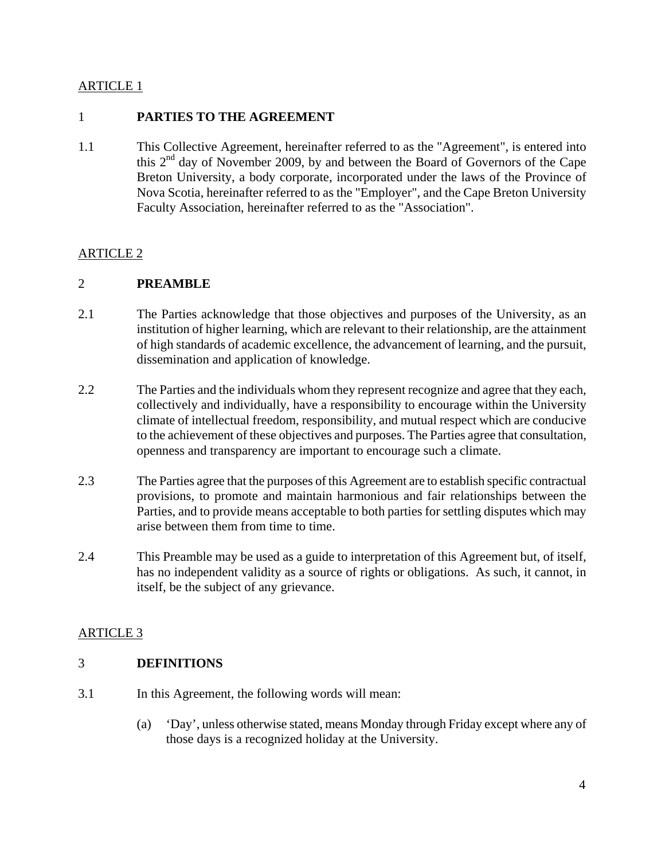## 1 **PARTIES TO THE AGREEMENT**

1.1 This Collective Agreement, hereinafter referred to as the "Agreement", is entered into this  $2<sup>nd</sup>$  day of November 2009, by and between the Board of Governors of the Cape Breton University, a body corporate, incorporated under the laws of the Province of Nova Scotia, hereinafter referred to as the "Employer", and the Cape Breton University Faculty Association, hereinafter referred to as the "Association".

### ARTICLE 2

#### 2 **PREAMBLE**

- 2.1 The Parties acknowledge that those objectives and purposes of the University, as an institution of higher learning, which are relevant to their relationship, are the attainment of high standards of academic excellence, the advancement of learning, and the pursuit, dissemination and application of knowledge.
- 2.2 The Parties and the individuals whom they represent recognize and agree that they each, collectively and individually, have a responsibility to encourage within the University climate of intellectual freedom, responsibility, and mutual respect which are conducive to the achievement of these objectives and purposes. The Parties agree that consultation, openness and transparency are important to encourage such a climate.
- 2.3 The Parties agree that the purposes of this Agreement are to establish specific contractual provisions, to promote and maintain harmonious and fair relationships between the Parties, and to provide means acceptable to both parties for settling disputes which may arise between them from time to time.
- 2.4 This Preamble may be used as a guide to interpretation of this Agreement but, of itself, has no independent validity as a source of rights or obligations. As such, it cannot, in itself, be the subject of any grievance.

# ARTICLE 3

#### 3 **DEFINITIONS**

- 3.1 In this Agreement, the following words will mean:
	- (a) 'Day', unless otherwise stated, means Monday through Friday except where any of those days is a recognized holiday at the University.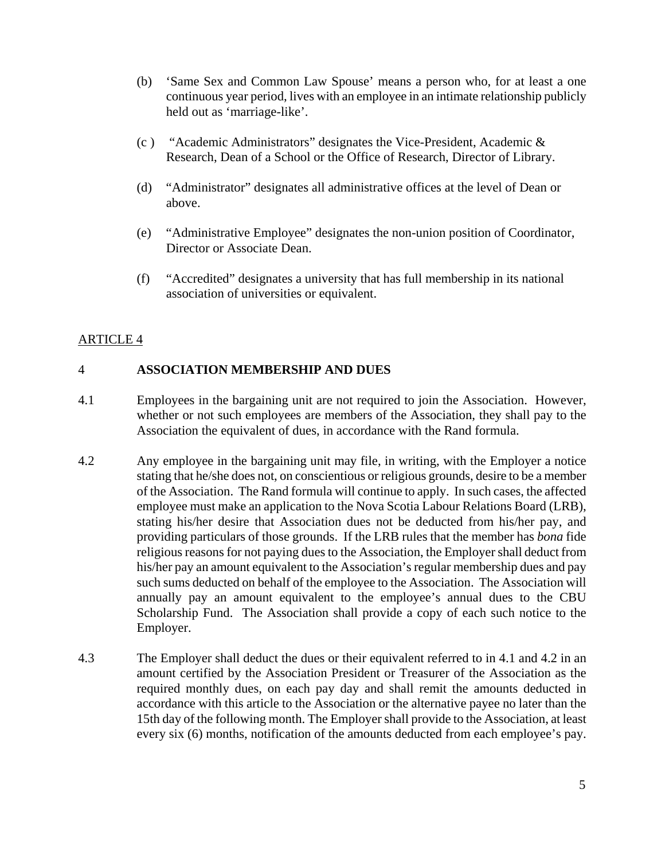- (b) 'Same Sex and Common Law Spouse' means a person who, for at least a one continuous year period, lives with an employee in an intimate relationship publicly held out as 'marriage-like'.
- (c) "Academic Administrators" designates the Vice-President, Academic  $\&$ Research, Dean of a School or the Office of Research, Director of Library.
- (d) "Administrator" designates all administrative offices at the level of Dean or above.
- (e) "Administrative Employee" designates the non-union position of Coordinator, Director or Associate Dean.
- (f) "Accredited" designates a university that has full membership in its national association of universities or equivalent.

# 4 **ASSOCIATION MEMBERSHIP AND DUES**

- 4.1 Employees in the bargaining unit are not required to join the Association. However, whether or not such employees are members of the Association, they shall pay to the Association the equivalent of dues, in accordance with the Rand formula.
- 4.2 Any employee in the bargaining unit may file, in writing, with the Employer a notice stating that he/she does not, on conscientious or religious grounds, desire to be a member of the Association. The Rand formula will continue to apply. In such cases, the affected employee must make an application to the Nova Scotia Labour Relations Board (LRB), stating his/her desire that Association dues not be deducted from his/her pay, and providing particulars of those grounds. If the LRB rules that the member has *bona* fide religious reasons for not paying dues to the Association, the Employer shall deduct from his/her pay an amount equivalent to the Association's regular membership dues and pay such sums deducted on behalf of the employee to the Association. The Association will annually pay an amount equivalent to the employee's annual dues to the CBU Scholarship Fund. The Association shall provide a copy of each such notice to the Employer.
- 4.3 The Employer shall deduct the dues or their equivalent referred to in 4.1 and 4.2 in an amount certified by the Association President or Treasurer of the Association as the required monthly dues, on each pay day and shall remit the amounts deducted in accordance with this article to the Association or the alternative payee no later than the 15th day of the following month. The Employer shall provide to the Association, at least every six (6) months, notification of the amounts deducted from each employee's pay.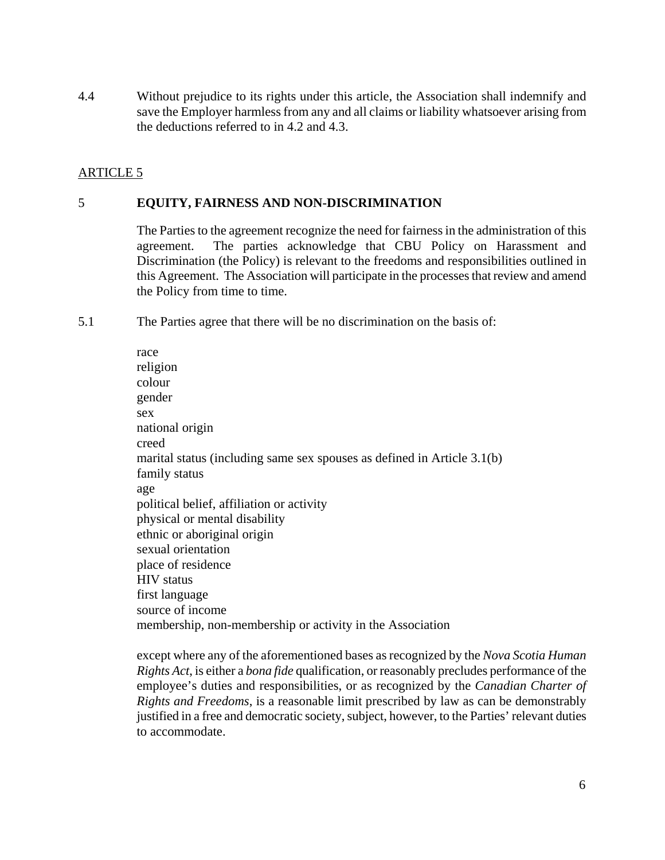4.4 Without prejudice to its rights under this article, the Association shall indemnify and save the Employer harmless from any and all claims or liability whatsoever arising from the deductions referred to in 4.2 and 4.3.

# ARTICLE 5

## 5 **EQUITY, FAIRNESS AND NON-DISCRIMINATION**

The Parties to the agreement recognize the need for fairness in the administration of this agreement. The parties acknowledge that CBU Policy on Harassment and Discrimination (the Policy) is relevant to the freedoms and responsibilities outlined in this Agreement. The Association will participate in the processes that review and amend the Policy from time to time.

5.1 The Parties agree that there will be no discrimination on the basis of:

race religion colour gender sex national origin creed marital status (including same sex spouses as defined in Article 3.1(b) family status age political belief, affiliation or activity physical or mental disability ethnic or aboriginal origin sexual orientation place of residence HIV status first language source of income membership, non-membership or activity in the Association

except where any of the aforementioned bases as recognized by the *Nova Scotia Human Rights Act*, is either a *bona fide* qualification, or reasonably precludes performance of the employee's duties and responsibilities, or as recognized by the *Canadian Charter of Rights and Freedoms*, is a reasonable limit prescribed by law as can be demonstrably justified in a free and democratic society, subject, however, to the Parties' relevant duties to accommodate.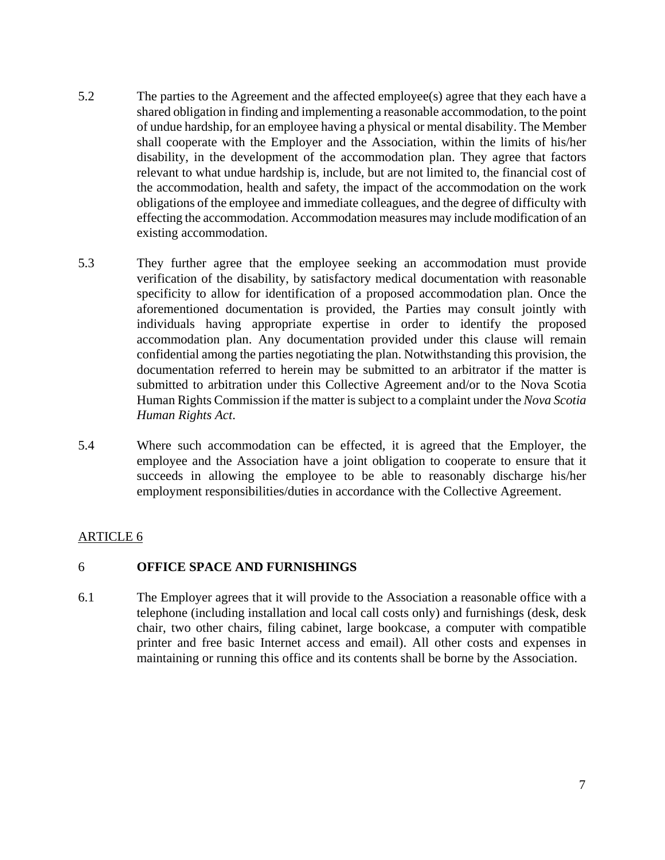- 5.2 The parties to the Agreement and the affected employee(s) agree that they each have a shared obligation in finding and implementing a reasonable accommodation, to the point of undue hardship, for an employee having a physical or mental disability. The Member shall cooperate with the Employer and the Association, within the limits of his/her disability, in the development of the accommodation plan. They agree that factors relevant to what undue hardship is, include, but are not limited to, the financial cost of the accommodation, health and safety, the impact of the accommodation on the work obligations of the employee and immediate colleagues, and the degree of difficulty with effecting the accommodation. Accommodation measures may include modification of an existing accommodation.
- 5.3 They further agree that the employee seeking an accommodation must provide verification of the disability, by satisfactory medical documentation with reasonable specificity to allow for identification of a proposed accommodation plan. Once the aforementioned documentation is provided, the Parties may consult jointly with individuals having appropriate expertise in order to identify the proposed accommodation plan. Any documentation provided under this clause will remain confidential among the parties negotiating the plan. Notwithstanding this provision, the documentation referred to herein may be submitted to an arbitrator if the matter is submitted to arbitration under this Collective Agreement and/or to the Nova Scotia Human Rights Commission if the matter is subject to a complaint under the *Nova Scotia Human Rights Act*.
- 5.4 Where such accommodation can be effected, it is agreed that the Employer, the employee and the Association have a joint obligation to cooperate to ensure that it succeeds in allowing the employee to be able to reasonably discharge his/her employment responsibilities/duties in accordance with the Collective Agreement.

# 6 **OFFICE SPACE AND FURNISHINGS**

6.1 The Employer agrees that it will provide to the Association a reasonable office with a telephone (including installation and local call costs only) and furnishings (desk, desk chair, two other chairs, filing cabinet, large bookcase, a computer with compatible printer and free basic Internet access and email). All other costs and expenses in maintaining or running this office and its contents shall be borne by the Association.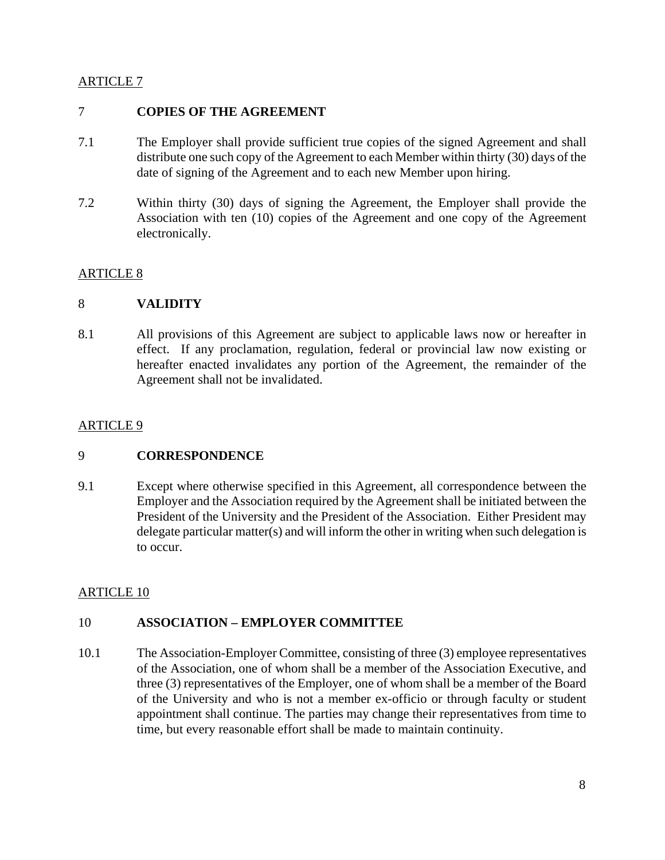## 7 **COPIES OF THE AGREEMENT**

- 7.1 The Employer shall provide sufficient true copies of the signed Agreement and shall distribute one such copy of the Agreement to each Member within thirty (30) days of the date of signing of the Agreement and to each new Member upon hiring.
- 7.2 Within thirty (30) days of signing the Agreement, the Employer shall provide the Association with ten (10) copies of the Agreement and one copy of the Agreement electronically.

# ARTICLE 8

# 8 **VALIDITY**

8.1 All provisions of this Agreement are subject to applicable laws now or hereafter in effect. If any proclamation, regulation, federal or provincial law now existing or hereafter enacted invalidates any portion of the Agreement, the remainder of the Agreement shall not be invalidated.

# ARTICLE 9

# 9 **CORRESPONDENCE**

9.1 Except where otherwise specified in this Agreement, all correspondence between the Employer and the Association required by the Agreement shall be initiated between the President of the University and the President of the Association. Either President may delegate particular matter(s) and will inform the other in writing when such delegation is to occur.

# ARTICLE 10

# 10 **ASSOCIATION – EMPLOYER COMMITTEE**

10.1 The Association-Employer Committee, consisting of three (3) employee representatives of the Association, one of whom shall be a member of the Association Executive, and three (3) representatives of the Employer, one of whom shall be a member of the Board of the University and who is not a member ex-officio or through faculty or student appointment shall continue. The parties may change their representatives from time to time, but every reasonable effort shall be made to maintain continuity.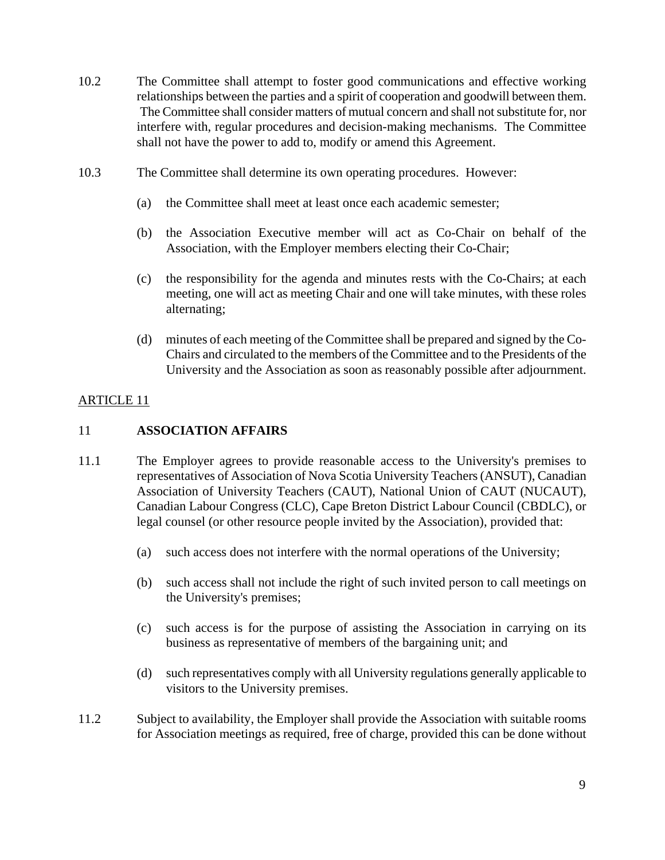- 10.2 The Committee shall attempt to foster good communications and effective working relationships between the parties and a spirit of cooperation and goodwill between them. The Committee shall consider matters of mutual concern and shall not substitute for, nor interfere with, regular procedures and decision-making mechanisms. The Committee shall not have the power to add to, modify or amend this Agreement.
- 10.3 The Committee shall determine its own operating procedures. However:
	- (a) the Committee shall meet at least once each academic semester;
	- (b) the Association Executive member will act as Co-Chair on behalf of the Association, with the Employer members electing their Co-Chair;
	- (c) the responsibility for the agenda and minutes rests with the Co-Chairs; at each meeting, one will act as meeting Chair and one will take minutes, with these roles alternating;
	- (d) minutes of each meeting of the Committee shall be prepared and signed by the Co-Chairs and circulated to the members of the Committee and to the Presidents of the University and the Association as soon as reasonably possible after adjournment.

# 11 **ASSOCIATION AFFAIRS**

- 11.1 The Employer agrees to provide reasonable access to the University's premises to representatives of Association of Nova Scotia University Teachers (ANSUT), Canadian Association of University Teachers (CAUT), National Union of CAUT (NUCAUT), Canadian Labour Congress (CLC), Cape Breton District Labour Council (CBDLC), or legal counsel (or other resource people invited by the Association), provided that:
	- (a) such access does not interfere with the normal operations of the University;
	- (b) such access shall not include the right of such invited person to call meetings on the University's premises;
	- (c) such access is for the purpose of assisting the Association in carrying on its business as representative of members of the bargaining unit; and
	- (d) such representatives comply with all University regulations generally applicable to visitors to the University premises.
- 11.2 Subject to availability, the Employer shall provide the Association with suitable rooms for Association meetings as required, free of charge, provided this can be done without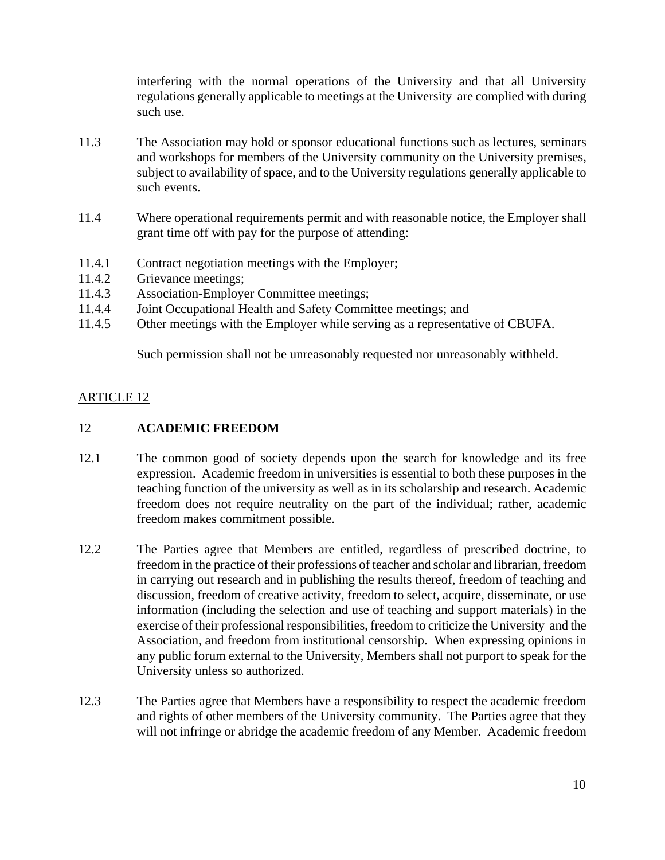interfering with the normal operations of the University and that all University regulations generally applicable to meetings at the University are complied with during such use.

- 11.3 The Association may hold or sponsor educational functions such as lectures, seminars and workshops for members of the University community on the University premises, subject to availability of space, and to the University regulations generally applicable to such events.
- 11.4 Where operational requirements permit and with reasonable notice, the Employer shall grant time off with pay for the purpose of attending:
- 11.4.1 Contract negotiation meetings with the Employer;
- 11.4.2 Grievance meetings;
- 11.4.3 Association-Employer Committee meetings;
- 11.4.4 Joint Occupational Health and Safety Committee meetings; and
- 11.4.5 Other meetings with the Employer while serving as a representative of CBUFA.

Such permission shall not be unreasonably requested nor unreasonably withheld.

### ARTICLE 12

#### 12 **ACADEMIC FREEDOM**

- 12.1 The common good of society depends upon the search for knowledge and its free expression. Academic freedom in universities is essential to both these purposes in the teaching function of the university as well as in its scholarship and research. Academic freedom does not require neutrality on the part of the individual; rather, academic freedom makes commitment possible.
- 12.2 The Parties agree that Members are entitled, regardless of prescribed doctrine, to freedom in the practice of their professions of teacher and scholar and librarian, freedom in carrying out research and in publishing the results thereof, freedom of teaching and discussion, freedom of creative activity, freedom to select, acquire, disseminate, or use information (including the selection and use of teaching and support materials) in the exercise of their professional responsibilities, freedom to criticize the University and the Association, and freedom from institutional censorship. When expressing opinions in any public forum external to the University, Members shall not purport to speak for the University unless so authorized.
- 12.3 The Parties agree that Members have a responsibility to respect the academic freedom and rights of other members of the University community. The Parties agree that they will not infringe or abridge the academic freedom of any Member. Academic freedom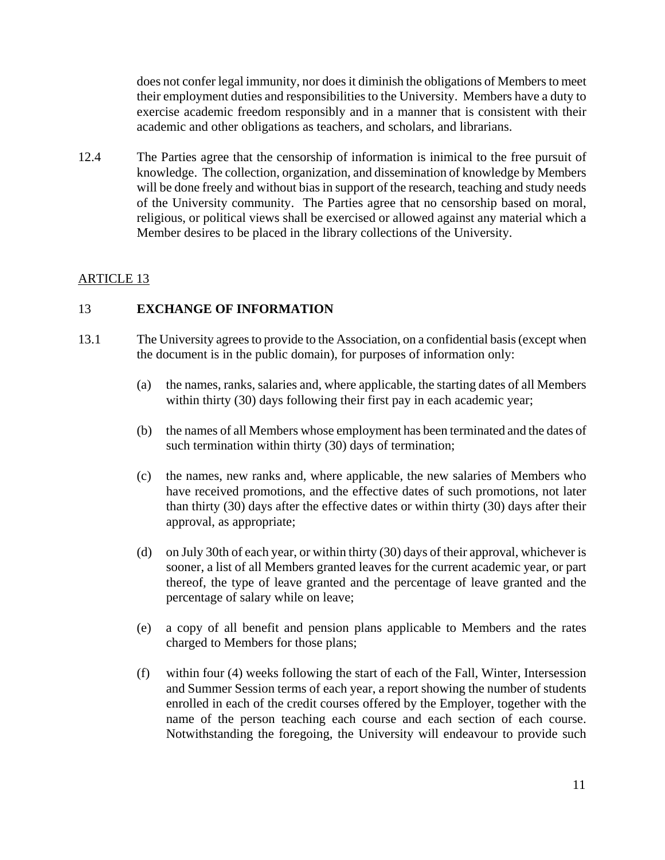does not confer legal immunity, nor does it diminish the obligations of Members to meet their employment duties and responsibilities to the University. Members have a duty to exercise academic freedom responsibly and in a manner that is consistent with their academic and other obligations as teachers, and scholars, and librarians.

12.4 The Parties agree that the censorship of information is inimical to the free pursuit of knowledge. The collection, organization, and dissemination of knowledge by Members will be done freely and without bias in support of the research, teaching and study needs of the University community. The Parties agree that no censorship based on moral, religious, or political views shall be exercised or allowed against any material which a Member desires to be placed in the library collections of the University.

# ARTICLE 13

### 13 **EXCHANGE OF INFORMATION**

- 13.1 The University agrees to provide to the Association, on a confidential basis (except when the document is in the public domain), for purposes of information only:
	- (a) the names, ranks, salaries and, where applicable, the starting dates of all Members within thirty (30) days following their first pay in each academic year;
	- (b) the names of all Members whose employment has been terminated and the dates of such termination within thirty (30) days of termination;
	- (c) the names, new ranks and, where applicable, the new salaries of Members who have received promotions, and the effective dates of such promotions, not later than thirty (30) days after the effective dates or within thirty (30) days after their approval, as appropriate;
	- (d) on July 30th of each year, or within thirty (30) days of their approval, whichever is sooner, a list of all Members granted leaves for the current academic year, or part thereof, the type of leave granted and the percentage of leave granted and the percentage of salary while on leave;
	- (e) a copy of all benefit and pension plans applicable to Members and the rates charged to Members for those plans;
	- (f) within four (4) weeks following the start of each of the Fall, Winter, Intersession and Summer Session terms of each year, a report showing the number of students enrolled in each of the credit courses offered by the Employer, together with the name of the person teaching each course and each section of each course. Notwithstanding the foregoing, the University will endeavour to provide such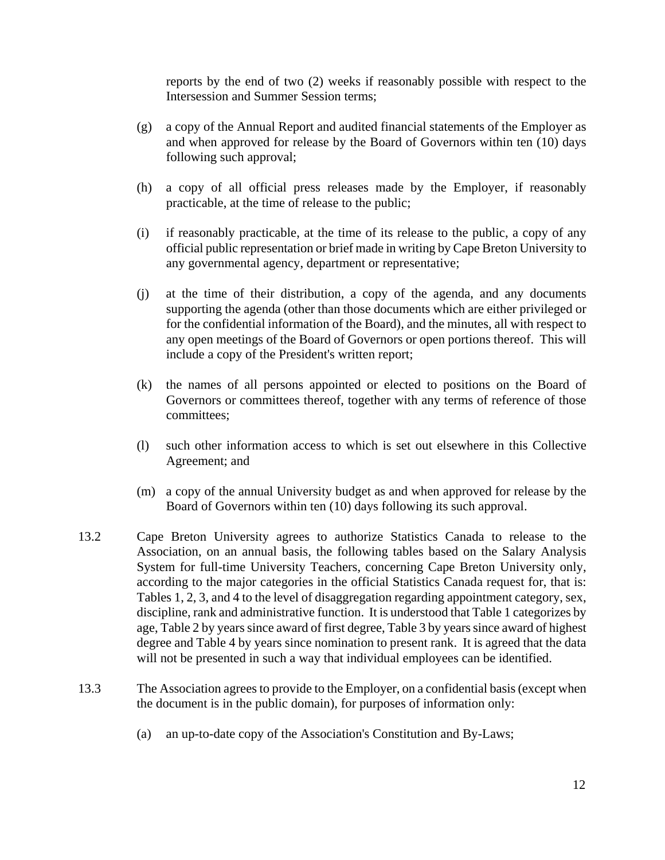reports by the end of two (2) weeks if reasonably possible with respect to the Intersession and Summer Session terms;

- (g) a copy of the Annual Report and audited financial statements of the Employer as and when approved for release by the Board of Governors within ten (10) days following such approval;
- (h) a copy of all official press releases made by the Employer, if reasonably practicable, at the time of release to the public;
- (i) if reasonably practicable, at the time of its release to the public, a copy of any official public representation or brief made in writing by Cape Breton University to any governmental agency, department or representative;
- (j) at the time of their distribution, a copy of the agenda, and any documents supporting the agenda (other than those documents which are either privileged or for the confidential information of the Board), and the minutes, all with respect to any open meetings of the Board of Governors or open portions thereof. This will include a copy of the President's written report;
- (k) the names of all persons appointed or elected to positions on the Board of Governors or committees thereof, together with any terms of reference of those committees;
- (l) such other information access to which is set out elsewhere in this Collective Agreement; and
- (m) a copy of the annual University budget as and when approved for release by the Board of Governors within ten (10) days following its such approval.
- 13.2 Cape Breton University agrees to authorize Statistics Canada to release to the Association, on an annual basis, the following tables based on the Salary Analysis System for full-time University Teachers, concerning Cape Breton University only, according to the major categories in the official Statistics Canada request for, that is: Tables 1, 2, 3, and 4 to the level of disaggregation regarding appointment category, sex, discipline, rank and administrative function. It is understood that Table 1 categorizes by age, Table 2 by years since award of first degree, Table 3 by years since award of highest degree and Table 4 by years since nomination to present rank. It is agreed that the data will not be presented in such a way that individual employees can be identified.
- 13.3 The Association agrees to provide to the Employer, on a confidential basis (except when the document is in the public domain), for purposes of information only:
	- (a) an up-to-date copy of the Association's Constitution and By-Laws;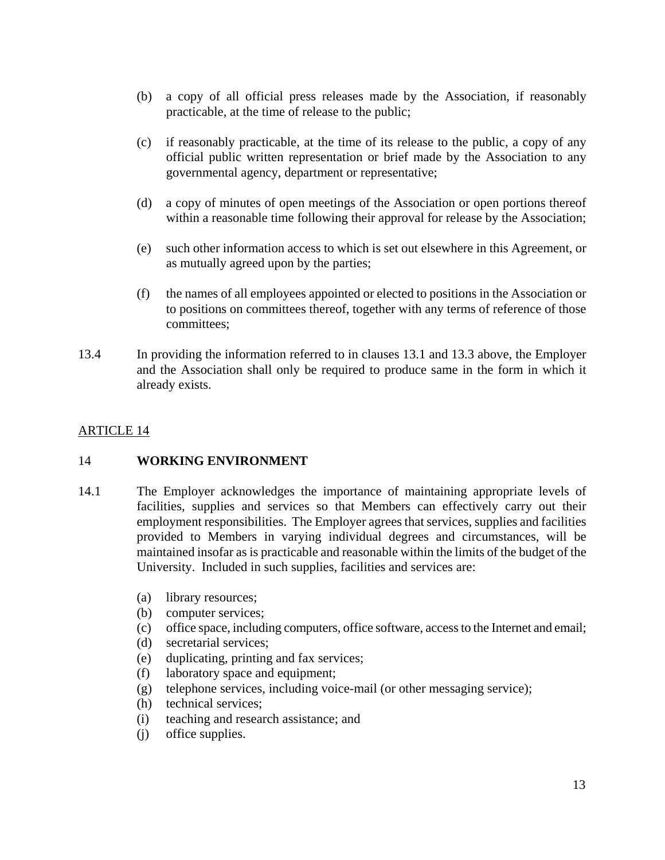- (b) a copy of all official press releases made by the Association, if reasonably practicable, at the time of release to the public;
- (c) if reasonably practicable, at the time of its release to the public, a copy of any official public written representation or brief made by the Association to any governmental agency, department or representative;
- (d) a copy of minutes of open meetings of the Association or open portions thereof within a reasonable time following their approval for release by the Association;
- (e) such other information access to which is set out elsewhere in this Agreement, or as mutually agreed upon by the parties;
- (f) the names of all employees appointed or elected to positions in the Association or to positions on committees thereof, together with any terms of reference of those committees;
- 13.4 In providing the information referred to in clauses 13.1 and 13.3 above, the Employer and the Association shall only be required to produce same in the form in which it already exists.

#### 14 **WORKING ENVIRONMENT**

- 14.1 The Employer acknowledges the importance of maintaining appropriate levels of facilities, supplies and services so that Members can effectively carry out their employment responsibilities. The Employer agrees that services, supplies and facilities provided to Members in varying individual degrees and circumstances, will be maintained insofar as is practicable and reasonable within the limits of the budget of the University. Included in such supplies, facilities and services are:
	- (a) library resources;
	- (b) computer services;
	- (c) office space, including computers, office software, access to the Internet and email;
	- (d) secretarial services;
	- (e) duplicating, printing and fax services;
	- (f) laboratory space and equipment;
	- (g) telephone services, including voice-mail (or other messaging service);
	- (h) technical services;
	- (i) teaching and research assistance; and
	- (j) office supplies.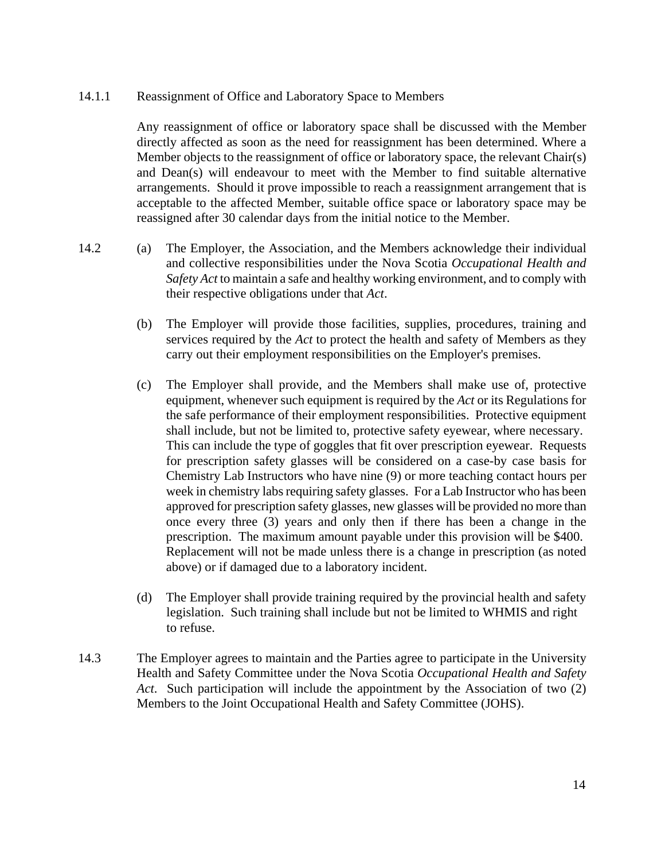#### 14.1.1 Reassignment of Office and Laboratory Space to Members

Any reassignment of office or laboratory space shall be discussed with the Member directly affected as soon as the need for reassignment has been determined. Where a Member objects to the reassignment of office or laboratory space, the relevant Chair(s) and Dean(s) will endeavour to meet with the Member to find suitable alternative arrangements. Should it prove impossible to reach a reassignment arrangement that is acceptable to the affected Member, suitable office space or laboratory space may be reassigned after 30 calendar days from the initial notice to the Member.

- 14.2 (a) The Employer, the Association, and the Members acknowledge their individual and collective responsibilities under the Nova Scotia *Occupational Health and Safety Act* to maintain a safe and healthy working environment, and to comply with their respective obligations under that *Act*.
	- (b) The Employer will provide those facilities, supplies, procedures, training and services required by the *Act* to protect the health and safety of Members as they carry out their employment responsibilities on the Employer's premises.
	- (c) The Employer shall provide, and the Members shall make use of, protective equipment, whenever such equipment is required by the *Act* or its Regulations for the safe performance of their employment responsibilities. Protective equipment shall include, but not be limited to, protective safety eyewear, where necessary. This can include the type of goggles that fit over prescription eyewear. Requests for prescription safety glasses will be considered on a case-by case basis for Chemistry Lab Instructors who have nine (9) or more teaching contact hours per week in chemistry labs requiring safety glasses. For a Lab Instructor who has been approved for prescription safety glasses, new glasses will be provided no more than once every three (3) years and only then if there has been a change in the prescription. The maximum amount payable under this provision will be \$400. Replacement will not be made unless there is a change in prescription (as noted above) or if damaged due to a laboratory incident.
	- (d) The Employer shall provide training required by the provincial health and safety legislation. Such training shall include but not be limited to WHMIS and right to refuse.
- 14.3 The Employer agrees to maintain and the Parties agree to participate in the University Health and Safety Committee under the Nova Scotia *Occupational Health and Safety Act*. Such participation will include the appointment by the Association of two (2) Members to the Joint Occupational Health and Safety Committee (JOHS).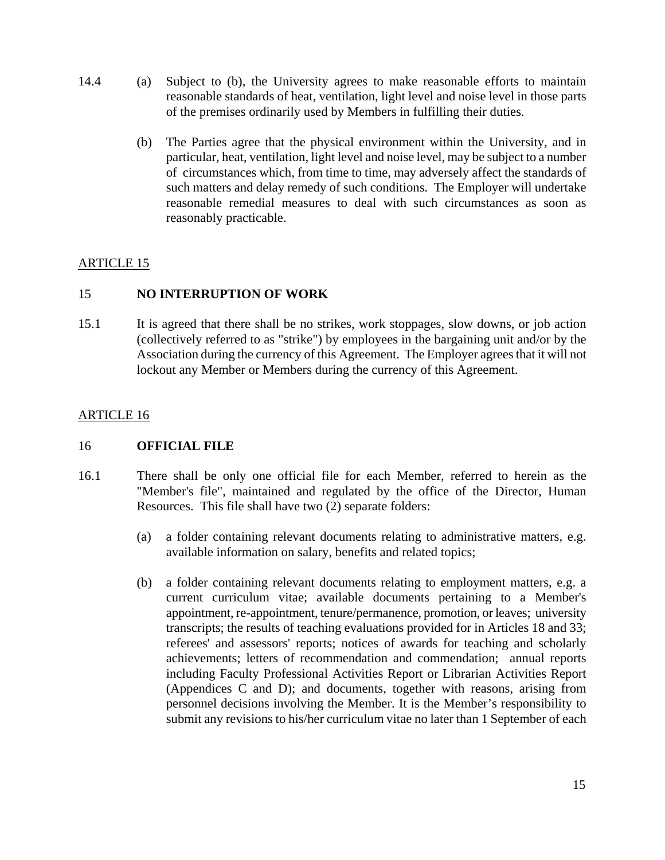- 14.4 (a) Subject to (b), the University agrees to make reasonable efforts to maintain reasonable standards of heat, ventilation, light level and noise level in those parts of the premises ordinarily used by Members in fulfilling their duties.
	- (b) The Parties agree that the physical environment within the University, and in particular, heat, ventilation, light level and noise level, may be subject to a number of circumstances which, from time to time, may adversely affect the standards of such matters and delay remedy of such conditions. The Employer will undertake reasonable remedial measures to deal with such circumstances as soon as reasonably practicable.

# 15 **NO INTERRUPTION OF WORK**

15.1 It is agreed that there shall be no strikes, work stoppages, slow downs, or job action (collectively referred to as "strike") by employees in the bargaining unit and/or by the Association during the currency of this Agreement. The Employer agrees that it will not lockout any Member or Members during the currency of this Agreement.

# ARTICLE 16

#### 16 **OFFICIAL FILE**

- 16.1 There shall be only one official file for each Member, referred to herein as the "Member's file", maintained and regulated by the office of the Director, Human Resources. This file shall have two (2) separate folders:
	- (a) a folder containing relevant documents relating to administrative matters, e.g. available information on salary, benefits and related topics;
	- (b) a folder containing relevant documents relating to employment matters, e.g. a current curriculum vitae; available documents pertaining to a Member's appointment, re-appointment, tenure/permanence, promotion, or leaves; university transcripts; the results of teaching evaluations provided for in Articles 18 and 33; referees' and assessors' reports; notices of awards for teaching and scholarly achievements; letters of recommendation and commendation; annual reports including Faculty Professional Activities Report or Librarian Activities Report (Appendices C and D); and documents, together with reasons, arising from personnel decisions involving the Member. It is the Member's responsibility to submit any revisions to his/her curriculum vitae no later than 1 September of each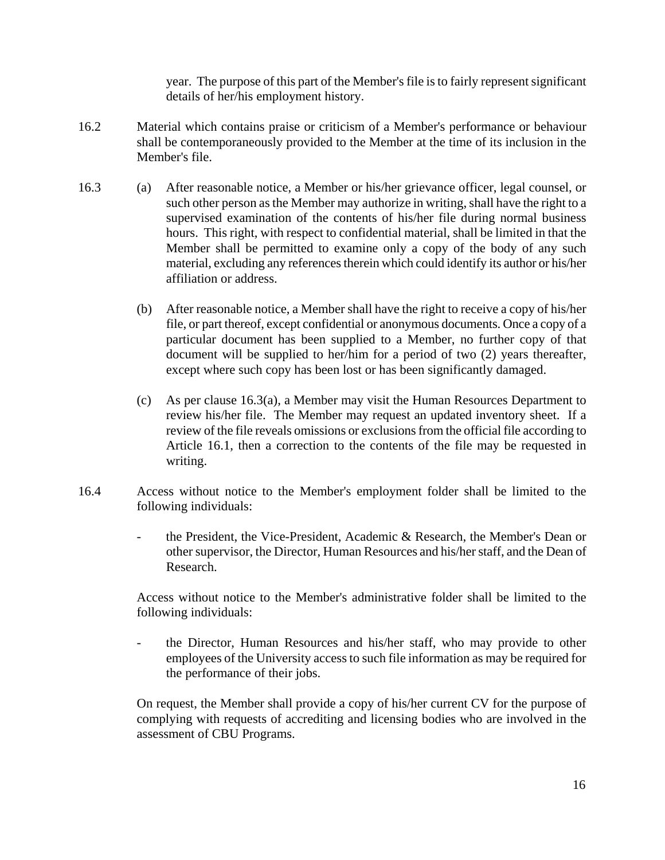year. The purpose of this part of the Member's file is to fairly represent significant details of her/his employment history.

- 16.2 Material which contains praise or criticism of a Member's performance or behaviour shall be contemporaneously provided to the Member at the time of its inclusion in the Member's file.
- 16.3 (a) After reasonable notice, a Member or his/her grievance officer, legal counsel, or such other person as the Member may authorize in writing, shall have the right to a supervised examination of the contents of his/her file during normal business hours. This right, with respect to confidential material, shall be limited in that the Member shall be permitted to examine only a copy of the body of any such material, excluding any references therein which could identify its author or his/her affiliation or address.
	- (b) After reasonable notice, a Member shall have the right to receive a copy of his/her file, or part thereof, except confidential or anonymous documents. Once a copy of a particular document has been supplied to a Member, no further copy of that document will be supplied to her/him for a period of two (2) years thereafter, except where such copy has been lost or has been significantly damaged.
	- (c) As per clause 16.3(a), a Member may visit the Human Resources Department to review his/her file. The Member may request an updated inventory sheet. If a review of the file reveals omissions or exclusions from the official file according to Article 16.1, then a correction to the contents of the file may be requested in writing.
- 16.4 Access without notice to the Member's employment folder shall be limited to the following individuals:
	- the President, the Vice-President, Academic & Research, the Member's Dean or other supervisor, the Director, Human Resources and his/her staff, and the Dean of Research.

Access without notice to the Member's administrative folder shall be limited to the following individuals:

- the Director, Human Resources and his/her staff, who may provide to other employees of the University access to such file information as may be required for the performance of their jobs.

On request, the Member shall provide a copy of his/her current CV for the purpose of complying with requests of accrediting and licensing bodies who are involved in the assessment of CBU Programs.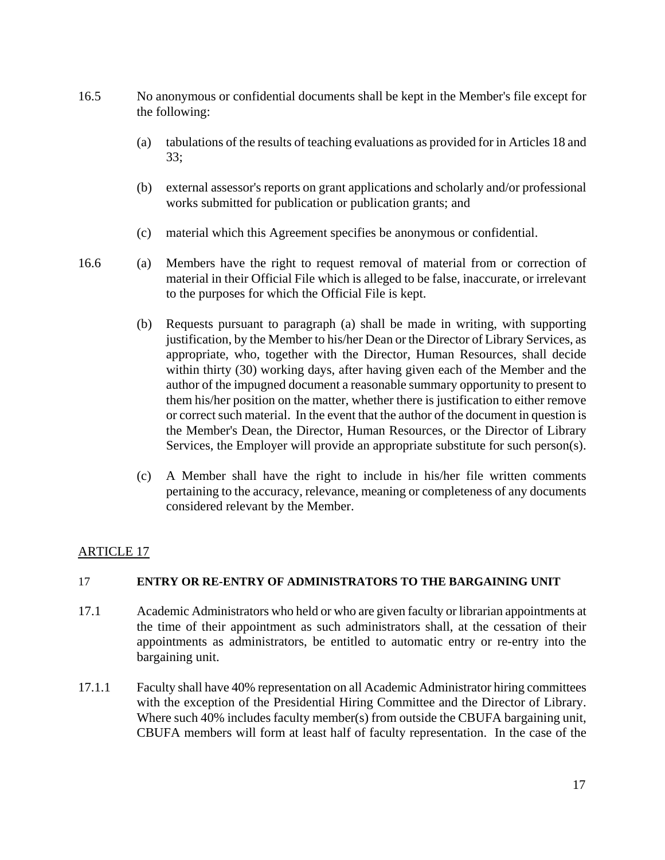- 16.5 No anonymous or confidential documents shall be kept in the Member's file except for the following:
	- (a) tabulations of the results of teaching evaluations as provided for in Articles 18 and 33;
	- (b) external assessor's reports on grant applications and scholarly and/or professional works submitted for publication or publication grants; and
	- (c) material which this Agreement specifies be anonymous or confidential.
- 16.6 (a) Members have the right to request removal of material from or correction of material in their Official File which is alleged to be false, inaccurate, or irrelevant to the purposes for which the Official File is kept.
	- (b) Requests pursuant to paragraph (a) shall be made in writing, with supporting justification, by the Member to his/her Dean or the Director of Library Services, as appropriate, who, together with the Director, Human Resources, shall decide within thirty (30) working days, after having given each of the Member and the author of the impugned document a reasonable summary opportunity to present to them his/her position on the matter, whether there is justification to either remove or correct such material. In the event that the author of the document in question is the Member's Dean, the Director, Human Resources, or the Director of Library Services, the Employer will provide an appropriate substitute for such person(s).
	- (c) A Member shall have the right to include in his/her file written comments pertaining to the accuracy, relevance, meaning or completeness of any documents considered relevant by the Member.

#### 17 **ENTRY OR RE-ENTRY OF ADMINISTRATORS TO THE BARGAINING UNIT**

- 17.1 Academic Administrators who held or who are given faculty or librarian appointments at the time of their appointment as such administrators shall, at the cessation of their appointments as administrators, be entitled to automatic entry or re-entry into the bargaining unit.
- 17.1.1 Faculty shall have 40% representation on all Academic Administrator hiring committees with the exception of the Presidential Hiring Committee and the Director of Library. Where such 40% includes faculty member(s) from outside the CBUFA bargaining unit, CBUFA members will form at least half of faculty representation. In the case of the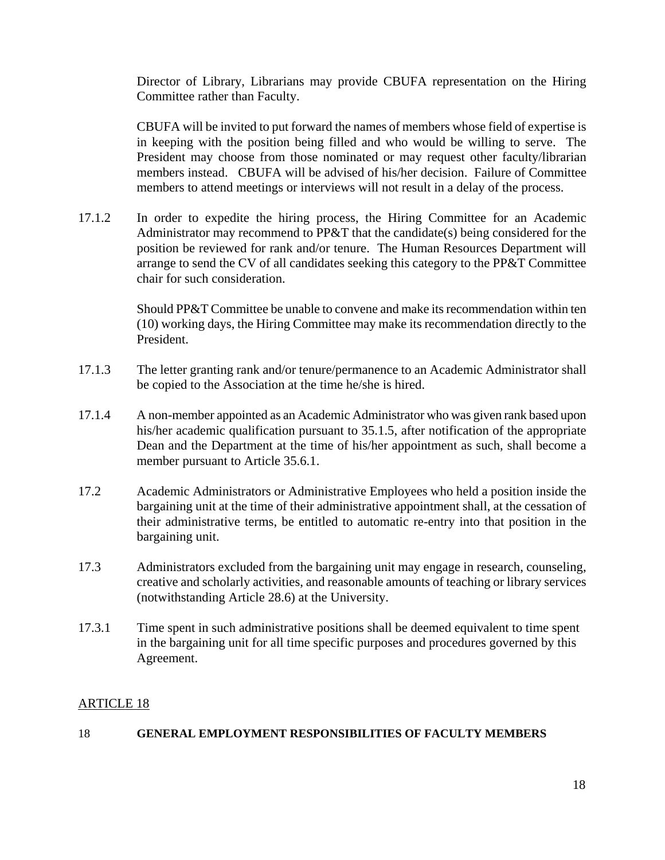Director of Library, Librarians may provide CBUFA representation on the Hiring Committee rather than Faculty.

CBUFA will be invited to put forward the names of members whose field of expertise is in keeping with the position being filled and who would be willing to serve. The President may choose from those nominated or may request other faculty/librarian members instead. CBUFA will be advised of his/her decision. Failure of Committee members to attend meetings or interviews will not result in a delay of the process.

17.1.2 In order to expedite the hiring process, the Hiring Committee for an Academic Administrator may recommend to PP&T that the candidate(s) being considered for the position be reviewed for rank and/or tenure. The Human Resources Department will arrange to send the CV of all candidates seeking this category to the PP&T Committee chair for such consideration.

> Should PP&T Committee be unable to convene and make its recommendation within ten (10) working days, the Hiring Committee may make its recommendation directly to the President.

- 17.1.3 The letter granting rank and/or tenure/permanence to an Academic Administrator shall be copied to the Association at the time he/she is hired.
- 17.1.4 A non-member appointed as an Academic Administrator who was given rank based upon his/her academic qualification pursuant to 35.1.5, after notification of the appropriate Dean and the Department at the time of his/her appointment as such, shall become a member pursuant to Article 35.6.1.
- 17.2 Academic Administrators or Administrative Employees who held a position inside the bargaining unit at the time of their administrative appointment shall, at the cessation of their administrative terms, be entitled to automatic re-entry into that position in the bargaining unit.
- 17.3 Administrators excluded from the bargaining unit may engage in research, counseling, creative and scholarly activities, and reasonable amounts of teaching or library services (notwithstanding Article 28.6) at the University.
- 17.3.1 Time spent in such administrative positions shall be deemed equivalent to time spent in the bargaining unit for all time specific purposes and procedures governed by this Agreement.

# ARTICLE 18

#### 18 **GENERAL EMPLOYMENT RESPONSIBILITIES OF FACULTY MEMBERS**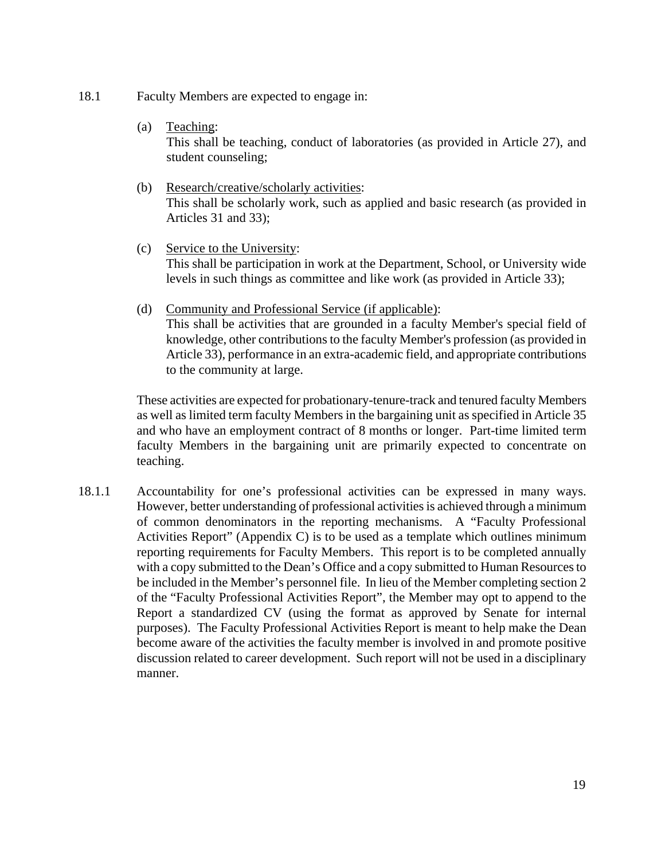- 18.1 Faculty Members are expected to engage in:
	- (a) Teaching:

This shall be teaching, conduct of laboratories (as provided in Article 27), and student counseling;

- (b) Research/creative/scholarly activities: This shall be scholarly work, such as applied and basic research (as provided in Articles 31 and 33);
- (c) Service to the University: This shall be participation in work at the Department, School, or University wide levels in such things as committee and like work (as provided in Article 33);
- (d) Community and Professional Service (if applicable): This shall be activities that are grounded in a faculty Member's special field of knowledge, other contributions to the faculty Member's profession (as provided in Article 33), performance in an extra-academic field, and appropriate contributions to the community at large.

These activities are expected for probationary-tenure-track and tenured faculty Members as well as limited term faculty Members in the bargaining unit as specified in Article 35 and who have an employment contract of 8 months or longer. Part-time limited term faculty Members in the bargaining unit are primarily expected to concentrate on teaching.

18.1.1 Accountability for one's professional activities can be expressed in many ways. However, better understanding of professional activities is achieved through a minimum of common denominators in the reporting mechanisms. A "Faculty Professional Activities Report" (Appendix C) is to be used as a template which outlines minimum reporting requirements for Faculty Members. This report is to be completed annually with a copy submitted to the Dean's Office and a copy submitted to Human Resources to be included in the Member's personnel file. In lieu of the Member completing section 2 of the "Faculty Professional Activities Report", the Member may opt to append to the Report a standardized CV (using the format as approved by Senate for internal purposes). The Faculty Professional Activities Report is meant to help make the Dean become aware of the activities the faculty member is involved in and promote positive discussion related to career development. Such report will not be used in a disciplinary manner.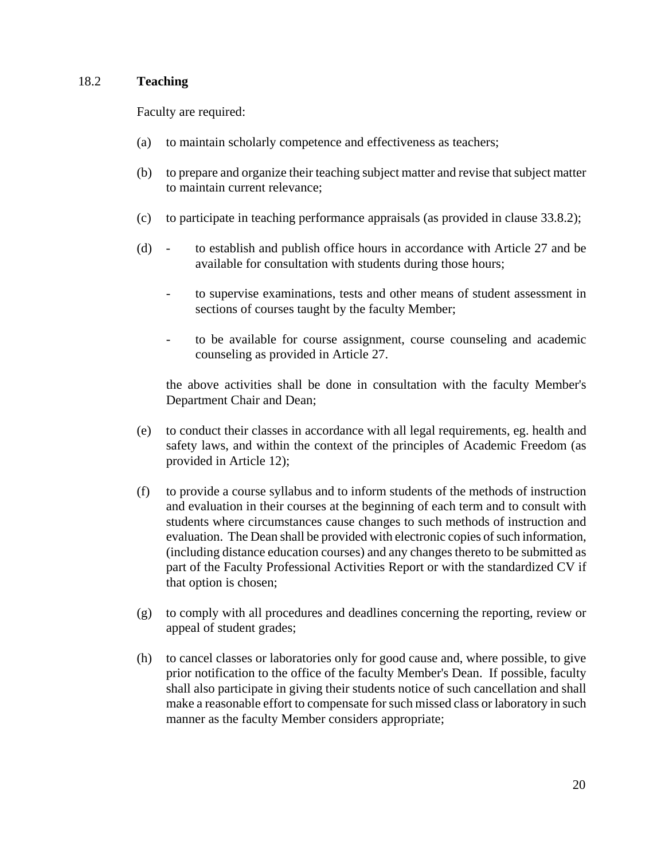#### 18.2 **Teaching**

Faculty are required:

- (a) to maintain scholarly competence and effectiveness as teachers;
- (b) to prepare and organize their teaching subject matter and revise that subject matter to maintain current relevance;
- (c) to participate in teaching performance appraisals (as provided in clause 33.8.2);
- (d) to establish and publish office hours in accordance with Article 27 and be available for consultation with students during those hours;
	- to supervise examinations, tests and other means of student assessment in sections of courses taught by the faculty Member;
	- to be available for course assignment, course counseling and academic counseling as provided in Article 27.

the above activities shall be done in consultation with the faculty Member's Department Chair and Dean;

- (e) to conduct their classes in accordance with all legal requirements, eg. health and safety laws, and within the context of the principles of Academic Freedom (as provided in Article 12);
- (f) to provide a course syllabus and to inform students of the methods of instruction and evaluation in their courses at the beginning of each term and to consult with students where circumstances cause changes to such methods of instruction and evaluation. The Dean shall be provided with electronic copies of such information, (including distance education courses) and any changes thereto to be submitted as part of the Faculty Professional Activities Report or with the standardized CV if that option is chosen;
- (g) to comply with all procedures and deadlines concerning the reporting, review or appeal of student grades;
- (h) to cancel classes or laboratories only for good cause and, where possible, to give prior notification to the office of the faculty Member's Dean. If possible, faculty shall also participate in giving their students notice of such cancellation and shall make a reasonable effort to compensate for such missed class or laboratory in such manner as the faculty Member considers appropriate;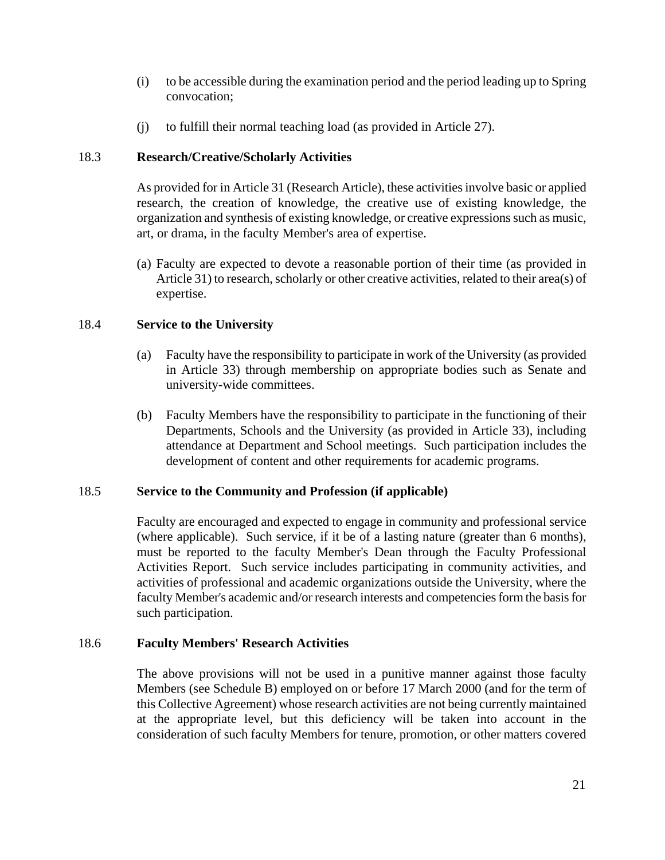- (i) to be accessible during the examination period and the period leading up to Spring convocation;
- (j) to fulfill their normal teaching load (as provided in Article 27).

## 18.3 **Research/Creative/Scholarly Activities**

As provided for in Article 31 (Research Article), these activities involve basic or applied research, the creation of knowledge, the creative use of existing knowledge, the organization and synthesis of existing knowledge, or creative expressions such as music, art, or drama, in the faculty Member's area of expertise.

(a) Faculty are expected to devote a reasonable portion of their time (as provided in Article 31) to research, scholarly or other creative activities, related to their area(s) of expertise.

### 18.4 **Service to the University**

- (a) Faculty have the responsibility to participate in work of the University (as provided in Article 33) through membership on appropriate bodies such as Senate and university-wide committees.
- (b) Faculty Members have the responsibility to participate in the functioning of their Departments, Schools and the University (as provided in Article 33), including attendance at Department and School meetings. Such participation includes the development of content and other requirements for academic programs.

# 18.5 **Service to the Community and Profession (if applicable)**

Faculty are encouraged and expected to engage in community and professional service (where applicable). Such service, if it be of a lasting nature (greater than 6 months), must be reported to the faculty Member's Dean through the Faculty Professional Activities Report. Such service includes participating in community activities, and activities of professional and academic organizations outside the University, where the faculty Member's academic and/or research interests and competencies form the basis for such participation.

#### 18.6 **Faculty Members' Research Activities**

The above provisions will not be used in a punitive manner against those faculty Members (see Schedule B) employed on or before 17 March 2000 (and for the term of this Collective Agreement) whose research activities are not being currently maintained at the appropriate level, but this deficiency will be taken into account in the consideration of such faculty Members for tenure, promotion, or other matters covered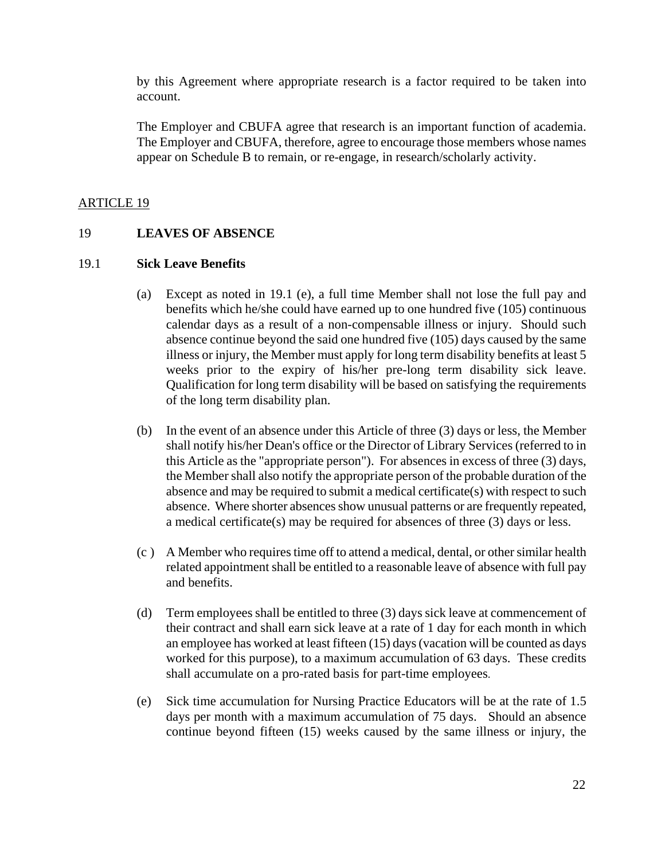by this Agreement where appropriate research is a factor required to be taken into account.

The Employer and CBUFA agree that research is an important function of academia. The Employer and CBUFA, therefore, agree to encourage those members whose names appear on Schedule B to remain, or re-engage, in research/scholarly activity.

## ARTICLE 19

#### 19 **LEAVES OF ABSENCE**

#### 19.1 **Sick Leave Benefits**

- (a) Except as noted in 19.1 (e), a full time Member shall not lose the full pay and benefits which he/she could have earned up to one hundred five (105) continuous calendar days as a result of a non-compensable illness or injury. Should such absence continue beyond the said one hundred five (105) days caused by the same illness or injury, the Member must apply for long term disability benefits at least 5 weeks prior to the expiry of his/her pre-long term disability sick leave. Qualification for long term disability will be based on satisfying the requirements of the long term disability plan.
- (b) In the event of an absence under this Article of three (3) days or less, the Member shall notify his/her Dean's office or the Director of Library Services(referred to in this Article as the "appropriate person"). For absences in excess of three (3) days, the Member shall also notify the appropriate person of the probable duration of the absence and may be required to submit a medical certificate(s) with respect to such absence. Where shorter absences show unusual patterns or are frequently repeated, a medical certificate(s) may be required for absences of three (3) days or less.
- (c ) A Member who requires time off to attend a medical, dental, or other similar health related appointment shall be entitled to a reasonable leave of absence with full pay and benefits.
- (d) Term employees shall be entitled to three (3) days sick leave at commencement of their contract and shall earn sick leave at a rate of 1 day for each month in which an employee has worked at least fifteen (15) days (vacation will be counted as days worked for this purpose), to a maximum accumulation of 63 days. These credits shall accumulate on a pro-rated basis for part-time employees.
- (e) Sick time accumulation for Nursing Practice Educators will be at the rate of 1.5 days per month with a maximum accumulation of 75 days. Should an absence continue beyond fifteen (15) weeks caused by the same illness or injury, the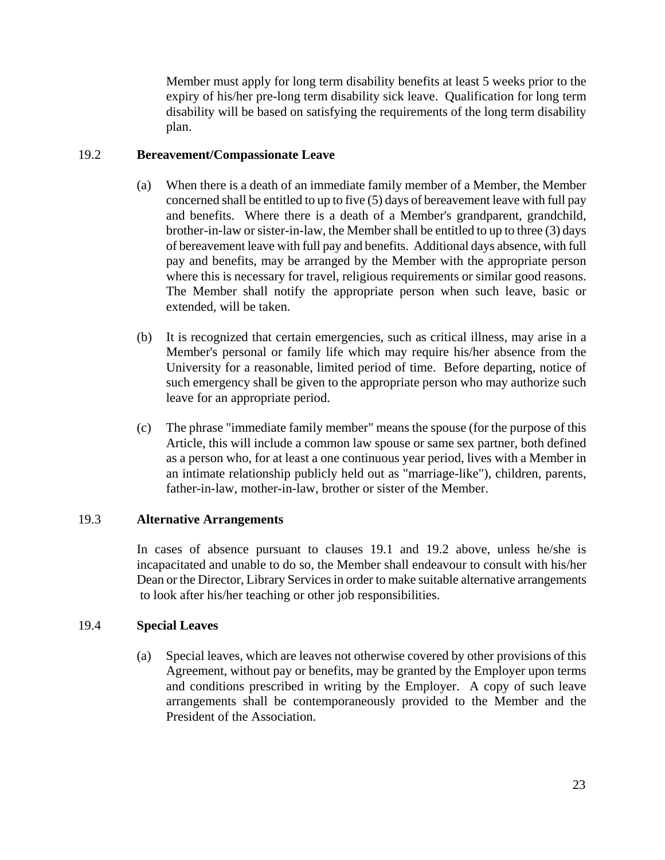Member must apply for long term disability benefits at least 5 weeks prior to the expiry of his/her pre-long term disability sick leave. Qualification for long term disability will be based on satisfying the requirements of the long term disability plan.

## 19.2 **Bereavement/Compassionate Leave**

- (a) When there is a death of an immediate family member of a Member, the Member concerned shall be entitled to up to five (5) days of bereavement leave with full pay and benefits. Where there is a death of a Member's grandparent, grandchild, brother-in-law or sister-in-law, the Member shall be entitled to up to three (3) days of bereavement leave with full pay and benefits. Additional days absence, with full pay and benefits, may be arranged by the Member with the appropriate person where this is necessary for travel, religious requirements or similar good reasons. The Member shall notify the appropriate person when such leave, basic or extended, will be taken.
- (b) It is recognized that certain emergencies, such as critical illness, may arise in a Member's personal or family life which may require his/her absence from the University for a reasonable, limited period of time. Before departing, notice of such emergency shall be given to the appropriate person who may authorize such leave for an appropriate period.
- (c) The phrase "immediate family member" means the spouse (for the purpose of this Article, this will include a common law spouse or same sex partner, both defined as a person who, for at least a one continuous year period, lives with a Member in an intimate relationship publicly held out as "marriage-like"), children, parents, father-in-law, mother-in-law, brother or sister of the Member.

# 19.3 **Alternative Arrangements**

In cases of absence pursuant to clauses 19.1 and 19.2 above, unless he/she is incapacitated and unable to do so, the Member shall endeavour to consult with his/her Dean or the Director, Library Services in order to make suitable alternative arrangements to look after his/her teaching or other job responsibilities.

#### 19.4 **Special Leaves**

(a) Special leaves, which are leaves not otherwise covered by other provisions of this Agreement, without pay or benefits, may be granted by the Employer upon terms and conditions prescribed in writing by the Employer. A copy of such leave arrangements shall be contemporaneously provided to the Member and the President of the Association.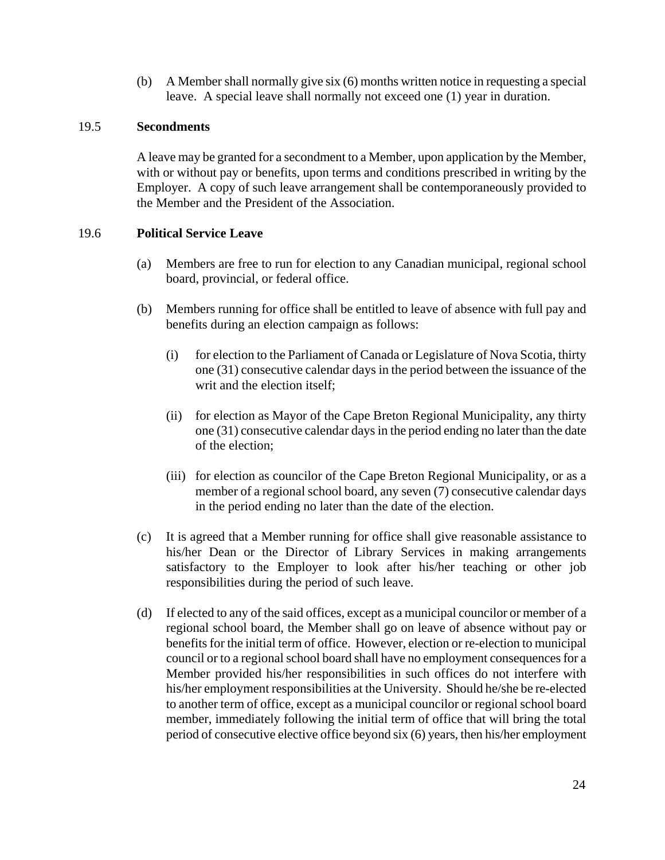(b) A Member shall normally give six (6) months written notice in requesting a special leave. A special leave shall normally not exceed one (1) year in duration.

#### 19.5 **Secondments**

A leave may be granted for a secondment to a Member, upon application by the Member, with or without pay or benefits, upon terms and conditions prescribed in writing by the Employer. A copy of such leave arrangement shall be contemporaneously provided to the Member and the President of the Association.

### 19.6 **Political Service Leave**

- (a) Members are free to run for election to any Canadian municipal, regional school board, provincial, or federal office.
- (b) Members running for office shall be entitled to leave of absence with full pay and benefits during an election campaign as follows:
	- (i) for election to the Parliament of Canada or Legislature of Nova Scotia, thirty one (31) consecutive calendar days in the period between the issuance of the writ and the election itself;
	- (ii) for election as Mayor of the Cape Breton Regional Municipality, any thirty one (31) consecutive calendar days in the period ending no later than the date of the election;
	- (iii) for election as councilor of the Cape Breton Regional Municipality, or as a member of a regional school board, any seven (7) consecutive calendar days in the period ending no later than the date of the election.
- (c) It is agreed that a Member running for office shall give reasonable assistance to his/her Dean or the Director of Library Services in making arrangements satisfactory to the Employer to look after his/her teaching or other job responsibilities during the period of such leave.
- (d) If elected to any of the said offices, except as a municipal councilor or member of a regional school board, the Member shall go on leave of absence without pay or benefits for the initial term of office. However, election or re-election to municipal council or to a regional school board shall have no employment consequences for a Member provided his/her responsibilities in such offices do not interfere with his/her employment responsibilities at the University. Should he/she be re-elected to another term of office, except as a municipal councilor or regional school board member, immediately following the initial term of office that will bring the total period of consecutive elective office beyond six (6) years, then his/her employment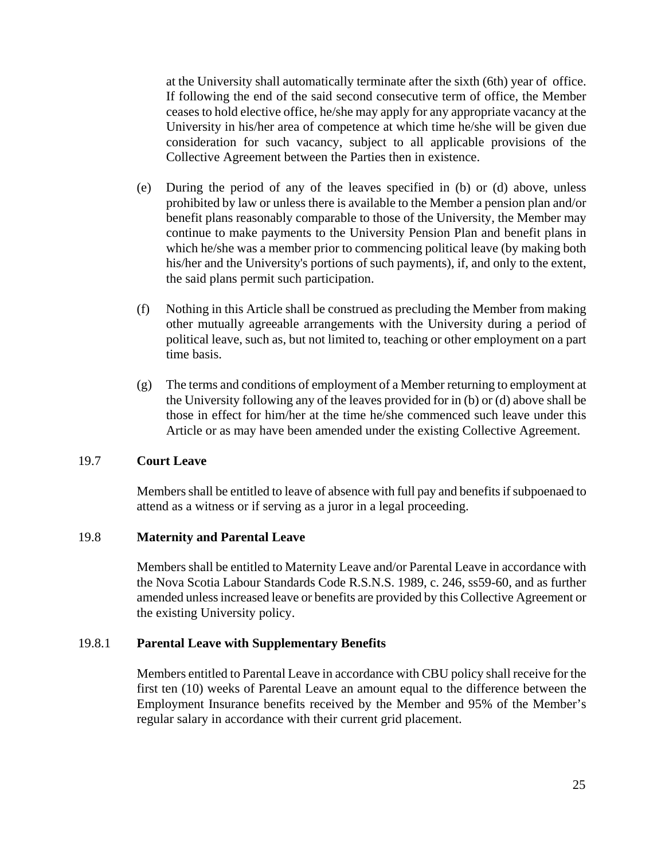at the University shall automatically terminate after the sixth (6th) year of office. If following the end of the said second consecutive term of office, the Member ceases to hold elective office, he/she may apply for any appropriate vacancy at the University in his/her area of competence at which time he/she will be given due consideration for such vacancy, subject to all applicable provisions of the Collective Agreement between the Parties then in existence.

- (e) During the period of any of the leaves specified in (b) or (d) above, unless prohibited by law or unless there is available to the Member a pension plan and/or benefit plans reasonably comparable to those of the University, the Member may continue to make payments to the University Pension Plan and benefit plans in which he/she was a member prior to commencing political leave (by making both his/her and the University's portions of such payments), if, and only to the extent, the said plans permit such participation.
- (f) Nothing in this Article shall be construed as precluding the Member from making other mutually agreeable arrangements with the University during a period of political leave, such as, but not limited to, teaching or other employment on a part time basis.
- $(g)$  The terms and conditions of employment of a Member returning to employment at the University following any of the leaves provided for in (b) or (d) above shall be those in effect for him/her at the time he/she commenced such leave under this Article or as may have been amended under the existing Collective Agreement.

#### 19.7 **Court Leave**

Members shall be entitled to leave of absence with full pay and benefits if subpoenaed to attend as a witness or if serving as a juror in a legal proceeding.

#### 19.8 **Maternity and Parental Leave**

Members shall be entitled to Maternity Leave and/or Parental Leave in accordance with the Nova Scotia Labour Standards Code R.S.N.S. 1989, c. 246, ss59-60, and as further amended unless increased leave or benefits are provided by this Collective Agreement or the existing University policy.

#### 19.8.1 **Parental Leave with Supplementary Benefits**

Members entitled to Parental Leave in accordance with CBU policy shall receive for the first ten (10) weeks of Parental Leave an amount equal to the difference between the Employment Insurance benefits received by the Member and 95% of the Member's regular salary in accordance with their current grid placement.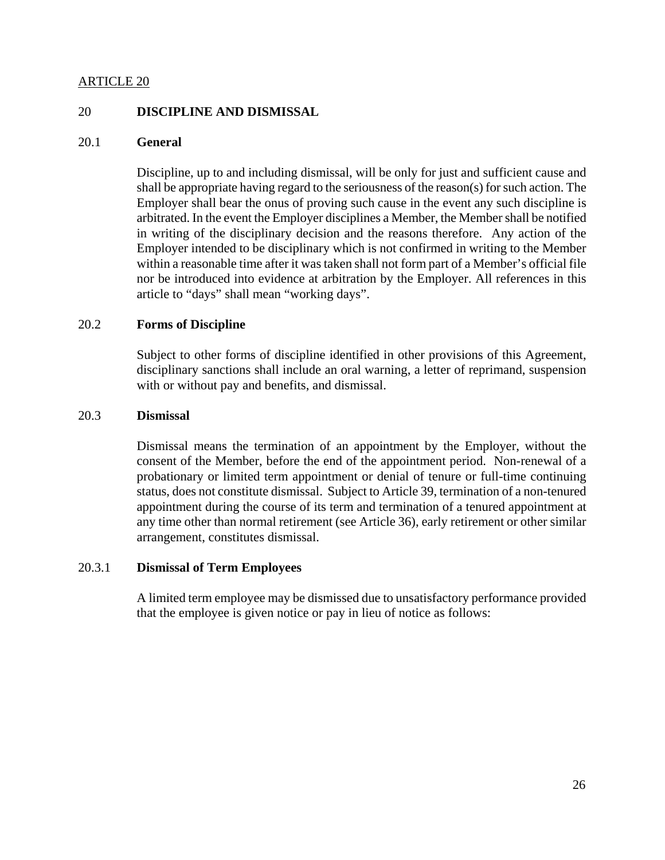#### 20 **DISCIPLINE AND DISMISSAL**

#### 20.1 **General**

Discipline, up to and including dismissal, will be only for just and sufficient cause and shall be appropriate having regard to the seriousness of the reason(s) for such action. The Employer shall bear the onus of proving such cause in the event any such discipline is arbitrated. In the event the Employer disciplines a Member, the Member shall be notified in writing of the disciplinary decision and the reasons therefore. Any action of the Employer intended to be disciplinary which is not confirmed in writing to the Member within a reasonable time after it was taken shall not form part of a Member's official file nor be introduced into evidence at arbitration by the Employer. All references in this article to "days" shall mean "working days".

#### 20.2 **Forms of Discipline**

Subject to other forms of discipline identified in other provisions of this Agreement, disciplinary sanctions shall include an oral warning, a letter of reprimand, suspension with or without pay and benefits, and dismissal.

#### 20.3 **Dismissal**

Dismissal means the termination of an appointment by the Employer, without the consent of the Member, before the end of the appointment period. Non-renewal of a probationary or limited term appointment or denial of tenure or full-time continuing status, does not constitute dismissal. Subject to Article 39, termination of a non-tenured appointment during the course of its term and termination of a tenured appointment at any time other than normal retirement (see Article 36), early retirement or other similar arrangement, constitutes dismissal.

#### 20.3.1 **Dismissal of Term Employees**

A limited term employee may be dismissed due to unsatisfactory performance provided that the employee is given notice or pay in lieu of notice as follows: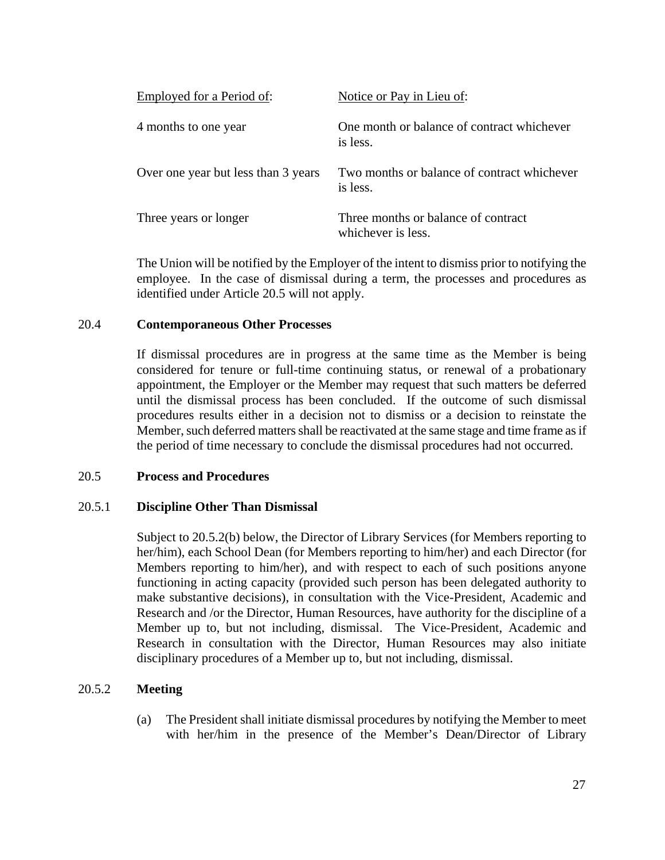| Employed for a Period of:           | Notice or Pay in Lieu of:                                 |
|-------------------------------------|-----------------------------------------------------------|
| 4 months to one year                | One month or balance of contract whichever<br>is less.    |
| Over one year but less than 3 years | Two months or balance of contract whichever<br>is less.   |
| Three years or longer               | Three months or balance of contract<br>whichever is less. |

The Union will be notified by the Employer of the intent to dismiss prior to notifying the employee. In the case of dismissal during a term, the processes and procedures as identified under Article 20.5 will not apply.

#### 20.4 **Contemporaneous Other Processes**

If dismissal procedures are in progress at the same time as the Member is being considered for tenure or full-time continuing status, or renewal of a probationary appointment, the Employer or the Member may request that such matters be deferred until the dismissal process has been concluded. If the outcome of such dismissal procedures results either in a decision not to dismiss or a decision to reinstate the Member, such deferred matters shall be reactivated at the same stage and time frame as if the period of time necessary to conclude the dismissal procedures had not occurred.

#### 20.5 **Process and Procedures**

#### 20.5.1 **Discipline Other Than Dismissal**

Subject to 20.5.2(b) below, the Director of Library Services (for Members reporting to her/him), each School Dean (for Members reporting to him/her) and each Director (for Members reporting to him/her), and with respect to each of such positions anyone functioning in acting capacity (provided such person has been delegated authority to make substantive decisions), in consultation with the Vice-President, Academic and Research and /or the Director, Human Resources, have authority for the discipline of a Member up to, but not including, dismissal. The Vice-President, Academic and Research in consultation with the Director, Human Resources may also initiate disciplinary procedures of a Member up to, but not including, dismissal.

#### 20.5.2 **Meeting**

(a) The President shall initiate dismissal procedures by notifying the Member to meet with her/him in the presence of the Member's Dean/Director of Library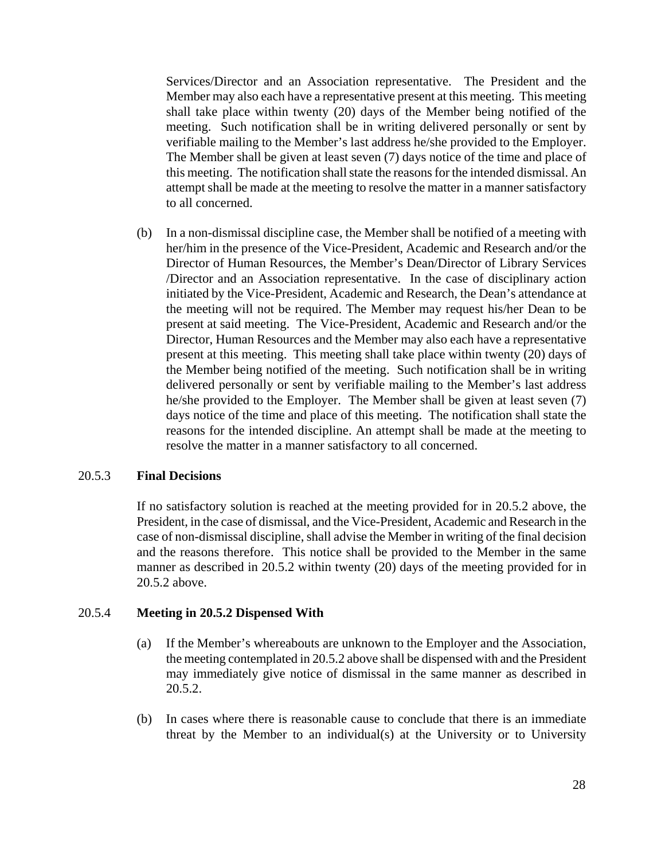Services/Director and an Association representative. The President and the Member may also each have a representative present at this meeting. This meeting shall take place within twenty (20) days of the Member being notified of the meeting. Such notification shall be in writing delivered personally or sent by verifiable mailing to the Member's last address he/she provided to the Employer. The Member shall be given at least seven (7) days notice of the time and place of this meeting. The notification shall state the reasons for the intended dismissal. An attempt shall be made at the meeting to resolve the matter in a manner satisfactory to all concerned.

(b) In a non-dismissal discipline case, the Member shall be notified of a meeting with her/him in the presence of the Vice-President, Academic and Research and/or the Director of Human Resources, the Member's Dean/Director of Library Services /Director and an Association representative. In the case of disciplinary action initiated by the Vice-President, Academic and Research, the Dean's attendance at the meeting will not be required. The Member may request his/her Dean to be present at said meeting. The Vice-President, Academic and Research and/or the Director, Human Resources and the Member may also each have a representative present at this meeting. This meeting shall take place within twenty (20) days of the Member being notified of the meeting. Such notification shall be in writing delivered personally or sent by verifiable mailing to the Member's last address he/she provided to the Employer. The Member shall be given at least seven (7) days notice of the time and place of this meeting. The notification shall state the reasons for the intended discipline. An attempt shall be made at the meeting to resolve the matter in a manner satisfactory to all concerned.

#### 20.5.3 **Final Decisions**

If no satisfactory solution is reached at the meeting provided for in 20.5.2 above, the President, in the case of dismissal, and the Vice-President, Academic and Research in the case of non-dismissal discipline, shall advise the Member in writing of the final decision and the reasons therefore. This notice shall be provided to the Member in the same manner as described in 20.5.2 within twenty (20) days of the meeting provided for in 20.5.2 above.

#### 20.5.4 **Meeting in 20.5.2 Dispensed With**

- (a) If the Member's whereabouts are unknown to the Employer and the Association, the meeting contemplated in 20.5.2 above shall be dispensed with and the President may immediately give notice of dismissal in the same manner as described in 20.5.2.
- (b) In cases where there is reasonable cause to conclude that there is an immediate threat by the Member to an individual(s) at the University or to University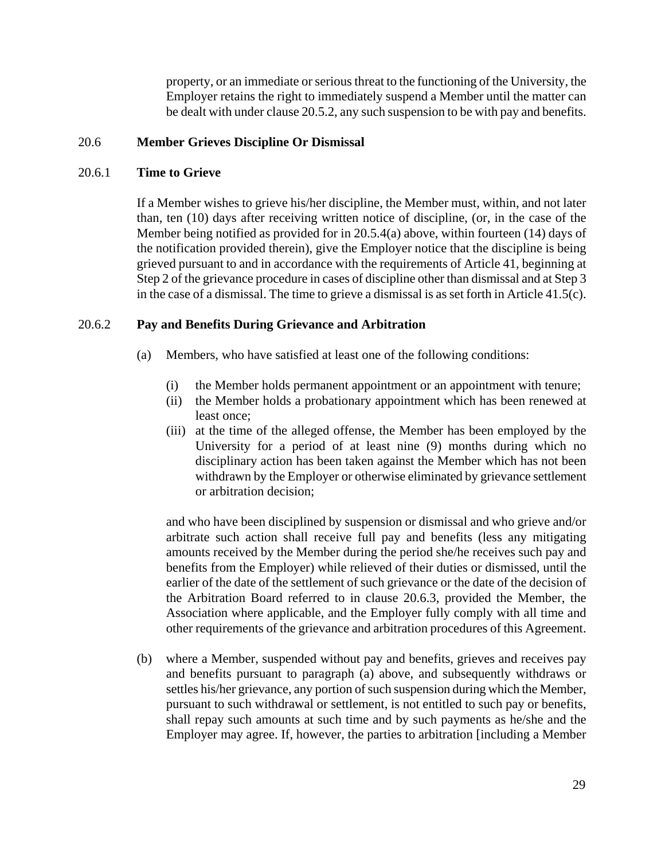property, or an immediate or serious threat to the functioning of the University, the Employer retains the right to immediately suspend a Member until the matter can be dealt with under clause 20.5.2, any such suspension to be with pay and benefits.

#### 20.6 **Member Grieves Discipline Or Dismissal**

#### 20.6.1 **Time to Grieve**

If a Member wishes to grieve his/her discipline, the Member must, within, and not later than, ten (10) days after receiving written notice of discipline, (or, in the case of the Member being notified as provided for in 20.5.4(a) above, within fourteen (14) days of the notification provided therein), give the Employer notice that the discipline is being grieved pursuant to and in accordance with the requirements of Article 41, beginning at Step 2 of the grievance procedure in cases of discipline other than dismissal and at Step 3 in the case of a dismissal. The time to grieve a dismissal is as set forth in Article 41.5(c).

#### 20.6.2 **Pay and Benefits During Grievance and Arbitration**

- (a) Members, who have satisfied at least one of the following conditions:
	- (i) the Member holds permanent appointment or an appointment with tenure;
	- (ii) the Member holds a probationary appointment which has been renewed at least once;
	- (iii) at the time of the alleged offense, the Member has been employed by the University for a period of at least nine (9) months during which no disciplinary action has been taken against the Member which has not been withdrawn by the Employer or otherwise eliminated by grievance settlement or arbitration decision;

and who have been disciplined by suspension or dismissal and who grieve and/or arbitrate such action shall receive full pay and benefits (less any mitigating amounts received by the Member during the period she/he receives such pay and benefits from the Employer) while relieved of their duties or dismissed, until the earlier of the date of the settlement of such grievance or the date of the decision of the Arbitration Board referred to in clause 20.6.3, provided the Member, the Association where applicable, and the Employer fully comply with all time and other requirements of the grievance and arbitration procedures of this Agreement.

(b) where a Member, suspended without pay and benefits, grieves and receives pay and benefits pursuant to paragraph (a) above, and subsequently withdraws or settles his/her grievance, any portion of such suspension during which the Member, pursuant to such withdrawal or settlement, is not entitled to such pay or benefits, shall repay such amounts at such time and by such payments as he/she and the Employer may agree. If, however, the parties to arbitration [including a Member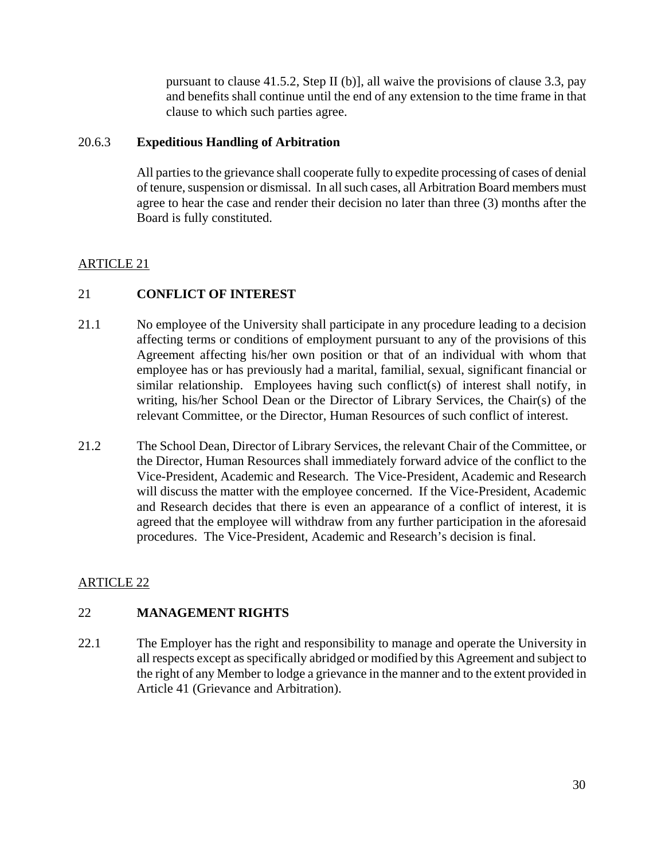pursuant to clause 41.5.2, Step II (b)], all waive the provisions of clause 3.3, pay and benefits shall continue until the end of any extension to the time frame in that clause to which such parties agree.

#### 20.6.3 **Expeditious Handling of Arbitration**

All parties to the grievance shall cooperate fully to expedite processing of cases of denial of tenure, suspension or dismissal. In all such cases, all Arbitration Board members must agree to hear the case and render their decision no later than three (3) months after the Board is fully constituted.

# ARTICLE 21

# 21 **CONFLICT OF INTEREST**

- 21.1 No employee of the University shall participate in any procedure leading to a decision affecting terms or conditions of employment pursuant to any of the provisions of this Agreement affecting his/her own position or that of an individual with whom that employee has or has previously had a marital, familial, sexual, significant financial or similar relationship. Employees having such conflict(s) of interest shall notify, in writing, his/her School Dean or the Director of Library Services, the Chair(s) of the relevant Committee, or the Director, Human Resources of such conflict of interest.
- 21.2 The School Dean, Director of Library Services, the relevant Chair of the Committee, or the Director, Human Resources shall immediately forward advice of the conflict to the Vice-President, Academic and Research. The Vice-President, Academic and Research will discuss the matter with the employee concerned. If the Vice-President, Academic and Research decides that there is even an appearance of a conflict of interest, it is agreed that the employee will withdraw from any further participation in the aforesaid procedures. The Vice-President, Academic and Research's decision is final.

# ARTICLE 22

# 22 **MANAGEMENT RIGHTS**

22.1 The Employer has the right and responsibility to manage and operate the University in all respects except as specifically abridged or modified by this Agreement and subject to the right of any Member to lodge a grievance in the manner and to the extent provided in Article 41 (Grievance and Arbitration).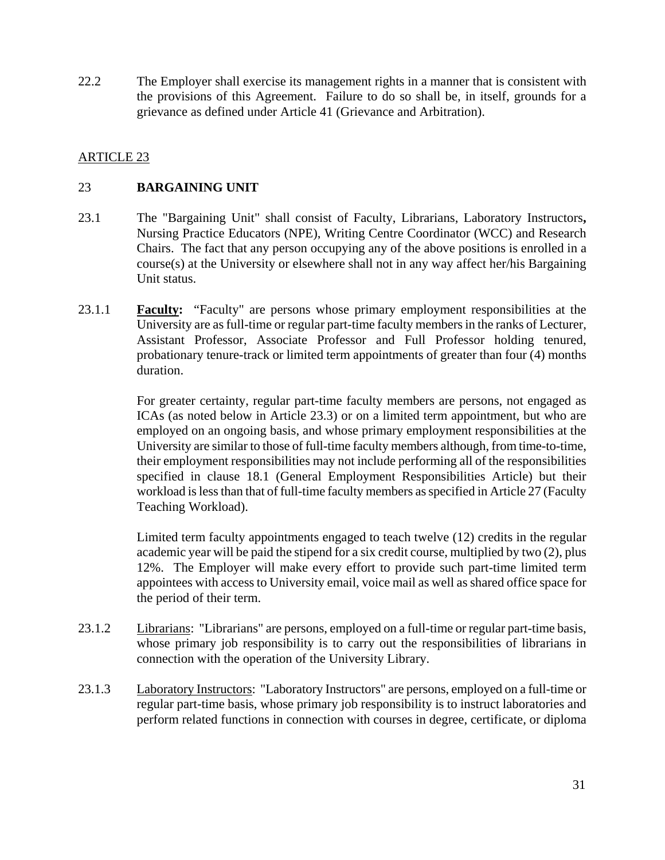22.2 The Employer shall exercise its management rights in a manner that is consistent with the provisions of this Agreement. Failure to do so shall be, in itself, grounds for a grievance as defined under Article 41 (Grievance and Arbitration).

# ARTICLE 23

## 23 **BARGAINING UNIT**

- 23.1 The "Bargaining Unit" shall consist of Faculty, Librarians, Laboratory Instructors**,**  Nursing Practice Educators (NPE), Writing Centre Coordinator (WCC) and Research Chairs. The fact that any person occupying any of the above positions is enrolled in a course(s) at the University or elsewhere shall not in any way affect her/his Bargaining Unit status.
- 23.1.1 **Faculty:** "Faculty" are persons whose primary employment responsibilities at the University are as full-time or regular part-time faculty members in the ranks of Lecturer, Assistant Professor, Associate Professor and Full Professor holding tenured, probationary tenure-track or limited term appointments of greater than four (4) months duration.

For greater certainty, regular part-time faculty members are persons, not engaged as ICAs (as noted below in Article 23.3) or on a limited term appointment, but who are employed on an ongoing basis, and whose primary employment responsibilities at the University are similar to those of full-time faculty members although, from time-to-time, their employment responsibilities may not include performing all of the responsibilities specified in clause 18.1 (General Employment Responsibilities Article) but their workload is less than that of full-time faculty members as specified in Article 27 (Faculty Teaching Workload).

Limited term faculty appointments engaged to teach twelve (12) credits in the regular academic year will be paid the stipend for a six credit course, multiplied by two (2), plus 12%. The Employer will make every effort to provide such part-time limited term appointees with access to University email, voice mail as well as shared office space for the period of their term.

- 23.1.2 Librarians:"Librarians" are persons, employed on a full-time or regular part-time basis, whose primary job responsibility is to carry out the responsibilities of librarians in connection with the operation of the University Library.
- 23.1.3 Laboratory Instructors: "Laboratory Instructors" are persons, employed on a full-time or regular part-time basis, whose primary job responsibility is to instruct laboratories and perform related functions in connection with courses in degree, certificate, or diploma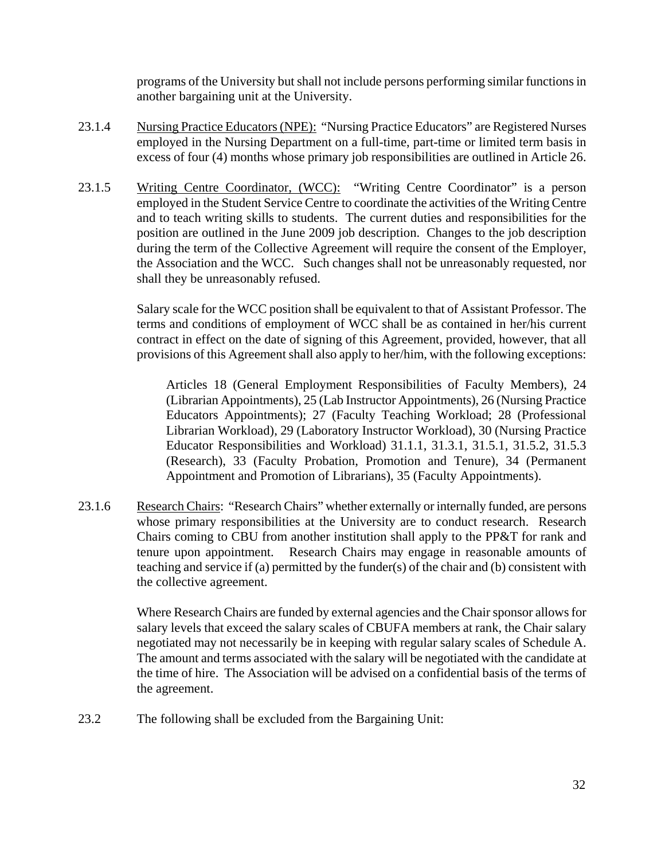programs of the University but shall not include persons performing similar functions in another bargaining unit at the University.

- 23.1.4 Nursing Practice Educators (NPE): "Nursing Practice Educators" are Registered Nurses employed in the Nursing Department on a full-time, part-time or limited term basis in excess of four (4) months whose primary job responsibilities are outlined in Article 26.
- 23.1.5 Writing Centre Coordinator, (WCC): "Writing Centre Coordinator" is a person employed in the Student Service Centre to coordinate the activities of the Writing Centre and to teach writing skills to students. The current duties and responsibilities for the position are outlined in the June 2009 job description. Changes to the job description during the term of the Collective Agreement will require the consent of the Employer, the Association and the WCC. Such changes shall not be unreasonably requested, nor shall they be unreasonably refused.

Salary scale for the WCC position shall be equivalent to that of Assistant Professor. The terms and conditions of employment of WCC shall be as contained in her/his current contract in effect on the date of signing of this Agreement, provided, however, that all provisions of this Agreement shall also apply to her/him, with the following exceptions:

Articles 18 (General Employment Responsibilities of Faculty Members), 24 (Librarian Appointments), 25 (Lab Instructor Appointments), 26 (Nursing Practice Educators Appointments); 27 (Faculty Teaching Workload; 28 (Professional Librarian Workload), 29 (Laboratory Instructor Workload), 30 (Nursing Practice Educator Responsibilities and Workload) 31.1.1, 31.3.1, 31.5.1, 31.5.2, 31.5.3 (Research), 33 (Faculty Probation, Promotion and Tenure), 34 (Permanent Appointment and Promotion of Librarians), 35 (Faculty Appointments).

23.1.6 Research Chairs: "Research Chairs" whether externally or internally funded, are persons whose primary responsibilities at the University are to conduct research. Research Chairs coming to CBU from another institution shall apply to the PP&T for rank and tenure upon appointment. Research Chairs may engage in reasonable amounts of teaching and service if (a) permitted by the funder(s) of the chair and (b) consistent with the collective agreement.

> Where Research Chairs are funded by external agencies and the Chair sponsor allows for salary levels that exceed the salary scales of CBUFA members at rank, the Chair salary negotiated may not necessarily be in keeping with regular salary scales of Schedule A. The amount and terms associated with the salary will be negotiated with the candidate at the time of hire. The Association will be advised on a confidential basis of the terms of the agreement.

23.2 The following shall be excluded from the Bargaining Unit: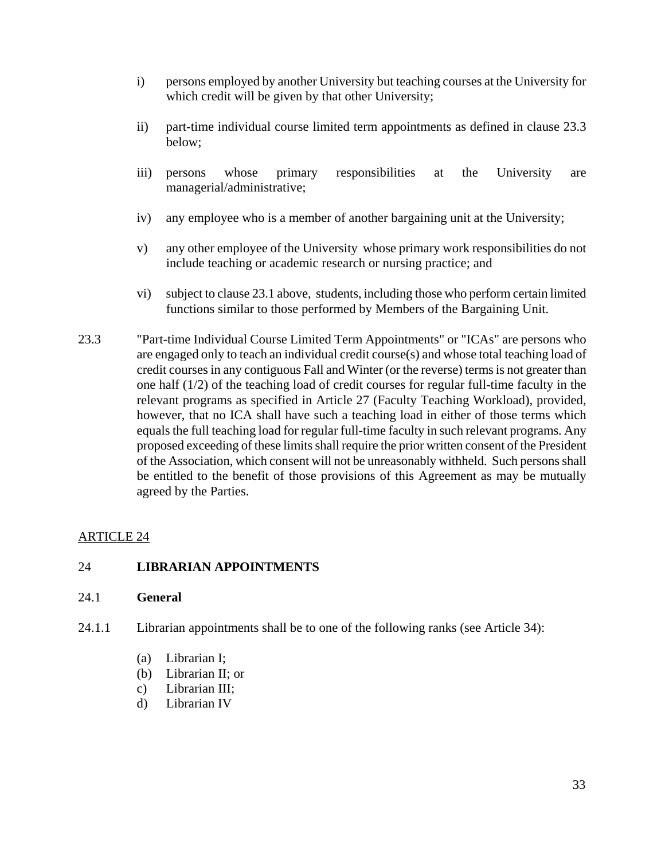- i) persons employed by another University but teaching courses at the University for which credit will be given by that other University;
- ii) part-time individual course limited term appointments as defined in clause 23.3 below;
- iii) persons whose primary responsibilities at the University are managerial/administrative;
- iv) any employee who is a member of another bargaining unit at the University;
- v) any other employee of the University whose primary work responsibilities do not include teaching or academic research or nursing practice; and
- vi) subject to clause 23.1 above, students, including those who perform certain limited functions similar to those performed by Members of the Bargaining Unit.
- 23.3 "Part-time Individual Course Limited Term Appointments" or "ICAs" are persons who are engaged only to teach an individual credit course(s) and whose total teaching load of credit courses in any contiguous Fall and Winter (or the reverse) terms is not greater than one half (1/2) of the teaching load of credit courses for regular full-time faculty in the relevant programs as specified in Article 27 (Faculty Teaching Workload), provided, however, that no ICA shall have such a teaching load in either of those terms which equals the full teaching load for regular full-time faculty in such relevant programs. Any proposed exceeding of these limits shall require the prior written consent of the President of the Association, which consent will not be unreasonably withheld. Such persons shall be entitled to the benefit of those provisions of this Agreement as may be mutually agreed by the Parties.

# 24 **LIBRARIAN APPOINTMENTS**

#### 24.1 **General**

- 24.1.1 Librarian appointments shall be to one of the following ranks (see Article 34):
	- (a) Librarian I;
	- (b) Librarian II; or
	- c) Librarian III;
	- d) Librarian IV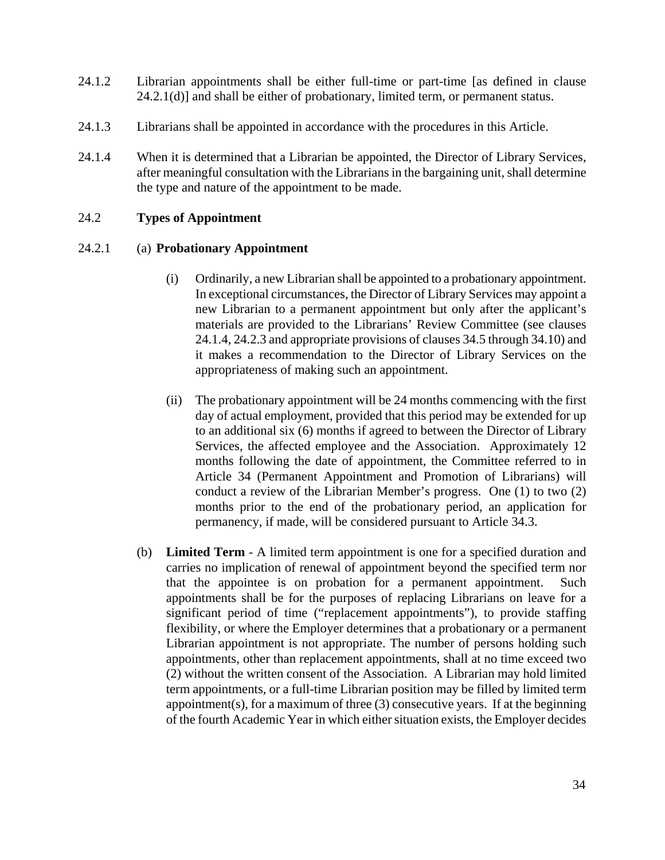- 24.1.2 Librarian appointments shall be either full-time or part-time [as defined in clause  $24.2.1(d)$ ] and shall be either of probationary, limited term, or permanent status.
- 24.1.3 Librarians shall be appointed in accordance with the procedures in this Article.
- 24.1.4 When it is determined that a Librarian be appointed, the Director of Library Services, after meaningful consultation with the Librarians in the bargaining unit, shall determine the type and nature of the appointment to be made.

#### 24.2 **Types of Appointment**

#### 24.2.1 (a) **Probationary Appointment**

- (i) Ordinarily, a new Librarian shall be appointed to a probationary appointment. In exceptional circumstances, the Director of Library Services may appoint a new Librarian to a permanent appointment but only after the applicant's materials are provided to the Librarians' Review Committee (see clauses 24.1.4, 24.2.3 and appropriate provisions of clauses 34.5 through 34.10) and it makes a recommendation to the Director of Library Services on the appropriateness of making such an appointment.
- (ii) The probationary appointment will be 24 months commencing with the first day of actual employment, provided that this period may be extended for up to an additional six (6) months if agreed to between the Director of Library Services, the affected employee and the Association. Approximately 12 months following the date of appointment, the Committee referred to in Article 34 (Permanent Appointment and Promotion of Librarians) will conduct a review of the Librarian Member's progress. One (1) to two (2) months prior to the end of the probationary period, an application for permanency, if made, will be considered pursuant to Article 34.3.
- (b) **Limited Term** A limited term appointment is one for a specified duration and carries no implication of renewal of appointment beyond the specified term nor that the appointee is on probation for a permanent appointment. Such appointments shall be for the purposes of replacing Librarians on leave for a significant period of time ("replacement appointments"), to provide staffing flexibility, or where the Employer determines that a probationary or a permanent Librarian appointment is not appropriate. The number of persons holding such appointments, other than replacement appointments, shall at no time exceed two (2) without the written consent of the Association. A Librarian may hold limited term appointments, or a full-time Librarian position may be filled by limited term appointment(s), for a maximum of three  $(3)$  consecutive years. If at the beginning of the fourth Academic Year in which either situation exists, the Employer decides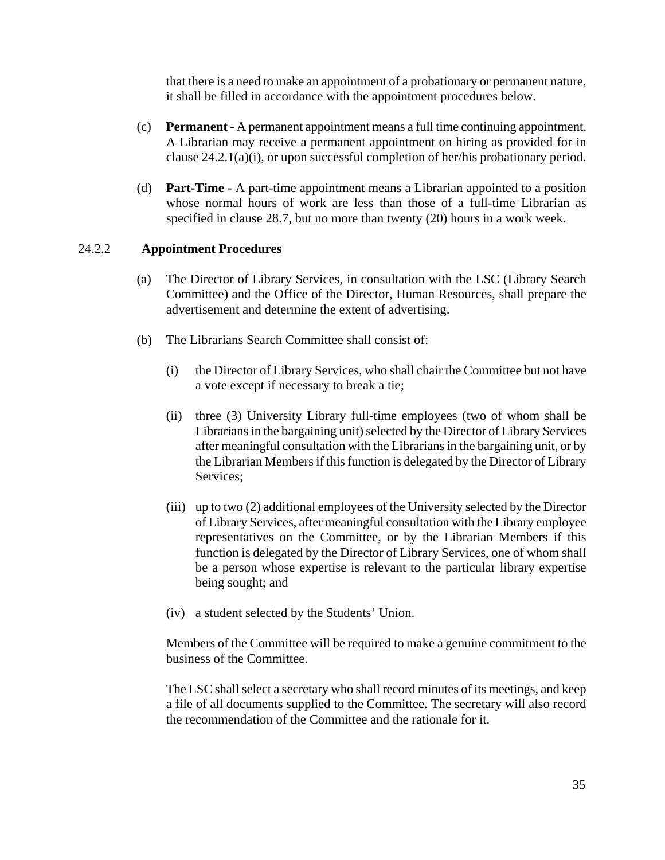that there is a need to make an appointment of a probationary or permanent nature, it shall be filled in accordance with the appointment procedures below.

- (c) **Permanent** A permanent appointment means a full time continuing appointment. A Librarian may receive a permanent appointment on hiring as provided for in clause 24.2.1(a)(i), or upon successful completion of her/his probationary period.
- (d) **Part-Time** A part-time appointment means a Librarian appointed to a position whose normal hours of work are less than those of a full-time Librarian as specified in clause 28.7, but no more than twenty (20) hours in a work week.

#### 24.2.2 **Appointment Procedures**

- (a) The Director of Library Services, in consultation with the LSC (Library Search Committee) and the Office of the Director, Human Resources, shall prepare the advertisement and determine the extent of advertising.
- (b) The Librarians Search Committee shall consist of:
	- (i) the Director of Library Services, who shall chair the Committee but not have a vote except if necessary to break a tie;
	- (ii) three (3) University Library full-time employees (two of whom shall be Librarians in the bargaining unit) selected by the Director of Library Services after meaningful consultation with the Librarians in the bargaining unit, or by the Librarian Members if this function is delegated by the Director of Library Services;
	- (iii) up to two (2) additional employees of the University selected by the Director of Library Services, after meaningful consultation with the Library employee representatives on the Committee, or by the Librarian Members if this function is delegated by the Director of Library Services, one of whom shall be a person whose expertise is relevant to the particular library expertise being sought; and
	- (iv) a student selected by the Students' Union.

Members of the Committee will be required to make a genuine commitment to the business of the Committee.

The LSC shall select a secretary who shall record minutes of its meetings, and keep a file of all documents supplied to the Committee. The secretary will also record the recommendation of the Committee and the rationale for it.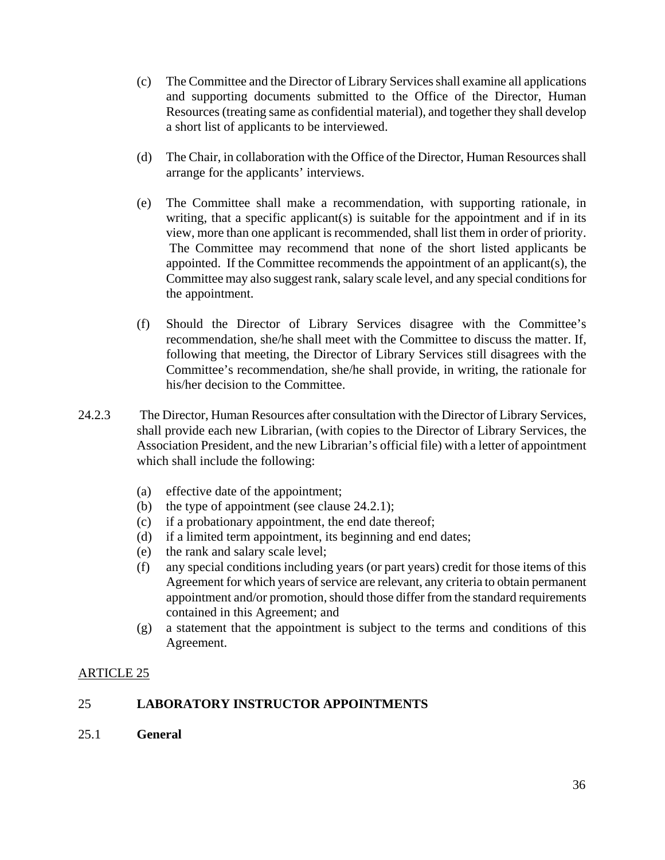- (c) The Committee and the Director of Library Services shall examine all applications and supporting documents submitted to the Office of the Director, Human Resources (treating same as confidential material), and together they shall develop a short list of applicants to be interviewed.
- (d) The Chair, in collaboration with the Office of the Director, Human Resources shall arrange for the applicants' interviews.
- (e) The Committee shall make a recommendation, with supporting rationale, in writing, that a specific applicant(s) is suitable for the appointment and if in its view, more than one applicant is recommended, shall list them in order of priority. The Committee may recommend that none of the short listed applicants be appointed. If the Committee recommends the appointment of an applicant(s), the Committee may also suggest rank, salary scale level, and any special conditions for the appointment.
- (f) Should the Director of Library Services disagree with the Committee's recommendation, she/he shall meet with the Committee to discuss the matter. If, following that meeting, the Director of Library Services still disagrees with the Committee's recommendation, she/he shall provide, in writing, the rationale for his/her decision to the Committee.
- 24.2.3 The Director, Human Resources after consultation with the Director of Library Services, shall provide each new Librarian, (with copies to the Director of Library Services, the Association President, and the new Librarian's official file) with a letter of appointment which shall include the following:
	- (a) effective date of the appointment;
	- (b) the type of appointment (see clause 24.2.1);
	- (c) if a probationary appointment, the end date thereof;
	- (d) if a limited term appointment, its beginning and end dates;
	- (e) the rank and salary scale level;
	- (f) any special conditions including years (or part years) credit for those items of this Agreement for which years of service are relevant, any criteria to obtain permanent appointment and/or promotion, should those differ from the standard requirements contained in this Agreement; and
	- (g) a statement that the appointment is subject to the terms and conditions of this Agreement.

# ARTICLE 25

# 25 **LABORATORY INSTRUCTOR APPOINTMENTS**

25.1 **General**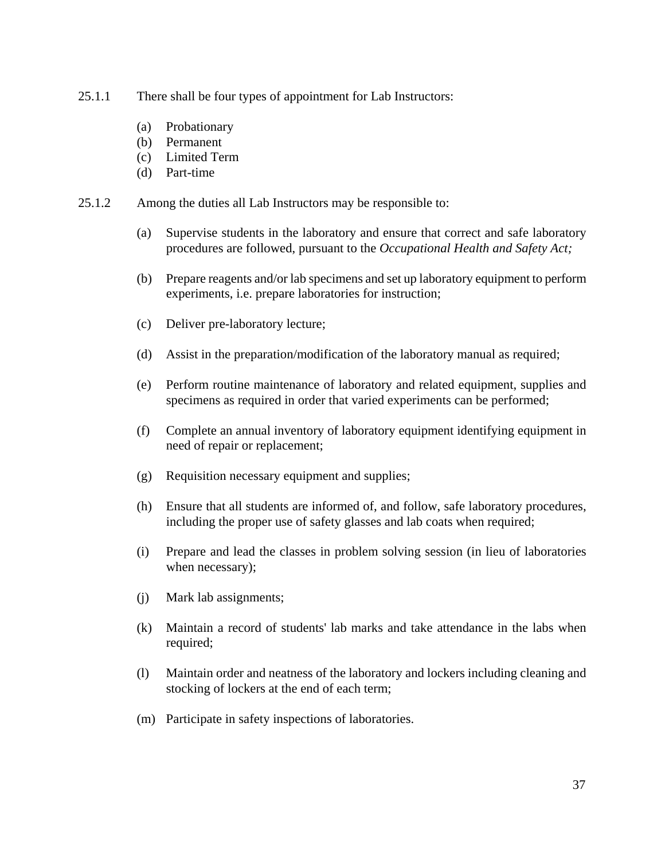- 25.1.1 There shall be four types of appointment for Lab Instructors:
	- (a) Probationary
	- (b) Permanent
	- (c) Limited Term
	- (d) Part-time
- 25.1.2 Among the duties all Lab Instructors may be responsible to:
	- (a) Supervise students in the laboratory and ensure that correct and safe laboratory procedures are followed, pursuant to the *Occupational Health and Safety Act;*
	- (b) Prepare reagents and/or lab specimens and set up laboratory equipment to perform experiments, i.e. prepare laboratories for instruction;
	- (c) Deliver pre-laboratory lecture;
	- (d) Assist in the preparation/modification of the laboratory manual as required;
	- (e) Perform routine maintenance of laboratory and related equipment, supplies and specimens as required in order that varied experiments can be performed;
	- (f) Complete an annual inventory of laboratory equipment identifying equipment in need of repair or replacement;
	- (g) Requisition necessary equipment and supplies;
	- (h) Ensure that all students are informed of, and follow, safe laboratory procedures, including the proper use of safety glasses and lab coats when required;
	- (i) Prepare and lead the classes in problem solving session (in lieu of laboratories when necessary);
	- (j) Mark lab assignments;
	- (k) Maintain a record of students' lab marks and take attendance in the labs when required;
	- (l) Maintain order and neatness of the laboratory and lockers including cleaning and stocking of lockers at the end of each term;
	- (m) Participate in safety inspections of laboratories.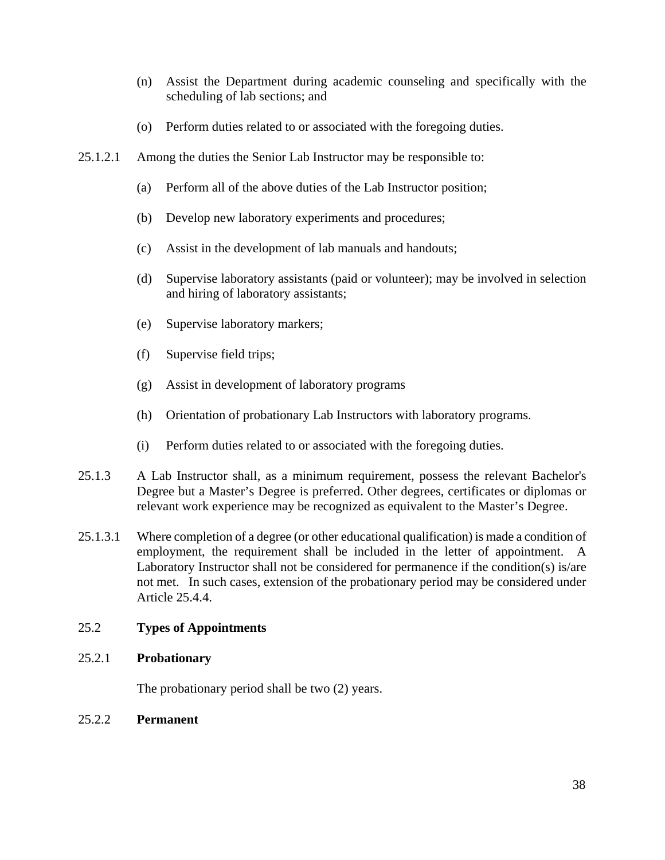- (n) Assist the Department during academic counseling and specifically with the scheduling of lab sections; and
- (o) Perform duties related to or associated with the foregoing duties.
- 25.1.2.1 Among the duties the Senior Lab Instructor may be responsible to:
	- (a) Perform all of the above duties of the Lab Instructor position;
	- (b) Develop new laboratory experiments and procedures;
	- (c) Assist in the development of lab manuals and handouts;
	- (d) Supervise laboratory assistants (paid or volunteer); may be involved in selection and hiring of laboratory assistants;
	- (e) Supervise laboratory markers;
	- (f) Supervise field trips;
	- (g) Assist in development of laboratory programs
	- (h) Orientation of probationary Lab Instructors with laboratory programs.
	- (i) Perform duties related to or associated with the foregoing duties.
- 25.1.3 A Lab Instructor shall, as a minimum requirement, possess the relevant Bachelor's Degree but a Master's Degree is preferred. Other degrees, certificates or diplomas or relevant work experience may be recognized as equivalent to the Master's Degree.
- 25.1.3.1 Where completion of a degree (or other educational qualification) is made a condition of employment, the requirement shall be included in the letter of appointment. A Laboratory Instructor shall not be considered for permanence if the condition(s) is/are not met. In such cases, extension of the probationary period may be considered under Article 25.4.4.

### 25.2 **Types of Appointments**

### 25.2.1 **Probationary**

The probationary period shall be two (2) years.

### 25.2.2 **Permanent**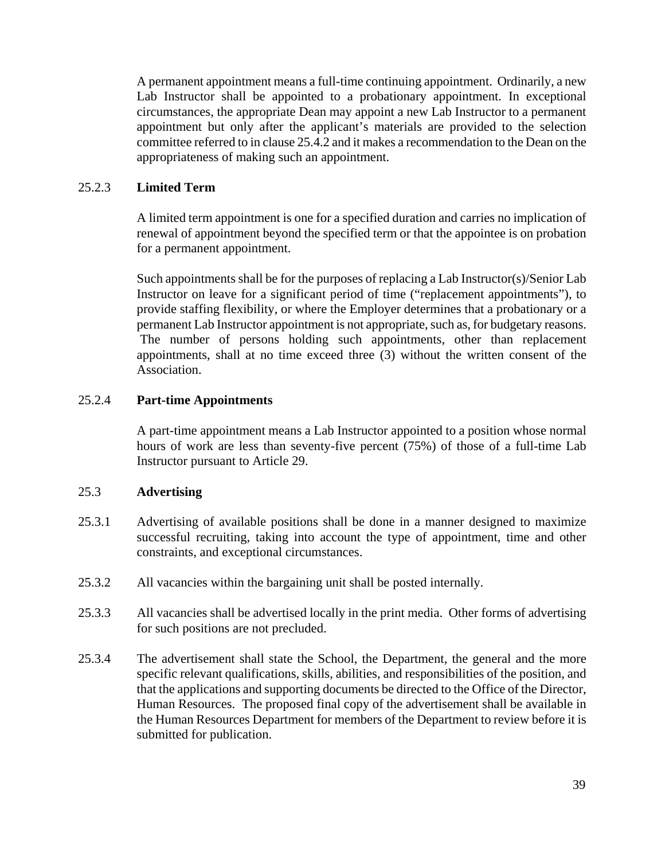A permanent appointment means a full-time continuing appointment. Ordinarily, a new Lab Instructor shall be appointed to a probationary appointment. In exceptional circumstances, the appropriate Dean may appoint a new Lab Instructor to a permanent appointment but only after the applicant's materials are provided to the selection committee referred to in clause 25.4.2 and it makes a recommendation to the Dean on the appropriateness of making such an appointment.

### 25.2.3 **Limited Term**

A limited term appointment is one for a specified duration and carries no implication of renewal of appointment beyond the specified term or that the appointee is on probation for a permanent appointment.

Such appointments shall be for the purposes of replacing a Lab Instructor(s)/Senior Lab Instructor on leave for a significant period of time ("replacement appointments"), to provide staffing flexibility, or where the Employer determines that a probationary or a permanent Lab Instructor appointment is not appropriate, such as, for budgetary reasons. The number of persons holding such appointments, other than replacement appointments, shall at no time exceed three (3) without the written consent of the Association.

### 25.2.4 **Part-time Appointments**

A part-time appointment means a Lab Instructor appointed to a position whose normal hours of work are less than seventy-five percent (75%) of those of a full-time Lab Instructor pursuant to Article 29.

# 25.3 **Advertising**

- 25.3.1 Advertising of available positions shall be done in a manner designed to maximize successful recruiting, taking into account the type of appointment, time and other constraints, and exceptional circumstances.
- 25.3.2 All vacancies within the bargaining unit shall be posted internally.
- 25.3.3 All vacancies shall be advertised locally in the print media. Other forms of advertising for such positions are not precluded.
- 25.3.4 The advertisement shall state the School, the Department, the general and the more specific relevant qualifications, skills, abilities, and responsibilities of the position, and that the applications and supporting documents be directed to the Office of the Director, Human Resources. The proposed final copy of the advertisement shall be available in the Human Resources Department for members of the Department to review before it is submitted for publication.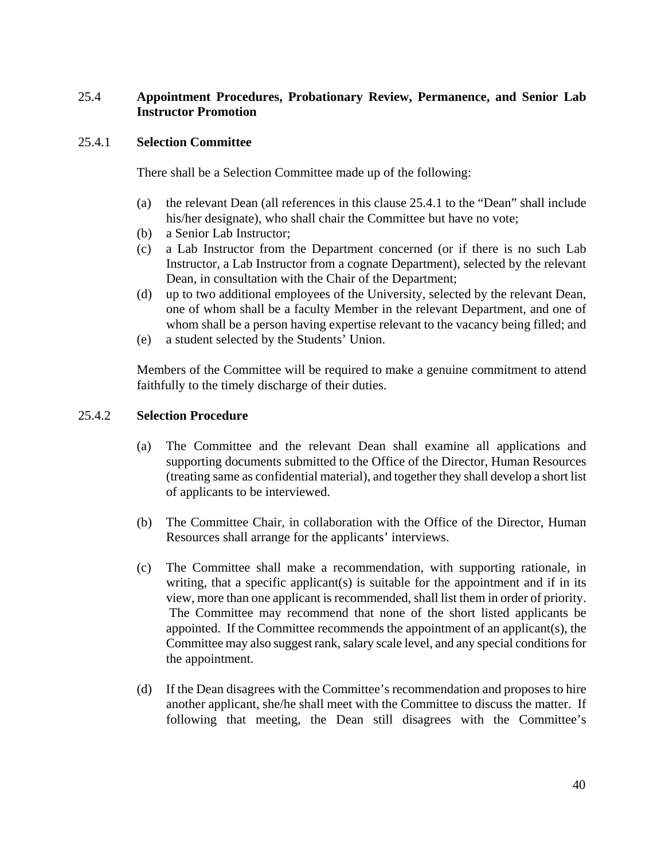### 25.4 **Appointment Procedures, Probationary Review, Permanence, and Senior Lab Instructor Promotion**

### 25.4.1 **Selection Committee**

There shall be a Selection Committee made up of the following:

- (a) the relevant Dean (all references in this clause 25.4.1 to the "Dean" shall include his/her designate), who shall chair the Committee but have no vote:
- (b) a Senior Lab Instructor;
- (c) a Lab Instructor from the Department concerned (or if there is no such Lab Instructor, a Lab Instructor from a cognate Department), selected by the relevant Dean, in consultation with the Chair of the Department;
- (d) up to two additional employees of the University, selected by the relevant Dean, one of whom shall be a faculty Member in the relevant Department, and one of whom shall be a person having expertise relevant to the vacancy being filled; and
- (e) a student selected by the Students' Union.

Members of the Committee will be required to make a genuine commitment to attend faithfully to the timely discharge of their duties.

### 25.4.2 **Selection Procedure**

- (a) The Committee and the relevant Dean shall examine all applications and supporting documents submitted to the Office of the Director, Human Resources (treating same as confidential material), and together they shall develop a short list of applicants to be interviewed.
- (b) The Committee Chair, in collaboration with the Office of the Director, Human Resources shall arrange for the applicants' interviews.
- (c) The Committee shall make a recommendation, with supporting rationale, in writing, that a specific applicant(s) is suitable for the appointment and if in its view, more than one applicant is recommended, shall list them in order of priority. The Committee may recommend that none of the short listed applicants be appointed. If the Committee recommends the appointment of an applicant(s), the Committee may also suggest rank, salary scale level, and any special conditions for the appointment.
- (d) If the Dean disagrees with the Committee's recommendation and proposes to hire another applicant, she/he shall meet with the Committee to discuss the matter. If following that meeting, the Dean still disagrees with the Committee's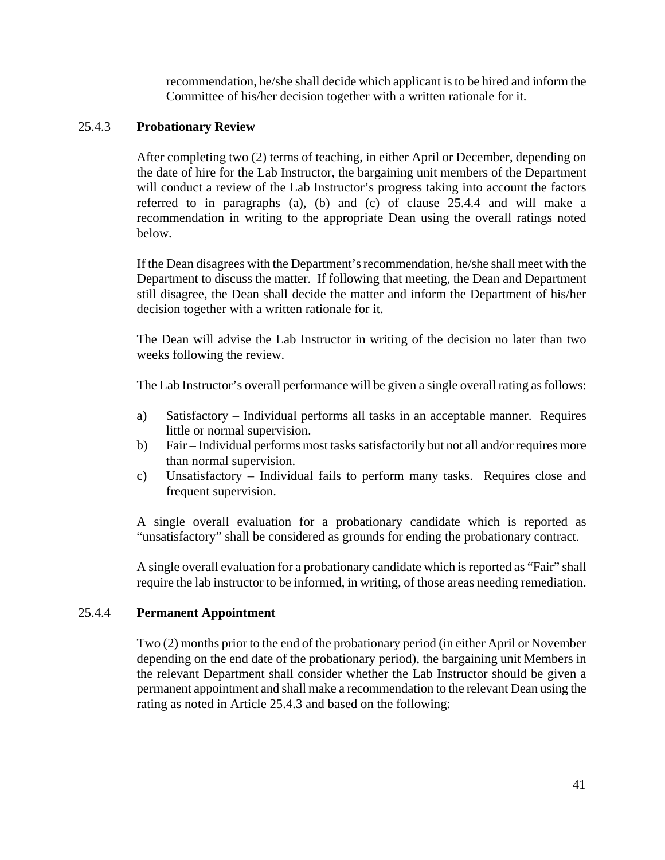recommendation, he/she shall decide which applicant is to be hired and inform the Committee of his/her decision together with a written rationale for it.

### 25.4.3 **Probationary Review**

After completing two (2) terms of teaching, in either April or December, depending on the date of hire for the Lab Instructor, the bargaining unit members of the Department will conduct a review of the Lab Instructor's progress taking into account the factors referred to in paragraphs (a), (b) and (c) of clause 25.4.4 and will make a recommendation in writing to the appropriate Dean using the overall ratings noted below.

If the Dean disagrees with the Department's recommendation, he/she shall meet with the Department to discuss the matter. If following that meeting, the Dean and Department still disagree, the Dean shall decide the matter and inform the Department of his/her decision together with a written rationale for it.

The Dean will advise the Lab Instructor in writing of the decision no later than two weeks following the review.

The Lab Instructor's overall performance will be given a single overall rating as follows:

- a) Satisfactory Individual performs all tasks in an acceptable manner. Requires little or normal supervision.
- b) Fair Individual performs most tasks satisfactorily but not all and/or requires more than normal supervision.
- c) Unsatisfactory Individual fails to perform many tasks. Requires close and frequent supervision.

A single overall evaluation for a probationary candidate which is reported as "unsatisfactory" shall be considered as grounds for ending the probationary contract.

A single overall evaluation for a probationary candidate which is reported as "Fair" shall require the lab instructor to be informed, in writing, of those areas needing remediation.

### 25.4.4 **Permanent Appointment**

Two (2) months prior to the end of the probationary period (in either April or November depending on the end date of the probationary period), the bargaining unit Members in the relevant Department shall consider whether the Lab Instructor should be given a permanent appointment and shall make a recommendation to the relevant Dean using the rating as noted in Article 25.4.3 and based on the following: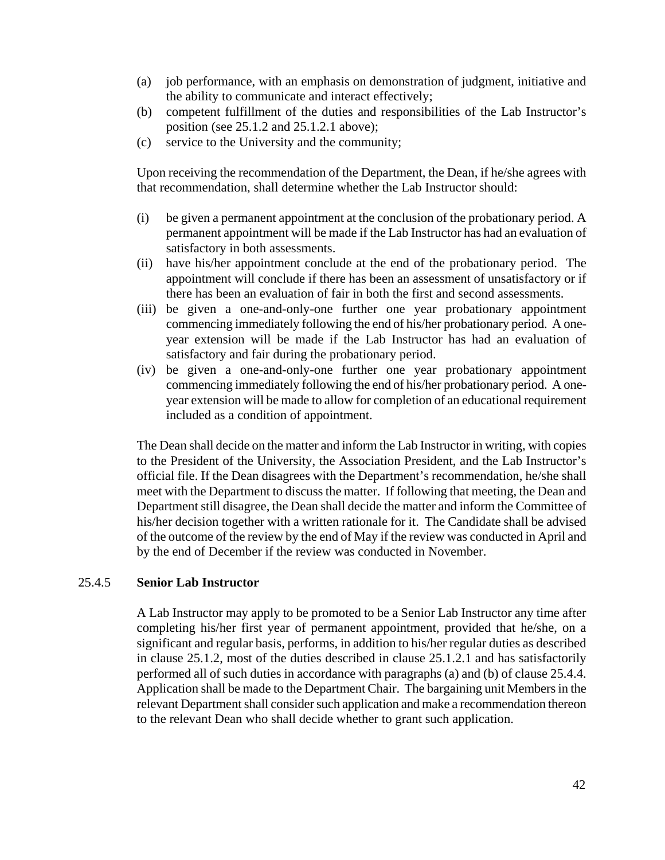- (a) job performance, with an emphasis on demonstration of judgment, initiative and the ability to communicate and interact effectively;
- (b) competent fulfillment of the duties and responsibilities of the Lab Instructor's position (see 25.1.2 and 25.1.2.1 above);
- (c) service to the University and the community;

Upon receiving the recommendation of the Department, the Dean, if he/she agrees with that recommendation, shall determine whether the Lab Instructor should:

- (i) be given a permanent appointment at the conclusion of the probationary period. A permanent appointment will be made if the Lab Instructor has had an evaluation of satisfactory in both assessments.
- (ii) have his/her appointment conclude at the end of the probationary period. The appointment will conclude if there has been an assessment of unsatisfactory or if there has been an evaluation of fair in both the first and second assessments.
- (iii) be given a one-and-only-one further one year probationary appointment commencing immediately following the end of his/her probationary period. A oneyear extension will be made if the Lab Instructor has had an evaluation of satisfactory and fair during the probationary period.
- (iv) be given a one-and-only-one further one year probationary appointment commencing immediately following the end of his/her probationary period. A oneyear extension will be made to allow for completion of an educational requirement included as a condition of appointment.

The Dean shall decide on the matter and inform the Lab Instructor in writing, with copies to the President of the University, the Association President, and the Lab Instructor's official file. If the Dean disagrees with the Department's recommendation, he/she shall meet with the Department to discuss the matter. If following that meeting, the Dean and Department still disagree, the Dean shall decide the matter and inform the Committee of his/her decision together with a written rationale for it. The Candidate shall be advised of the outcome of the review by the end of May if the review was conducted in April and by the end of December if the review was conducted in November.

# 25.4.5 **Senior Lab Instructor**

A Lab Instructor may apply to be promoted to be a Senior Lab Instructor any time after completing his/her first year of permanent appointment, provided that he/she, on a significant and regular basis, performs, in addition to his/her regular duties as described in clause 25.1.2, most of the duties described in clause 25.1.2.1 and has satisfactorily performed all of such duties in accordance with paragraphs (a) and (b) of clause 25.4.4. Application shall be made to the Department Chair. The bargaining unit Members in the relevant Department shall consider such application and make a recommendation thereon to the relevant Dean who shall decide whether to grant such application.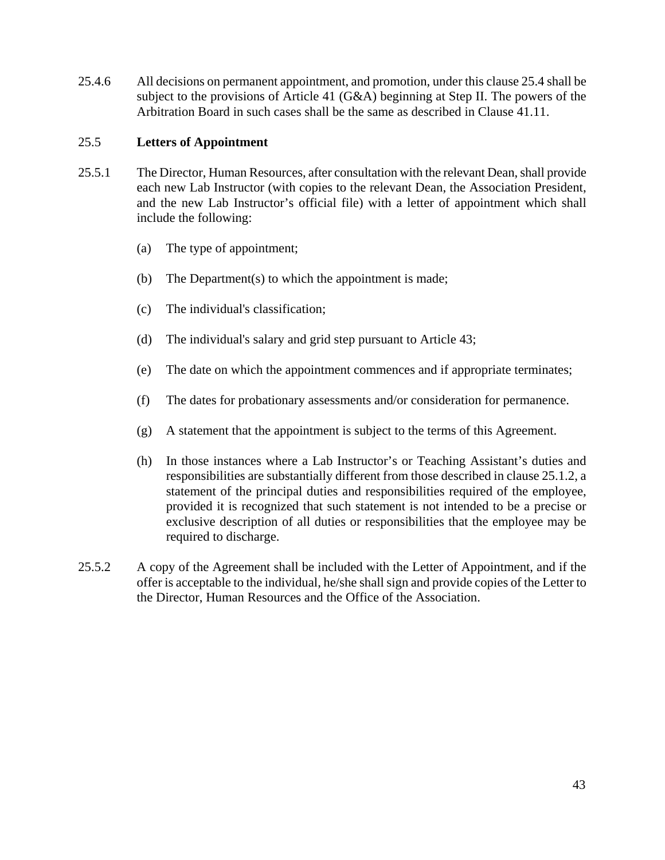25.4.6 All decisions on permanent appointment, and promotion, under this clause 25.4 shall be subject to the provisions of Article 41 (G&A) beginning at Step II. The powers of the Arbitration Board in such cases shall be the same as described in Clause 41.11.

#### 25.5 **Letters of Appointment**

- 25.5.1 The Director, Human Resources, after consultation with the relevant Dean, shall provide each new Lab Instructor (with copies to the relevant Dean, the Association President, and the new Lab Instructor's official file) with a letter of appointment which shall include the following:
	- (a) The type of appointment;
	- (b) The Department(s) to which the appointment is made;
	- (c) The individual's classification;
	- (d) The individual's salary and grid step pursuant to Article 43;
	- (e) The date on which the appointment commences and if appropriate terminates;
	- (f) The dates for probationary assessments and/or consideration for permanence.
	- $(g)$  A statement that the appointment is subject to the terms of this Agreement.
	- (h) In those instances where a Lab Instructor's or Teaching Assistant's duties and responsibilities are substantially different from those described in clause 25.1.2, a statement of the principal duties and responsibilities required of the employee, provided it is recognized that such statement is not intended to be a precise or exclusive description of all duties or responsibilities that the employee may be required to discharge.
- 25.5.2 A copy of the Agreement shall be included with the Letter of Appointment, and if the offer is acceptable to the individual, he/she shall sign and provide copies of the Letter to the Director, Human Resources and the Office of the Association.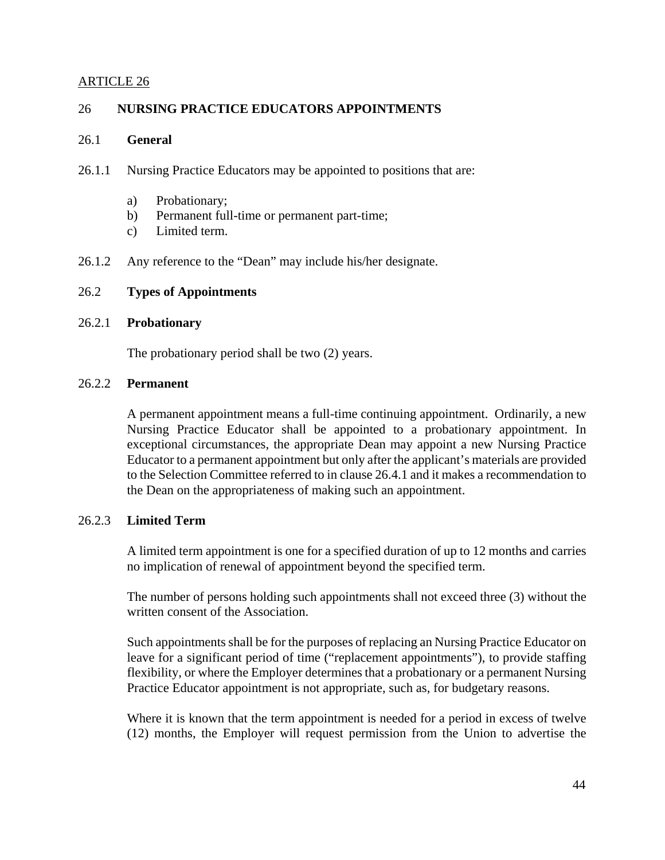### ARTICLE 26

### 26 **NURSING PRACTICE EDUCATORS APPOINTMENTS**

### 26.1 **General**

- 26.1.1 Nursing Practice Educators may be appointed to positions that are:
	- a) Probationary;
	- b) Permanent full-time or permanent part-time;
	- c) Limited term.
- 26.1.2 Any reference to the "Dean" may include his/her designate.

#### 26.2 **Types of Appointments**

#### 26.2.1 **Probationary**

The probationary period shall be two (2) years.

#### 26.2.2 **Permanent**

A permanent appointment means a full-time continuing appointment. Ordinarily, a new Nursing Practice Educator shall be appointed to a probationary appointment. In exceptional circumstances, the appropriate Dean may appoint a new Nursing Practice Educator to a permanent appointment but only after the applicant's materials are provided to the Selection Committee referred to in clause 26.4.1 and it makes a recommendation to the Dean on the appropriateness of making such an appointment.

### 26.2.3 **Limited Term**

A limited term appointment is one for a specified duration of up to 12 months and carries no implication of renewal of appointment beyond the specified term.

The number of persons holding such appointments shall not exceed three (3) without the written consent of the Association.

Such appointments shall be for the purposes of replacing an Nursing Practice Educator on leave for a significant period of time ("replacement appointments"), to provide staffing flexibility, or where the Employer determines that a probationary or a permanent Nursing Practice Educator appointment is not appropriate, such as, for budgetary reasons.

Where it is known that the term appointment is needed for a period in excess of twelve (12) months, the Employer will request permission from the Union to advertise the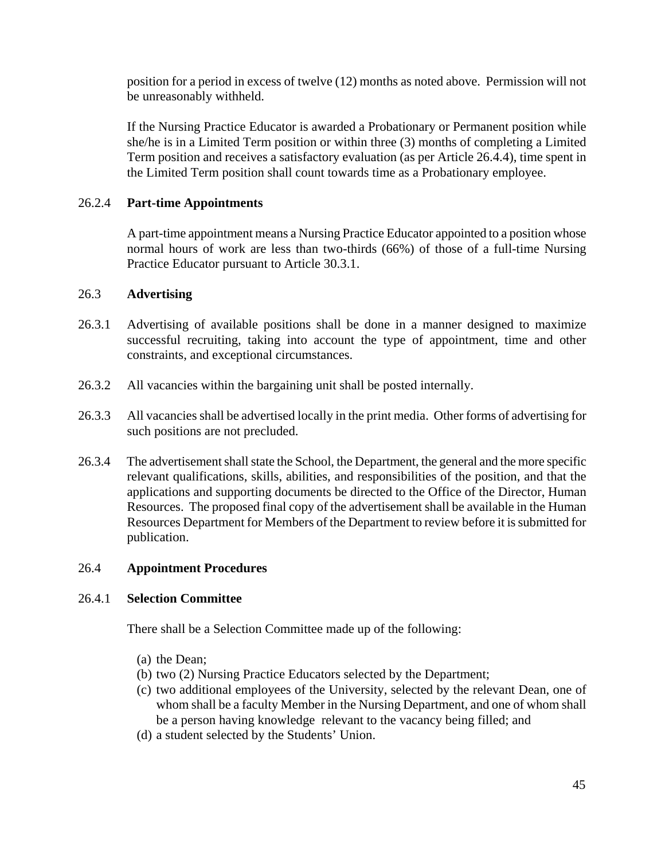position for a period in excess of twelve (12) months as noted above. Permission will not be unreasonably withheld.

If the Nursing Practice Educator is awarded a Probationary or Permanent position while she/he is in a Limited Term position or within three (3) months of completing a Limited Term position and receives a satisfactory evaluation (as per Article 26.4.4), time spent in the Limited Term position shall count towards time as a Probationary employee.

# 26.2.4 **Part-time Appointments**

A part-time appointment means a Nursing Practice Educator appointed to a position whose normal hours of work are less than two-thirds (66%) of those of a full-time Nursing Practice Educator pursuant to Article 30.3.1.

# 26.3 **Advertising**

- 26.3.1 Advertising of available positions shall be done in a manner designed to maximize successful recruiting, taking into account the type of appointment, time and other constraints, and exceptional circumstances.
- 26.3.2 All vacancies within the bargaining unit shall be posted internally.
- 26.3.3 All vacancies shall be advertised locally in the print media. Other forms of advertising for such positions are not precluded.
- 26.3.4 The advertisement shall state the School, the Department, the general and the more specific relevant qualifications, skills, abilities, and responsibilities of the position, and that the applications and supporting documents be directed to the Office of the Director, Human Resources. The proposed final copy of the advertisement shall be available in the Human Resources Department for Members of the Department to review before it is submitted for publication.

# 26.4 **Appointment Procedures**

# 26.4.1 **Selection Committee**

There shall be a Selection Committee made up of the following:

- (a) the Dean;
- (b) two (2) Nursing Practice Educators selected by the Department;
- (c) two additional employees of the University, selected by the relevant Dean, one of whom shall be a faculty Member in the Nursing Department, and one of whom shall be a person having knowledge relevant to the vacancy being filled; and
- (d) a student selected by the Students' Union.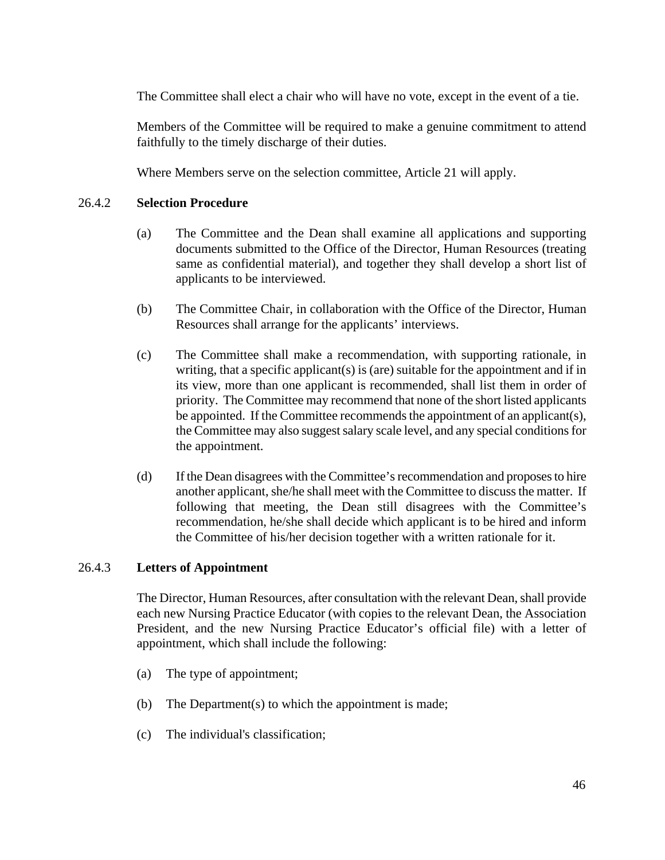The Committee shall elect a chair who will have no vote, except in the event of a tie.

 Members of the Committee will be required to make a genuine commitment to attend faithfully to the timely discharge of their duties.

Where Members serve on the selection committee, Article 21 will apply.

# 26.4.2 **Selection Procedure**

- (a) The Committee and the Dean shall examine all applications and supporting documents submitted to the Office of the Director, Human Resources (treating same as confidential material), and together they shall develop a short list of applicants to be interviewed.
- (b) The Committee Chair, in collaboration with the Office of the Director, Human Resources shall arrange for the applicants' interviews.
- (c) The Committee shall make a recommendation, with supporting rationale, in writing, that a specific applicant(s) is (are) suitable for the appointment and if in its view, more than one applicant is recommended, shall list them in order of priority. The Committee may recommend that none of the short listed applicants be appointed. If the Committee recommends the appointment of an applicant(s), the Committee may also suggestsalary scale level, and any special conditions for the appointment.
- (d) If the Dean disagrees with the Committee's recommendation and proposes to hire another applicant, she/he shall meet with the Committee to discuss the matter. If following that meeting, the Dean still disagrees with the Committee's recommendation, he/she shall decide which applicant is to be hired and inform the Committee of his/her decision together with a written rationale for it.

# 26.4.3 **Letters of Appointment**

The Director, Human Resources, after consultation with the relevant Dean, shall provide each new Nursing Practice Educator (with copies to the relevant Dean, the Association President, and the new Nursing Practice Educator's official file) with a letter of appointment, which shall include the following:

- (a) The type of appointment;
- (b) The Department(s) to which the appointment is made;
- (c) The individual's classification;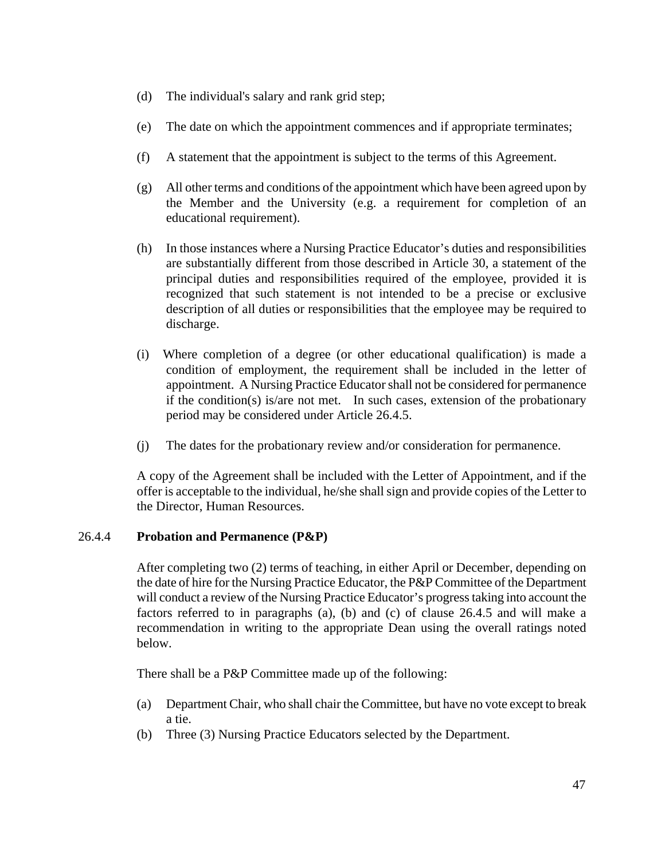- (d) The individual's salary and rank grid step;
- (e) The date on which the appointment commences and if appropriate terminates;
- (f) A statement that the appointment is subject to the terms of this Agreement.
- (g) All other terms and conditions of the appointment which have been agreed upon by the Member and the University (e.g. a requirement for completion of an educational requirement).
- (h) In those instances where a Nursing Practice Educator's duties and responsibilities are substantially different from those described in Article 30, a statement of the principal duties and responsibilities required of the employee, provided it is recognized that such statement is not intended to be a precise or exclusive description of all duties or responsibilities that the employee may be required to discharge.
- (i) Where completion of a degree (or other educational qualification) is made a condition of employment, the requirement shall be included in the letter of appointment. A Nursing Practice Educator shall not be considered for permanence if the condition(s) is/are not met. In such cases, extension of the probationary period may be considered under Article 26.4.5.
- (j) The dates for the probationary review and/or consideration for permanence.

 A copy of the Agreement shall be included with the Letter of Appointment, and if the offer is acceptable to the individual, he/she shall sign and provide copies of the Letter to the Director, Human Resources.

# 26.4.4 **Probation and Permanence (P&P)**

After completing two (2) terms of teaching, in either April or December, depending on the date of hire for the Nursing Practice Educator, the P&P Committee of the Department will conduct a review of the Nursing Practice Educator's progress taking into account the factors referred to in paragraphs (a), (b) and (c) of clause 26.4.5 and will make a recommendation in writing to the appropriate Dean using the overall ratings noted below.

There shall be a P&P Committee made up of the following:

- (a) Department Chair, who shall chair the Committee, but have no vote except to break a tie.
- (b) Three (3) Nursing Practice Educators selected by the Department.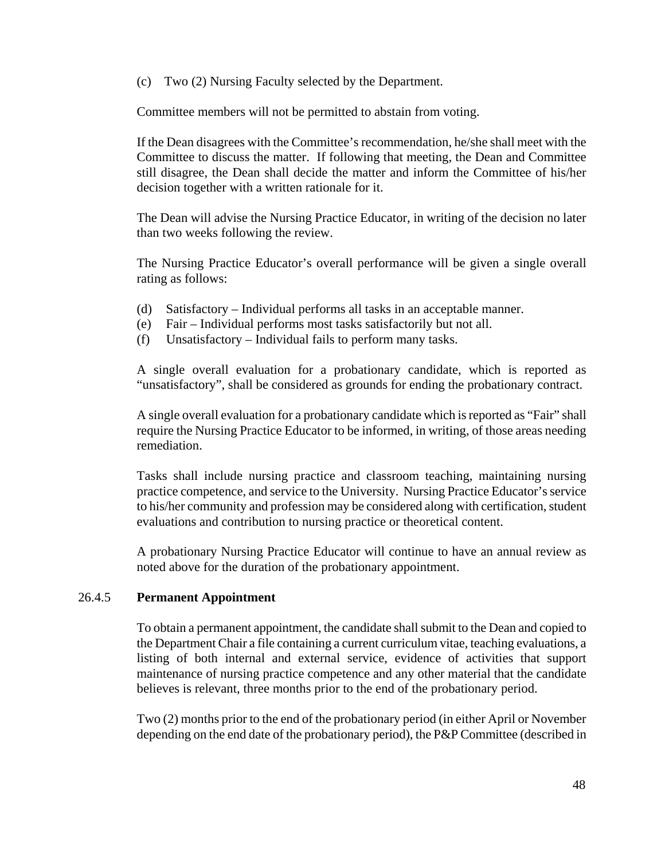(c) Two (2) Nursing Faculty selected by the Department.

Committee members will not be permitted to abstain from voting.

If the Dean disagrees with the Committee's recommendation, he/she shall meet with the Committee to discuss the matter. If following that meeting, the Dean and Committee still disagree, the Dean shall decide the matter and inform the Committee of his/her decision together with a written rationale for it.

The Dean will advise the Nursing Practice Educator, in writing of the decision no later than two weeks following the review.

The Nursing Practice Educator's overall performance will be given a single overall rating as follows:

- (d) Satisfactory Individual performs all tasks in an acceptable manner.
- (e) Fair Individual performs most tasks satisfactorily but not all.
- (f) Unsatisfactory Individual fails to perform many tasks.

A single overall evaluation for a probationary candidate, which is reported as "unsatisfactory", shall be considered as grounds for ending the probationary contract.

A single overall evaluation for a probationary candidate which is reported as "Fair" shall require the Nursing Practice Educator to be informed, in writing, of those areas needing remediation.

Tasks shall include nursing practice and classroom teaching, maintaining nursing practice competence, and service to the University. Nursing Practice Educator's service to his/her community and profession may be considered along with certification, student evaluations and contribution to nursing practice or theoretical content.

A probationary Nursing Practice Educator will continue to have an annual review as noted above for the duration of the probationary appointment.

### 26.4.5 **Permanent Appointment**

 To obtain a permanent appointment, the candidate shall submit to the Dean and copied to the Department Chair a file containing a current curriculum vitae, teaching evaluations, a listing of both internal and external service, evidence of activities that support maintenance of nursing practice competence and any other material that the candidate believes is relevant, three months prior to the end of the probationary period.

Two (2) months prior to the end of the probationary period (in either April or November depending on the end date of the probationary period), the P&P Committee (described in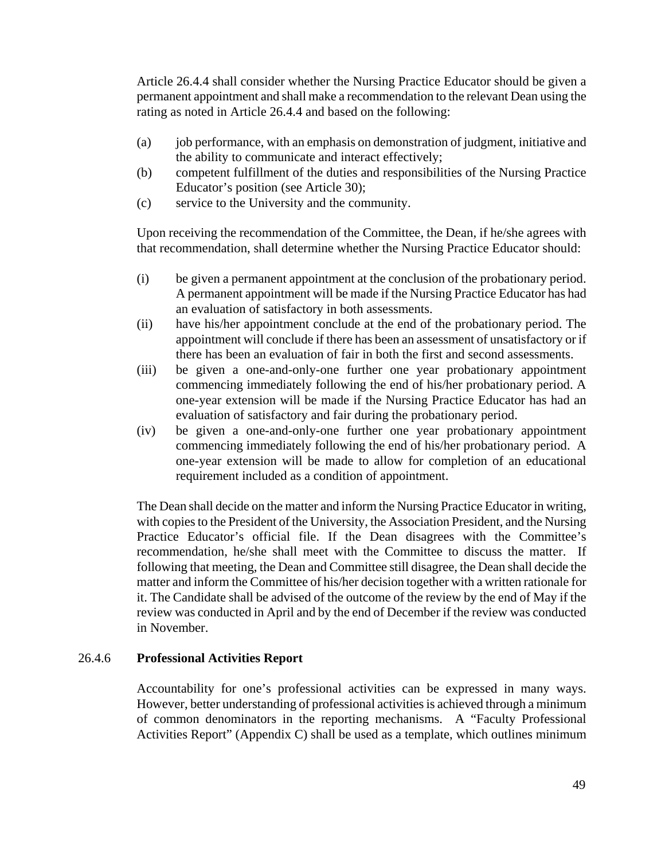Article 26.4.4 shall consider whether the Nursing Practice Educator should be given a permanent appointment and shall make a recommendation to the relevant Dean using the rating as noted in Article 26.4.4 and based on the following:

- (a) job performance, with an emphasis on demonstration of judgment, initiative and the ability to communicate and interact effectively;
- (b) competent fulfillment of the duties and responsibilities of the Nursing Practice Educator's position (see Article 30);
- (c) service to the University and the community.

Upon receiving the recommendation of the Committee, the Dean, if he/she agrees with that recommendation, shall determine whether the Nursing Practice Educator should:

- (i) be given a permanent appointment at the conclusion of the probationary period. A permanent appointment will be made if the Nursing Practice Educator has had an evaluation of satisfactory in both assessments.
- (ii) have his/her appointment conclude at the end of the probationary period. The appointment will conclude if there has been an assessment of unsatisfactory or if there has been an evaluation of fair in both the first and second assessments.
- (iii) be given a one-and-only-one further one year probationary appointment commencing immediately following the end of his/her probationary period. A one-year extension will be made if the Nursing Practice Educator has had an evaluation of satisfactory and fair during the probationary period.
- (iv) be given a one-and-only-one further one year probationary appointment commencing immediately following the end of his/her probationary period. A one-year extension will be made to allow for completion of an educational requirement included as a condition of appointment.

The Dean shall decide on the matter and inform the Nursing Practice Educator in writing, with copies to the President of the University, the Association President, and the Nursing Practice Educator's official file. If the Dean disagrees with the Committee's recommendation, he/she shall meet with the Committee to discuss the matter. If following that meeting, the Dean and Committee still disagree, the Dean shall decide the matter and inform the Committee of his/her decision together with a written rationale for it. The Candidate shall be advised of the outcome of the review by the end of May if the review was conducted in April and by the end of December if the review was conducted in November.

### 26.4.6 **Professional Activities Report**

Accountability for one's professional activities can be expressed in many ways. However, better understanding of professional activities is achieved through a minimum of common denominators in the reporting mechanisms. A "Faculty Professional Activities Report" (Appendix C) shall be used as a template, which outlines minimum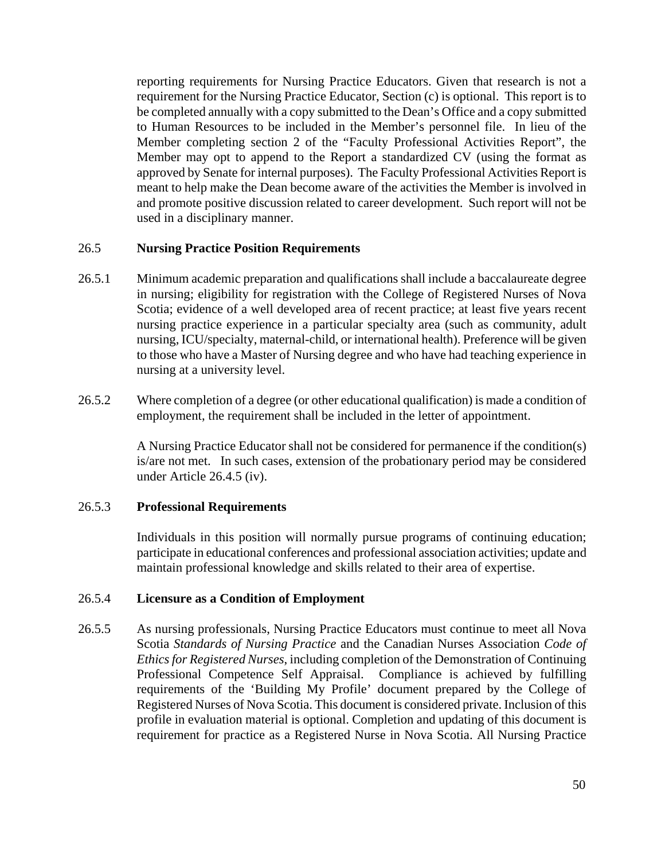reporting requirements for Nursing Practice Educators. Given that research is not a requirement for the Nursing Practice Educator, Section (c) is optional. This report is to be completed annually with a copy submitted to the Dean's Office and a copy submitted to Human Resources to be included in the Member's personnel file. In lieu of the Member completing section 2 of the "Faculty Professional Activities Report", the Member may opt to append to the Report a standardized CV (using the format as approved by Senate for internal purposes). The Faculty Professional Activities Report is meant to help make the Dean become aware of the activities the Member is involved in and promote positive discussion related to career development. Such report will not be used in a disciplinary manner.

#### 26.5 **Nursing Practice Position Requirements**

- 26.5.1 Minimum academic preparation and qualifications shall include a baccalaureate degree in nursing; eligibility for registration with the College of Registered Nurses of Nova Scotia; evidence of a well developed area of recent practice; at least five years recent nursing practice experience in a particular specialty area (such as community, adult nursing, ICU/specialty, maternal-child, or international health). Preference will be given to those who have a Master of Nursing degree and who have had teaching experience in nursing at a university level.
- 26.5.2 Where completion of a degree (or other educational qualification) is made a condition of employment, the requirement shall be included in the letter of appointment.

A Nursing Practice Educator shall not be considered for permanence if the condition(s) is/are not met. In such cases, extension of the probationary period may be considered under Article 26.4.5 (iv).

#### 26.5.3 **Professional Requirements**

Individuals in this position will normally pursue programs of continuing education; participate in educational conferences and professional association activities; update and maintain professional knowledge and skills related to their area of expertise.

### 26.5.4 **Licensure as a Condition of Employment**

26.5.5 As nursing professionals, Nursing Practice Educators must continue to meet all Nova Scotia *Standards of Nursing Practice* and the Canadian Nurses Association *Code of Ethics for Registered Nurses*, including completion of the Demonstration of Continuing Professional Competence Self Appraisal. Compliance is achieved by fulfilling requirements of the 'Building My Profile' document prepared by the College of Registered Nurses of Nova Scotia. This document is considered private. Inclusion of this profile in evaluation material is optional. Completion and updating of this document is requirement for practice as a Registered Nurse in Nova Scotia. All Nursing Practice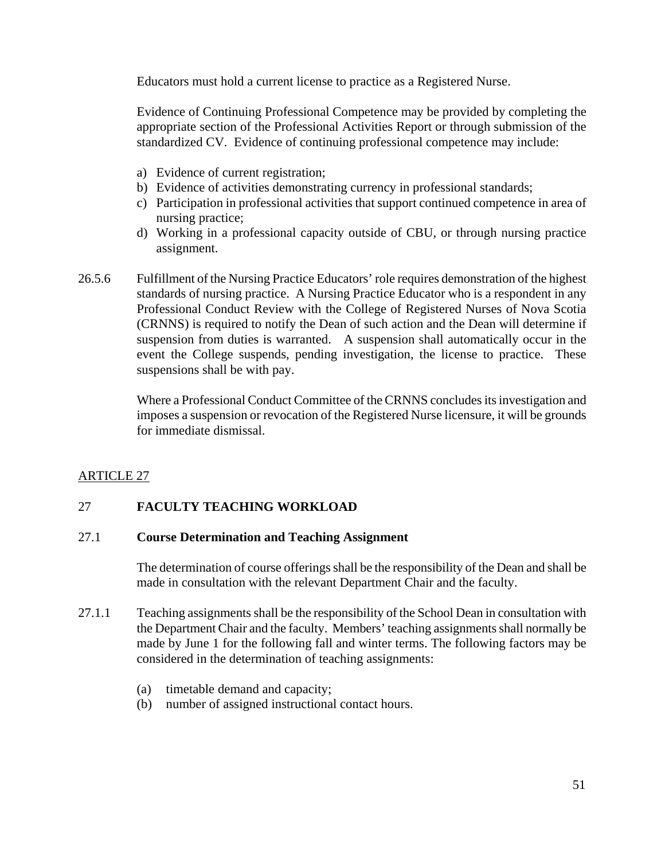Educators must hold a current license to practice as a Registered Nurse.

Evidence of Continuing Professional Competence may be provided by completing the appropriate section of the Professional Activities Report or through submission of the standardized CV. Evidence of continuing professional competence may include:

- a) Evidence of current registration;
- b) Evidence of activities demonstrating currency in professional standards;
- c) Participation in professional activities that support continued competence in area of nursing practice;
- d) Working in a professional capacity outside of CBU, or through nursing practice assignment.
- 26.5.6 Fulfillment of the Nursing Practice Educators' role requires demonstration of the highest standards of nursing practice. A Nursing Practice Educator who is a respondent in any Professional Conduct Review with the College of Registered Nurses of Nova Scotia (CRNNS) is required to notify the Dean of such action and the Dean will determine if suspension from duties is warranted. A suspension shall automatically occur in the event the College suspends, pending investigation, the license to practice. These suspensions shall be with pay.

Where a Professional Conduct Committee of the CRNNS concludes its investigation and imposes a suspension or revocation of the Registered Nurse licensure, it will be grounds for immediate dismissal.

# ARTICLE 27

# 27 **FACULTY TEACHING WORKLOAD**

### 27.1 **Course Determination and Teaching Assignment**

The determination of course offerings shall be the responsibility of the Dean and shall be made in consultation with the relevant Department Chair and the faculty.

- 27.1.1 Teaching assignments shall be the responsibility of the School Dean in consultation with the Department Chair and the faculty. Members' teaching assignments shall normally be made by June 1 for the following fall and winter terms. The following factors may be considered in the determination of teaching assignments:
	- (a) timetable demand and capacity;
	- (b) number of assigned instructional contact hours.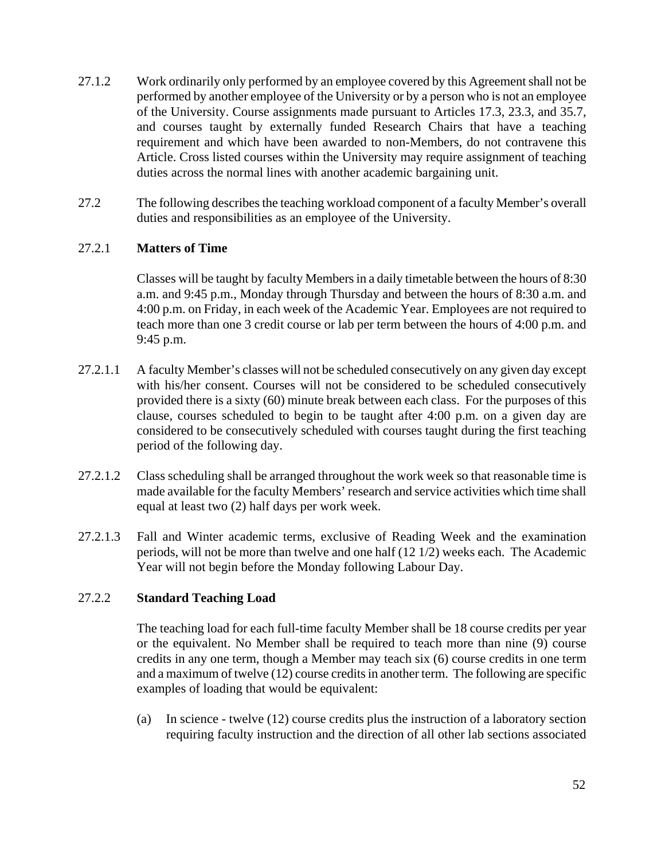- 27.1.2 Work ordinarily only performed by an employee covered by this Agreement shall not be performed by another employee of the University or by a person who is not an employee of the University. Course assignments made pursuant to Articles 17.3, 23.3, and 35.7, and courses taught by externally funded Research Chairs that have a teaching requirement and which have been awarded to non-Members, do not contravene this Article. Cross listed courses within the University may require assignment of teaching duties across the normal lines with another academic bargaining unit.
- 27.2 The following describes the teaching workload component of a faculty Member's overall duties and responsibilities as an employee of the University.

# 27.2.1 **Matters of Time**

Classes will be taught by faculty Members in a daily timetable between the hours of 8:30 a.m. and 9:45 p.m., Monday through Thursday and between the hours of 8:30 a.m. and 4:00 p.m. on Friday, in each week of the Academic Year. Employees are not required to teach more than one 3 credit course or lab per term between the hours of 4:00 p.m. and 9:45 p.m.

- 27.2.1.1 A faculty Member's classes will not be scheduled consecutively on any given day except with his/her consent. Courses will not be considered to be scheduled consecutively provided there is a sixty (60) minute break between each class. For the purposes of this clause, courses scheduled to begin to be taught after 4:00 p.m. on a given day are considered to be consecutively scheduled with courses taught during the first teaching period of the following day.
- 27.2.1.2 Class scheduling shall be arranged throughout the work week so that reasonable time is made available for the faculty Members' research and service activities which time shall equal at least two (2) half days per work week.
- 27.2.1.3 Fall and Winter academic terms, exclusive of Reading Week and the examination periods, will not be more than twelve and one half (12 1/2) weeks each. The Academic Year will not begin before the Monday following Labour Day.

# 27.2.2 **Standard Teaching Load**

The teaching load for each full-time faculty Member shall be 18 course credits per year or the equivalent. No Member shall be required to teach more than nine (9) course credits in any one term, though a Member may teach six (6) course credits in one term and a maximum of twelve (12) course credits in another term. The following are specific examples of loading that would be equivalent:

(a) In science - twelve (12) course credits plus the instruction of a laboratory section requiring faculty instruction and the direction of all other lab sections associated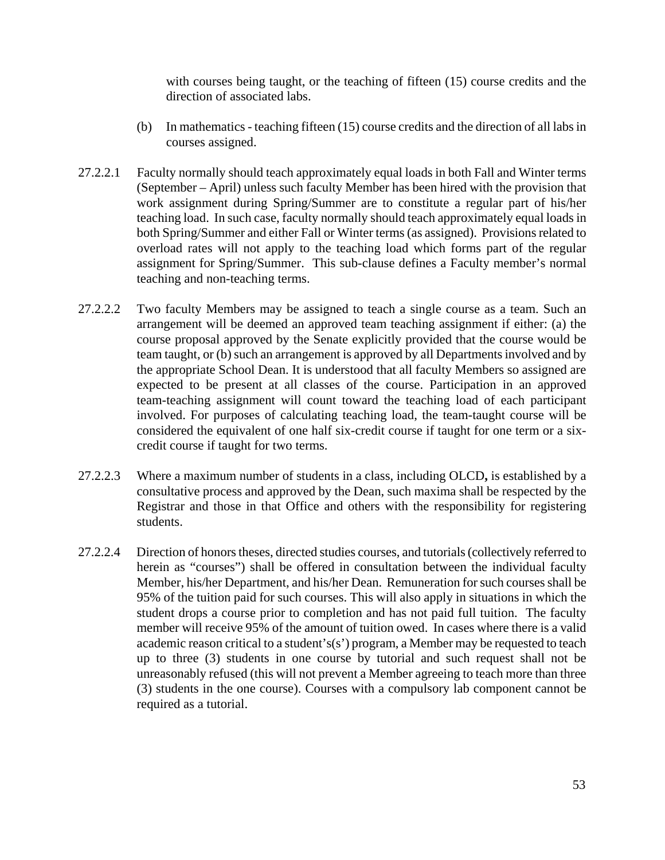with courses being taught, or the teaching of fifteen (15) course credits and the direction of associated labs.

- (b) In mathematics teaching fifteen (15) course credits and the direction of all labs in courses assigned.
- 27.2.2.1 Faculty normally should teach approximately equal loads in both Fall and Winter terms (September – April) unless such faculty Member has been hired with the provision that work assignment during Spring/Summer are to constitute a regular part of his/her teaching load. In such case, faculty normally should teach approximately equal loads in both Spring/Summer and either Fall or Winter terms (as assigned). Provisions related to overload rates will not apply to the teaching load which forms part of the regular assignment for Spring/Summer. This sub-clause defines a Faculty member's normal teaching and non-teaching terms.
- 27.2.2.2 Two faculty Members may be assigned to teach a single course as a team. Such an arrangement will be deemed an approved team teaching assignment if either: (a) the course proposal approved by the Senate explicitly provided that the course would be team taught, or (b) such an arrangement is approved by all Departments involved and by the appropriate School Dean. It is understood that all faculty Members so assigned are expected to be present at all classes of the course. Participation in an approved team-teaching assignment will count toward the teaching load of each participant involved. For purposes of calculating teaching load, the team-taught course will be considered the equivalent of one half six-credit course if taught for one term or a sixcredit course if taught for two terms.
- 27.2.2.3 Where a maximum number of students in a class, including OLCD**,** is established by a consultative process and approved by the Dean, such maxima shall be respected by the Registrar and those in that Office and others with the responsibility for registering students.
- 27.2.2.4 Direction of honors theses, directed studies courses, and tutorials (collectively referred to herein as "courses") shall be offered in consultation between the individual faculty Member, his/her Department, and his/her Dean. Remuneration for such courses shall be 95% of the tuition paid for such courses. This will also apply in situations in which the student drops a course prior to completion and has not paid full tuition. The faculty member will receive 95% of the amount of tuition owed. In cases where there is a valid academic reason critical to a student's(s') program, a Member may be requested to teach up to three (3) students in one course by tutorial and such request shall not be unreasonably refused (this will not prevent a Member agreeing to teach more than three (3) students in the one course). Courses with a compulsory lab component cannot be required as a tutorial.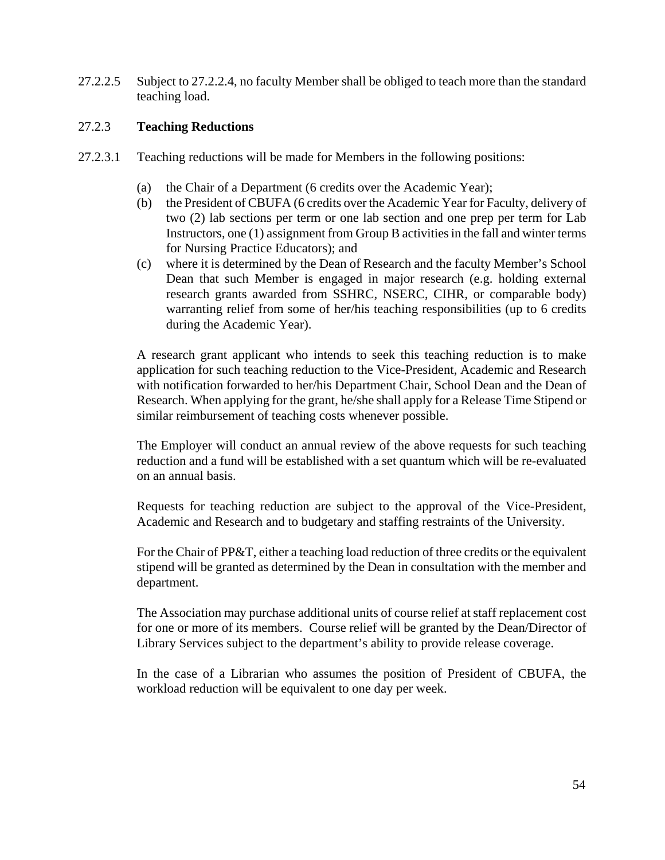27.2.2.5 Subject to 27.2.2.4, no faculty Member shall be obliged to teach more than the standard teaching load.

### 27.2.3 **Teaching Reductions**

- 27.2.3.1 Teaching reductions will be made for Members in the following positions:
	- (a) the Chair of a Department (6 credits over the Academic Year);
	- (b) the President of CBUFA (6 credits over the Academic Year for Faculty, delivery of two (2) lab sections per term or one lab section and one prep per term for Lab Instructors, one (1) assignment from Group B activities in the fall and winter terms for Nursing Practice Educators); and
	- (c) where it is determined by the Dean of Research and the faculty Member's School Dean that such Member is engaged in major research (e.g. holding external research grants awarded from SSHRC, NSERC, CIHR, or comparable body) warranting relief from some of her/his teaching responsibilities (up to 6 credits during the Academic Year).

A research grant applicant who intends to seek this teaching reduction is to make application for such teaching reduction to the Vice-President, Academic and Research with notification forwarded to her/his Department Chair, School Dean and the Dean of Research. When applying for the grant, he/she shall apply for a Release Time Stipend or similar reimbursement of teaching costs whenever possible.

The Employer will conduct an annual review of the above requests for such teaching reduction and a fund will be established with a set quantum which will be re-evaluated on an annual basis.

Requests for teaching reduction are subject to the approval of the Vice-President, Academic and Research and to budgetary and staffing restraints of the University.

For the Chair of PP&T, either a teaching load reduction of three credits or the equivalent stipend will be granted as determined by the Dean in consultation with the member and department.

The Association may purchase additional units of course relief at staff replacement cost for one or more of its members. Course relief will be granted by the Dean/Director of Library Services subject to the department's ability to provide release coverage.

In the case of a Librarian who assumes the position of President of CBUFA, the workload reduction will be equivalent to one day per week.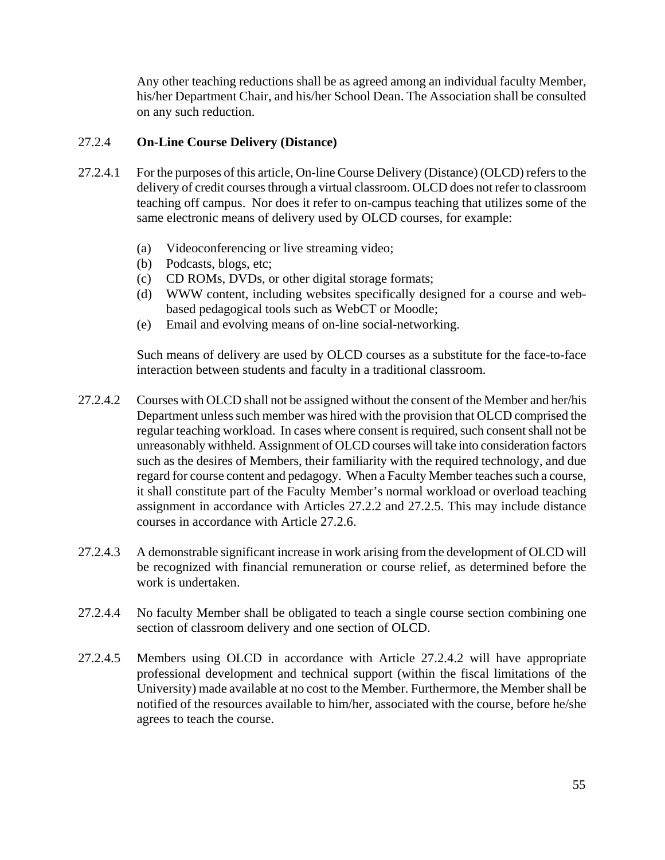Any other teaching reductions shall be as agreed among an individual faculty Member, his/her Department Chair, and his/her School Dean. The Association shall be consulted on any such reduction.

### 27.2.4 **On-Line Course Delivery (Distance)**

- 27.2.4.1 For the purposes of this article, On-line Course Delivery (Distance) (OLCD) refers to the delivery of credit courses through a virtual classroom. OLCD does not refer to classroom teaching off campus. Nor does it refer to on-campus teaching that utilizes some of the same electronic means of delivery used by OLCD courses, for example:
	- (a) Videoconferencing or live streaming video;
	- (b) Podcasts, blogs, etc;
	- (c) CD ROMs, DVDs, or other digital storage formats;
	- (d) WWW content, including websites specifically designed for a course and webbased pedagogical tools such as WebCT or Moodle;
	- (e) Email and evolving means of on-line social-networking.

Such means of delivery are used by OLCD courses as a substitute for the face-to-face interaction between students and faculty in a traditional classroom.

- 27.2.4.2 Courses with OLCD shall not be assigned without the consent of the Member and her/his Department unless such member was hired with the provision that OLCD comprised the regular teaching workload. In cases where consent is required, such consent shall not be unreasonably withheld. Assignment of OLCD courses will take into consideration factors such as the desires of Members, their familiarity with the required technology, and due regard for course content and pedagogy. When a Faculty Member teaches such a course, it shall constitute part of the Faculty Member's normal workload or overload teaching assignment in accordance with Articles 27.2.2 and 27.2.5. This may include distance courses in accordance with Article 27.2.6.
- 27.2.4.3 A demonstrable significant increase in work arising from the development of OLCD will be recognized with financial remuneration or course relief, as determined before the work is undertaken.
- 27.2.4.4 No faculty Member shall be obligated to teach a single course section combining one section of classroom delivery and one section of OLCD.
- 27.2.4.5 Members using OLCD in accordance with Article 27.2.4.2 will have appropriate professional development and technical support (within the fiscal limitations of the University) made available at no cost to the Member. Furthermore, the Member shall be notified of the resources available to him/her, associated with the course, before he/she agrees to teach the course.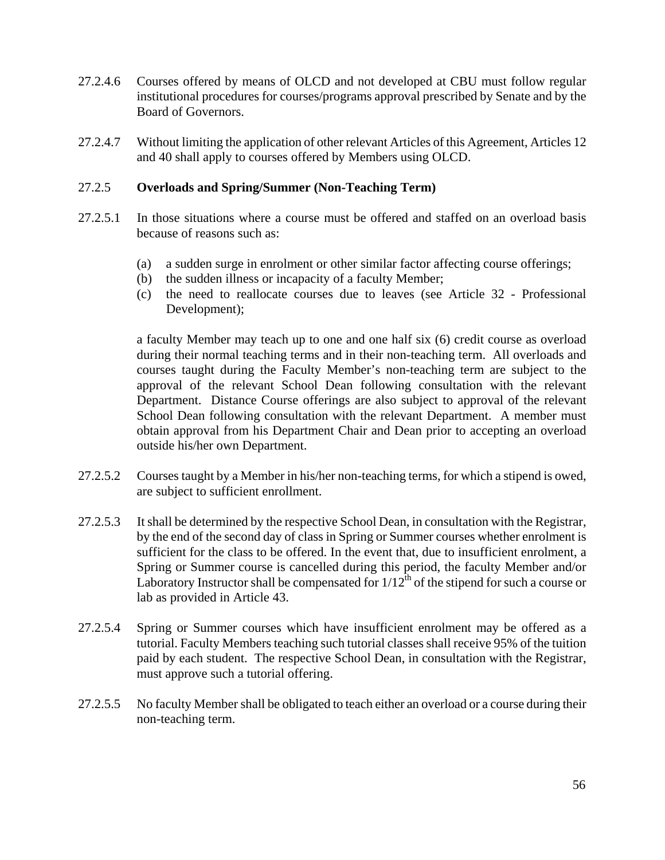- 27.2.4.6 Courses offered by means of OLCD and not developed at CBU must follow regular institutional procedures for courses/programs approval prescribed by Senate and by the Board of Governors.
- 27.2.4.7 Without limiting the application of other relevant Articles of this Agreement, Articles 12 and 40 shall apply to courses offered by Members using OLCD.

### 27.2.5 **Overloads and Spring/Summer (Non-Teaching Term)**

- 27.2.5.1 In those situations where a course must be offered and staffed on an overload basis because of reasons such as:
	- (a) a sudden surge in enrolment or other similar factor affecting course offerings;
	- (b) the sudden illness or incapacity of a faculty Member;
	- (c) the need to reallocate courses due to leaves (see Article 32 Professional Development);

a faculty Member may teach up to one and one half six (6) credit course as overload during their normal teaching terms and in their non-teaching term. All overloads and courses taught during the Faculty Member's non-teaching term are subject to the approval of the relevant School Dean following consultation with the relevant Department. Distance Course offerings are also subject to approval of the relevant School Dean following consultation with the relevant Department. A member must obtain approval from his Department Chair and Dean prior to accepting an overload outside his/her own Department.

- 27.2.5.2 Courses taught by a Member in his/her non-teaching terms, for which a stipend is owed, are subject to sufficient enrollment.
- 27.2.5.3 It shall be determined by the respective School Dean, in consultation with the Registrar, by the end of the second day of class in Spring or Summer courses whether enrolment is sufficient for the class to be offered. In the event that, due to insufficient enrolment, a Spring or Summer course is cancelled during this period, the faculty Member and/or Laboratory Instructor shall be compensated for  $1/12^{th}$  of the stipend for such a course or lab as provided in Article 43.
- 27.2.5.4 Spring or Summer courses which have insufficient enrolment may be offered as a tutorial. Faculty Members teaching such tutorial classes shall receive 95% of the tuition paid by each student. The respective School Dean, in consultation with the Registrar, must approve such a tutorial offering.
- 27.2.5.5 No faculty Member shall be obligated to teach either an overload or a course during their non-teaching term.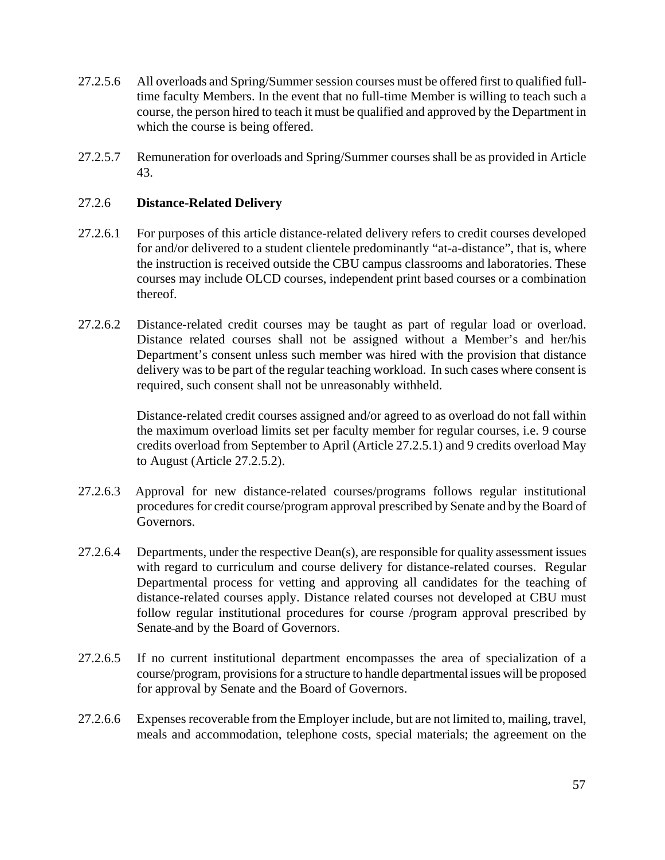- 27.2.5.6 All overloads and Spring/Summer session courses must be offered first to qualified fulltime faculty Members. In the event that no full-time Member is willing to teach such a course, the person hired to teach it must be qualified and approved by the Department in which the course is being offered.
- 27.2.5.7 Remuneration for overloads and Spring/Summer courses shall be as provided in Article 43.

### 27.2.6 **Distance-Related Delivery**

- 27.2.6.1 For purposes of this article distance-related delivery refers to credit courses developed for and/or delivered to a student clientele predominantly "at-a-distance", that is, where the instruction is received outside the CBU campus classrooms and laboratories. These courses may include OLCD courses, independent print based courses or a combination thereof.
- 27.2.6.2 Distance-related credit courses may be taught as part of regular load or overload. Distance related courses shall not be assigned without a Member's and her/his Department's consent unless such member was hired with the provision that distance delivery was to be part of the regular teaching workload. In such cases where consent is required, such consent shall not be unreasonably withheld.

Distance-related credit courses assigned and/or agreed to as overload do not fall within the maximum overload limits set per faculty member for regular courses, i.e. 9 course credits overload from September to April (Article 27.2.5.1) and 9 credits overload May to August (Article 27.2.5.2).

- 27.2.6.3 Approval for new distance-related courses/programs follows regular institutional procedures for credit course/program approval prescribed by Senate and by the Board of Governors.
- 27.2.6.4 Departments, under the respective Dean(s), are responsible for quality assessment issues with regard to curriculum and course delivery for distance-related courses. Regular Departmental process for vetting and approving all candidates for the teaching of distance-related courses apply. Distance related courses not developed at CBU must follow regular institutional procedures for course /program approval prescribed by Senate and by the Board of Governors.
- 27.2.6.5 If no current institutional department encompasses the area of specialization of a course/program, provisions for a structure to handle departmental issues will be proposed for approval by Senate and the Board of Governors.
- 27.2.6.6 Expenses recoverable from the Employer include, but are not limited to, mailing, travel, meals and accommodation, telephone costs, special materials; the agreement on the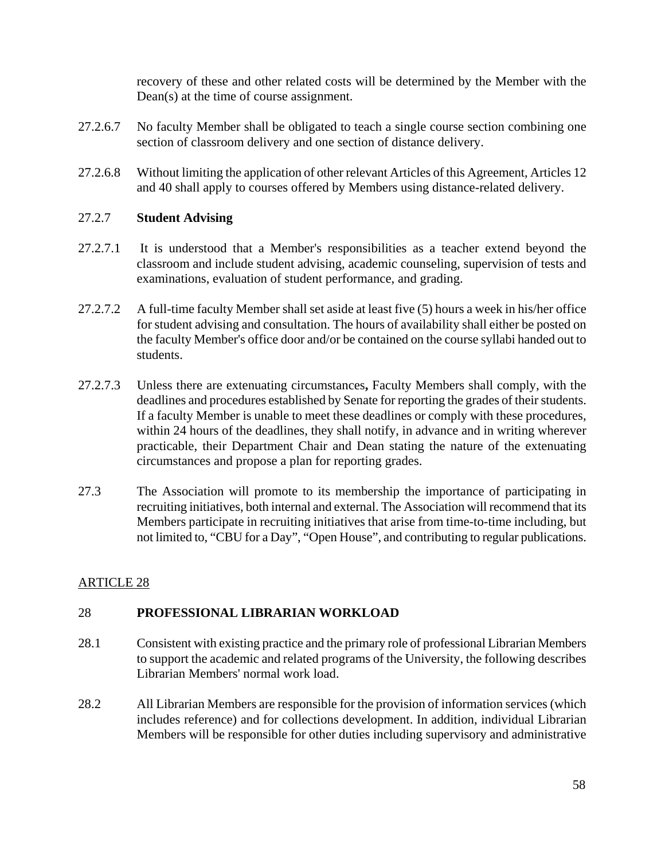recovery of these and other related costs will be determined by the Member with the Dean(s) at the time of course assignment.

- 27.2.6.7 No faculty Member shall be obligated to teach a single course section combining one section of classroom delivery and one section of distance delivery.
- 27.2.6.8 Without limiting the application of other relevant Articles of this Agreement, Articles 12 and 40 shall apply to courses offered by Members using distance-related delivery.

### 27.2.7 **Student Advising**

- 27.2.7.1 It is understood that a Member's responsibilities as a teacher extend beyond the classroom and include student advising, academic counseling, supervision of tests and examinations, evaluation of student performance, and grading.
- 27.2.7.2 A full-time faculty Member shall set aside at least five (5) hours a week in his/her office for student advising and consultation. The hours of availability shall either be posted on the faculty Member's office door and/or be contained on the course syllabi handed out to students.
- 27.2.7.3 Unless there are extenuating circumstances**,** Faculty Members shall comply, with the deadlines and procedures established by Senate for reporting the grades of their students. If a faculty Member is unable to meet these deadlines or comply with these procedures, within 24 hours of the deadlines, they shall notify, in advance and in writing wherever practicable, their Department Chair and Dean stating the nature of the extenuating circumstances and propose a plan for reporting grades.
- 27.3 The Association will promote to its membership the importance of participating in recruiting initiatives, both internal and external. The Association will recommend that its Members participate in recruiting initiatives that arise from time-to-time including, but not limited to, "CBU for a Day", "Open House", and contributing to regular publications.

# ARTICLE 28

# 28 **PROFESSIONAL LIBRARIAN WORKLOAD**

- 28.1 Consistent with existing practice and the primary role of professional Librarian Members to support the academic and related programs of the University, the following describes Librarian Members' normal work load.
- 28.2 All Librarian Members are responsible for the provision of information services (which includes reference) and for collections development. In addition, individual Librarian Members will be responsible for other duties including supervisory and administrative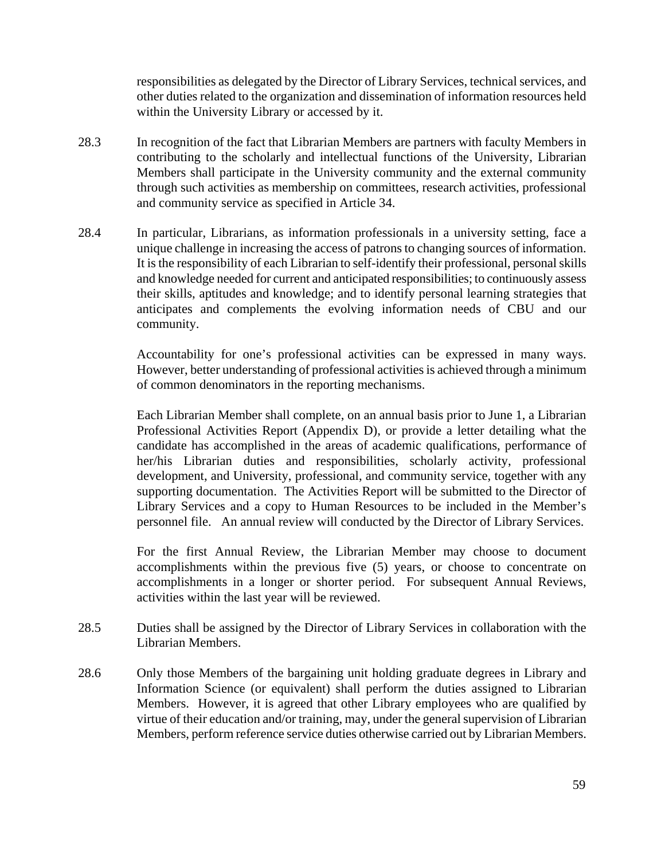responsibilities as delegated by the Director of Library Services, technical services, and other duties related to the organization and dissemination of information resources held within the University Library or accessed by it.

- 28.3 In recognition of the fact that Librarian Members are partners with faculty Members in contributing to the scholarly and intellectual functions of the University, Librarian Members shall participate in the University community and the external community through such activities as membership on committees, research activities, professional and community service as specified in Article 34.
- 28.4 In particular, Librarians, as information professionals in a university setting, face a unique challenge in increasing the access of patrons to changing sources of information. It is the responsibility of each Librarian to self-identify their professional, personal skills and knowledge needed for current and anticipated responsibilities; to continuously assess their skills, aptitudes and knowledge; and to identify personal learning strategies that anticipates and complements the evolving information needs of CBU and our community.

Accountability for one's professional activities can be expressed in many ways. However, better understanding of professional activities is achieved through a minimum of common denominators in the reporting mechanisms.

Each Librarian Member shall complete, on an annual basis prior to June 1, a Librarian Professional Activities Report (Appendix D), or provide a letter detailing what the candidate has accomplished in the areas of academic qualifications, performance of her/his Librarian duties and responsibilities, scholarly activity, professional development, and University, professional, and community service, together with any supporting documentation. The Activities Report will be submitted to the Director of Library Services and a copy to Human Resources to be included in the Member's personnel file. An annual review will conducted by the Director of Library Services.

 For the first Annual Review, the Librarian Member may choose to document accomplishments within the previous five (5) years, or choose to concentrate on accomplishments in a longer or shorter period. For subsequent Annual Reviews, activities within the last year will be reviewed.

- 28.5 Duties shall be assigned by the Director of Library Services in collaboration with the Librarian Members.
- 28.6 Only those Members of the bargaining unit holding graduate degrees in Library and Information Science (or equivalent) shall perform the duties assigned to Librarian Members. However, it is agreed that other Library employees who are qualified by virtue of their education and/or training, may, under the general supervision of Librarian Members, perform reference service duties otherwise carried out by Librarian Members.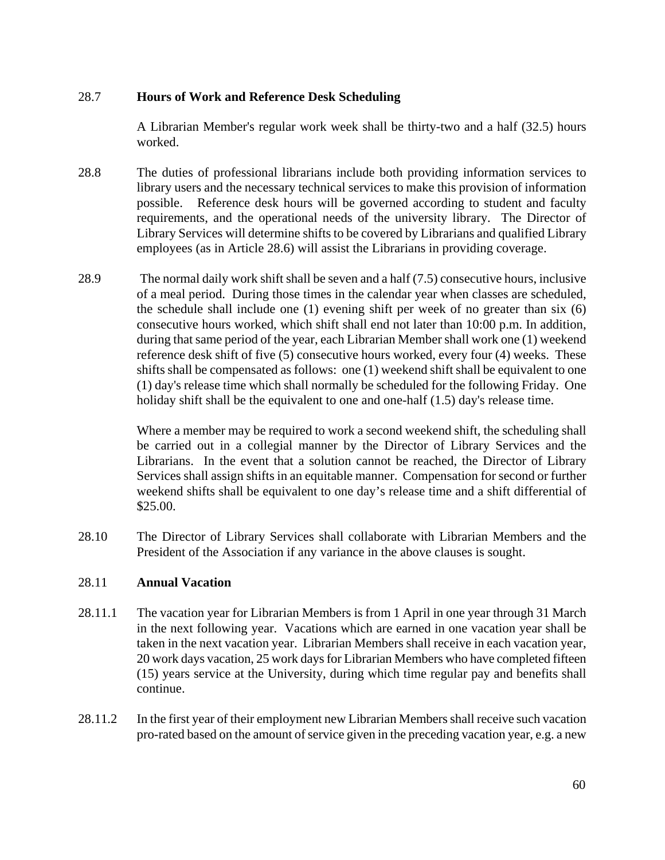### 28.7 **Hours of Work and Reference Desk Scheduling**

 A Librarian Member's regular work week shall be thirty-two and a half (32.5) hours worked.

- 28.8 The duties of professional librarians include both providing information services to library users and the necessary technical services to make this provision of information possible. Reference desk hours will be governed according to student and faculty requirements, and the operational needs of the university library. The Director of Library Services will determine shifts to be covered by Librarians and qualified Library employees (as in Article 28.6) will assist the Librarians in providing coverage.
- 28.9 The normal daily work shift shall be seven and a half (7.5) consecutive hours, inclusive of a meal period. During those times in the calendar year when classes are scheduled, the schedule shall include one (1) evening shift per week of no greater than six (6) consecutive hours worked, which shift shall end not later than 10:00 p.m. In addition, during that same period of the year, each Librarian Member shall work one (1) weekend reference desk shift of five (5) consecutive hours worked, every four (4) weeks. These shifts shall be compensated as follows: one (1) weekend shift shall be equivalent to one (1) day's release time which shall normally be scheduled for the following Friday. One holiday shift shall be the equivalent to one and one-half (1.5) day's release time.

 Where a member may be required to work a second weekend shift, the scheduling shall be carried out in a collegial manner by the Director of Library Services and the Librarians. In the event that a solution cannot be reached, the Director of Library Services shall assign shifts in an equitable manner. Compensation for second or further weekend shifts shall be equivalent to one day's release time and a shift differential of \$25.00.

28.10 The Director of Library Services shall collaborate with Librarian Members and the President of the Association if any variance in the above clauses is sought.

### 28.11 **Annual Vacation**

- 28.11.1 The vacation year for Librarian Members is from 1 April in one year through 31 March in the next following year. Vacations which are earned in one vacation year shall be taken in the next vacation year. Librarian Members shall receive in each vacation year, 20 work days vacation, 25 work days for Librarian Members who have completed fifteen (15) years service at the University, during which time regular pay and benefits shall continue.
- 28.11.2 In the first year of their employment new Librarian Members shall receive such vacation pro-rated based on the amount of service given in the preceding vacation year, e.g. a new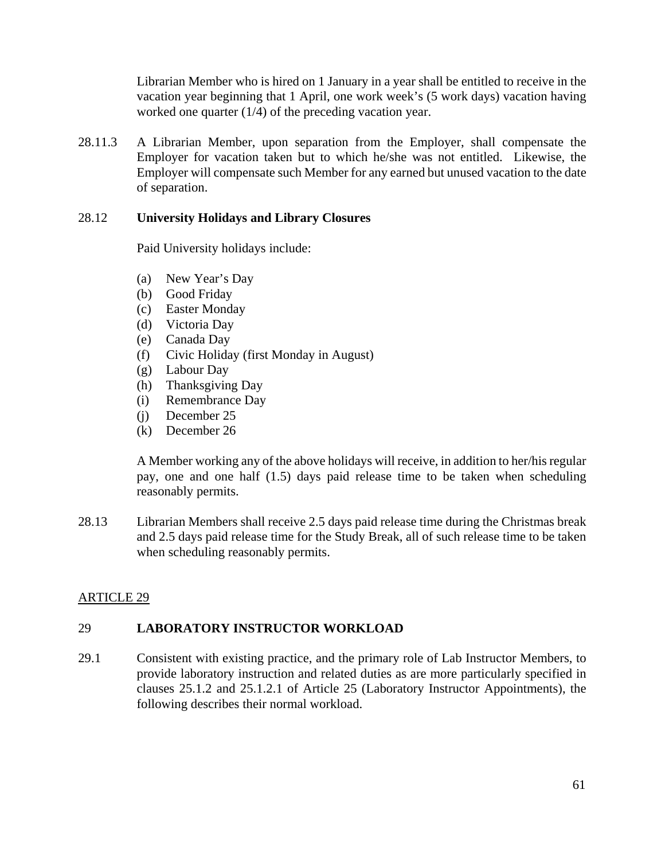Librarian Member who is hired on 1 January in a year shall be entitled to receive in the vacation year beginning that 1 April, one work week's (5 work days) vacation having worked one quarter (1/4) of the preceding vacation year.

28.11.3 A Librarian Member, upon separation from the Employer, shall compensate the Employer for vacation taken but to which he/she was not entitled. Likewise, the Employer will compensate such Member for any earned but unused vacation to the date of separation.

### 28.12 **University Holidays and Library Closures**

Paid University holidays include:

- (a) New Year's Day
- (b) Good Friday
- (c) Easter Monday
- (d) Victoria Day
- (e) Canada Day
- (f) Civic Holiday (first Monday in August)
- (g) Labour Day
- (h) Thanksgiving Day
- (i) Remembrance Day
- (j) December 25
- (k) December 26

A Member working any of the above holidays will receive, in addition to her/his regular pay, one and one half (1.5) days paid release time to be taken when scheduling reasonably permits.

28.13 Librarian Members shall receive 2.5 days paid release time during the Christmas break and 2.5 days paid release time for the Study Break, all of such release time to be taken when scheduling reasonably permits.

# ARTICLE 29

# 29 **LABORATORY INSTRUCTOR WORKLOAD**

29.1 Consistent with existing practice, and the primary role of Lab Instructor Members, to provide laboratory instruction and related duties as are more particularly specified in clauses 25.1.2 and 25.1.2.1 of Article 25 (Laboratory Instructor Appointments), the following describes their normal workload.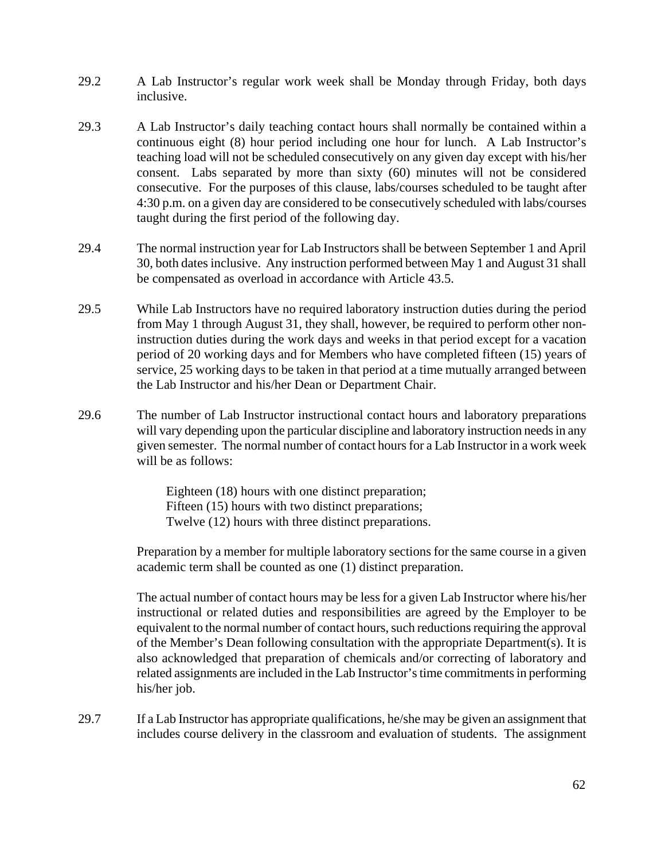- 29.2 A Lab Instructor's regular work week shall be Monday through Friday, both days inclusive.
- 29.3 A Lab Instructor's daily teaching contact hours shall normally be contained within a continuous eight (8) hour period including one hour for lunch. A Lab Instructor's teaching load will not be scheduled consecutively on any given day except with his/her consent. Labs separated by more than sixty (60) minutes will not be considered consecutive. For the purposes of this clause, labs/courses scheduled to be taught after 4:30 p.m. on a given day are considered to be consecutively scheduled with labs/courses taught during the first period of the following day.
- 29.4 The normal instruction year for Lab Instructors shall be between September 1 and April 30, both dates inclusive. Any instruction performed between May 1 and August 31 shall be compensated as overload in accordance with Article 43.5.
- 29.5 While Lab Instructors have no required laboratory instruction duties during the period from May 1 through August 31, they shall, however, be required to perform other noninstruction duties during the work days and weeks in that period except for a vacation period of 20 working days and for Members who have completed fifteen (15) years of service, 25 working days to be taken in that period at a time mutually arranged between the Lab Instructor and his/her Dean or Department Chair.
- 29.6 The number of Lab Instructor instructional contact hours and laboratory preparations will vary depending upon the particular discipline and laboratory instruction needs in any given semester. The normal number of contact hours for a Lab Instructor in a work week will be as follows:

Eighteen (18) hours with one distinct preparation; Fifteen (15) hours with two distinct preparations; Twelve (12) hours with three distinct preparations.

Preparation by a member for multiple laboratory sections for the same course in a given academic term shall be counted as one (1) distinct preparation.

The actual number of contact hours may be less for a given Lab Instructor where his/her instructional or related duties and responsibilities are agreed by the Employer to be equivalent to the normal number of contact hours, such reductions requiring the approval of the Member's Dean following consultation with the appropriate Department(s). It is also acknowledged that preparation of chemicals and/or correcting of laboratory and related assignments are included in the Lab Instructor's time commitments in performing his/her job.

29.7 If a Lab Instructor has appropriate qualifications, he/she may be given an assignment that includes course delivery in the classroom and evaluation of students. The assignment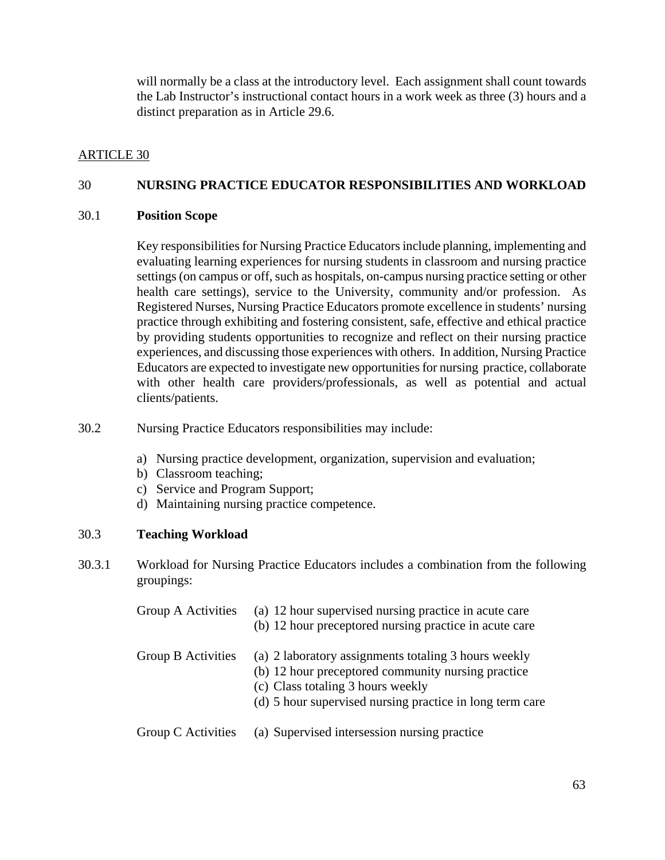will normally be a class at the introductory level. Each assignment shall count towards the Lab Instructor's instructional contact hours in a work week as three (3) hours and a distinct preparation as in Article 29.6.

### ARTICLE 30

### 30 **NURSING PRACTICE EDUCATOR RESPONSIBILITIES AND WORKLOAD**

#### 30.1 **Position Scope**

 Key responsibilities for Nursing Practice Educators include planning, implementing and evaluating learning experiences for nursing students in classroom and nursing practice settings (on campus or off, such as hospitals, on-campus nursing practice setting or other health care settings), service to the University, community and/or profession. As Registered Nurses, Nursing Practice Educators promote excellence in students' nursing practice through exhibiting and fostering consistent, safe, effective and ethical practice by providing students opportunities to recognize and reflect on their nursing practice experiences, and discussing those experiences with others. In addition, Nursing Practice Educators are expected to investigate new opportunities for nursing practice, collaborate with other health care providers/professionals, as well as potential and actual clients/patients.

- 30.2 Nursing Practice Educators responsibilities may include:
	- a) Nursing practice development, organization, supervision and evaluation;
	- b) Classroom teaching;
	- c) Service and Program Support;
	- d) Maintaining nursing practice competence.

### 30.3 **Teaching Workload**

30.3.1 Workload for Nursing Practice Educators includes a combination from the following groupings:

| Group A Activities | (a) 12 hour supervised nursing practice in acute care<br>(b) 12 hour preceptored nursing practice in acute care                                                                                             |
|--------------------|-------------------------------------------------------------------------------------------------------------------------------------------------------------------------------------------------------------|
| Group B Activities | (a) 2 laboratory assignments totaling 3 hours weekly<br>(b) 12 hour preceptored community nursing practice<br>(c) Class totaling 3 hours weekly<br>(d) 5 hour supervised nursing practice in long term care |
| Group C Activities | (a) Supervised intersession nursing practice                                                                                                                                                                |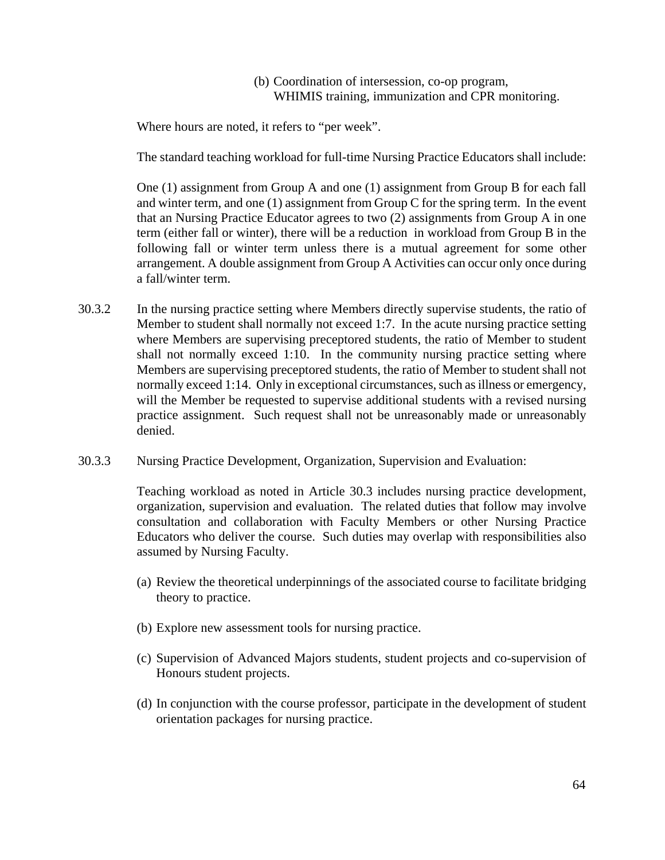### (b) Coordination of intersession, co-op program, WHIMIS training, immunization and CPR monitoring.

Where hours are noted, it refers to "per week".

The standard teaching workload for full-time Nursing Practice Educators shall include:

One (1) assignment from Group A and one (1) assignment from Group B for each fall and winter term, and one  $(1)$  assignment from Group C for the spring term. In the event that an Nursing Practice Educator agrees to two (2) assignments from Group A in one term (either fall or winter), there will be a reduction in workload from Group B in the following fall or winter term unless there is a mutual agreement for some other arrangement. A double assignment from Group A Activities can occur only once during a fall/winter term.

- 30.3.2 In the nursing practice setting where Members directly supervise students, the ratio of Member to student shall normally not exceed 1:7. In the acute nursing practice setting where Members are supervising preceptored students, the ratio of Member to student shall not normally exceed 1:10. In the community nursing practice setting where Members are supervising preceptored students, the ratio of Member to student shall not normally exceed 1:14. Only in exceptional circumstances, such as illness or emergency, will the Member be requested to supervise additional students with a revised nursing practice assignment. Such request shall not be unreasonably made or unreasonably denied.
- 30.3.3 Nursing Practice Development, Organization, Supervision and Evaluation:

Teaching workload as noted in Article 30.3 includes nursing practice development, organization, supervision and evaluation. The related duties that follow may involve consultation and collaboration with Faculty Members or other Nursing Practice Educators who deliver the course. Such duties may overlap with responsibilities also assumed by Nursing Faculty.

- (a) Review the theoretical underpinnings of the associated course to facilitate bridging theory to practice.
- (b) Explore new assessment tools for nursing practice.
- (c) Supervision of Advanced Majors students, student projects and co-supervision of Honours student projects.
- (d) In conjunction with the course professor, participate in the development of student orientation packages for nursing practice.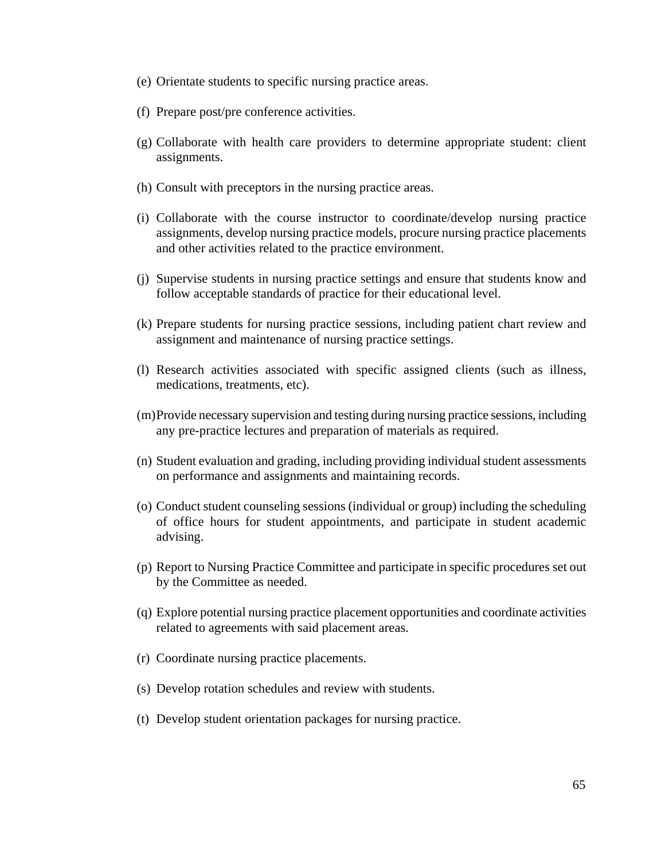- (e) Orientate students to specific nursing practice areas.
- (f) Prepare post/pre conference activities.
- (g) Collaborate with health care providers to determine appropriate student: client assignments.
- (h) Consult with preceptors in the nursing practice areas.
- (i) Collaborate with the course instructor to coordinate/develop nursing practice assignments, develop nursing practice models, procure nursing practice placements and other activities related to the practice environment.
- (j) Supervise students in nursing practice settings and ensure that students know and follow acceptable standards of practice for their educational level.
- (k) Prepare students for nursing practice sessions, including patient chart review and assignment and maintenance of nursing practice settings.
- (l) Research activities associated with specific assigned clients (such as illness, medications, treatments, etc).
- (m)Provide necessary supervision and testing during nursing practice sessions, including any pre-practice lectures and preparation of materials as required.
- (n) Student evaluation and grading, including providing individual student assessments on performance and assignments and maintaining records.
- (o) Conduct student counseling sessions (individual or group) including the scheduling of office hours for student appointments, and participate in student academic advising.
- (p) Report to Nursing Practice Committee and participate in specific procedures set out by the Committee as needed.
- (q) Explore potential nursing practice placement opportunities and coordinate activities related to agreements with said placement areas.
- (r) Coordinate nursing practice placements.
- (s) Develop rotation schedules and review with students.
- (t) Develop student orientation packages for nursing practice.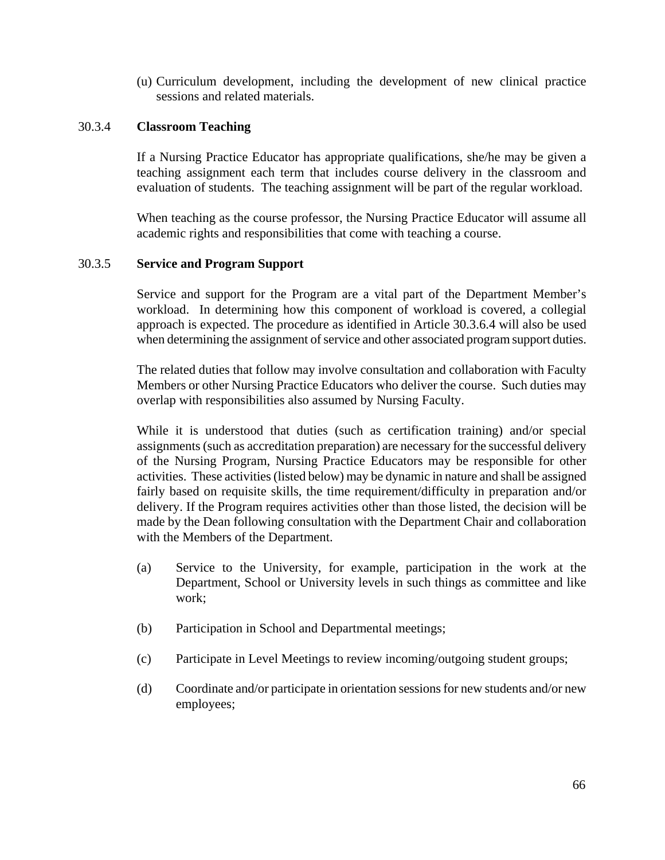(u) Curriculum development, including the development of new clinical practice sessions and related materials.

### 30.3.4 **Classroom Teaching**

If a Nursing Practice Educator has appropriate qualifications, she/he may be given a teaching assignment each term that includes course delivery in the classroom and evaluation of students. The teaching assignment will be part of the regular workload.

When teaching as the course professor, the Nursing Practice Educator will assume all academic rights and responsibilities that come with teaching a course.

#### 30.3.5 **Service and Program Support**

Service and support for the Program are a vital part of the Department Member's workload. In determining how this component of workload is covered, a collegial approach is expected. The procedure as identified in Article 30.3.6.4 will also be used when determining the assignment of service and other associated program support duties.

The related duties that follow may involve consultation and collaboration with Faculty Members or other Nursing Practice Educators who deliver the course. Such duties may overlap with responsibilities also assumed by Nursing Faculty.

While it is understood that duties (such as certification training) and/or special assignments (such as accreditation preparation) are necessary for the successful delivery of the Nursing Program, Nursing Practice Educators may be responsible for other activities. These activities (listed below) may be dynamic in nature and shall be assigned fairly based on requisite skills, the time requirement/difficulty in preparation and/or delivery. If the Program requires activities other than those listed, the decision will be made by the Dean following consultation with the Department Chair and collaboration with the Members of the Department.

- (a) Service to the University, for example, participation in the work at the Department, School or University levels in such things as committee and like work;
- (b) Participation in School and Departmental meetings;
- (c) Participate in Level Meetings to review incoming/outgoing student groups;
- (d) Coordinate and/or participate in orientation sessions for new students and/or new employees;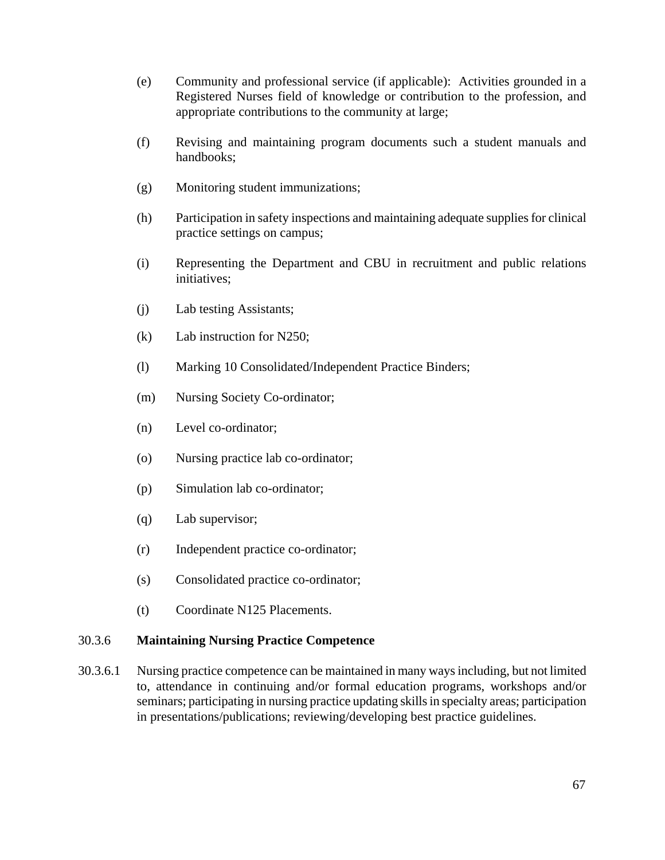- (e) Community and professional service (if applicable): Activities grounded in a Registered Nurses field of knowledge or contribution to the profession, and appropriate contributions to the community at large;
- (f) Revising and maintaining program documents such a student manuals and handbooks;
- (g) Monitoring student immunizations;
- (h) Participation in safety inspections and maintaining adequate supplies for clinical practice settings on campus;
- (i) Representing the Department and CBU in recruitment and public relations initiatives;
- (j) Lab testing Assistants;
- (k) Lab instruction for N250;
- (l) Marking 10 Consolidated/Independent Practice Binders;
- (m) Nursing Society Co-ordinator;
- (n) Level co-ordinator;
- (o) Nursing practice lab co-ordinator;
- (p) Simulation lab co-ordinator;
- (q) Lab supervisor;
- (r) Independent practice co-ordinator;
- (s) Consolidated practice co-ordinator;
- (t) Coordinate N125 Placements.

### 30.3.6 **Maintaining Nursing Practice Competence**

30.3.6.1 Nursing practice competence can be maintained in many ways including, but not limited to, attendance in continuing and/or formal education programs, workshops and/or seminars; participating in nursing practice updating skills in specialty areas; participation in presentations/publications; reviewing/developing best practice guidelines.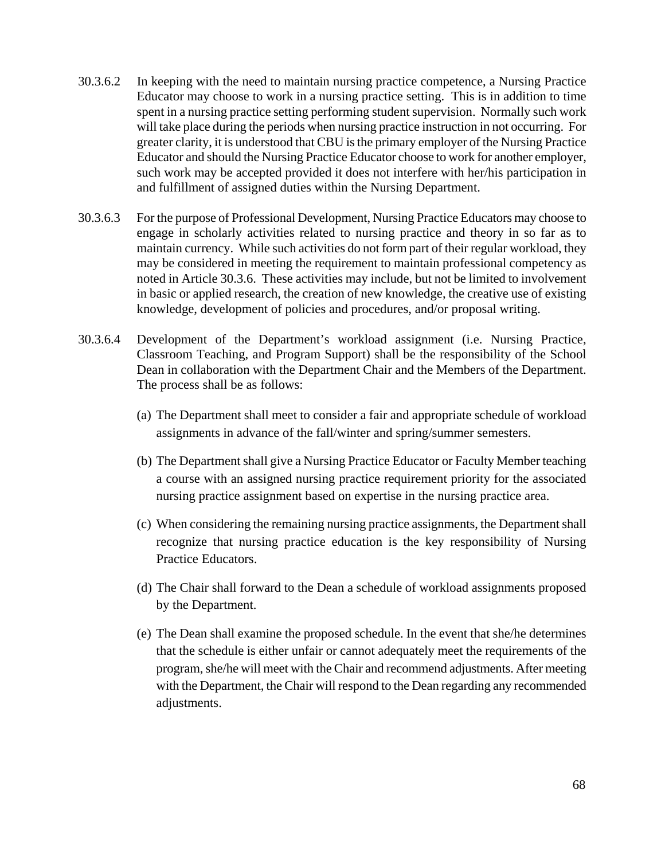- 30.3.6.2 In keeping with the need to maintain nursing practice competence, a Nursing Practice Educator may choose to work in a nursing practice setting. This is in addition to time spent in a nursing practice setting performing student supervision. Normally such work will take place during the periods when nursing practice instruction in not occurring. For greater clarity, it is understood that CBU is the primary employer of the Nursing Practice Educator and should the Nursing Practice Educator choose to work for another employer, such work may be accepted provided it does not interfere with her/his participation in and fulfillment of assigned duties within the Nursing Department.
- 30.3.6.3 For the purpose of Professional Development, Nursing Practice Educators may choose to engage in scholarly activities related to nursing practice and theory in so far as to maintain currency. While such activities do not form part of their regular workload, they may be considered in meeting the requirement to maintain professional competency as noted in Article 30.3.6. These activities may include, but not be limited to involvement in basic or applied research, the creation of new knowledge, the creative use of existing knowledge, development of policies and procedures, and/or proposal writing.
- 30.3.6.4 Development of the Department's workload assignment (i.e. Nursing Practice, Classroom Teaching, and Program Support) shall be the responsibility of the School Dean in collaboration with the Department Chair and the Members of the Department. The process shall be as follows:
	- (a) The Department shall meet to consider a fair and appropriate schedule of workload assignments in advance of the fall/winter and spring/summer semesters.
	- (b) The Department shall give a Nursing Practice Educator or Faculty Member teaching a course with an assigned nursing practice requirement priority for the associated nursing practice assignment based on expertise in the nursing practice area.
	- (c) When considering the remaining nursing practice assignments, the Department shall recognize that nursing practice education is the key responsibility of Nursing Practice Educators.
	- (d) The Chair shall forward to the Dean a schedule of workload assignments proposed by the Department.
	- (e) The Dean shall examine the proposed schedule. In the event that she/he determines that the schedule is either unfair or cannot adequately meet the requirements of the program, she/he will meet with the Chair and recommend adjustments. After meeting with the Department, the Chair will respond to the Dean regarding any recommended adjustments.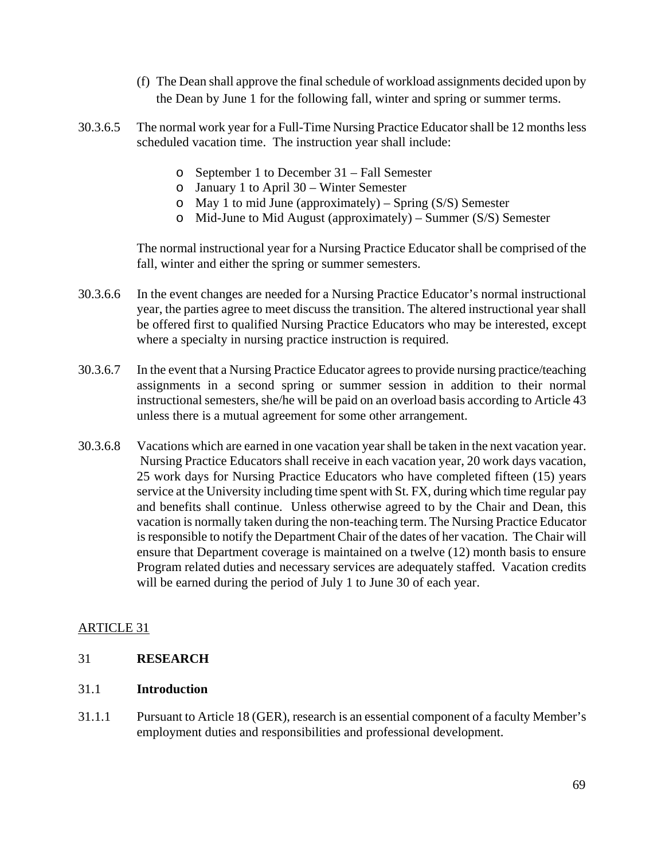- (f) The Dean shall approve the final schedule of workload assignments decided upon by the Dean by June 1 for the following fall, winter and spring or summer terms.
- 30.3.6.5 The normal work year for a Full-Time Nursing Practice Educator shall be 12 months less scheduled vacation time. The instruction year shall include:
	- o September 1 to December 31 Fall Semester
	- o January 1 to April 30 Winter Semester
	- o May 1 to mid June (approximately) Spring (S/S) Semester
	- o Mid-June to Mid August (approximately) Summer (S/S) Semester

The normal instructional year for a Nursing Practice Educator shall be comprised of the fall, winter and either the spring or summer semesters.

- 30.3.6.6 In the event changes are needed for a Nursing Practice Educator's normal instructional year, the parties agree to meet discuss the transition. The altered instructional year shall be offered first to qualified Nursing Practice Educators who may be interested, except where a specialty in nursing practice instruction is required.
- 30.3.6.7 In the event that a Nursing Practice Educator agrees to provide nursing practice/teaching assignments in a second spring or summer session in addition to their normal instructional semesters, she/he will be paid on an overload basis according to Article 43 unless there is a mutual agreement for some other arrangement.
- 30.3.6.8 Vacations which are earned in one vacation year shall be taken in the next vacation year. Nursing Practice Educators shall receive in each vacation year, 20 work days vacation, 25 work days for Nursing Practice Educators who have completed fifteen (15) years service at the University including time spent with St. FX, during which time regular pay and benefits shall continue. Unless otherwise agreed to by the Chair and Dean, this vacation is normally taken during the non-teaching term. The Nursing Practice Educator is responsible to notify the Department Chair of the dates of her vacation. The Chair will ensure that Department coverage is maintained on a twelve (12) month basis to ensure Program related duties and necessary services are adequately staffed. Vacation credits will be earned during the period of July 1 to June 30 of each year.

# ARTICLE 31

### 31 **RESEARCH**

#### 31.1 **Introduction**

31.1.1 Pursuant to Article 18 (GER), research is an essential component of a faculty Member's employment duties and responsibilities and professional development.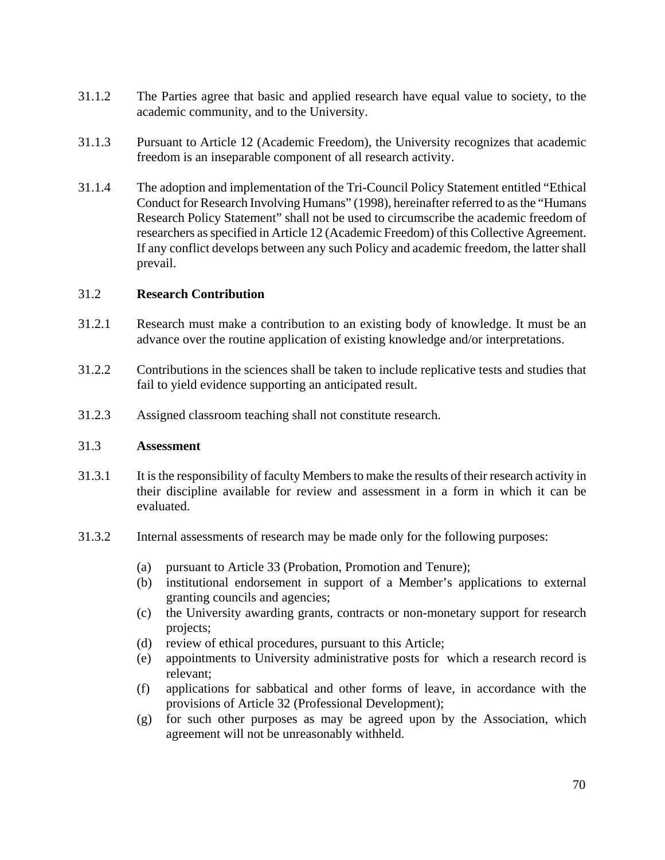- 31.1.2 The Parties agree that basic and applied research have equal value to society, to the academic community, and to the University.
- 31.1.3 Pursuant to Article 12 (Academic Freedom), the University recognizes that academic freedom is an inseparable component of all research activity.
- 31.1.4 The adoption and implementation of the Tri-Council Policy Statement entitled "Ethical Conduct for Research Involving Humans" (1998), hereinafter referred to as the "Humans Research Policy Statement" shall not be used to circumscribe the academic freedom of researchers as specified in Article 12 (Academic Freedom) of this Collective Agreement. If any conflict develops between any such Policy and academic freedom, the latter shall prevail.

#### 31.2 **Research Contribution**

- 31.2.1 Research must make a contribution to an existing body of knowledge. It must be an advance over the routine application of existing knowledge and/or interpretations.
- 31.2.2 Contributions in the sciences shall be taken to include replicative tests and studies that fail to yield evidence supporting an anticipated result.
- 31.2.3 Assigned classroom teaching shall not constitute research.

#### 31.3 **Assessment**

- 31.3.1 It is the responsibility of faculty Members to make the results of their research activity in their discipline available for review and assessment in a form in which it can be evaluated.
- 31.3.2 Internal assessments of research may be made only for the following purposes:
	- (a) pursuant to Article 33 (Probation, Promotion and Tenure);
	- (b) institutional endorsement in support of a Member's applications to external granting councils and agencies;
	- (c) the University awarding grants, contracts or non-monetary support for research projects;
	- (d) review of ethical procedures, pursuant to this Article;
	- (e) appointments to University administrative posts for which a research record is relevant;
	- (f) applications for sabbatical and other forms of leave, in accordance with the provisions of Article 32 (Professional Development);
	- (g) for such other purposes as may be agreed upon by the Association, which agreement will not be unreasonably withheld.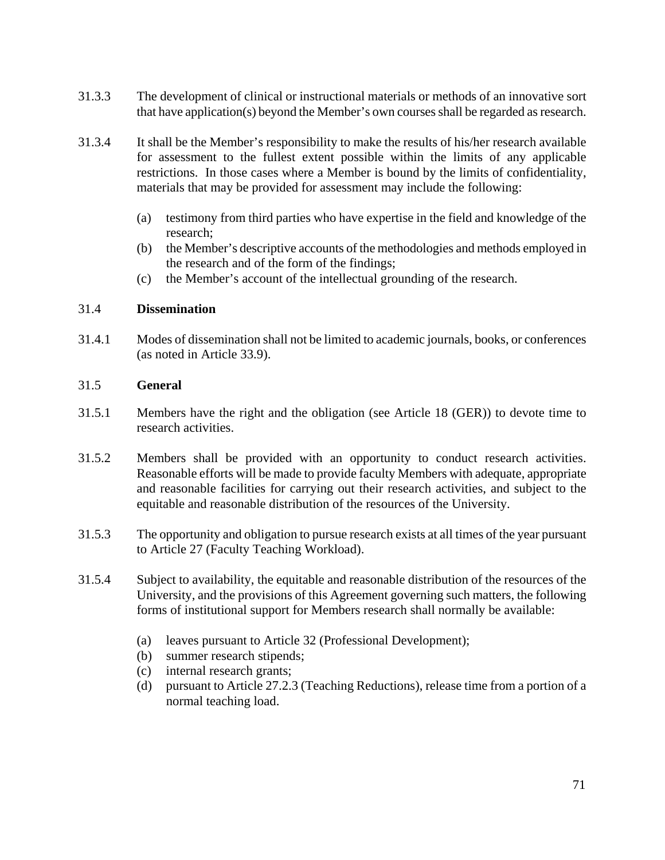- 31.3.3 The development of clinical or instructional materials or methods of an innovative sort that have application(s) beyond the Member's own courses shall be regarded as research.
- 31.3.4 It shall be the Member's responsibility to make the results of his/her research available for assessment to the fullest extent possible within the limits of any applicable restrictions. In those cases where a Member is bound by the limits of confidentiality, materials that may be provided for assessment may include the following:
	- (a) testimony from third parties who have expertise in the field and knowledge of the research;
	- (b) the Member's descriptive accounts of the methodologies and methods employed in the research and of the form of the findings;
	- (c) the Member's account of the intellectual grounding of the research.

### 31.4 **Dissemination**

31.4.1 Modes of dissemination shall not be limited to academic journals, books, or conferences (as noted in Article 33.9).

### 31.5 **General**

- 31.5.1 Members have the right and the obligation (see Article 18 (GER)) to devote time to research activities.
- 31.5.2 Members shall be provided with an opportunity to conduct research activities. Reasonable efforts will be made to provide faculty Members with adequate, appropriate and reasonable facilities for carrying out their research activities, and subject to the equitable and reasonable distribution of the resources of the University.
- 31.5.3 The opportunity and obligation to pursue research exists at all times of the year pursuant to Article 27 (Faculty Teaching Workload).
- 31.5.4 Subject to availability, the equitable and reasonable distribution of the resources of the University, and the provisions of this Agreement governing such matters, the following forms of institutional support for Members research shall normally be available:
	- (a) leaves pursuant to Article 32 (Professional Development);
	- (b) summer research stipends;
	- (c) internal research grants;
	- (d) pursuant to Article 27.2.3 (Teaching Reductions), release time from a portion of a normal teaching load.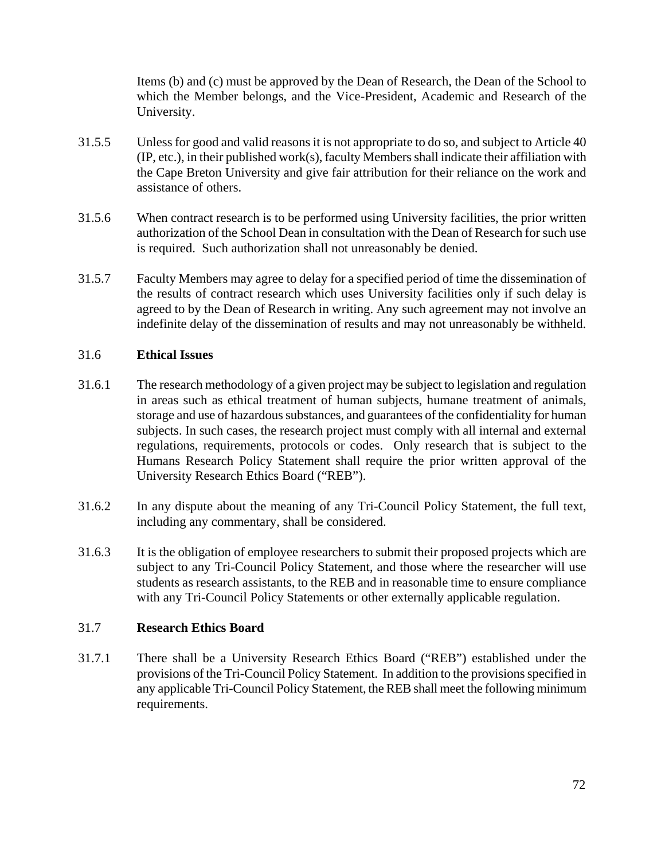Items (b) and (c) must be approved by the Dean of Research, the Dean of the School to which the Member belongs, and the Vice-President, Academic and Research of the University.

- 31.5.5 Unless for good and valid reasons it is not appropriate to do so, and subject to Article 40 (IP, etc.), in their published work(s), faculty Members shall indicate their affiliation with the Cape Breton University and give fair attribution for their reliance on the work and assistance of others.
- 31.5.6 When contract research is to be performed using University facilities, the prior written authorization of the School Dean in consultation with the Dean of Research for such use is required. Such authorization shall not unreasonably be denied.
- 31.5.7 Faculty Members may agree to delay for a specified period of time the dissemination of the results of contract research which uses University facilities only if such delay is agreed to by the Dean of Research in writing. Any such agreement may not involve an indefinite delay of the dissemination of results and may not unreasonably be withheld.

## 31.6 **Ethical Issues**

- 31.6.1 The research methodology of a given project may be subject to legislation and regulation in areas such as ethical treatment of human subjects, humane treatment of animals, storage and use of hazardous substances, and guarantees of the confidentiality for human subjects. In such cases, the research project must comply with all internal and external regulations, requirements, protocols or codes. Only research that is subject to the Humans Research Policy Statement shall require the prior written approval of the University Research Ethics Board ("REB").
- 31.6.2 In any dispute about the meaning of any Tri-Council Policy Statement, the full text, including any commentary, shall be considered.
- 31.6.3 It is the obligation of employee researchers to submit their proposed projects which are subject to any Tri-Council Policy Statement, and those where the researcher will use students as research assistants, to the REB and in reasonable time to ensure compliance with any Tri-Council Policy Statements or other externally applicable regulation.

#### 31.7 **Research Ethics Board**

31.7.1 There shall be a University Research Ethics Board ("REB") established under the provisions of the Tri-Council Policy Statement. In addition to the provisions specified in any applicable Tri-Council Policy Statement, the REB shall meet the following minimum requirements.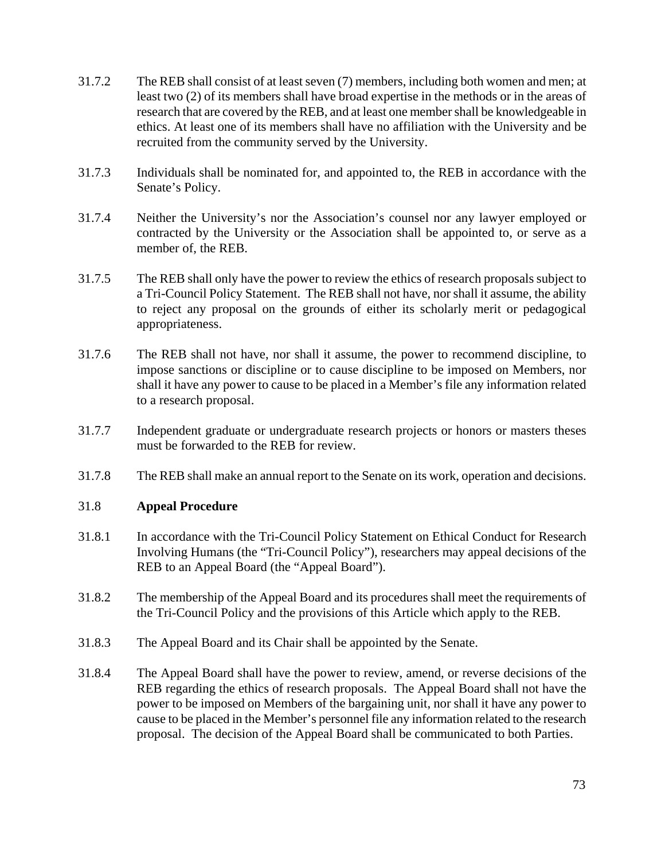- 31.7.2 The REB shall consist of at least seven (7) members, including both women and men; at least two (2) of its members shall have broad expertise in the methods or in the areas of research that are covered by the REB, and at least one member shall be knowledgeable in ethics. At least one of its members shall have no affiliation with the University and be recruited from the community served by the University.
- 31.7.3 Individuals shall be nominated for, and appointed to, the REB in accordance with the Senate's Policy.
- 31.7.4 Neither the University's nor the Association's counsel nor any lawyer employed or contracted by the University or the Association shall be appointed to, or serve as a member of, the REB.
- 31.7.5 The REB shall only have the power to review the ethics of research proposals subject to a Tri-Council Policy Statement. The REB shall not have, nor shall it assume, the ability to reject any proposal on the grounds of either its scholarly merit or pedagogical appropriateness.
- 31.7.6 The REB shall not have, nor shall it assume, the power to recommend discipline, to impose sanctions or discipline or to cause discipline to be imposed on Members, nor shall it have any power to cause to be placed in a Member's file any information related to a research proposal.
- 31.7.7 Independent graduate or undergraduate research projects or honors or masters theses must be forwarded to the REB for review.
- 31.7.8 The REB shall make an annual report to the Senate on its work, operation and decisions.

#### 31.8 **Appeal Procedure**

- 31.8.1 In accordance with the Tri-Council Policy Statement on Ethical Conduct for Research Involving Humans (the "Tri-Council Policy"), researchers may appeal decisions of the REB to an Appeal Board (the "Appeal Board").
- 31.8.2 The membership of the Appeal Board and its procedures shall meet the requirements of the Tri-Council Policy and the provisions of this Article which apply to the REB.
- 31.8.3 The Appeal Board and its Chair shall be appointed by the Senate.
- 31.8.4 The Appeal Board shall have the power to review, amend, or reverse decisions of the REB regarding the ethics of research proposals. The Appeal Board shall not have the power to be imposed on Members of the bargaining unit, nor shall it have any power to cause to be placed in the Member's personnel file any information related to the research proposal. The decision of the Appeal Board shall be communicated to both Parties.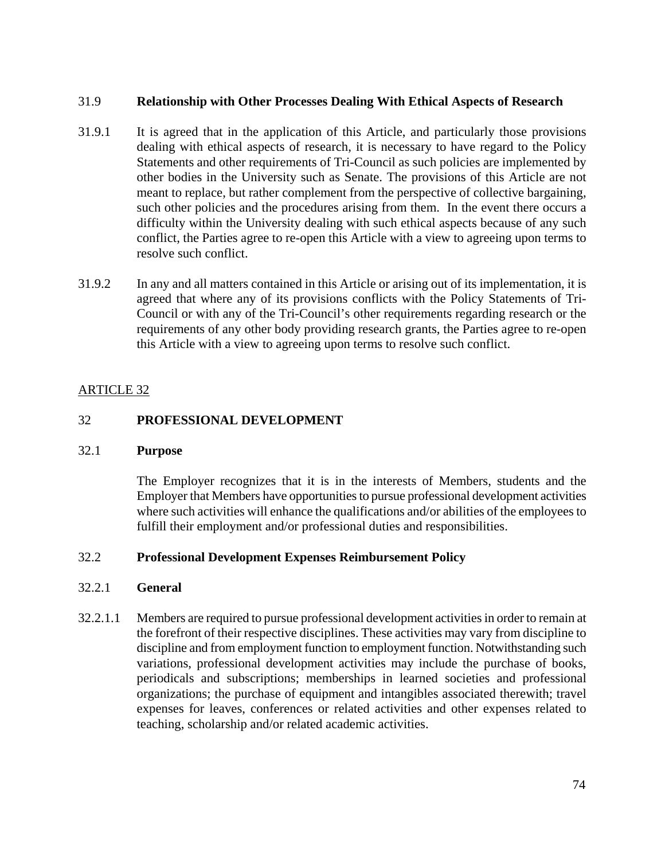## 31.9 **Relationship with Other Processes Dealing With Ethical Aspects of Research**

- 31.9.1 It is agreed that in the application of this Article, and particularly those provisions dealing with ethical aspects of research, it is necessary to have regard to the Policy Statements and other requirements of Tri-Council as such policies are implemented by other bodies in the University such as Senate. The provisions of this Article are not meant to replace, but rather complement from the perspective of collective bargaining, such other policies and the procedures arising from them. In the event there occurs a difficulty within the University dealing with such ethical aspects because of any such conflict, the Parties agree to re-open this Article with a view to agreeing upon terms to resolve such conflict.
- 31.9.2 In any and all matters contained in this Article or arising out of its implementation, it is agreed that where any of its provisions conflicts with the Policy Statements of Tri-Council or with any of the Tri-Council's other requirements regarding research or the requirements of any other body providing research grants, the Parties agree to re-open this Article with a view to agreeing upon terms to resolve such conflict.

# ARTICLE 32

## 32 **PROFESSIONAL DEVELOPMENT**

#### 32.1 **Purpose**

The Employer recognizes that it is in the interests of Members, students and the Employer that Members have opportunities to pursue professional development activities where such activities will enhance the qualifications and/or abilities of the employees to fulfill their employment and/or professional duties and responsibilities.

#### 32.2 **Professional Development Expenses Reimbursement Policy**

#### 32.2.1 **General**

32.2.1.1 Members are required to pursue professional development activities in order to remain at the forefront of their respective disciplines. These activities may vary from discipline to discipline and from employment function to employment function. Notwithstanding such variations, professional development activities may include the purchase of books, periodicals and subscriptions; memberships in learned societies and professional organizations; the purchase of equipment and intangibles associated therewith; travel expenses for leaves, conferences or related activities and other expenses related to teaching, scholarship and/or related academic activities.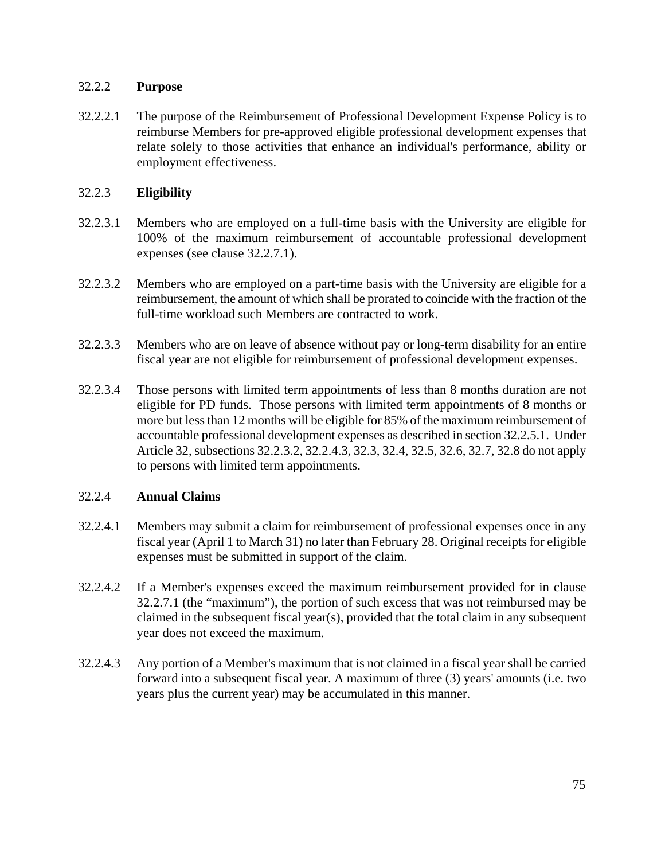# 32.2.2 **Purpose**

32.2.2.1 The purpose of the Reimbursement of Professional Development Expense Policy is to reimburse Members for pre-approved eligible professional development expenses that relate solely to those activities that enhance an individual's performance, ability or employment effectiveness.

## 32.2.3 **Eligibility**

- 32.2.3.1 Members who are employed on a full-time basis with the University are eligible for 100% of the maximum reimbursement of accountable professional development expenses (see clause 32.2.7.1).
- 32.2.3.2 Members who are employed on a part-time basis with the University are eligible for a reimbursement, the amount of which shall be prorated to coincide with the fraction of the full-time workload such Members are contracted to work.
- 32.2.3.3 Members who are on leave of absence without pay or long-term disability for an entire fiscal year are not eligible for reimbursement of professional development expenses.
- 32.2.3.4 Those persons with limited term appointments of less than 8 months duration are not eligible for PD funds. Those persons with limited term appointments of 8 months or more but less than 12 months will be eligible for 85% of the maximum reimbursement of accountable professional development expenses as described in section 32.2.5.1. Under Article 32, subsections 32.2.3.2, 32.2.4.3, 32.3, 32.4, 32.5, 32.6, 32.7, 32.8 do not apply to persons with limited term appointments.

# 32.2.4 **Annual Claims**

- 32.2.4.1 Members may submit a claim for reimbursement of professional expenses once in any fiscal year (April 1 to March 31) no later than February 28. Original receipts for eligible expenses must be submitted in support of the claim.
- 32.2.4.2 If a Member's expenses exceed the maximum reimbursement provided for in clause 32.2.7.1 (the "maximum"), the portion of such excess that was not reimbursed may be claimed in the subsequent fiscal year(s), provided that the total claim in any subsequent year does not exceed the maximum.
- 32.2.4.3 Any portion of a Member's maximum that is not claimed in a fiscal year shall be carried forward into a subsequent fiscal year. A maximum of three (3) years' amounts (i.e. two years plus the current year) may be accumulated in this manner.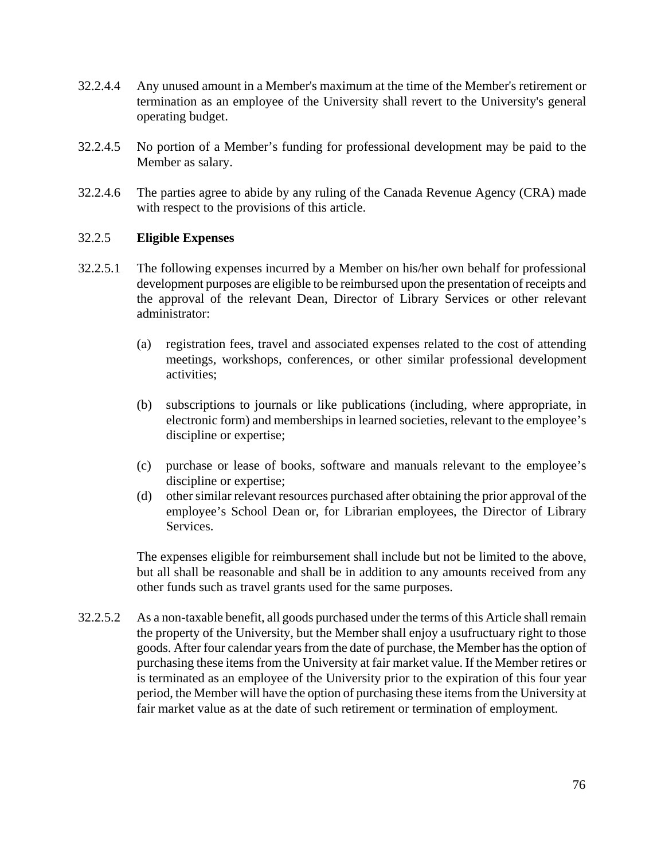- 32.2.4.4 Any unused amount in a Member's maximum at the time of the Member's retirement or termination as an employee of the University shall revert to the University's general operating budget.
- 32.2.4.5 No portion of a Member's funding for professional development may be paid to the Member as salary.
- 32.2.4.6 The parties agree to abide by any ruling of the Canada Revenue Agency (CRA) made with respect to the provisions of this article.

#### 32.2.5 **Eligible Expenses**

- 32.2.5.1 The following expenses incurred by a Member on his/her own behalf for professional development purposes are eligible to be reimbursed upon the presentation of receipts and the approval of the relevant Dean, Director of Library Services or other relevant administrator:
	- (a) registration fees, travel and associated expenses related to the cost of attending meetings, workshops, conferences, or other similar professional development activities;
	- (b) subscriptions to journals or like publications (including, where appropriate, in electronic form) and memberships in learned societies, relevant to the employee's discipline or expertise;
	- (c) purchase or lease of books, software and manuals relevant to the employee's discipline or expertise;
	- (d) other similar relevant resources purchased after obtaining the prior approval of the employee's School Dean or, for Librarian employees, the Director of Library Services.

The expenses eligible for reimbursement shall include but not be limited to the above, but all shall be reasonable and shall be in addition to any amounts received from any other funds such as travel grants used for the same purposes.

32.2.5.2 As a non-taxable benefit, all goods purchased under the terms of this Article shall remain the property of the University, but the Member shall enjoy a usufructuary right to those goods. After four calendar years from the date of purchase, the Member has the option of purchasing these items from the University at fair market value. If the Member retires or is terminated as an employee of the University prior to the expiration of this four year period, the Member will have the option of purchasing these items from the University at fair market value as at the date of such retirement or termination of employment.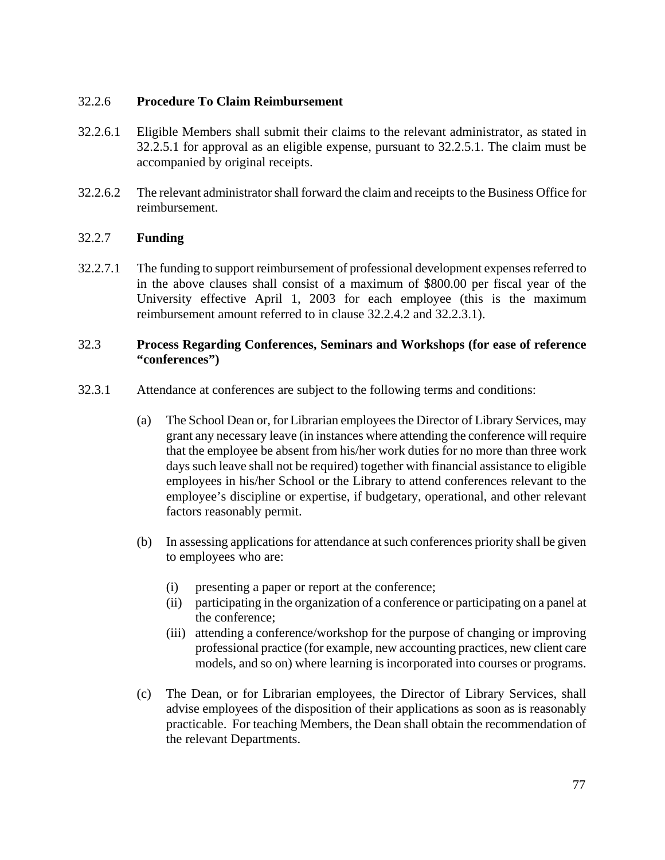## 32.2.6 **Procedure To Claim Reimbursement**

- 32.2.6.1 Eligible Members shall submit their claims to the relevant administrator, as stated in 32.2.5.1 for approval as an eligible expense, pursuant to 32.2.5.1. The claim must be accompanied by original receipts.
- 32.2.6.2 The relevant administrator shall forward the claim and receipts to the Business Office for reimbursement.

## 32.2.7 **Funding**

32.2.7.1 The funding to support reimbursement of professional development expenses referred to in the above clauses shall consist of a maximum of \$800.00 per fiscal year of the University effective April 1, 2003 for each employee (this is the maximum reimbursement amount referred to in clause 32.2.4.2 and 32.2.3.1).

### 32.3 **Process Regarding Conferences, Seminars and Workshops (for ease of reference "conferences")**

- 32.3.1 Attendance at conferences are subject to the following terms and conditions:
	- (a) The School Dean or, for Librarian employees the Director of Library Services, may grant any necessary leave (in instances where attending the conference will require that the employee be absent from his/her work duties for no more than three work days such leave shall not be required) together with financial assistance to eligible employees in his/her School or the Library to attend conferences relevant to the employee's discipline or expertise, if budgetary, operational, and other relevant factors reasonably permit.
	- (b) In assessing applications for attendance at such conferences priority shall be given to employees who are:
		- (i) presenting a paper or report at the conference;
		- (ii) participating in the organization of a conference or participating on a panel at the conference;
		- (iii) attending a conference/workshop for the purpose of changing or improving professional practice (for example, new accounting practices, new client care models, and so on) where learning is incorporated into courses or programs.
	- (c) The Dean, or for Librarian employees, the Director of Library Services, shall advise employees of the disposition of their applications as soon as is reasonably practicable. For teaching Members, the Dean shall obtain the recommendation of the relevant Departments.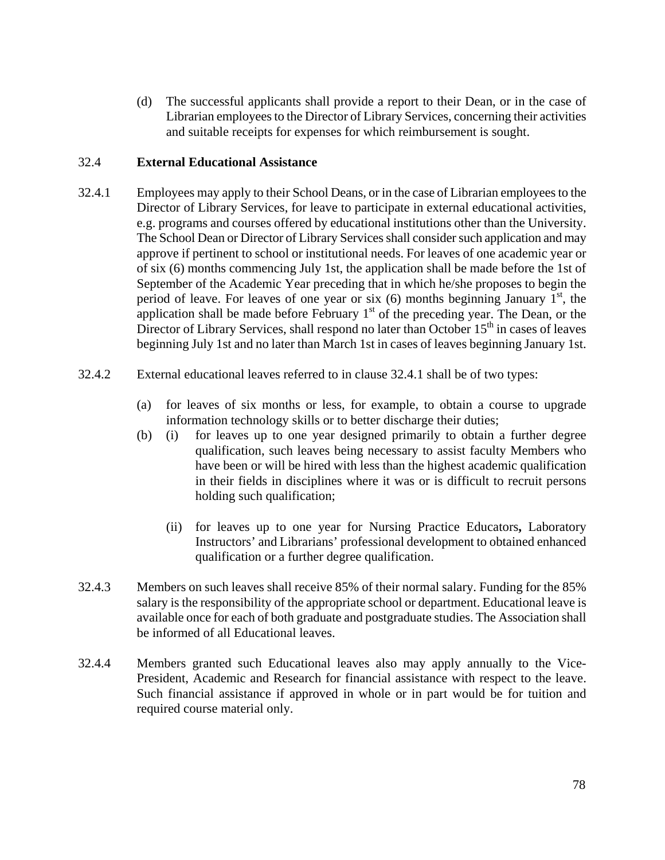(d) The successful applicants shall provide a report to their Dean, or in the case of Librarian employees to the Director of Library Services, concerning their activities and suitable receipts for expenses for which reimbursement is sought.

## 32.4 **External Educational Assistance**

- 32.4.1 Employees may apply to their School Deans, or in the case of Librarian employees to the Director of Library Services, for leave to participate in external educational activities, e.g. programs and courses offered by educational institutions other than the University. The School Dean or Director of Library Services shall consider such application and may approve if pertinent to school or institutional needs. For leaves of one academic year or of six (6) months commencing July 1st, the application shall be made before the 1st of September of the Academic Year preceding that in which he/she proposes to begin the period of leave. For leaves of one year or six  $(6)$  months beginning January 1<sup>st</sup>, the application shall be made before February  $1<sup>st</sup>$  of the preceding year. The Dean, or the Director of Library Services, shall respond no later than October  $15<sup>th</sup>$  in cases of leaves beginning July 1st and no later than March 1st in cases of leaves beginning January 1st.
- 32.4.2 External educational leaves referred to in clause 32.4.1 shall be of two types:
	- (a) for leaves of six months or less, for example, to obtain a course to upgrade information technology skills or to better discharge their duties;
	- (b) (i) for leaves up to one year designed primarily to obtain a further degree qualification, such leaves being necessary to assist faculty Members who have been or will be hired with less than the highest academic qualification in their fields in disciplines where it was or is difficult to recruit persons holding such qualification;
		- (ii) for leaves up to one year for Nursing Practice Educators**,** Laboratory Instructors' and Librarians' professional development to obtained enhanced qualification or a further degree qualification.
- 32.4.3 Members on such leaves shall receive 85% of their normal salary. Funding for the 85% salary is the responsibility of the appropriate school or department. Educational leave is available once for each of both graduate and postgraduate studies. The Association shall be informed of all Educational leaves.
- 32.4.4 Members granted such Educational leaves also may apply annually to the Vice-President, Academic and Research for financial assistance with respect to the leave. Such financial assistance if approved in whole or in part would be for tuition and required course material only.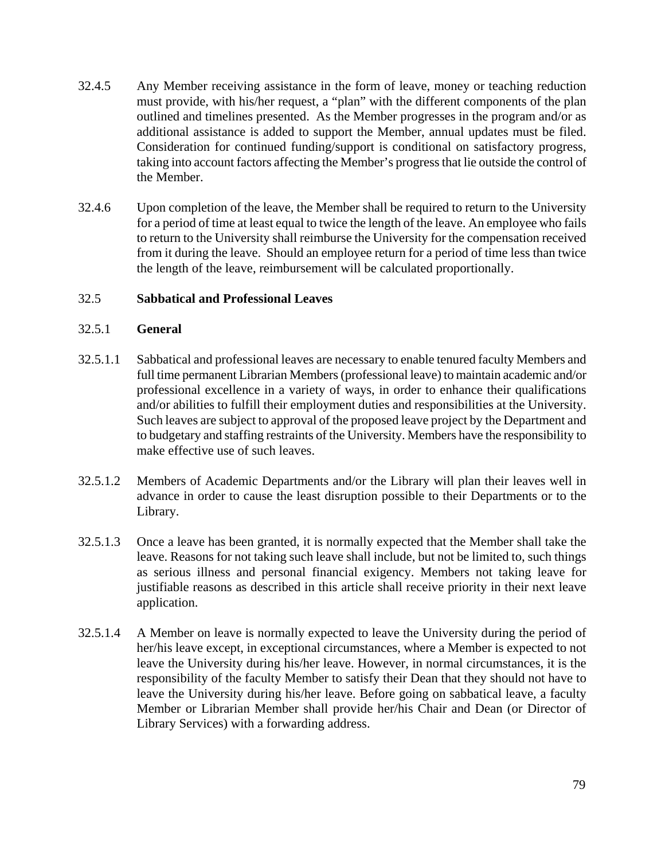- 32.4.5 Any Member receiving assistance in the form of leave, money or teaching reduction must provide, with his/her request, a "plan" with the different components of the plan outlined and timelines presented. As the Member progresses in the program and/or as additional assistance is added to support the Member, annual updates must be filed. Consideration for continued funding/support is conditional on satisfactory progress, taking into account factors affecting the Member's progress that lie outside the control of the Member.
- 32.4.6 Upon completion of the leave, the Member shall be required to return to the University for a period of time at least equal to twice the length of the leave. An employee who fails to return to the University shall reimburse the University for the compensation received from it during the leave. Should an employee return for a period of time less than twice the length of the leave, reimbursement will be calculated proportionally.

# 32.5 **Sabbatical and Professional Leaves**

#### 32.5.1 **General**

- 32.5.1.1 Sabbatical and professional leaves are necessary to enable tenured faculty Members and full time permanent Librarian Members (professional leave) to maintain academic and/or professional excellence in a variety of ways, in order to enhance their qualifications and/or abilities to fulfill their employment duties and responsibilities at the University. Such leaves are subject to approval of the proposed leave project by the Department and to budgetary and staffing restraints of the University. Members have the responsibility to make effective use of such leaves.
- 32.5.1.2 Members of Academic Departments and/or the Library will plan their leaves well in advance in order to cause the least disruption possible to their Departments or to the Library.
- 32.5.1.3 Once a leave has been granted, it is normally expected that the Member shall take the leave. Reasons for not taking such leave shall include, but not be limited to, such things as serious illness and personal financial exigency. Members not taking leave for justifiable reasons as described in this article shall receive priority in their next leave application.
- 32.5.1.4 A Member on leave is normally expected to leave the University during the period of her/his leave except, in exceptional circumstances, where a Member is expected to not leave the University during his/her leave. However, in normal circumstances, it is the responsibility of the faculty Member to satisfy their Dean that they should not have to leave the University during his/her leave. Before going on sabbatical leave, a faculty Member or Librarian Member shall provide her/his Chair and Dean (or Director of Library Services) with a forwarding address.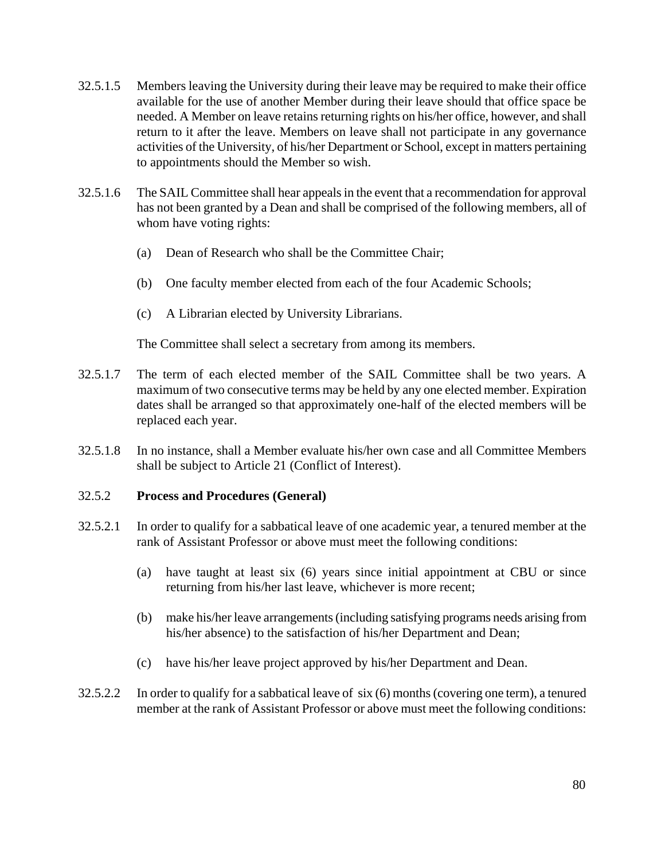- 32.5.1.5 Members leaving the University during their leave may be required to make their office available for the use of another Member during their leave should that office space be needed. A Member on leave retains returning rights on his/her office, however, and shall return to it after the leave. Members on leave shall not participate in any governance activities of the University, of his/her Department or School, except in matters pertaining to appointments should the Member so wish.
- 32.5.1.6 The SAIL Committee shall hear appeals in the event that a recommendation for approval has not been granted by a Dean and shall be comprised of the following members, all of whom have voting rights:
	- (a) Dean of Research who shall be the Committee Chair;
	- (b) One faculty member elected from each of the four Academic Schools;
	- (c) A Librarian elected by University Librarians.

The Committee shall select a secretary from among its members.

- 32.5.1.7 The term of each elected member of the SAIL Committee shall be two years. A maximum of two consecutive terms may be held by any one elected member. Expiration dates shall be arranged so that approximately one-half of the elected members will be replaced each year.
- 32.5.1.8 In no instance, shall a Member evaluate his/her own case and all Committee Members shall be subject to Article 21 (Conflict of Interest).

#### 32.5.2 **Process and Procedures (General)**

- 32.5.2.1 In order to qualify for a sabbatical leave of one academic year, a tenured member at the rank of Assistant Professor or above must meet the following conditions:
	- (a) have taught at least six (6) years since initial appointment at CBU or since returning from his/her last leave, whichever is more recent;
	- (b) make his/her leave arrangements (including satisfying programs needs arising from his/her absence) to the satisfaction of his/her Department and Dean;
	- (c) have his/her leave project approved by his/her Department and Dean.
- 32.5.2.2 In order to qualify for a sabbatical leave of six (6) months (covering one term), a tenured member at the rank of Assistant Professor or above must meet the following conditions: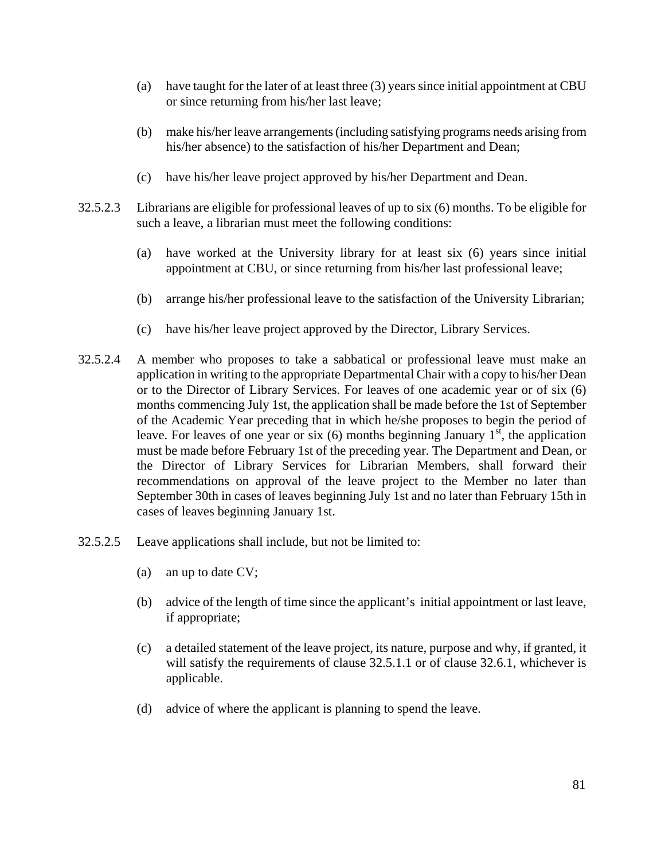- (a) have taught for the later of at least three (3) years since initial appointment at CBU or since returning from his/her last leave;
- (b) make his/her leave arrangements (including satisfying programs needs arising from his/her absence) to the satisfaction of his/her Department and Dean;
- (c) have his/her leave project approved by his/her Department and Dean.
- 32.5.2.3 Librarians are eligible for professional leaves of up to six (6) months. To be eligible for such a leave, a librarian must meet the following conditions:
	- (a) have worked at the University library for at least six (6) years since initial appointment at CBU, or since returning from his/her last professional leave;
	- (b) arrange his/her professional leave to the satisfaction of the University Librarian;
	- (c) have his/her leave project approved by the Director, Library Services.
- 32.5.2.4 A member who proposes to take a sabbatical or professional leave must make an application in writing to the appropriate Departmental Chair with a copy to his/her Dean or to the Director of Library Services. For leaves of one academic year or of six (6) months commencing July 1st, the application shall be made before the 1st of September of the Academic Year preceding that in which he/she proposes to begin the period of leave. For leaves of one year or six  $(6)$  months beginning January  $1<sup>st</sup>$ , the application must be made before February 1st of the preceding year. The Department and Dean, or the Director of Library Services for Librarian Members, shall forward their recommendations on approval of the leave project to the Member no later than September 30th in cases of leaves beginning July 1st and no later than February 15th in cases of leaves beginning January 1st.
- 32.5.2.5 Leave applications shall include, but not be limited to:
	- (a) an up to date CV;
	- (b) advice of the length of time since the applicant's initial appointment or last leave, if appropriate;
	- (c) a detailed statement of the leave project, its nature, purpose and why, if granted, it will satisfy the requirements of clause 32.5.1.1 or of clause 32.6.1, whichever is applicable.
	- (d) advice of where the applicant is planning to spend the leave.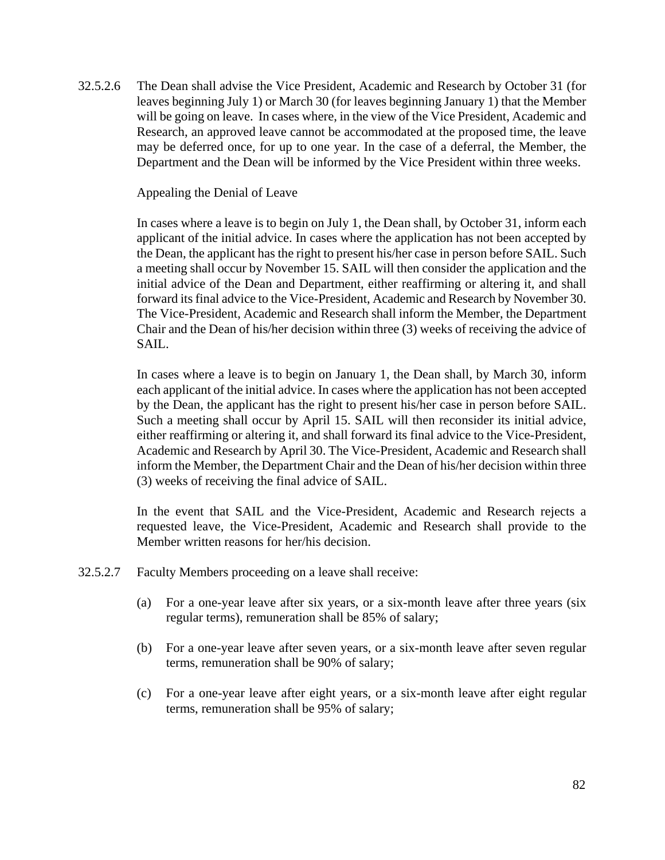32.5.2.6 The Dean shall advise the Vice President, Academic and Research by October 31 (for leaves beginning July 1) or March 30 (for leaves beginning January 1) that the Member will be going on leave. In cases where, in the view of the Vice President, Academic and Research, an approved leave cannot be accommodated at the proposed time, the leave may be deferred once, for up to one year. In the case of a deferral, the Member, the Department and the Dean will be informed by the Vice President within three weeks.

Appealing the Denial of Leave

In cases where a leave is to begin on July 1, the Dean shall, by October 31, inform each applicant of the initial advice. In cases where the application has not been accepted by the Dean, the applicant has the right to present his/her case in person before SAIL. Such a meeting shall occur by November 15. SAIL will then consider the application and the initial advice of the Dean and Department, either reaffirming or altering it, and shall forward its final advice to the Vice-President, Academic and Research by November 30. The Vice-President, Academic and Research shall inform the Member, the Department Chair and the Dean of his/her decision within three (3) weeks of receiving the advice of SAIL.

In cases where a leave is to begin on January 1, the Dean shall, by March 30, inform each applicant of the initial advice. In cases where the application has not been accepted by the Dean, the applicant has the right to present his/her case in person before SAIL. Such a meeting shall occur by April 15. SAIL will then reconsider its initial advice, either reaffirming or altering it, and shall forward its final advice to the Vice-President, Academic and Research by April 30. The Vice-President, Academic and Research shall inform the Member, the Department Chair and the Dean of his/her decision within three (3) weeks of receiving the final advice of SAIL.

In the event that SAIL and the Vice-President, Academic and Research rejects a requested leave, the Vice-President, Academic and Research shall provide to the Member written reasons for her/his decision.

- 32.5.2.7 Faculty Members proceeding on a leave shall receive:
	- (a) For a one-year leave after six years, or a six-month leave after three years (six regular terms), remuneration shall be 85% of salary;
	- (b) For a one-year leave after seven years, or a six-month leave after seven regular terms, remuneration shall be 90% of salary;
	- (c) For a one-year leave after eight years, or a six-month leave after eight regular terms, remuneration shall be 95% of salary;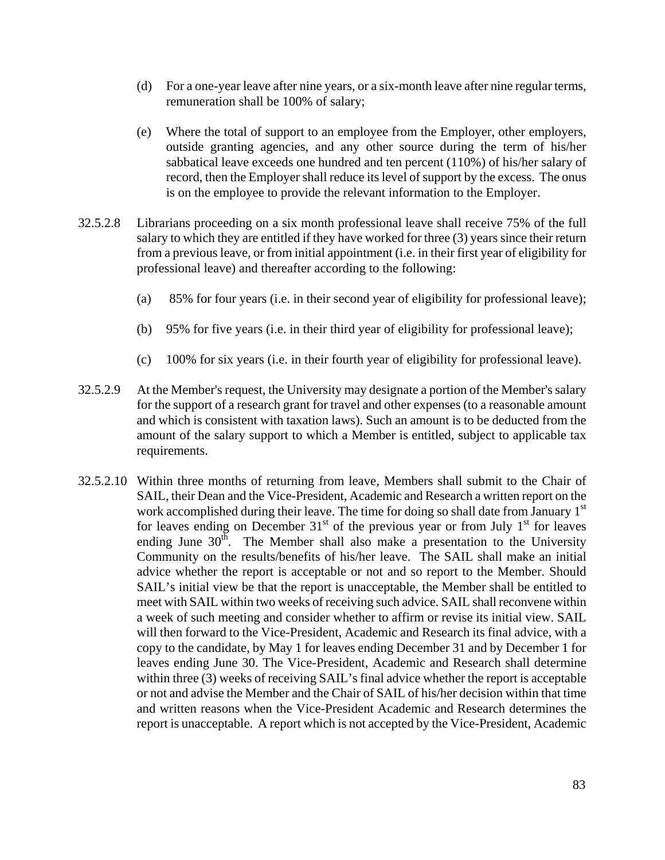- (d) For a one-year leave after nine years, or a six-month leave after nine regular terms, remuneration shall be 100% of salary;
- (e) Where the total of support to an employee from the Employer, other employers, outside granting agencies, and any other source during the term of his/her sabbatical leave exceeds one hundred and ten percent (110%) of his/her salary of record, then the Employer shall reduce its level of support by the excess. The onus is on the employee to provide the relevant information to the Employer.
- 32.5.2.8 Librarians proceeding on a six month professional leave shall receive 75% of the full salary to which they are entitled if they have worked for three (3) years since their return from a previous leave, or from initial appointment (i.e. in their first year of eligibility for professional leave) and thereafter according to the following:
	- (a) 85% for four years (i.e. in their second year of eligibility for professional leave);
	- (b) 95% for five years (i.e. in their third year of eligibility for professional leave);
	- (c) 100% for six years (i.e. in their fourth year of eligibility for professional leave).
- 32.5.2.9 At the Member's request, the University may designate a portion of the Member's salary for the support of a research grant for travel and other expenses (to a reasonable amount and which is consistent with taxation laws). Such an amount is to be deducted from the amount of the salary support to which a Member is entitled, subject to applicable tax requirements.
- 32.5.2.10 Within three months of returning from leave, Members shall submit to the Chair of SAIL, their Dean and the Vice-President, Academic and Research a written report on the work accomplished during their leave. The time for doing so shall date from January  $1<sup>st</sup>$ for leaves ending on December  $31<sup>st</sup>$  of the previous year or from July  $1<sup>st</sup>$  for leaves ending June  $30<sup>th</sup>$ . The Member shall also make a presentation to the University Community on the results/benefits of his/her leave. The SAIL shall make an initial advice whether the report is acceptable or not and so report to the Member. Should SAIL's initial view be that the report is unacceptable, the Member shall be entitled to meet with SAIL within two weeks of receiving such advice. SAIL shall reconvene within a week of such meeting and consider whether to affirm or revise its initial view. SAIL will then forward to the Vice-President, Academic and Research its final advice, with a copy to the candidate, by May 1 for leaves ending December 31 and by December 1 for leaves ending June 30. The Vice-President, Academic and Research shall determine within three (3) weeks of receiving SAIL's final advice whether the report is acceptable or not and advise the Member and the Chair of SAIL of his/her decision within that time and written reasons when the Vice-President Academic and Research determines the report is unacceptable. A report which is not accepted by the Vice-President, Academic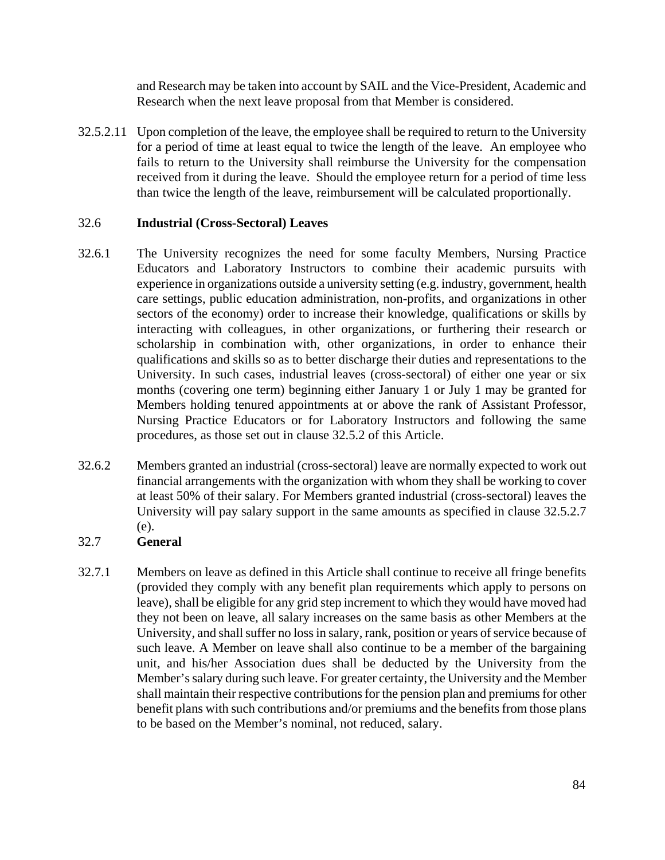and Research may be taken into account by SAIL and the Vice-President, Academic and Research when the next leave proposal from that Member is considered.

32.5.2.11 Upon completion of the leave, the employee shall be required to return to the University for a period of time at least equal to twice the length of the leave. An employee who fails to return to the University shall reimburse the University for the compensation received from it during the leave. Should the employee return for a period of time less than twice the length of the leave, reimbursement will be calculated proportionally.

## 32.6 **Industrial (Cross-Sectoral) Leaves**

- 32.6.1 The University recognizes the need for some faculty Members, Nursing Practice Educators and Laboratory Instructors to combine their academic pursuits with experience in organizations outside a university setting (e.g. industry, government, health care settings, public education administration, non-profits, and organizations in other sectors of the economy) order to increase their knowledge, qualifications or skills by interacting with colleagues, in other organizations, or furthering their research or scholarship in combination with, other organizations, in order to enhance their qualifications and skills so as to better discharge their duties and representations to the University. In such cases, industrial leaves (cross-sectoral) of either one year or six months (covering one term) beginning either January 1 or July 1 may be granted for Members holding tenured appointments at or above the rank of Assistant Professor, Nursing Practice Educators or for Laboratory Instructors and following the same procedures, as those set out in clause 32.5.2 of this Article.
- 32.6.2 Members granted an industrial (cross-sectoral) leave are normally expected to work out financial arrangements with the organization with whom they shall be working to cover at least 50% of their salary. For Members granted industrial (cross-sectoral) leaves the University will pay salary support in the same amounts as specified in clause 32.5.2.7 (e).

# 32.7 **General**

32.7.1 Members on leave as defined in this Article shall continue to receive all fringe benefits (provided they comply with any benefit plan requirements which apply to persons on leave), shall be eligible for any grid step increment to which they would have moved had they not been on leave, all salary increases on the same basis as other Members at the University, and shall suffer no loss in salary, rank, position or years of service because of such leave. A Member on leave shall also continue to be a member of the bargaining unit, and his/her Association dues shall be deducted by the University from the Member's salary during such leave. For greater certainty, the University and the Member shall maintain their respective contributions for the pension plan and premiums for other benefit plans with such contributions and/or premiums and the benefits from those plans to be based on the Member's nominal, not reduced, salary.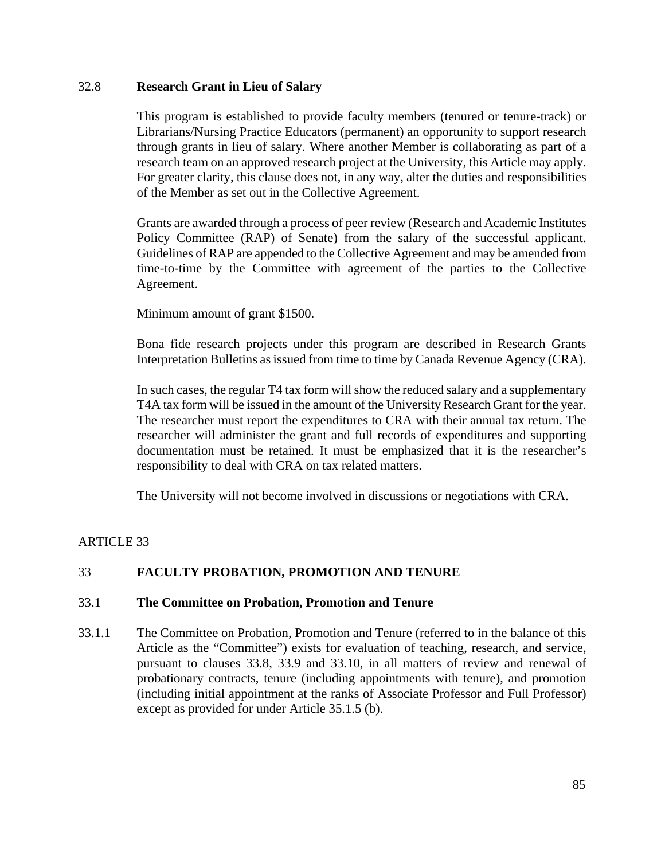#### 32.8 **Research Grant in Lieu of Salary**

This program is established to provide faculty members (tenured or tenure-track) or Librarians/Nursing Practice Educators (permanent) an opportunity to support research through grants in lieu of salary. Where another Member is collaborating as part of a research team on an approved research project at the University, this Article may apply. For greater clarity, this clause does not, in any way, alter the duties and responsibilities of the Member as set out in the Collective Agreement.

Grants are awarded through a process of peer review (Research and Academic Institutes Policy Committee (RAP) of Senate) from the salary of the successful applicant. Guidelines of RAP are appended to the Collective Agreement and may be amended from time-to-time by the Committee with agreement of the parties to the Collective Agreement.

Minimum amount of grant \$1500.

Bona fide research projects under this program are described in Research Grants Interpretation Bulletins as issued from time to time by Canada Revenue Agency (CRA).

In such cases, the regular T4 tax form will show the reduced salary and a supplementary T4A tax form will be issued in the amount of the University Research Grant for the year. The researcher must report the expenditures to CRA with their annual tax return. The researcher will administer the grant and full records of expenditures and supporting documentation must be retained. It must be emphasized that it is the researcher's responsibility to deal with CRA on tax related matters.

The University will not become involved in discussions or negotiations with CRA.

# ARTICLE 33

# 33 **FACULTY PROBATION, PROMOTION AND TENURE**

#### 33.1 **The Committee on Probation, Promotion and Tenure**

33.1.1 The Committee on Probation, Promotion and Tenure (referred to in the balance of this Article as the "Committee") exists for evaluation of teaching, research, and service, pursuant to clauses 33.8, 33.9 and 33.10, in all matters of review and renewal of probationary contracts, tenure (including appointments with tenure), and promotion (including initial appointment at the ranks of Associate Professor and Full Professor) except as provided for under Article 35.1.5 (b).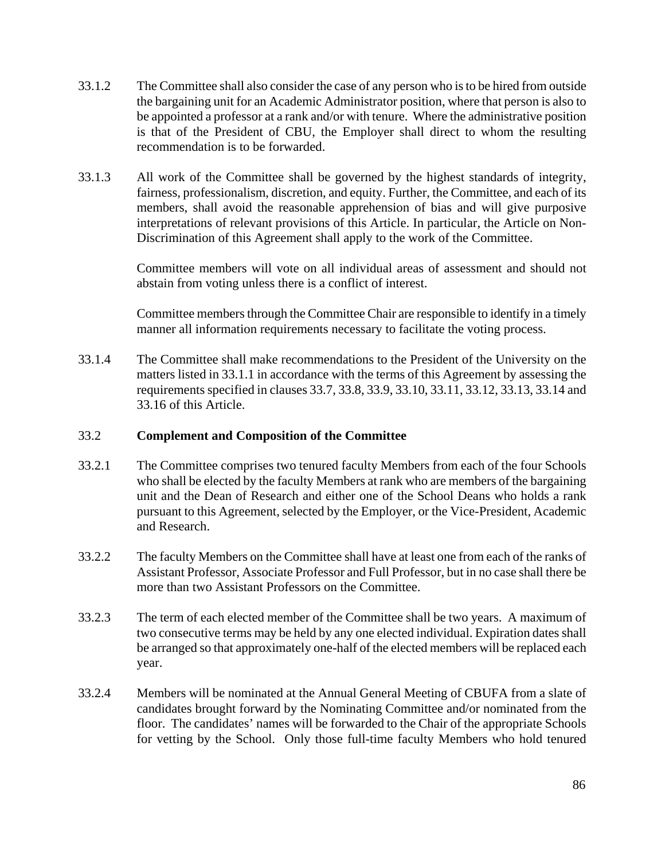- 33.1.2 The Committee shall also consider the case of any person who is to be hired from outside the bargaining unit for an Academic Administrator position, where that person is also to be appointed a professor at a rank and/or with tenure. Where the administrative position is that of the President of CBU, the Employer shall direct to whom the resulting recommendation is to be forwarded.
- 33.1.3 All work of the Committee shall be governed by the highest standards of integrity, fairness, professionalism, discretion, and equity. Further, the Committee, and each of its members, shall avoid the reasonable apprehension of bias and will give purposive interpretations of relevant provisions of this Article. In particular, the Article on Non-Discrimination of this Agreement shall apply to the work of the Committee.

Committee members will vote on all individual areas of assessment and should not abstain from voting unless there is a conflict of interest.

Committee members through the Committee Chair are responsible to identify in a timely manner all information requirements necessary to facilitate the voting process.

33.1.4 The Committee shall make recommendations to the President of the University on the matters listed in 33.1.1 in accordance with the terms of this Agreement by assessing the requirements specified in clauses 33.7, 33.8, 33.9, 33.10, 33.11, 33.12, 33.13, 33.14 and 33.16 of this Article.

#### 33.2 **Complement and Composition of the Committee**

- 33.2.1 The Committee comprises two tenured faculty Members from each of the four Schools who shall be elected by the faculty Members at rank who are members of the bargaining unit and the Dean of Research and either one of the School Deans who holds a rank pursuant to this Agreement, selected by the Employer, or the Vice-President, Academic and Research.
- 33.2.2 The faculty Members on the Committee shall have at least one from each of the ranks of Assistant Professor, Associate Professor and Full Professor, but in no case shall there be more than two Assistant Professors on the Committee.
- 33.2.3 The term of each elected member of the Committee shall be two years. A maximum of two consecutive terms may be held by any one elected individual. Expiration dates shall be arranged so that approximately one-half of the elected members will be replaced each year.
- 33.2.4 Members will be nominated at the Annual General Meeting of CBUFA from a slate of candidates brought forward by the Nominating Committee and/or nominated from the floor. The candidates' names will be forwarded to the Chair of the appropriate Schools for vetting by the School. Only those full-time faculty Members who hold tenured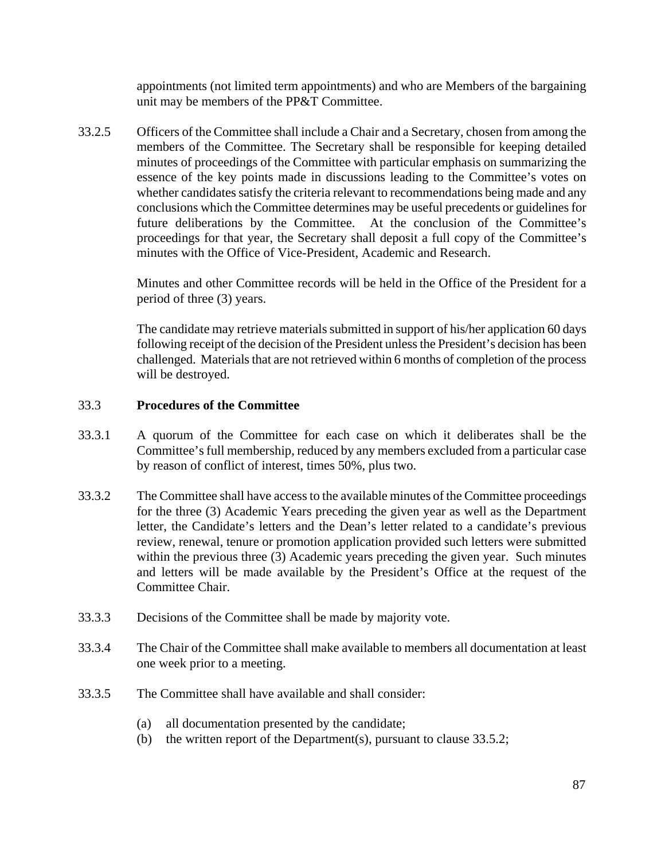appointments (not limited term appointments) and who are Members of the bargaining unit may be members of the PP&T Committee.

33.2.5 Officers of the Committee shall include a Chair and a Secretary, chosen from among the members of the Committee. The Secretary shall be responsible for keeping detailed minutes of proceedings of the Committee with particular emphasis on summarizing the essence of the key points made in discussions leading to the Committee's votes on whether candidates satisfy the criteria relevant to recommendations being made and any conclusions which the Committee determines may be useful precedents or guidelines for future deliberations by the Committee. At the conclusion of the Committee's proceedings for that year, the Secretary shall deposit a full copy of the Committee's minutes with the Office of Vice-President, Academic and Research.

> Minutes and other Committee records will be held in the Office of the President for a period of three (3) years.

> The candidate may retrieve materials submitted in support of his/her application 60 days following receipt of the decision of the President unless the President's decision has been challenged. Materials that are not retrieved within 6 months of completion of the process will be destroyed.

## 33.3 **Procedures of the Committee**

- 33.3.1 A quorum of the Committee for each case on which it deliberates shall be the Committee's full membership, reduced by any members excluded from a particular case by reason of conflict of interest, times 50%, plus two.
- 33.3.2 The Committee shall have access to the available minutes of the Committee proceedings for the three (3) Academic Years preceding the given year as well as the Department letter, the Candidate's letters and the Dean's letter related to a candidate's previous review, renewal, tenure or promotion application provided such letters were submitted within the previous three (3) Academic years preceding the given year. Such minutes and letters will be made available by the President's Office at the request of the Committee Chair.
- 33.3.3 Decisions of the Committee shall be made by majority vote.
- 33.3.4 The Chair of the Committee shall make available to members all documentation at least one week prior to a meeting.
- 33.3.5 The Committee shall have available and shall consider:
	- (a) all documentation presented by the candidate;
	- (b) the written report of the Department(s), pursuant to clause 33.5.2;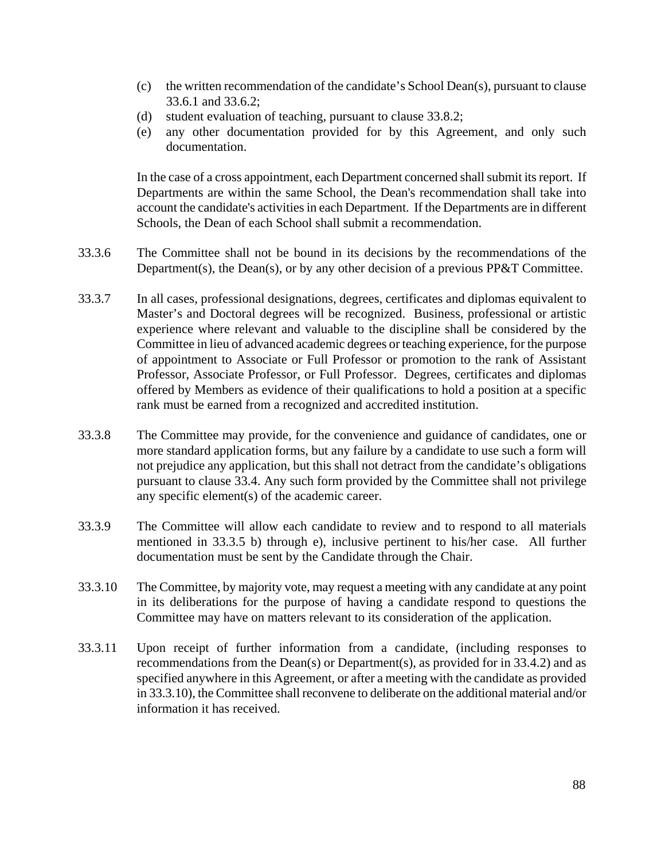- (c) the written recommendation of the candidate's School Dean(s), pursuant to clause 33.6.1 and 33.6.2;
- (d) student evaluation of teaching, pursuant to clause 33.8.2;
- (e) any other documentation provided for by this Agreement, and only such documentation.

In the case of a cross appointment, each Department concerned shall submit its report. If Departments are within the same School, the Dean's recommendation shall take into account the candidate's activities in each Department. If the Departments are in different Schools, the Dean of each School shall submit a recommendation.

- 33.3.6 The Committee shall not be bound in its decisions by the recommendations of the Department(s), the Dean(s), or by any other decision of a previous PP&T Committee.
- 33.3.7 In all cases, professional designations, degrees, certificates and diplomas equivalent to Master's and Doctoral degrees will be recognized. Business, professional or artistic experience where relevant and valuable to the discipline shall be considered by the Committee in lieu of advanced academic degrees or teaching experience, for the purpose of appointment to Associate or Full Professor or promotion to the rank of Assistant Professor, Associate Professor, or Full Professor. Degrees, certificates and diplomas offered by Members as evidence of their qualifications to hold a position at a specific rank must be earned from a recognized and accredited institution.
- 33.3.8 The Committee may provide, for the convenience and guidance of candidates, one or more standard application forms, but any failure by a candidate to use such a form will not prejudice any application, but this shall not detract from the candidate's obligations pursuant to clause 33.4. Any such form provided by the Committee shall not privilege any specific element(s) of the academic career.
- 33.3.9 The Committee will allow each candidate to review and to respond to all materials mentioned in 33.3.5 b) through e), inclusive pertinent to his/her case. All further documentation must be sent by the Candidate through the Chair.
- 33.3.10 The Committee, by majority vote, may request a meeting with any candidate at any point in its deliberations for the purpose of having a candidate respond to questions the Committee may have on matters relevant to its consideration of the application.
- 33.3.11 Upon receipt of further information from a candidate, (including responses to recommendations from the Dean(s) or Department(s), as provided for in 33.4.2) and as specified anywhere in this Agreement, or after a meeting with the candidate as provided in 33.3.10), the Committee shall reconvene to deliberate on the additional material and/or information it has received.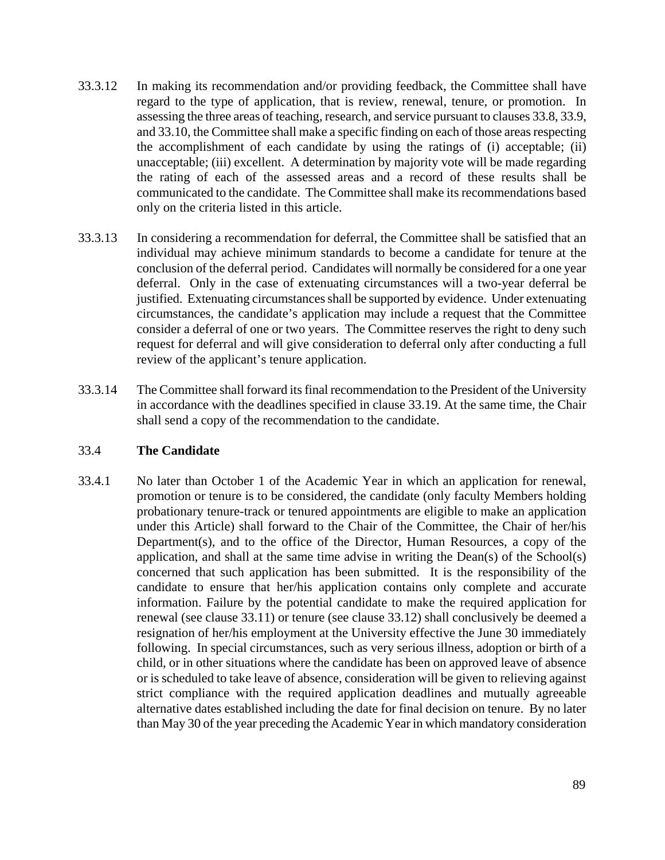- 33.3.12 In making its recommendation and/or providing feedback, the Committee shall have regard to the type of application, that is review, renewal, tenure, or promotion. In assessing the three areas of teaching, research, and service pursuant to clauses 33.8, 33.9, and 33.10, the Committee shall make a specific finding on each of those areas respecting the accomplishment of each candidate by using the ratings of (i) acceptable; (ii) unacceptable; (iii) excellent. A determination by majority vote will be made regarding the rating of each of the assessed areas and a record of these results shall be communicated to the candidate. The Committee shall make its recommendations based only on the criteria listed in this article.
- 33.3.13 In considering a recommendation for deferral, the Committee shall be satisfied that an individual may achieve minimum standards to become a candidate for tenure at the conclusion of the deferral period. Candidates will normally be considered for a one year deferral. Only in the case of extenuating circumstances will a two-year deferral be justified. Extenuating circumstances shall be supported by evidence. Under extenuating circumstances, the candidate's application may include a request that the Committee consider a deferral of one or two years. The Committee reserves the right to deny such request for deferral and will give consideration to deferral only after conducting a full review of the applicant's tenure application.
- 33.3.14 The Committee shall forward its final recommendation to the President of the University in accordance with the deadlines specified in clause 33.19. At the same time, the Chair shall send a copy of the recommendation to the candidate.

#### 33.4 **The Candidate**

33.4.1 No later than October 1 of the Academic Year in which an application for renewal, promotion or tenure is to be considered, the candidate (only faculty Members holding probationary tenure-track or tenured appointments are eligible to make an application under this Article) shall forward to the Chair of the Committee, the Chair of her/his Department(s), and to the office of the Director, Human Resources, a copy of the application, and shall at the same time advise in writing the Dean(s) of the School(s) concerned that such application has been submitted. It is the responsibility of the candidate to ensure that her/his application contains only complete and accurate information. Failure by the potential candidate to make the required application for renewal (see clause 33.11) or tenure (see clause 33.12) shall conclusively be deemed a resignation of her/his employment at the University effective the June 30 immediately following. In special circumstances, such as very serious illness, adoption or birth of a child, or in other situations where the candidate has been on approved leave of absence or is scheduled to take leave of absence, consideration will be given to relieving against strict compliance with the required application deadlines and mutually agreeable alternative dates established including the date for final decision on tenure. By no later than May 30 of the year preceding the Academic Year in which mandatory consideration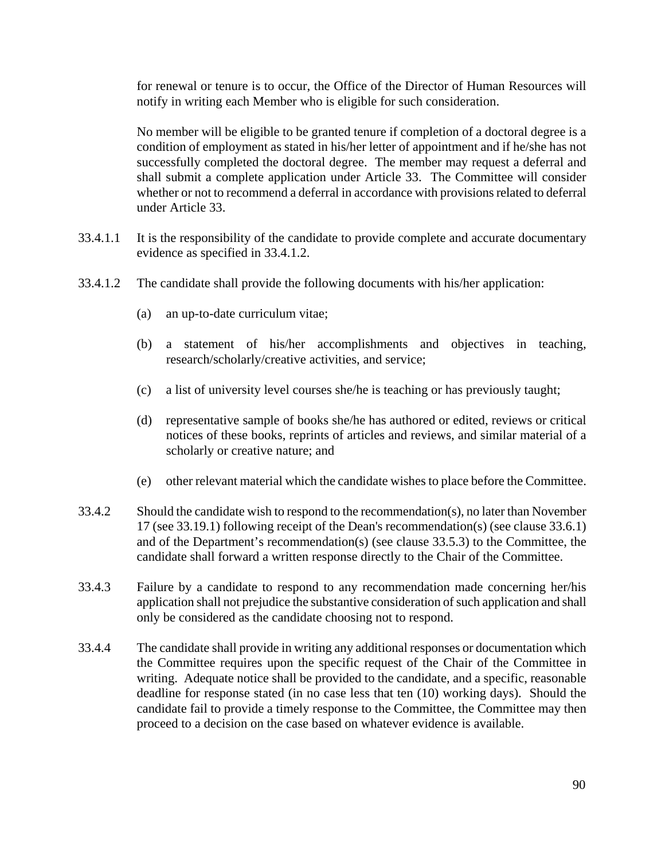for renewal or tenure is to occur, the Office of the Director of Human Resources will notify in writing each Member who is eligible for such consideration.

No member will be eligible to be granted tenure if completion of a doctoral degree is a condition of employment as stated in his/her letter of appointment and if he/she has not successfully completed the doctoral degree. The member may request a deferral and shall submit a complete application under Article 33. The Committee will consider whether or not to recommend a deferral in accordance with provisions related to deferral under Article 33.

- 33.4.1.1 It is the responsibility of the candidate to provide complete and accurate documentary evidence as specified in 33.4.1.2.
- 33.4.1.2 The candidate shall provide the following documents with his/her application:
	- (a) an up-to-date curriculum vitae;
	- (b) a statement of his/her accomplishments and objectives in teaching, research/scholarly/creative activities, and service;
	- (c) a list of university level courses she/he is teaching or has previously taught;
	- (d) representative sample of books she/he has authored or edited, reviews or critical notices of these books, reprints of articles and reviews, and similar material of a scholarly or creative nature; and
	- (e) other relevant material which the candidate wishes to place before the Committee.
- 33.4.2 Should the candidate wish to respond to the recommendation(s), no later than November 17 (see 33.19.1) following receipt of the Dean's recommendation(s) (see clause 33.6.1) and of the Department's recommendation(s) (see clause 33.5.3) to the Committee, the candidate shall forward a written response directly to the Chair of the Committee.
- 33.4.3 Failure by a candidate to respond to any recommendation made concerning her/his application shall not prejudice the substantive consideration of such application and shall only be considered as the candidate choosing not to respond.
- 33.4.4 The candidate shall provide in writing any additional responses or documentation which the Committee requires upon the specific request of the Chair of the Committee in writing. Adequate notice shall be provided to the candidate, and a specific, reasonable deadline for response stated (in no case less that ten (10) working days). Should the candidate fail to provide a timely response to the Committee, the Committee may then proceed to a decision on the case based on whatever evidence is available.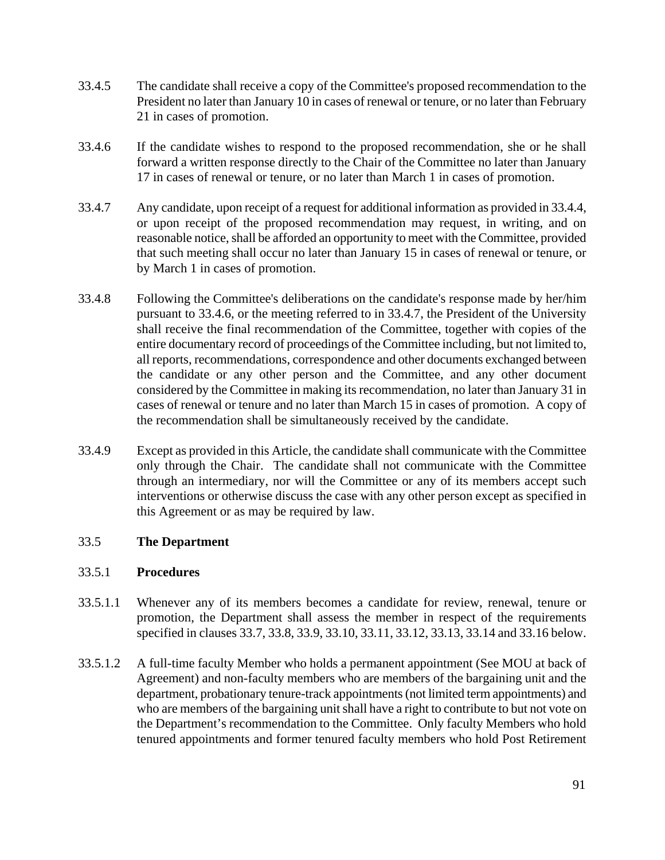- 33.4.5 The candidate shall receive a copy of the Committee's proposed recommendation to the President no later than January 10 in cases of renewal or tenure, or no later than February 21 in cases of promotion.
- 33.4.6 If the candidate wishes to respond to the proposed recommendation, she or he shall forward a written response directly to the Chair of the Committee no later than January 17 in cases of renewal or tenure, or no later than March 1 in cases of promotion.
- 33.4.7 Any candidate, upon receipt of a request for additional information as provided in 33.4.4, or upon receipt of the proposed recommendation may request, in writing, and on reasonable notice, shall be afforded an opportunity to meet with the Committee, provided that such meeting shall occur no later than January 15 in cases of renewal or tenure, or by March 1 in cases of promotion.
- 33.4.8 Following the Committee's deliberations on the candidate's response made by her/him pursuant to 33.4.6, or the meeting referred to in 33.4.7, the President of the University shall receive the final recommendation of the Committee, together with copies of the entire documentary record of proceedings of the Committee including, but not limited to, all reports, recommendations, correspondence and other documents exchanged between the candidate or any other person and the Committee, and any other document considered by the Committee in making its recommendation, no later than January 31 in cases of renewal or tenure and no later than March 15 in cases of promotion. A copy of the recommendation shall be simultaneously received by the candidate.
- 33.4.9 Except as provided in this Article, the candidate shall communicate with the Committee only through the Chair. The candidate shall not communicate with the Committee through an intermediary, nor will the Committee or any of its members accept such interventions or otherwise discuss the case with any other person except as specified in this Agreement or as may be required by law.

# 33.5 **The Department**

#### 33.5.1 **Procedures**

- 33.5.1.1 Whenever any of its members becomes a candidate for review, renewal, tenure or promotion, the Department shall assess the member in respect of the requirements specified in clauses 33.7, 33.8, 33.9, 33.10, 33.11, 33.12, 33.13, 33.14 and 33.16 below.
- 33.5.1.2 A full-time faculty Member who holds a permanent appointment (See MOU at back of Agreement) and non-faculty members who are members of the bargaining unit and the department, probationary tenure-track appointments (not limited term appointments) and who are members of the bargaining unit shall have a right to contribute to but not vote on the Department's recommendation to the Committee. Only faculty Members who hold tenured appointments and former tenured faculty members who hold Post Retirement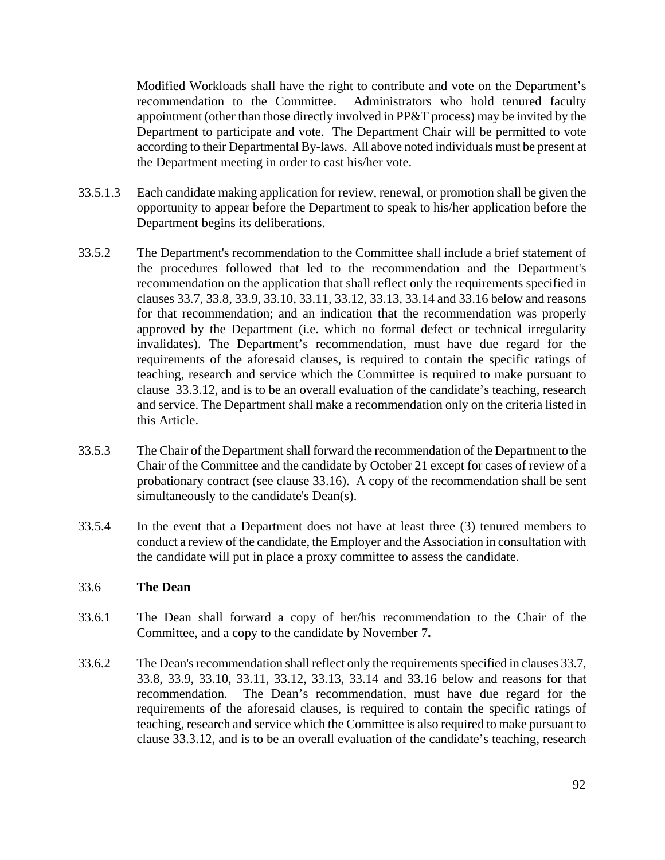Modified Workloads shall have the right to contribute and vote on the Department's recommendation to the Committee. Administrators who hold tenured faculty appointment (other than those directly involved in PP&T process) may be invited by the Department to participate and vote. The Department Chair will be permitted to vote according to their Departmental By-laws. All above noted individuals must be present at the Department meeting in order to cast his/her vote.

- 33.5.1.3 Each candidate making application for review, renewal, or promotion shall be given the opportunity to appear before the Department to speak to his/her application before the Department begins its deliberations.
- 33.5.2 The Department's recommendation to the Committee shall include a brief statement of the procedures followed that led to the recommendation and the Department's recommendation on the application that shall reflect only the requirements specified in clauses 33.7, 33.8, 33.9, 33.10, 33.11, 33.12, 33.13, 33.14 and 33.16 below and reasons for that recommendation; and an indication that the recommendation was properly approved by the Department (i.e. which no formal defect or technical irregularity invalidates). The Department's recommendation, must have due regard for the requirements of the aforesaid clauses, is required to contain the specific ratings of teaching, research and service which the Committee is required to make pursuant to clause 33.3.12, and is to be an overall evaluation of the candidate's teaching, research and service. The Department shall make a recommendation only on the criteria listed in this Article.
- 33.5.3 The Chair of the Department shall forward the recommendation of the Department to the Chair of the Committee and the candidate by October 21 except for cases of review of a probationary contract (see clause 33.16). A copy of the recommendation shall be sent simultaneously to the candidate's Dean(s).
- 33.5.4 In the event that a Department does not have at least three (3) tenured members to conduct a review of the candidate, the Employer and the Association in consultation with the candidate will put in place a proxy committee to assess the candidate.

#### 33.6 **The Dean**

- 33.6.1 The Dean shall forward a copy of her/his recommendation to the Chair of the Committee, and a copy to the candidate by November 7**.**
- 33.6.2 The Dean's recommendation shall reflect only the requirements specified in clauses 33.7, 33.8, 33.9, 33.10, 33.11, 33.12, 33.13, 33.14 and 33.16 below and reasons for that recommendation. The Dean's recommendation, must have due regard for the requirements of the aforesaid clauses, is required to contain the specific ratings of teaching, research and service which the Committee is also required to make pursuant to clause 33.3.12, and is to be an overall evaluation of the candidate's teaching, research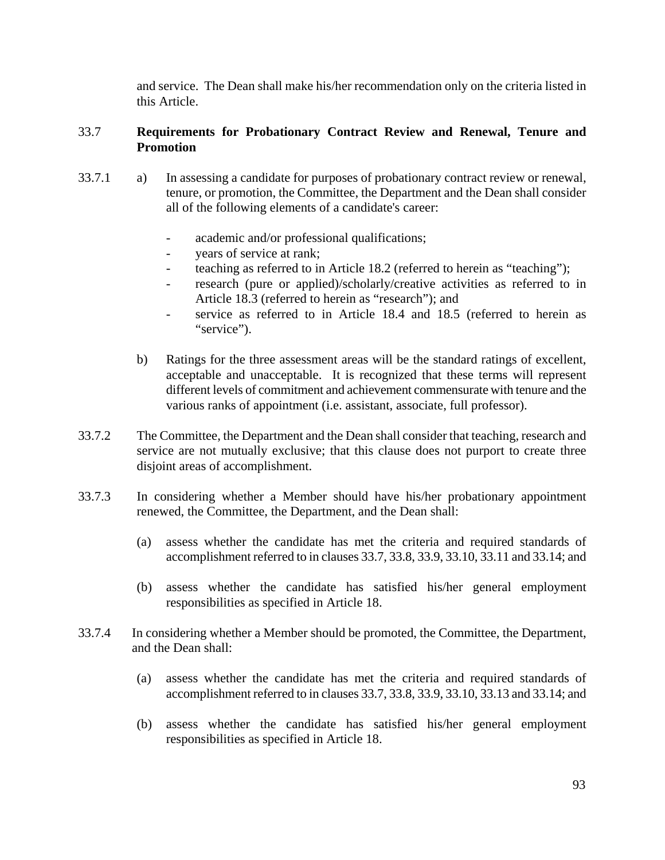and service. The Dean shall make his/her recommendation only on the criteria listed in this Article.

## 33.7 **Requirements for Probationary Contract Review and Renewal, Tenure and Promotion**

- 33.7.1 a) In assessing a candidate for purposes of probationary contract review or renewal, tenure, or promotion, the Committee, the Department and the Dean shall consider all of the following elements of a candidate's career:
	- academic and/or professional qualifications;
	- years of service at rank;
	- teaching as referred to in Article 18.2 (referred to herein as "teaching");
	- research (pure or applied)/scholarly/creative activities as referred to in Article 18.3 (referred to herein as "research"); and
	- service as referred to in Article 18.4 and 18.5 (referred to herein as "service").
	- b) Ratings for the three assessment areas will be the standard ratings of excellent, acceptable and unacceptable. It is recognized that these terms will represent different levels of commitment and achievement commensurate with tenure and the various ranks of appointment (i.e. assistant, associate, full professor).
- 33.7.2 The Committee, the Department and the Dean shall consider that teaching, research and service are not mutually exclusive; that this clause does not purport to create three disjoint areas of accomplishment.
- 33.7.3 In considering whether a Member should have his/her probationary appointment renewed, the Committee, the Department, and the Dean shall:
	- (a) assess whether the candidate has met the criteria and required standards of accomplishment referred to in clauses 33.7, 33.8, 33.9, 33.10, 33.11 and 33.14; and
	- (b) assess whether the candidate has satisfied his/her general employment responsibilities as specified in Article 18.
- 33.7.4 In considering whether a Member should be promoted, the Committee, the Department, and the Dean shall:
	- (a) assess whether the candidate has met the criteria and required standards of accomplishment referred to in clauses 33.7, 33.8, 33.9, 33.10, 33.13 and 33.14; and
	- (b) assess whether the candidate has satisfied his/her general employment responsibilities as specified in Article 18.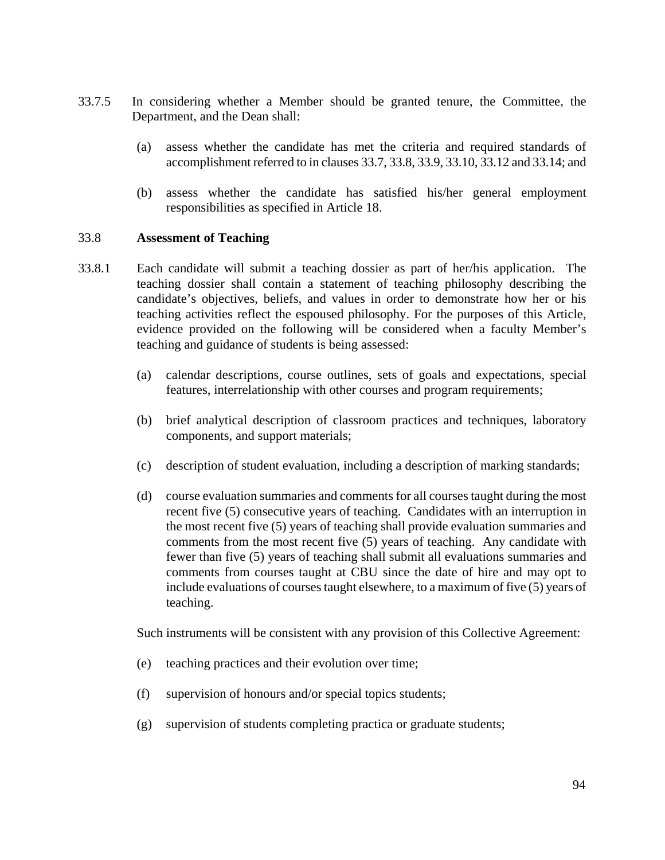- 33.7.5 In considering whether a Member should be granted tenure, the Committee, the Department, and the Dean shall:
	- (a) assess whether the candidate has met the criteria and required standards of accomplishment referred to in clauses 33.7, 33.8, 33.9, 33.10, 33.12 and 33.14; and
	- (b) assess whether the candidate has satisfied his/her general employment responsibilities as specified in Article 18.

#### 33.8 **Assessment of Teaching**

- 33.8.1 Each candidate will submit a teaching dossier as part of her/his application. The teaching dossier shall contain a statement of teaching philosophy describing the candidate's objectives, beliefs, and values in order to demonstrate how her or his teaching activities reflect the espoused philosophy. For the purposes of this Article, evidence provided on the following will be considered when a faculty Member's teaching and guidance of students is being assessed:
	- (a) calendar descriptions, course outlines, sets of goals and expectations, special features, interrelationship with other courses and program requirements;
	- (b) brief analytical description of classroom practices and techniques, laboratory components, and support materials;
	- (c) description of student evaluation, including a description of marking standards;
	- (d) course evaluation summaries and comments for all courses taught during the most recent five (5) consecutive years of teaching. Candidates with an interruption in the most recent five (5) years of teaching shall provide evaluation summaries and comments from the most recent five (5) years of teaching. Any candidate with fewer than five (5) years of teaching shall submit all evaluations summaries and comments from courses taught at CBU since the date of hire and may opt to include evaluations of courses taught elsewhere, to a maximum of five (5) years of teaching.

Such instruments will be consistent with any provision of this Collective Agreement:

- (e) teaching practices and their evolution over time;
- (f) supervision of honours and/or special topics students;
- (g) supervision of students completing practica or graduate students;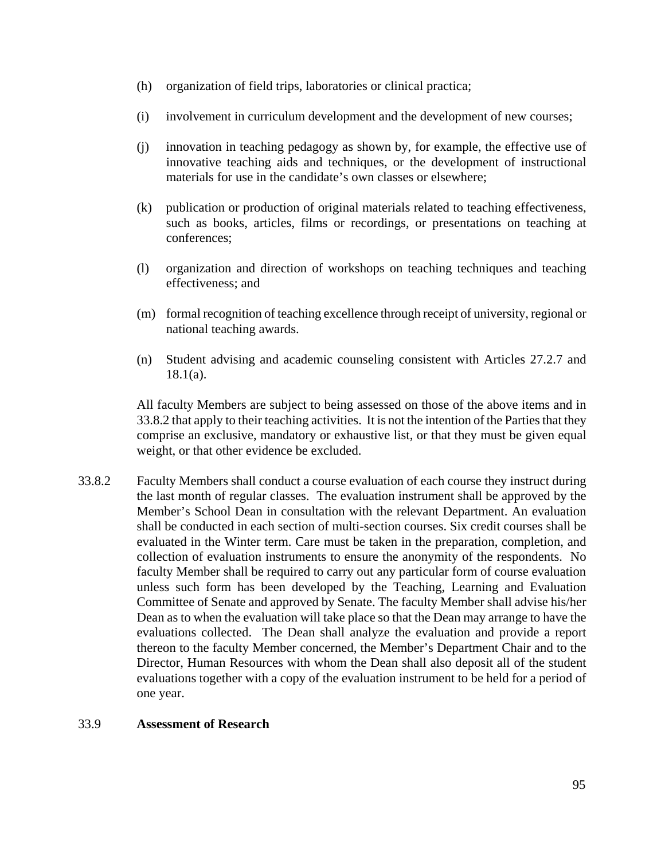- (h) organization of field trips, laboratories or clinical practica;
- (i) involvement in curriculum development and the development of new courses;
- (j) innovation in teaching pedagogy as shown by, for example, the effective use of innovative teaching aids and techniques, or the development of instructional materials for use in the candidate's own classes or elsewhere;
- (k) publication or production of original materials related to teaching effectiveness, such as books, articles, films or recordings, or presentations on teaching at conferences;
- (l) organization and direction of workshops on teaching techniques and teaching effectiveness; and
- (m) formal recognition of teaching excellence through receipt of university, regional or national teaching awards.
- (n) Student advising and academic counseling consistent with Articles 27.2.7 and 18.1(a).

All faculty Members are subject to being assessed on those of the above items and in 33.8.2 that apply to their teaching activities. It is not the intention of the Parties that they comprise an exclusive, mandatory or exhaustive list, or that they must be given equal weight, or that other evidence be excluded.

33.8.2 Faculty Members shall conduct a course evaluation of each course they instruct during the last month of regular classes. The evaluation instrument shall be approved by the Member's School Dean in consultation with the relevant Department. An evaluation shall be conducted in each section of multi-section courses. Six credit courses shall be evaluated in the Winter term. Care must be taken in the preparation, completion, and collection of evaluation instruments to ensure the anonymity of the respondents. No faculty Member shall be required to carry out any particular form of course evaluation unless such form has been developed by the Teaching, Learning and Evaluation Committee of Senate and approved by Senate. The faculty Member shall advise his/her Dean as to when the evaluation will take place so that the Dean may arrange to have the evaluations collected. The Dean shall analyze the evaluation and provide a report thereon to the faculty Member concerned, the Member's Department Chair and to the Director, Human Resources with whom the Dean shall also deposit all of the student evaluations together with a copy of the evaluation instrument to be held for a period of one year.

#### 33.9 **Assessment of Research**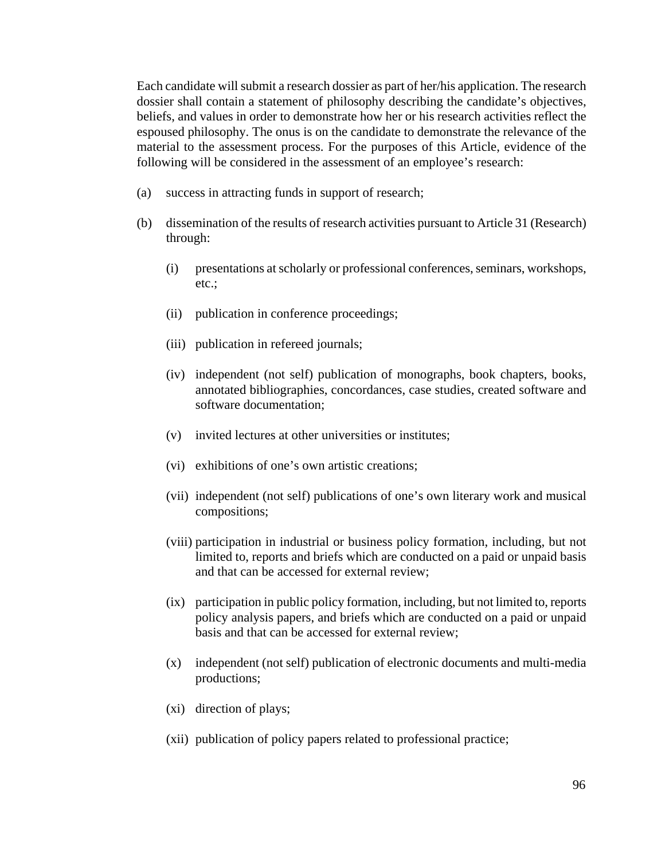Each candidate will submit a research dossier as part of her/his application. The research dossier shall contain a statement of philosophy describing the candidate's objectives, beliefs, and values in order to demonstrate how her or his research activities reflect the espoused philosophy. The onus is on the candidate to demonstrate the relevance of the material to the assessment process. For the purposes of this Article, evidence of the following will be considered in the assessment of an employee's research:

- (a) success in attracting funds in support of research;
- (b) dissemination of the results of research activities pursuant to Article 31 (Research) through:
	- (i) presentations at scholarly or professional conferences, seminars, workshops, etc.;
	- (ii) publication in conference proceedings;
	- (iii) publication in refereed journals;
	- (iv) independent (not self) publication of monographs, book chapters, books, annotated bibliographies, concordances, case studies, created software and software documentation;
	- (v) invited lectures at other universities or institutes;
	- (vi) exhibitions of one's own artistic creations;
	- (vii) independent (not self) publications of one's own literary work and musical compositions;
	- (viii) participation in industrial or business policy formation, including, but not limited to, reports and briefs which are conducted on a paid or unpaid basis and that can be accessed for external review;
	- (ix) participation in public policy formation, including, but not limited to, reports policy analysis papers, and briefs which are conducted on a paid or unpaid basis and that can be accessed for external review;
	- (x) independent (not self) publication of electronic documents and multi-media productions;
	- (xi) direction of plays;
	- (xii) publication of policy papers related to professional practice;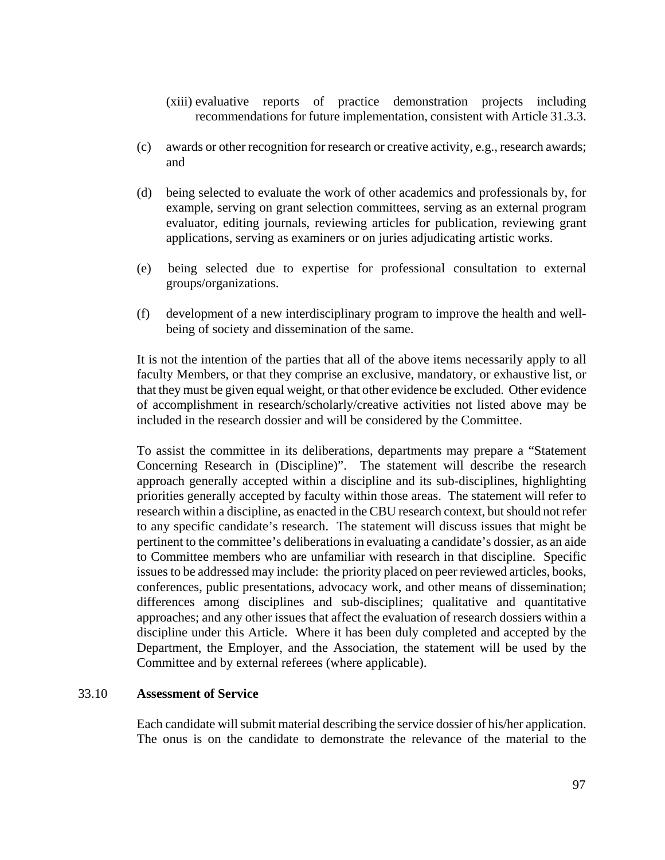- (xiii) evaluative reports of practice demonstration projects including recommendations for future implementation, consistent with Article 31.3.3.
- (c) awards or other recognition for research or creative activity, e.g., research awards; and
- (d) being selected to evaluate the work of other academics and professionals by, for example, serving on grant selection committees, serving as an external program evaluator, editing journals, reviewing articles for publication, reviewing grant applications, serving as examiners or on juries adjudicating artistic works.
- (e) being selected due to expertise for professional consultation to external groups/organizations.
- (f) development of a new interdisciplinary program to improve the health and wellbeing of society and dissemination of the same.

It is not the intention of the parties that all of the above items necessarily apply to all faculty Members, or that they comprise an exclusive, mandatory, or exhaustive list, or that they must be given equal weight, or that other evidence be excluded. Other evidence of accomplishment in research/scholarly/creative activities not listed above may be included in the research dossier and will be considered by the Committee.

To assist the committee in its deliberations, departments may prepare a "Statement Concerning Research in (Discipline)". The statement will describe the research approach generally accepted within a discipline and its sub-disciplines, highlighting priorities generally accepted by faculty within those areas. The statement will refer to research within a discipline, as enacted in the CBU research context, but should not refer to any specific candidate's research. The statement will discuss issues that might be pertinent to the committee's deliberations in evaluating a candidate's dossier, as an aide to Committee members who are unfamiliar with research in that discipline. Specific issues to be addressed may include: the priority placed on peer reviewed articles, books, conferences, public presentations, advocacy work, and other means of dissemination; differences among disciplines and sub-disciplines; qualitative and quantitative approaches; and any other issues that affect the evaluation of research dossiers within a discipline under this Article. Where it has been duly completed and accepted by the Department, the Employer, and the Association, the statement will be used by the Committee and by external referees (where applicable).

#### 33.10 **Assessment of Service**

Each candidate will submit material describing the service dossier of his/her application. The onus is on the candidate to demonstrate the relevance of the material to the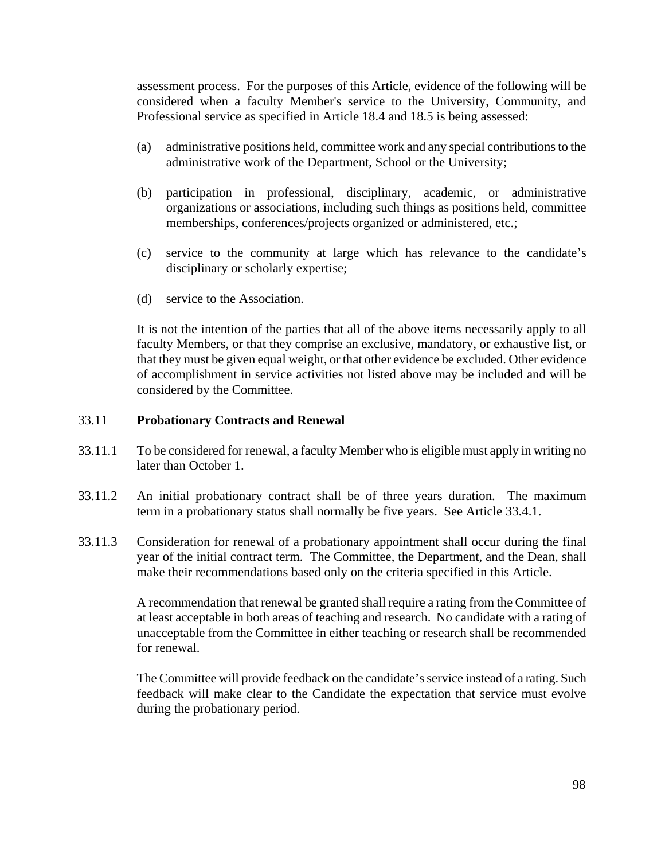assessment process. For the purposes of this Article, evidence of the following will be considered when a faculty Member's service to the University, Community, and Professional service as specified in Article 18.4 and 18.5 is being assessed:

- (a) administrative positions held, committee work and any special contributions to the administrative work of the Department, School or the University;
- (b) participation in professional, disciplinary, academic, or administrative organizations or associations, including such things as positions held, committee memberships, conferences/projects organized or administered, etc.;
- (c) service to the community at large which has relevance to the candidate's disciplinary or scholarly expertise;
- (d) service to the Association.

It is not the intention of the parties that all of the above items necessarily apply to all faculty Members, or that they comprise an exclusive, mandatory, or exhaustive list, or that they must be given equal weight, or that other evidence be excluded. Other evidence of accomplishment in service activities not listed above may be included and will be considered by the Committee.

#### 33.11 **Probationary Contracts and Renewal**

- 33.11.1 To be considered for renewal, a faculty Member who is eligible must apply in writing no later than October 1.
- 33.11.2 An initial probationary contract shall be of three years duration. The maximum term in a probationary status shall normally be five years. See Article 33.4.1.
- 33.11.3 Consideration for renewal of a probationary appointment shall occur during the final year of the initial contract term. The Committee, the Department, and the Dean, shall make their recommendations based only on the criteria specified in this Article.

 A recommendation that renewal be granted shall require a rating from the Committee of at least acceptable in both areas of teaching and research. No candidate with a rating of unacceptable from the Committee in either teaching or research shall be recommended for renewal.

The Committee will provide feedback on the candidate's service instead of a rating. Such feedback will make clear to the Candidate the expectation that service must evolve during the probationary period.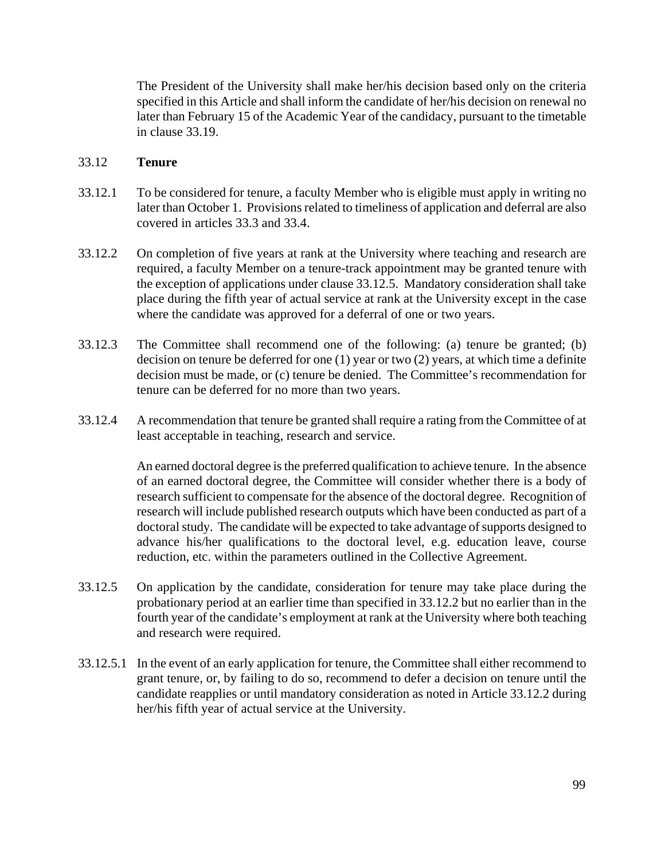The President of the University shall make her/his decision based only on the criteria specified in this Article and shall inform the candidate of her/his decision on renewal no later than February 15 of the Academic Year of the candidacy, pursuant to the timetable in clause 33.19.

### 33.12 **Tenure**

- 33.12.1 To be considered for tenure, a faculty Member who is eligible must apply in writing no later than October 1. Provisions related to timeliness of application and deferral are also covered in articles 33.3 and 33.4.
- 33.12.2 On completion of five years at rank at the University where teaching and research are required, a faculty Member on a tenure-track appointment may be granted tenure with the exception of applications under clause 33.12.5. Mandatory consideration shall take place during the fifth year of actual service at rank at the University except in the case where the candidate was approved for a deferral of one or two years.
- 33.12.3 The Committee shall recommend one of the following: (a) tenure be granted; (b) decision on tenure be deferred for one (1) year or two (2) years, at which time a definite decision must be made, or (c) tenure be denied. The Committee's recommendation for tenure can be deferred for no more than two years.
- 33.12.4 A recommendation that tenure be granted shall require a rating from the Committee of at least acceptable in teaching, research and service.

An earned doctoral degree is the preferred qualification to achieve tenure. In the absence of an earned doctoral degree, the Committee will consider whether there is a body of research sufficient to compensate for the absence of the doctoral degree. Recognition of research will include published research outputs which have been conducted as part of a doctoral study. The candidate will be expected to take advantage of supports designed to advance his/her qualifications to the doctoral level, e.g. education leave, course reduction, etc. within the parameters outlined in the Collective Agreement.

- 33.12.5 On application by the candidate, consideration for tenure may take place during the probationary period at an earlier time than specified in 33.12.2 but no earlier than in the fourth year of the candidate's employment at rank at the University where both teaching and research were required.
- 33.12.5.1 In the event of an early application for tenure, the Committee shall either recommend to grant tenure, or, by failing to do so, recommend to defer a decision on tenure until the candidate reapplies or until mandatory consideration as noted in Article 33.12.2 during her/his fifth year of actual service at the University.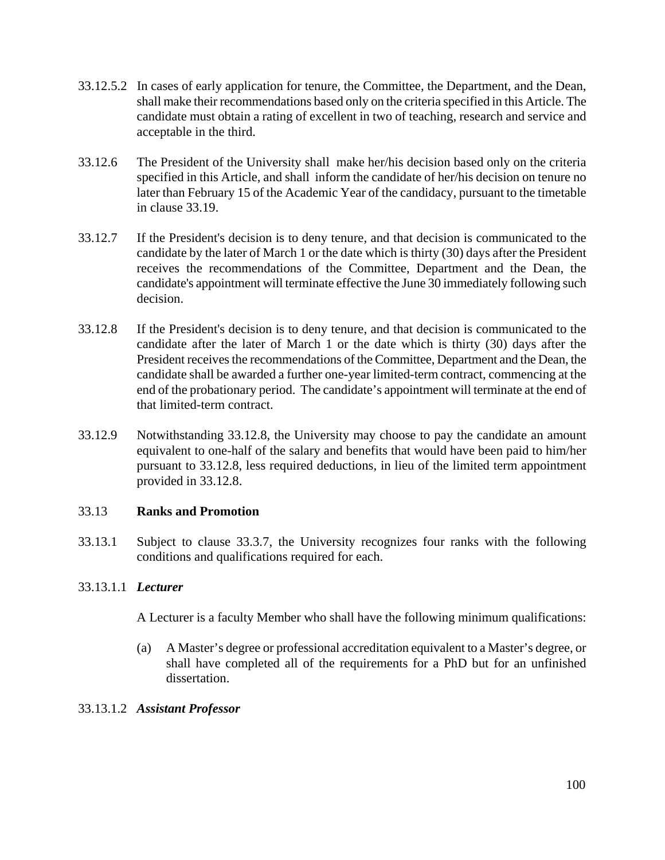- 33.12.5.2 In cases of early application for tenure, the Committee, the Department, and the Dean, shall make their recommendations based only on the criteria specified in this Article. The candidate must obtain a rating of excellent in two of teaching, research and service and acceptable in the third.
- 33.12.6 The President of the University shall make her/his decision based only on the criteria specified in this Article, and shall inform the candidate of her/his decision on tenure no later than February 15 of the Academic Year of the candidacy, pursuant to the timetable in clause 33.19.
- 33.12.7 If the President's decision is to deny tenure, and that decision is communicated to the candidate by the later of March 1 or the date which is thirty (30) days after the President receives the recommendations of the Committee, Department and the Dean, the candidate's appointment will terminate effective the June 30 immediately following such decision.
- 33.12.8 If the President's decision is to deny tenure, and that decision is communicated to the candidate after the later of March 1 or the date which is thirty (30) days after the President receives the recommendations of the Committee, Department and the Dean, the candidate shall be awarded a further one-year limited-term contract, commencing at the end of the probationary period. The candidate's appointment will terminate at the end of that limited-term contract.
- 33.12.9 Notwithstanding 33.12.8, the University may choose to pay the candidate an amount equivalent to one-half of the salary and benefits that would have been paid to him/her pursuant to 33.12.8, less required deductions, in lieu of the limited term appointment provided in 33.12.8.

# 33.13 **Ranks and Promotion**

33.13.1 Subject to clause 33.3.7, the University recognizes four ranks with the following conditions and qualifications required for each.

# 33.13.1.1 *Lecturer*

A Lecturer is a faculty Member who shall have the following minimum qualifications:

(a) A Master's degree or professional accreditation equivalent to a Master's degree, or shall have completed all of the requirements for a PhD but for an unfinished dissertation.

#### 33.13.1.2 *Assistant Professor*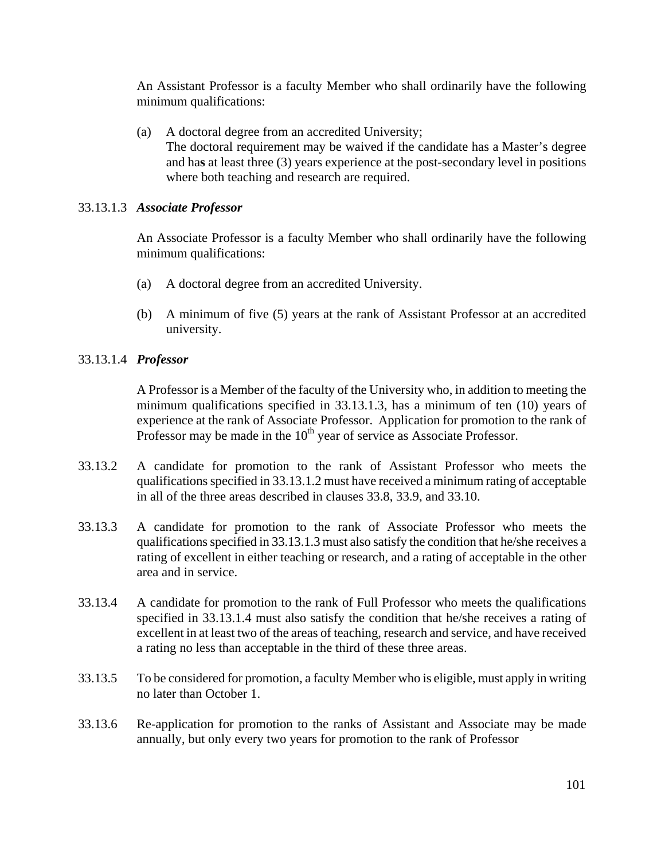An Assistant Professor is a faculty Member who shall ordinarily have the following minimum qualifications:

(a) A doctoral degree from an accredited University; The doctoral requirement may be waived if the candidate has a Master's degree and ha**s** at least three (3) years experience at the post-secondary level in positions where both teaching and research are required.

### 33.13.1.3 *Associate Professor*

An Associate Professor is a faculty Member who shall ordinarily have the following minimum qualifications:

- (a) A doctoral degree from an accredited University.
- (b) A minimum of five (5) years at the rank of Assistant Professor at an accredited university.

## 33.13.1.4 *Professor*

A Professor is a Member of the faculty of the University who, in addition to meeting the minimum qualifications specified in 33.13.1.3, has a minimum of ten (10) years of experience at the rank of Associate Professor. Application for promotion to the rank of Professor may be made in the  $10<sup>th</sup>$  year of service as Associate Professor.

- 33.13.2 A candidate for promotion to the rank of Assistant Professor who meets the qualifications specified in 33.13.1.2 must have received a minimum rating of acceptable in all of the three areas described in clauses 33.8, 33.9, and 33.10.
- 33.13.3 A candidate for promotion to the rank of Associate Professor who meets the qualifications specified in 33.13.1.3 must also satisfy the condition that he/she receives a rating of excellent in either teaching or research, and a rating of acceptable in the other area and in service.
- 33.13.4 A candidate for promotion to the rank of Full Professor who meets the qualifications specified in 33.13.1.4 must also satisfy the condition that he/she receives a rating of excellent in at least two of the areas of teaching, research and service, and have received a rating no less than acceptable in the third of these three areas.
- 33.13.5 To be considered for promotion, a faculty Member who is eligible, must apply in writing no later than October 1.
- 33.13.6 Re-application for promotion to the ranks of Assistant and Associate may be made annually, but only every two years for promotion to the rank of Professor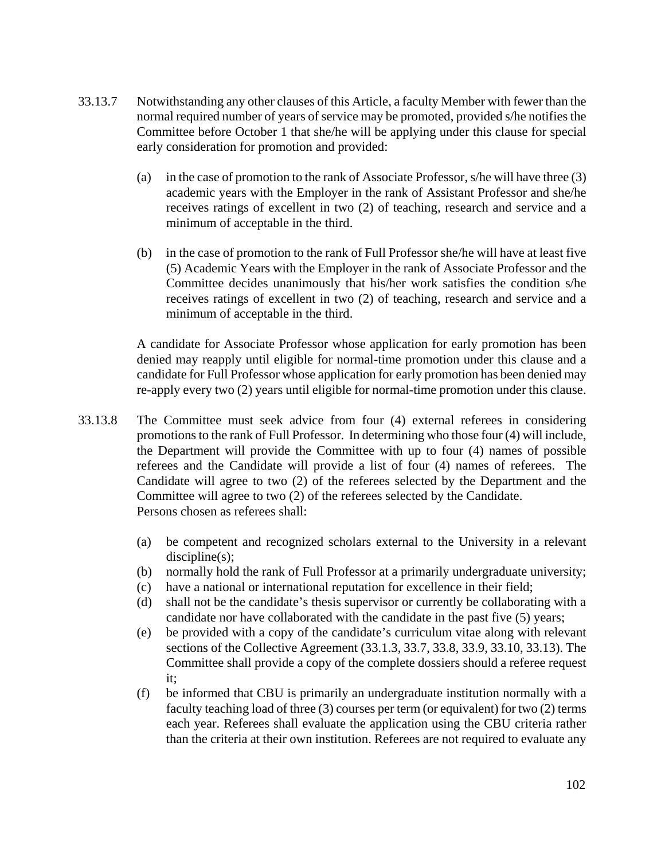- 33.13.7 Notwithstanding any other clauses of this Article, a faculty Member with fewer than the normal required number of years of service may be promoted, provided s/he notifies the Committee before October 1 that she/he will be applying under this clause for special early consideration for promotion and provided:
	- (a) in the case of promotion to the rank of Associate Professor, s/he will have three (3) academic years with the Employer in the rank of Assistant Professor and she/he receives ratings of excellent in two (2) of teaching, research and service and a minimum of acceptable in the third.
	- (b) in the case of promotion to the rank of Full Professor she/he will have at least five (5) Academic Years with the Employer in the rank of Associate Professor and the Committee decides unanimously that his/her work satisfies the condition s/he receives ratings of excellent in two (2) of teaching, research and service and a minimum of acceptable in the third.

A candidate for Associate Professor whose application for early promotion has been denied may reapply until eligible for normal-time promotion under this clause and a candidate for Full Professor whose application for early promotion has been denied may re-apply every two (2) years until eligible for normal-time promotion under this clause.

- 33.13.8 The Committee must seek advice from four (4) external referees in considering promotions to the rank of Full Professor. In determining who those four (4) will include, the Department will provide the Committee with up to four (4) names of possible referees and the Candidate will provide a list of four (4) names of referees. The Candidate will agree to two (2) of the referees selected by the Department and the Committee will agree to two (2) of the referees selected by the Candidate. Persons chosen as referees shall:
	- (a) be competent and recognized scholars external to the University in a relevant discipline(s);
	- (b) normally hold the rank of Full Professor at a primarily undergraduate university;
	- (c) have a national or international reputation for excellence in their field;
	- (d) shall not be the candidate's thesis supervisor or currently be collaborating with a candidate nor have collaborated with the candidate in the past five (5) years;
	- (e) be provided with a copy of the candidate's curriculum vitae along with relevant sections of the Collective Agreement (33.1.3, 33.7, 33.8, 33.9, 33.10, 33.13). The Committee shall provide a copy of the complete dossiers should a referee request it;
	- (f) be informed that CBU is primarily an undergraduate institution normally with a faculty teaching load of three (3) courses per term (or equivalent) for two (2) terms each year. Referees shall evaluate the application using the CBU criteria rather than the criteria at their own institution. Referees are not required to evaluate any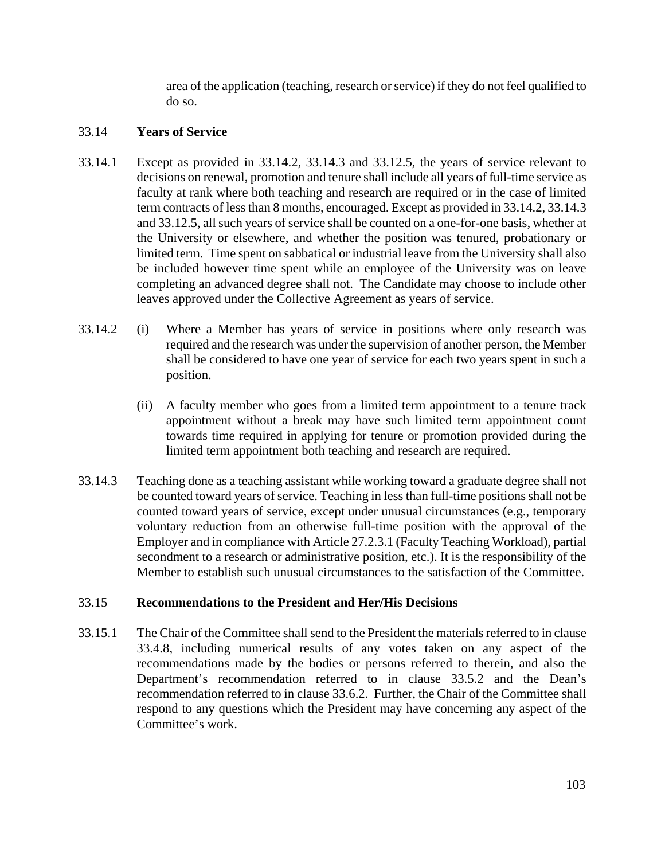area of the application (teaching, research or service) if they do not feel qualified to do so.

## 33.14 **Years of Service**

- 33.14.1 Except as provided in 33.14.2, 33.14.3 and 33.12.5, the years of service relevant to decisions on renewal, promotion and tenure shall include all years of full-time service as faculty at rank where both teaching and research are required or in the case of limited term contracts of less than 8 months, encouraged. Except as provided in 33.14.2, 33.14.3 and 33.12.5, all such years of service shall be counted on a one-for-one basis, whether at the University or elsewhere, and whether the position was tenured, probationary or limited term. Time spent on sabbatical or industrial leave from the University shall also be included however time spent while an employee of the University was on leave completing an advanced degree shall not. The Candidate may choose to include other leaves approved under the Collective Agreement as years of service.
- 33.14.2 (i)Where a Member has years of service in positions where only research was required and the research was under the supervision of another person, the Member shall be considered to have one year of service for each two years spent in such a position.
	- (ii) A faculty member who goes from a limited term appointment to a tenure track appointment without a break may have such limited term appointment count towards time required in applying for tenure or promotion provided during the limited term appointment both teaching and research are required.
- 33.14.3 Teaching done as a teaching assistant while working toward a graduate degree shall not be counted toward years of service. Teaching in less than full-time positions shall not be counted toward years of service, except under unusual circumstances (e.g., temporary voluntary reduction from an otherwise full-time position with the approval of the Employer and in compliance with Article 27.2.3.1 (Faculty Teaching Workload), partial secondment to a research or administrative position, etc.). It is the responsibility of the Member to establish such unusual circumstances to the satisfaction of the Committee.

# 33.15 **Recommendations to the President and Her/His Decisions**

33.15.1 The Chair of the Committee shall send to the President the materials referred to in clause 33.4.8, including numerical results of any votes taken on any aspect of the recommendations made by the bodies or persons referred to therein, and also the Department's recommendation referred to in clause 33.5.2 and the Dean's recommendation referred to in clause 33.6.2. Further, the Chair of the Committee shall respond to any questions which the President may have concerning any aspect of the Committee's work.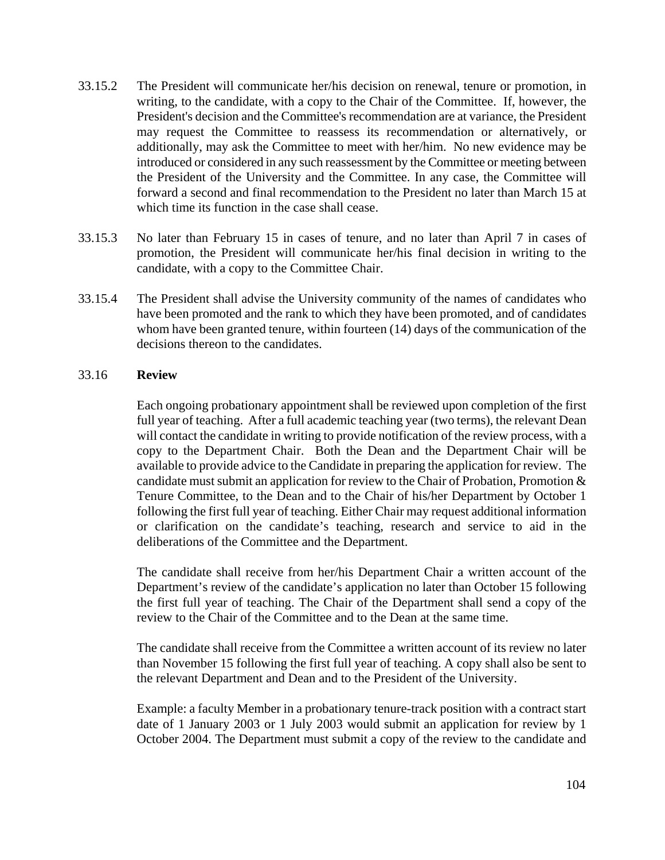- 33.15.2 The President will communicate her/his decision on renewal, tenure or promotion, in writing, to the candidate, with a copy to the Chair of the Committee. If, however, the President's decision and the Committee's recommendation are at variance, the President may request the Committee to reassess its recommendation or alternatively, or additionally, may ask the Committee to meet with her/him. No new evidence may be introduced or considered in any such reassessment by the Committee or meeting between the President of the University and the Committee. In any case, the Committee will forward a second and final recommendation to the President no later than March 15 at which time its function in the case shall cease.
- 33.15.3 No later than February 15 in cases of tenure, and no later than April 7 in cases of promotion, the President will communicate her/his final decision in writing to the candidate, with a copy to the Committee Chair.
- 33.15.4 The President shall advise the University community of the names of candidates who have been promoted and the rank to which they have been promoted, and of candidates whom have been granted tenure, within fourteen (14) days of the communication of the decisions thereon to the candidates.

#### 33.16 **Review**

Each ongoing probationary appointment shall be reviewed upon completion of the first full year of teaching. After a full academic teaching year (two terms), the relevant Dean will contact the candidate in writing to provide notification of the review process, with a copy to the Department Chair. Both the Dean and the Department Chair will be available to provide advice to the Candidate in preparing the application for review.The candidate must submit an application for review to the Chair of Probation, Promotion & Tenure Committee, to the Dean and to the Chair of his/her Department by October 1 following the first full year of teaching. Either Chair may request additional information or clarification on the candidate's teaching, research and service to aid in the deliberations of the Committee and the Department.

The candidate shall receive from her/his Department Chair a written account of the Department's review of the candidate's application no later than October 15 following the first full year of teaching. The Chair of the Department shall send a copy of the review to the Chair of the Committee and to the Dean at the same time.

The candidate shall receive from the Committee a written account of its review no later than November 15 following the first full year of teaching. A copy shall also be sent to the relevant Department and Dean and to the President of the University.

Example: a faculty Member in a probationary tenure-track position with a contract start date of 1 January 2003 or 1 July 2003 would submit an application for review by 1 October 2004. The Department must submit a copy of the review to the candidate and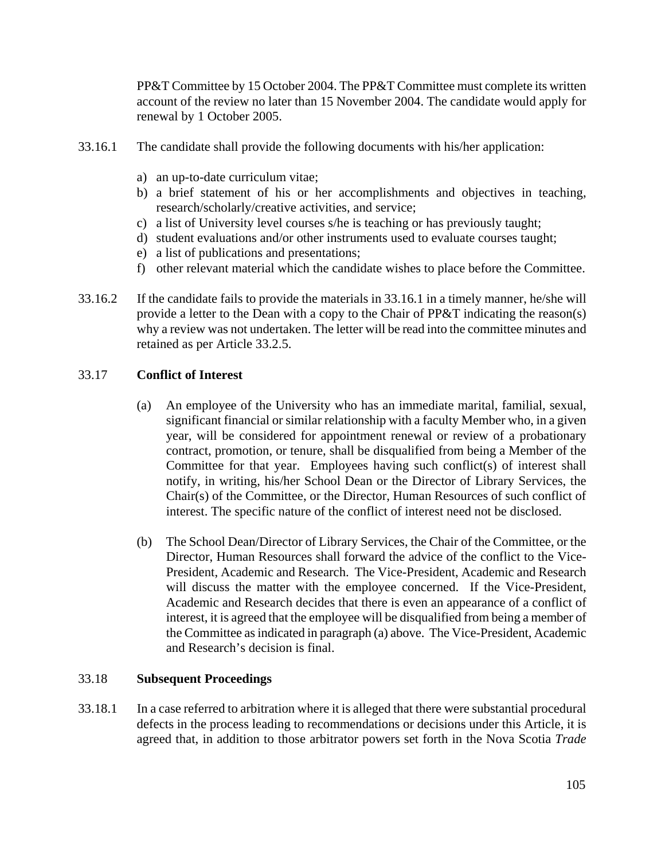PP&T Committee by 15 October 2004. The PP&T Committee must complete its written account of the review no later than 15 November 2004. The candidate would apply for renewal by 1 October 2005.

- 33.16.1 The candidate shall provide the following documents with his/her application:
	- a) an up-to-date curriculum vitae;
	- b) a brief statement of his or her accomplishments and objectives in teaching, research/scholarly/creative activities, and service;
	- c) a list of University level courses s/he is teaching or has previously taught;
	- d) student evaluations and/or other instruments used to evaluate courses taught;
	- e) a list of publications and presentations;
	- f) other relevant material which the candidate wishes to place before the Committee.
- 33.16.2 If the candidate fails to provide the materials in 33.16.1 in a timely manner, he/she will provide a letter to the Dean with a copy to the Chair of PP&T indicating the reason(s) why a review was not undertaken. The letter will be read into the committee minutes and retained as per Article 33.2.5.

## 33.17 **Conflict of Interest**

- (a) An employee of the University who has an immediate marital, familial, sexual, significant financial or similar relationship with a faculty Member who, in a given year, will be considered for appointment renewal or review of a probationary contract, promotion, or tenure, shall be disqualified from being a Member of the Committee for that year. Employees having such conflict(s) of interest shall notify, in writing, his/her School Dean or the Director of Library Services, the Chair(s) of the Committee, or the Director, Human Resources of such conflict of interest. The specific nature of the conflict of interest need not be disclosed.
- (b) The School Dean/Director of Library Services, the Chair of the Committee, or the Director, Human Resources shall forward the advice of the conflict to the Vice-President, Academic and Research. The Vice-President, Academic and Research will discuss the matter with the employee concerned. If the Vice-President, Academic and Research decides that there is even an appearance of a conflict of interest, it is agreed that the employee will be disqualified from being a member of the Committee as indicated in paragraph (a) above. The Vice-President, Academic and Research's decision is final.

#### 33.18 **Subsequent Proceedings**

33.18.1 In a case referred to arbitration where it is alleged that there were substantial procedural defects in the process leading to recommendations or decisions under this Article, it is agreed that, in addition to those arbitrator powers set forth in the Nova Scotia *Trade*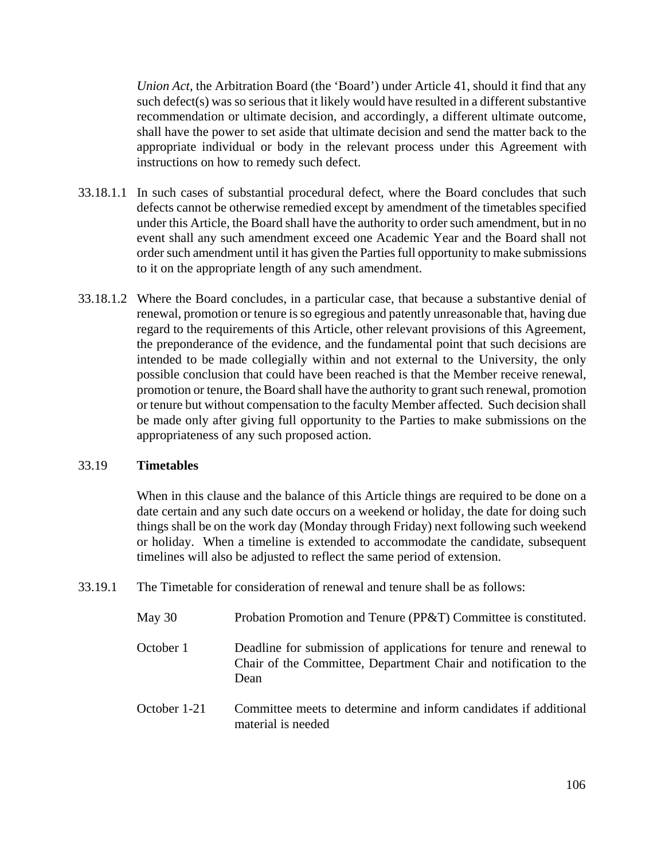*Union Act*, the Arbitration Board (the 'Board') under Article 41, should it find that any such defect(s) was so serious that it likely would have resulted in a different substantive recommendation or ultimate decision, and accordingly, a different ultimate outcome, shall have the power to set aside that ultimate decision and send the matter back to the appropriate individual or body in the relevant process under this Agreement with instructions on how to remedy such defect.

- 33.18.1.1 In such cases of substantial procedural defect, where the Board concludes that such defects cannot be otherwise remedied except by amendment of the timetables specified under this Article, the Board shall have the authority to order such amendment, but in no event shall any such amendment exceed one Academic Year and the Board shall not order such amendment until it has given the Parties full opportunity to make submissions to it on the appropriate length of any such amendment.
- 33.18.1.2 Where the Board concludes, in a particular case, that because a substantive denial of renewal, promotion or tenure is so egregious and patently unreasonable that, having due regard to the requirements of this Article, other relevant provisions of this Agreement, the preponderance of the evidence, and the fundamental point that such decisions are intended to be made collegially within and not external to the University, the only possible conclusion that could have been reached is that the Member receive renewal, promotion or tenure, the Board shall have the authority to grant such renewal, promotion or tenure but without compensation to the faculty Member affected. Such decision shall be made only after giving full opportunity to the Parties to make submissions on the appropriateness of any such proposed action.

## 33.19 **Timetables**

When in this clause and the balance of this Article things are required to be done on a date certain and any such date occurs on a weekend or holiday, the date for doing such things shall be on the work day (Monday through Friday) next following such weekend or holiday. When a timeline is extended to accommodate the candidate, subsequent timelines will also be adjusted to reflect the same period of extension.

33.19.1 The Timetable for consideration of renewal and tenure shall be as follows:

| May $30$     | Probation Promotion and Tenure (PP&T) Committee is constituted.                                                                               |
|--------------|-----------------------------------------------------------------------------------------------------------------------------------------------|
| October 1    | Deadline for submission of applications for tenure and renewal to<br>Chair of the Committee, Department Chair and notification to the<br>Dean |
| October 1-21 | Committee meets to determine and inform candidates if additional<br>material is needed                                                        |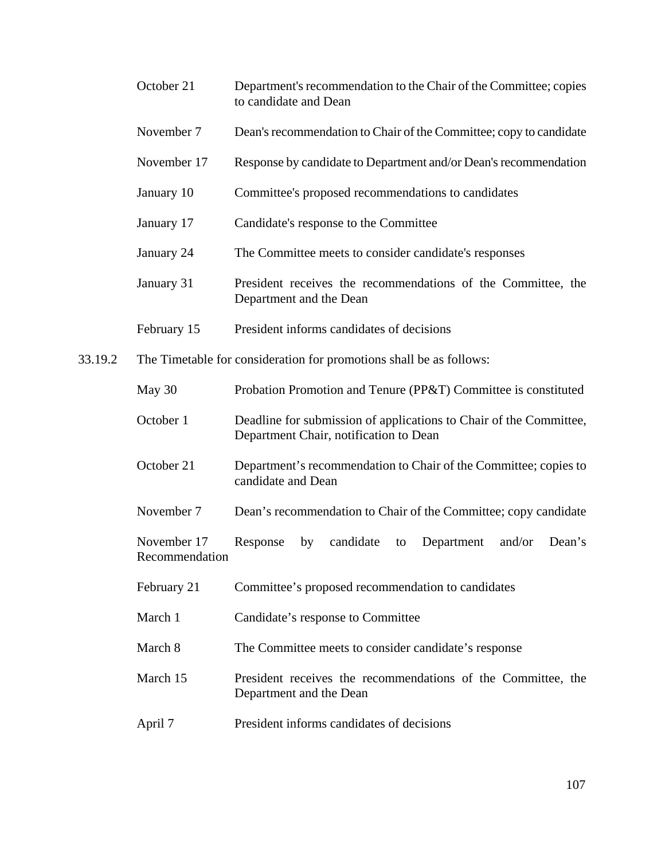- October 21 Department's recommendation to the Chair of the Committee; copies to candidate and Dean
- November 7 Dean's recommendation to Chair of the Committee; copy to candidate
- November 17 Response by candidate to Department and/or Dean's recommendation
- January 10 Committee's proposed recommendations to candidates
- January 17 Candidate's response to the Committee
- January 24 The Committee meets to consider candidate's responses
- January 31 President receives the recommendations of the Committee, the Department and the Dean
- February 15 President informs candidates of decisions
- 33.19.2 The Timetable for consideration for promotions shall be as follows:
	- May 30 Probation Promotion and Tenure (PP&T) Committee is constituted
	- October 1 Deadline for submission of applications to Chair of the Committee, Department Chair, notification to Dean
	- October 21 Department's recommendation to Chair of the Committee; copies to candidate and Dean
	- November 7 Dean's recommendation to Chair of the Committee; copy candidate
	- November 17 Response by candidate to Department and/or Dean's Recommendation
	- February 21 Committee's proposed recommendation to candidates
	- March 1 Candidate's response to Committee
	- March 8 The Committee meets to consider candidate's response
	- March 15 President receives the recommendations of the Committee, the Department and the Dean
	- April 7 President informs candidates of decisions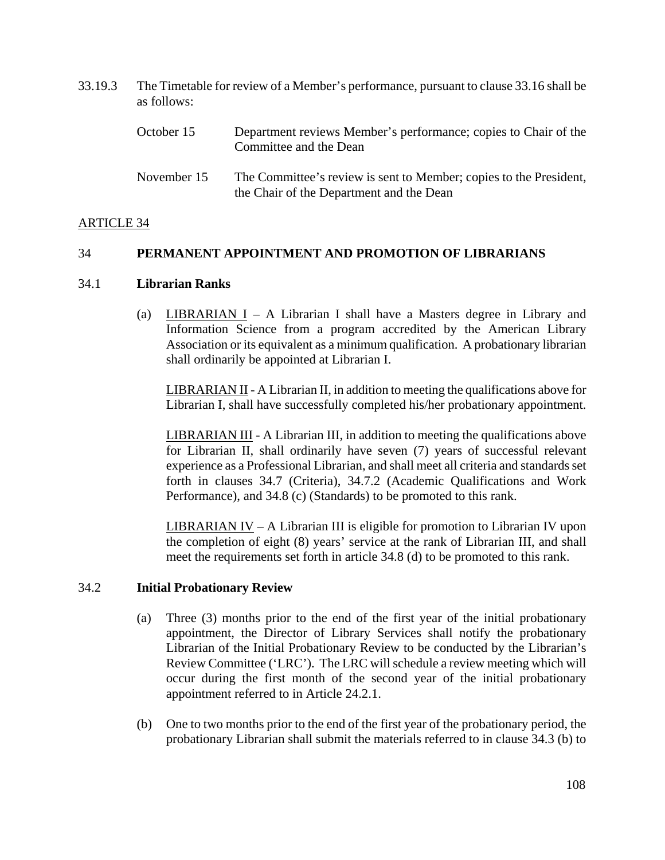| 33.19.3 | The Timetable for review of a Member's performance, pursuant to clause 33.16 shall be<br>as follows: |                                                                                                                |  |
|---------|------------------------------------------------------------------------------------------------------|----------------------------------------------------------------------------------------------------------------|--|
|         | October 15                                                                                           | Department reviews Member's performance; copies to Chair of the<br>Committee and the Dean                      |  |
|         | November 15                                                                                          | The Committee's review is sent to Member; copies to the President,<br>the Chair of the Department and the Dean |  |

### ARTICLE 34

### 34 **PERMANENT APPOINTMENT AND PROMOTION OF LIBRARIANS**

#### 34.1 **Librarian Ranks**

(a) LIBRARIAN  $I - A$  Librarian I shall have a Masters degree in Library and Information Science from a program accredited by the American Library Association or its equivalent as a minimum qualification. A probationary librarian shall ordinarily be appointed at Librarian I.

LIBRARIAN II - A Librarian II, in addition to meeting the qualifications above for Librarian I, shall have successfully completed his/her probationary appointment.

LIBRARIAN III - A Librarian III, in addition to meeting the qualifications above for Librarian II, shall ordinarily have seven (7) years of successful relevant experience as a Professional Librarian, and shall meet all criteria and standards set forth in clauses 34.7 (Criteria), 34.7.2 (Academic Qualifications and Work Performance), and 34.8 (c) (Standards) to be promoted to this rank.

LIBRARIAN IV – A Librarian III is eligible for promotion to Librarian IV upon the completion of eight (8) years' service at the rank of Librarian III, and shall meet the requirements set forth in article 34.8 (d) to be promoted to this rank.

### 34.2 **Initial Probationary Review**

- (a) Three (3) months prior to the end of the first year of the initial probationary appointment, the Director of Library Services shall notify the probationary Librarian of the Initial Probationary Review to be conducted by the Librarian's Review Committee ('LRC'). The LRC will schedule a review meeting which will occur during the first month of the second year of the initial probationary appointment referred to in Article 24.2.1.
- (b) One to two months prior to the end of the first year of the probationary period, the probationary Librarian shall submit the materials referred to in clause 34.3 (b) to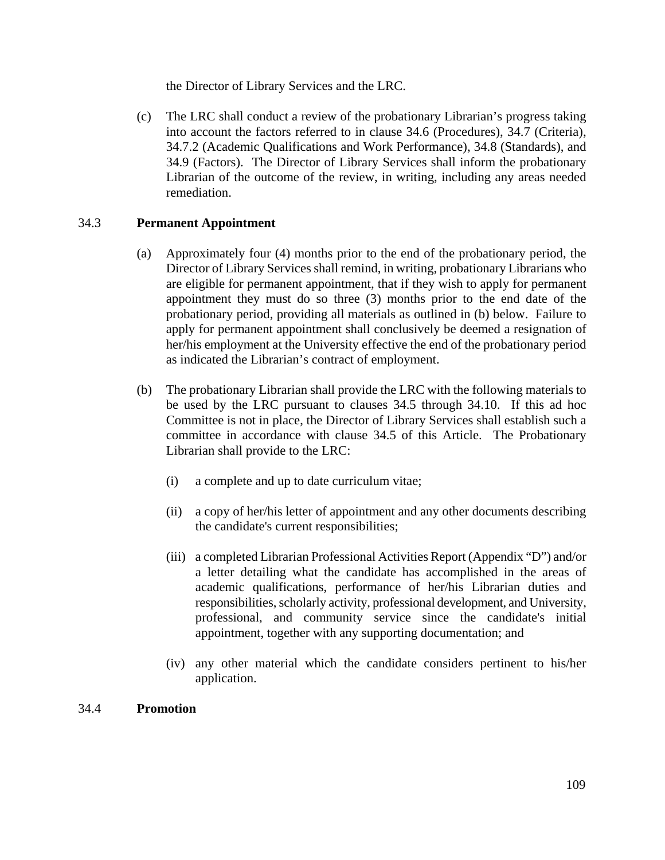the Director of Library Services and the LRC.

(c) The LRC shall conduct a review of the probationary Librarian's progress taking into account the factors referred to in clause 34.6 (Procedures), 34.7 (Criteria), 34.7.2 (Academic Qualifications and Work Performance), 34.8 (Standards), and 34.9 (Factors). The Director of Library Services shall inform the probationary Librarian of the outcome of the review, in writing, including any areas needed remediation.

## 34.3 **Permanent Appointment**

- (a) Approximately four (4) months prior to the end of the probationary period, the Director of Library Services shall remind, in writing, probationary Librarians who are eligible for permanent appointment, that if they wish to apply for permanent appointment they must do so three (3) months prior to the end date of the probationary period, providing all materials as outlined in (b) below. Failure to apply for permanent appointment shall conclusively be deemed a resignation of her/his employment at the University effective the end of the probationary period as indicated the Librarian's contract of employment.
- (b) The probationary Librarian shall provide the LRC with the following materials to be used by the LRC pursuant to clauses 34.5 through 34.10. If this ad hoc Committee is not in place, the Director of Library Services shall establish such a committee in accordance with clause 34.5 of this Article. The Probationary Librarian shall provide to the LRC:
	- (i) a complete and up to date curriculum vitae;
	- (ii) a copy of her/his letter of appointment and any other documents describing the candidate's current responsibilities;
	- (iii) a completed Librarian Professional Activities Report (Appendix "D") and/or a letter detailing what the candidate has accomplished in the areas of academic qualifications, performance of her/his Librarian duties and responsibilities, scholarly activity, professional development, and University, professional, and community service since the candidate's initial appointment, together with any supporting documentation; and
	- (iv) any other material which the candidate considers pertinent to his/her application.

### 34.4 **Promotion**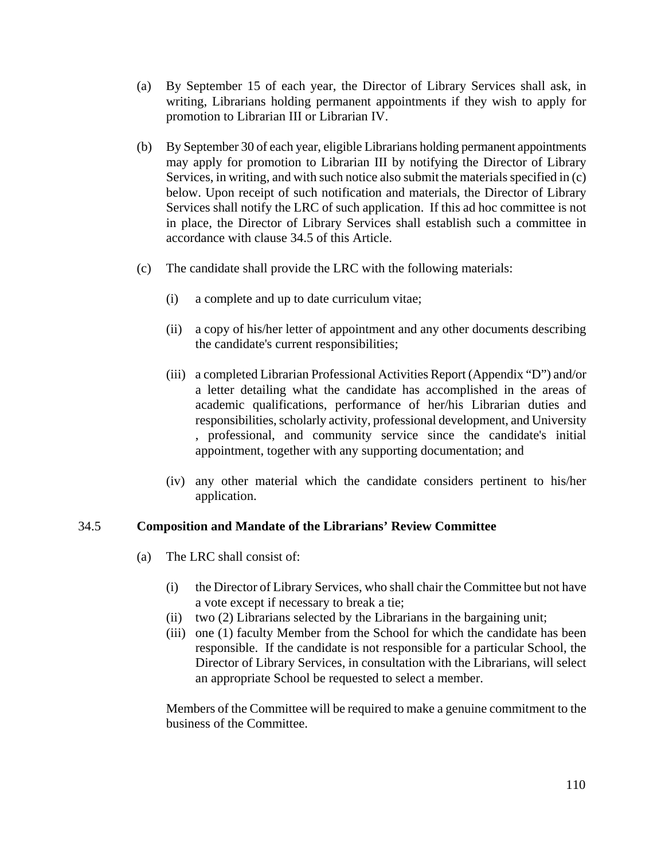- (a) By September 15 of each year, the Director of Library Services shall ask, in writing, Librarians holding permanent appointments if they wish to apply for promotion to Librarian III or Librarian IV.
- (b) By September 30 of each year, eligible Librarians holding permanent appointments may apply for promotion to Librarian III by notifying the Director of Library Services, in writing, and with such notice also submit the materials specified in (c) below. Upon receipt of such notification and materials, the Director of Library Services shall notify the LRC of such application. If this ad hoc committee is not in place, the Director of Library Services shall establish such a committee in accordance with clause 34.5 of this Article.
- (c) The candidate shall provide the LRC with the following materials:
	- (i) a complete and up to date curriculum vitae;
	- (ii) a copy of his/her letter of appointment and any other documents describing the candidate's current responsibilities;
	- (iii) a completed Librarian Professional Activities Report (Appendix "D") and/or a letter detailing what the candidate has accomplished in the areas of academic qualifications, performance of her/his Librarian duties and responsibilities, scholarly activity, professional development, and University , professional, and community service since the candidate's initial appointment, together with any supporting documentation; and
	- (iv) any other material which the candidate considers pertinent to his/her application.

### 34.5 **Composition and Mandate of the Librarians' Review Committee**

- (a) The LRC shall consist of:
	- (i) the Director of Library Services, who shall chair the Committee but not have a vote except if necessary to break a tie;
	- (ii) two (2) Librarians selected by the Librarians in the bargaining unit;
	- (iii) one (1) faculty Member from the School for which the candidate has been responsible. If the candidate is not responsible for a particular School, the Director of Library Services, in consultation with the Librarians, will select an appropriate School be requested to select a member.

Members of the Committee will be required to make a genuine commitment to the business of the Committee.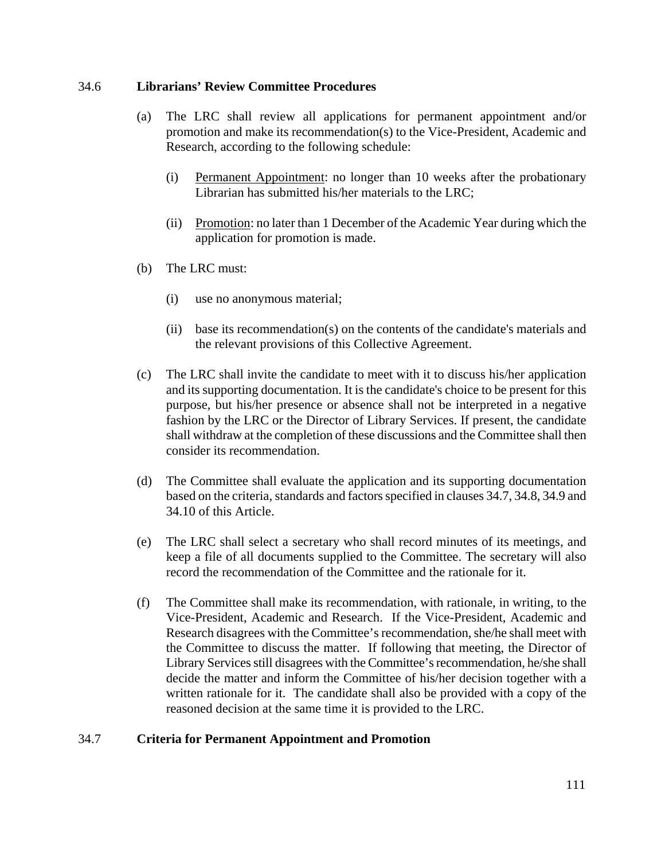### 34.6 **Librarians' Review Committee Procedures**

- (a) The LRC shall review all applications for permanent appointment and/or promotion and make its recommendation(s) to the Vice-President, Academic and Research, according to the following schedule:
	- (i) Permanent Appointment: no longer than 10 weeks after the probationary Librarian has submitted his/her materials to the LRC;
	- (ii) Promotion: no later than 1 December of the Academic Year during which the application for promotion is made.
- (b) The LRC must:
	- (i) use no anonymous material;
	- (ii) base its recommendation(s) on the contents of the candidate's materials and the relevant provisions of this Collective Agreement.
- (c) The LRC shall invite the candidate to meet with it to discuss his/her application and its supporting documentation. It is the candidate's choice to be present for this purpose, but his/her presence or absence shall not be interpreted in a negative fashion by the LRC or the Director of Library Services. If present, the candidate shall withdraw at the completion of these discussions and the Committee shall then consider its recommendation.
- (d) The Committee shall evaluate the application and its supporting documentation based on the criteria, standards and factors specified in clauses 34.7, 34.8, 34.9 and 34.10 of this Article.
- (e) The LRC shall select a secretary who shall record minutes of its meetings, and keep a file of all documents supplied to the Committee. The secretary will also record the recommendation of the Committee and the rationale for it.
- (f) The Committee shall make its recommendation, with rationale, in writing, to the Vice-President, Academic and Research. If the Vice-President, Academic and Research disagrees with the Committee's recommendation, she/he shall meet with the Committee to discuss the matter. If following that meeting, the Director of Library Services still disagrees with the Committee's recommendation, he/she shall decide the matter and inform the Committee of his/her decision together with a written rationale for it. The candidate shall also be provided with a copy of the reasoned decision at the same time it is provided to the LRC.

### 34.7 **Criteria for Permanent Appointment and Promotion**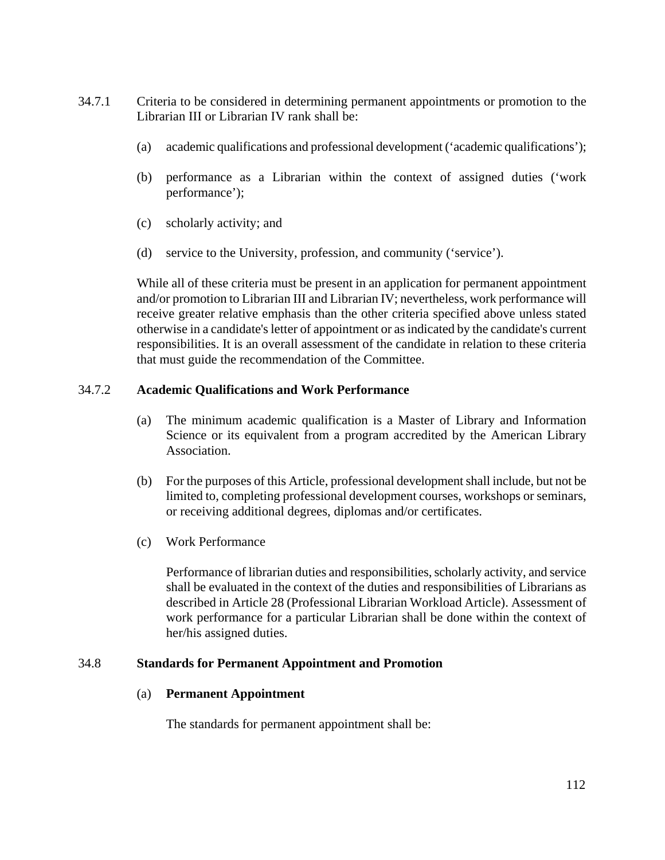- 34.7.1 Criteria to be considered in determining permanent appointments or promotion to the Librarian III or Librarian IV rank shall be:
	- (a) academic qualifications and professional development ('academic qualifications');
	- (b) performance as a Librarian within the context of assigned duties ('work performance');
	- (c) scholarly activity; and
	- (d) service to the University, profession, and community ('service').

 While all of these criteria must be present in an application for permanent appointment and/or promotion to Librarian III and Librarian IV; nevertheless, work performance will receive greater relative emphasis than the other criteria specified above unless stated otherwise in a candidate's letter of appointment or as indicated by the candidate's current responsibilities. It is an overall assessment of the candidate in relation to these criteria that must guide the recommendation of the Committee.

### 34.7.2 **Academic Qualifications and Work Performance**

- (a) The minimum academic qualification is a Master of Library and Information Science or its equivalent from a program accredited by the American Library Association.
- (b) For the purposes of this Article, professional development shall include, but not be limited to, completing professional development courses, workshops or seminars, or receiving additional degrees, diplomas and/or certificates.
- (c) Work Performance

Performance of librarian duties and responsibilities, scholarly activity, and service shall be evaluated in the context of the duties and responsibilities of Librarians as described in Article 28 (Professional Librarian Workload Article). Assessment of work performance for a particular Librarian shall be done within the context of her/his assigned duties.

### 34.8 **Standards for Permanent Appointment and Promotion**

### (a) **Permanent Appointment**

The standards for permanent appointment shall be: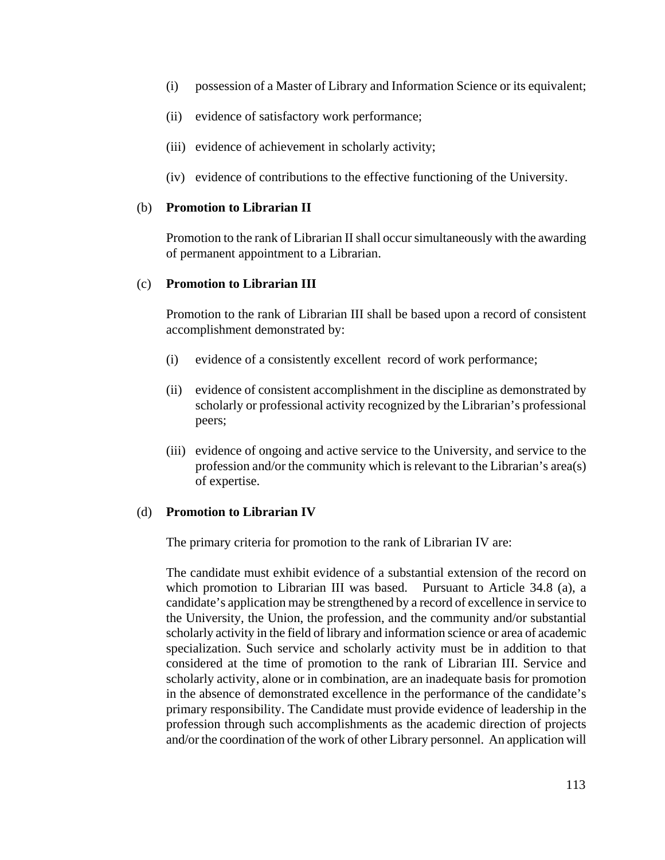- (i) possession of a Master of Library and Information Science or its equivalent;
- (ii) evidence of satisfactory work performance;
- (iii) evidence of achievement in scholarly activity;
- (iv) evidence of contributions to the effective functioning of the University.

#### (b) **Promotion to Librarian II**

Promotion to the rank of Librarian II shall occur simultaneously with the awarding of permanent appointment to a Librarian.

### (c) **Promotion to Librarian III**

Promotion to the rank of Librarian III shall be based upon a record of consistent accomplishment demonstrated by:

- (i) evidence of a consistently excellent record of work performance;
- (ii) evidence of consistent accomplishment in the discipline as demonstrated by scholarly or professional activity recognized by the Librarian's professional peers;
- (iii) evidence of ongoing and active service to the University, and service to the profession and/or the community which is relevant to the Librarian's area(s) of expertise.

### (d) **Promotion to Librarian IV**

The primary criteria for promotion to the rank of Librarian IV are:

The candidate must exhibit evidence of a substantial extension of the record on which promotion to Librarian III was based. Pursuant to Article 34.8 (a), a candidate's application may be strengthened by a record of excellence in service to the University, the Union, the profession, and the community and/or substantial scholarly activity in the field of library and information science or area of academic specialization. Such service and scholarly activity must be in addition to that considered at the time of promotion to the rank of Librarian III. Service and scholarly activity, alone or in combination, are an inadequate basis for promotion in the absence of demonstrated excellence in the performance of the candidate's primary responsibility. The Candidate must provide evidence of leadership in the profession through such accomplishments as the academic direction of projects and/or the coordination of the work of other Library personnel. An application will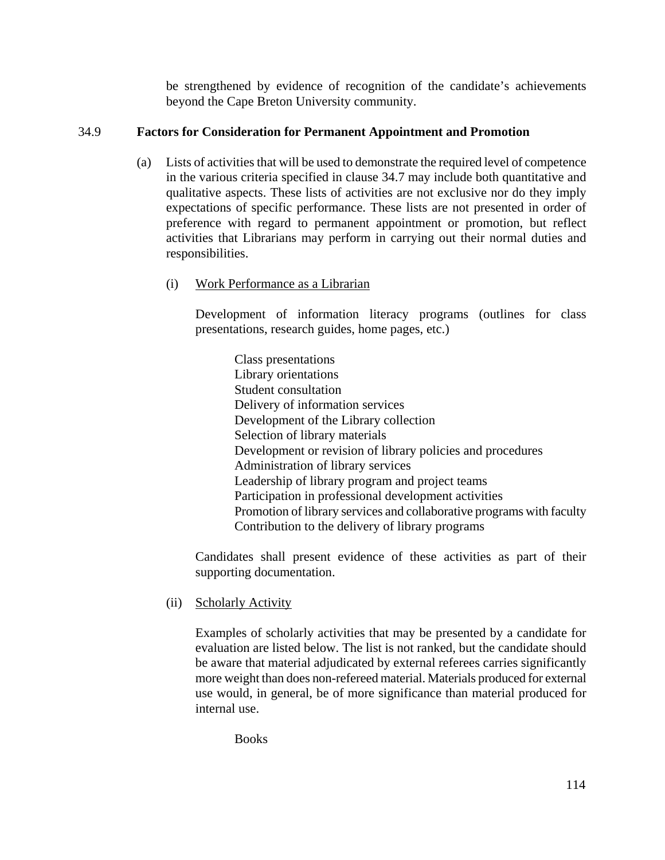be strengthened by evidence of recognition of the candidate's achievements beyond the Cape Breton University community.

# 34.9 **Factors for Consideration for Permanent Appointment and Promotion**

- (a) Lists of activities that will be used to demonstrate the required level of competence in the various criteria specified in clause 34.7 may include both quantitative and qualitative aspects. These lists of activities are not exclusive nor do they imply expectations of specific performance. These lists are not presented in order of preference with regard to permanent appointment or promotion, but reflect activities that Librarians may perform in carrying out their normal duties and responsibilities.
	- (i) Work Performance as a Librarian

Development of information literacy programs (outlines for class presentations, research guides, home pages, etc.)

Class presentations Library orientations Student consultation Delivery of information services Development of the Library collection Selection of library materials Development or revision of library policies and procedures Administration of library services Leadership of library program and project teams Participation in professional development activities Promotion of library services and collaborative programs with faculty Contribution to the delivery of library programs

Candidates shall present evidence of these activities as part of their supporting documentation.

(ii) Scholarly Activity

Examples of scholarly activities that may be presented by a candidate for evaluation are listed below. The list is not ranked, but the candidate should be aware that material adjudicated by external referees carries significantly more weight than does non-refereed material. Materials produced for external use would, in general, be of more significance than material produced for internal use.

Books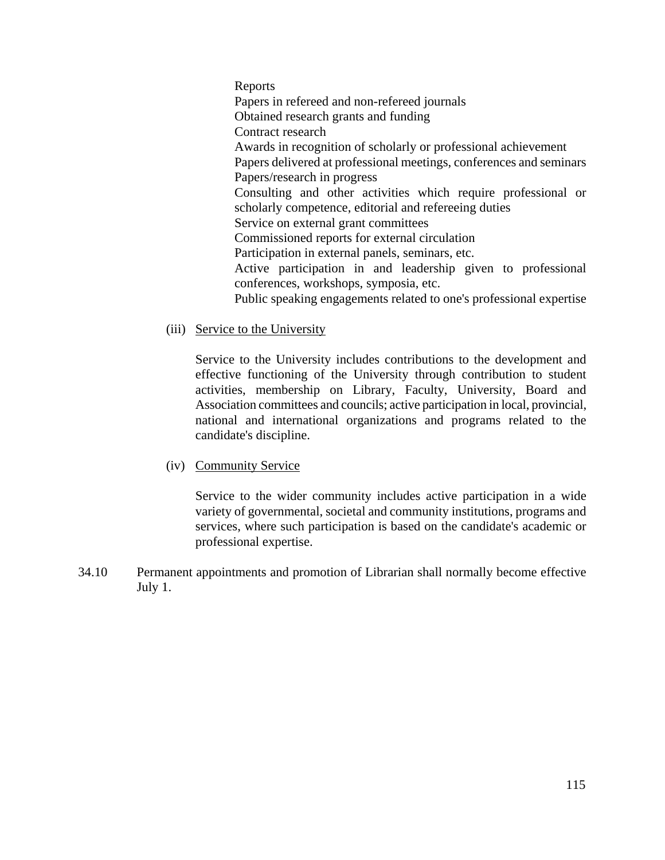Reports Papers in refereed and non-refereed journals Obtained research grants and funding Contract research Awards in recognition of scholarly or professional achievement Papers delivered at professional meetings, conferences and seminars Papers/research in progress Consulting and other activities which require professional or scholarly competence, editorial and refereeing duties Service on external grant committees Commissioned reports for external circulation Participation in external panels, seminars, etc. Active participation in and leadership given to professional conferences, workshops, symposia, etc. Public speaking engagements related to one's professional expertise

(iii) Service to the University

Service to the University includes contributions to the development and effective functioning of the University through contribution to student activities, membership on Library, Faculty, University, Board and Association committees and councils; active participation in local, provincial, national and international organizations and programs related to the candidate's discipline.

(iv) Community Service

Service to the wider community includes active participation in a wide variety of governmental, societal and community institutions, programs and services, where such participation is based on the candidate's academic or professional expertise.

34.10 Permanent appointments and promotion of Librarian shall normally become effective July 1.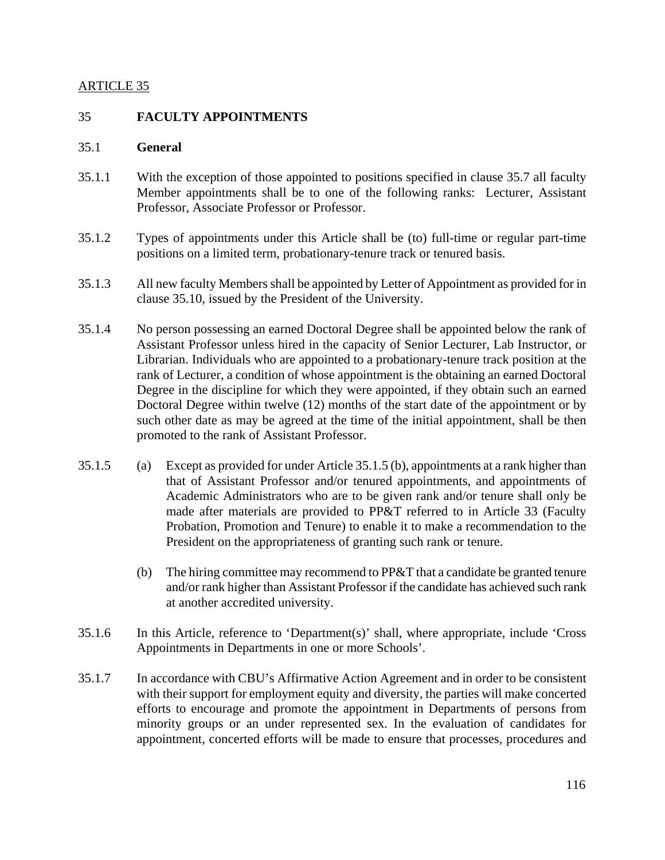### ARTICLE 35

### 35 **FACULTY APPOINTMENTS**

#### 35.1 **General**

- 35.1.1 With the exception of those appointed to positions specified in clause 35.7 all faculty Member appointments shall be to one of the following ranks: Lecturer, Assistant Professor, Associate Professor or Professor.
- 35.1.2 Types of appointments under this Article shall be (to) full-time or regular part-time positions on a limited term, probationary-tenure track or tenured basis.
- 35.1.3 All new faculty Members shall be appointed by Letter of Appointment as provided for in clause 35.10, issued by the President of the University.
- 35.1.4 No person possessing an earned Doctoral Degree shall be appointed below the rank of Assistant Professor unless hired in the capacity of Senior Lecturer, Lab Instructor, or Librarian. Individuals who are appointed to a probationary-tenure track position at the rank of Lecturer, a condition of whose appointment is the obtaining an earned Doctoral Degree in the discipline for which they were appointed, if they obtain such an earned Doctoral Degree within twelve (12) months of the start date of the appointment or by such other date as may be agreed at the time of the initial appointment, shall be then promoted to the rank of Assistant Professor.
- 35.1.5 (a) Except as provided for under Article 35.1.5 (b), appointments at a rank higher than that of Assistant Professor and/or tenured appointments, and appointments of Academic Administrators who are to be given rank and/or tenure shall only be made after materials are provided to PP&T referred to in Article 33 (Faculty Probation, Promotion and Tenure) to enable it to make a recommendation to the President on the appropriateness of granting such rank or tenure.
	- (b) The hiring committee may recommend to PP&T that a candidate be granted tenure and/or rank higher than Assistant Professor if the candidate has achieved such rank at another accredited university.
- 35.1.6 In this Article, reference to 'Department(s)' shall, where appropriate, include 'Cross Appointments in Departments in one or more Schools'.
- 35.1.7 In accordance with CBU's Affirmative Action Agreement and in order to be consistent with their support for employment equity and diversity, the parties will make concerted efforts to encourage and promote the appointment in Departments of persons from minority groups or an under represented sex. In the evaluation of candidates for appointment, concerted efforts will be made to ensure that processes, procedures and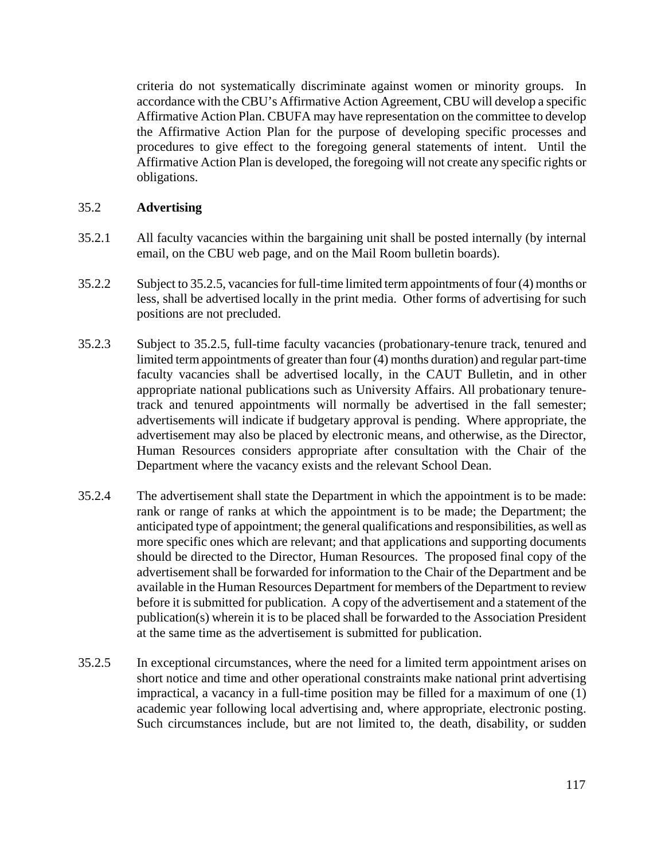criteria do not systematically discriminate against women or minority groups. In accordance with the CBU's Affirmative Action Agreement, CBU will develop a specific Affirmative Action Plan. CBUFA may have representation on the committee to develop the Affirmative Action Plan for the purpose of developing specific processes and procedures to give effect to the foregoing general statements of intent. Until the Affirmative Action Plan is developed, the foregoing will not create any specific rights or obligations.

## 35.2 **Advertising**

- 35.2.1 All faculty vacancies within the bargaining unit shall be posted internally (by internal email, on the CBU web page, and on the Mail Room bulletin boards).
- 35.2.2 Subject to 35.2.5, vacancies for full-time limited term appointments of four (4) months or less, shall be advertised locally in the print media. Other forms of advertising for such positions are not precluded.
- 35.2.3 Subject to 35.2.5, full-time faculty vacancies (probationary-tenure track, tenured and limited term appointments of greater than four (4) months duration) and regular part-time faculty vacancies shall be advertised locally, in the CAUT Bulletin, and in other appropriate national publications such as University Affairs. All probationary tenuretrack and tenured appointments will normally be advertised in the fall semester; advertisements will indicate if budgetary approval is pending.Where appropriate, the advertisement may also be placed by electronic means, and otherwise, as the Director, Human Resources considers appropriate after consultation with the Chair of the Department where the vacancy exists and the relevant School Dean.
- 35.2.4 The advertisement shall state the Department in which the appointment is to be made: rank or range of ranks at which the appointment is to be made; the Department; the anticipated type of appointment; the general qualifications and responsibilities, as well as more specific ones which are relevant; and that applications and supporting documents should be directed to the Director, Human Resources. The proposed final copy of the advertisement shall be forwarded for information to the Chair of the Department and be available in the Human Resources Department for members of the Department to review before it is submitted for publication. A copy of the advertisement and a statement of the publication(s) wherein it is to be placed shall be forwarded to the Association President at the same time as the advertisement is submitted for publication.
- 35.2.5 In exceptional circumstances, where the need for a limited term appointment arises on short notice and time and other operational constraints make national print advertising impractical, a vacancy in a full-time position may be filled for a maximum of one (1) academic year following local advertising and, where appropriate, electronic posting. Such circumstances include, but are not limited to, the death, disability, or sudden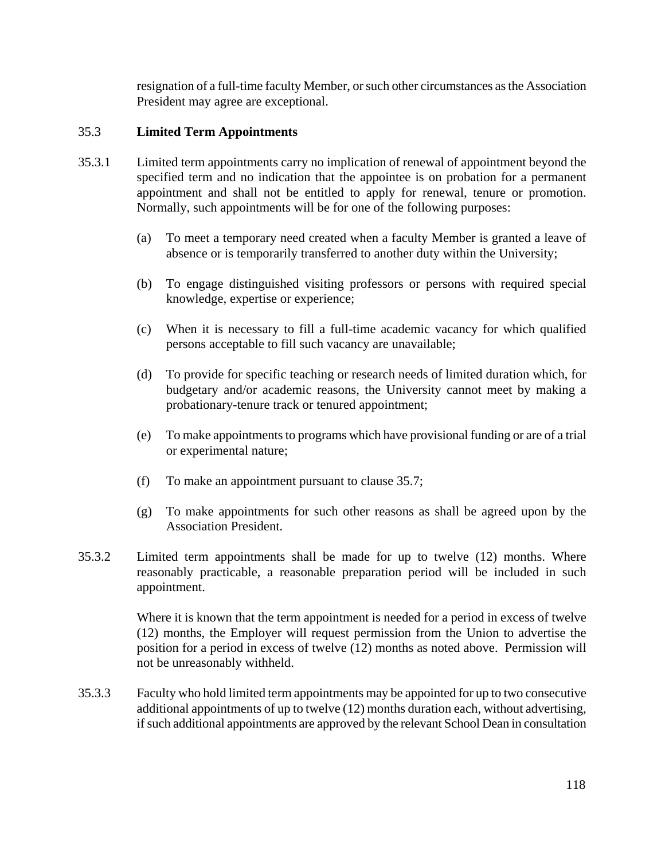resignation of a full-time faculty Member, or such other circumstances as the Association President may agree are exceptional.

## 35.3 **Limited Term Appointments**

- 35.3.1 Limited term appointments carry no implication of renewal of appointment beyond the specified term and no indication that the appointee is on probation for a permanent appointment and shall not be entitled to apply for renewal, tenure or promotion. Normally, such appointments will be for one of the following purposes:
	- (a) To meet a temporary need created when a faculty Member is granted a leave of absence or is temporarily transferred to another duty within the University;
	- (b) To engage distinguished visiting professors or persons with required special knowledge, expertise or experience;
	- (c) When it is necessary to fill a full-time academic vacancy for which qualified persons acceptable to fill such vacancy are unavailable;
	- (d) To provide for specific teaching or research needs of limited duration which, for budgetary and/or academic reasons, the University cannot meet by making a probationary-tenure track or tenured appointment;
	- (e) To make appointments to programs which have provisional funding or are of a trial or experimental nature;
	- (f) To make an appointment pursuant to clause 35.7;
	- (g) To make appointments for such other reasons as shall be agreed upon by the Association President.
- 35.3.2 Limited term appointments shall be made for up to twelve (12) months. Where reasonably practicable, a reasonable preparation period will be included in such appointment.

Where it is known that the term appointment is needed for a period in excess of twelve (12) months, the Employer will request permission from the Union to advertise the position for a period in excess of twelve (12) months as noted above. Permission will not be unreasonably withheld.

35.3.3 Faculty who hold limited term appointments may be appointed for up to two consecutive additional appointments of up to twelve (12) months duration each, without advertising, if such additional appointments are approved by the relevant School Dean in consultation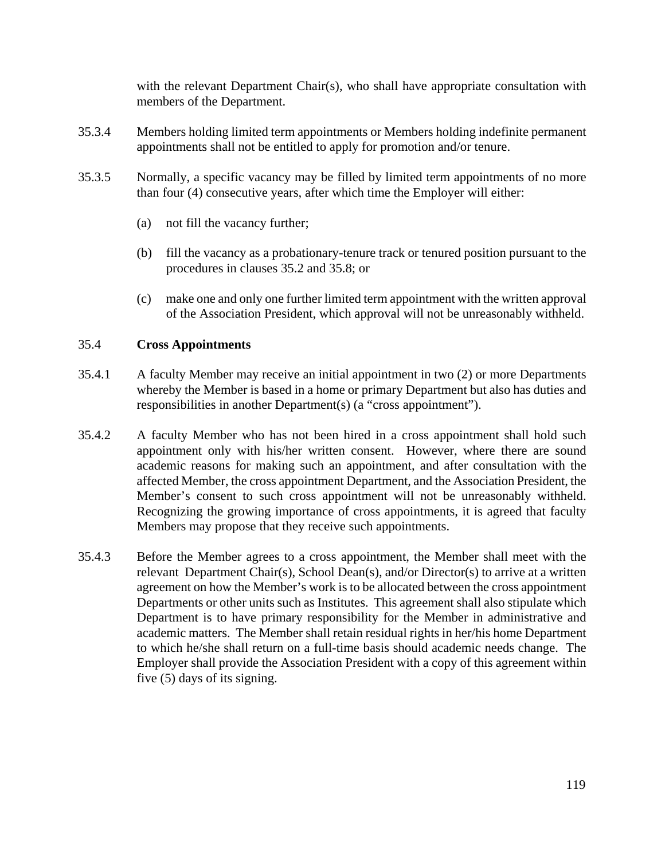with the relevant Department Chair(s), who shall have appropriate consultation with members of the Department.

- 35.3.4 Members holding limited term appointments or Members holding indefinite permanent appointments shall not be entitled to apply for promotion and/or tenure.
- 35.3.5 Normally, a specific vacancy may be filled by limited term appointments of no more than four (4) consecutive years, after which time the Employer will either:
	- (a) not fill the vacancy further;
	- (b) fill the vacancy as a probationary-tenure track or tenured position pursuant to the procedures in clauses 35.2 and 35.8; or
	- (c) make one and only one further limited term appointment with the written approval of the Association President, which approval will not be unreasonably withheld.

# 35.4 **Cross Appointments**

- 35.4.1 A faculty Member may receive an initial appointment in two (2) or more Departments whereby the Member is based in a home or primary Department but also has duties and responsibilities in another Department(s) (a "cross appointment").
- 35.4.2 A faculty Member who has not been hired in a cross appointment shall hold such appointment only with his/her written consent. However, where there are sound academic reasons for making such an appointment, and after consultation with the affected Member, the cross appointment Department, and the Association President, the Member's consent to such cross appointment will not be unreasonably withheld. Recognizing the growing importance of cross appointments, it is agreed that faculty Members may propose that they receive such appointments.
- 35.4.3 Before the Member agrees to a cross appointment, the Member shall meet with the relevant Department Chair(s), School Dean(s), and/or Director(s) to arrive at a written agreement on how the Member's work is to be allocated between the cross appointment Departments or other units such as Institutes. This agreement shall also stipulate which Department is to have primary responsibility for the Member in administrative and academic matters. The Member shall retain residual rights in her/his home Department to which he/she shall return on a full-time basis should academic needs change. The Employer shall provide the Association President with a copy of this agreement within five (5) days of its signing.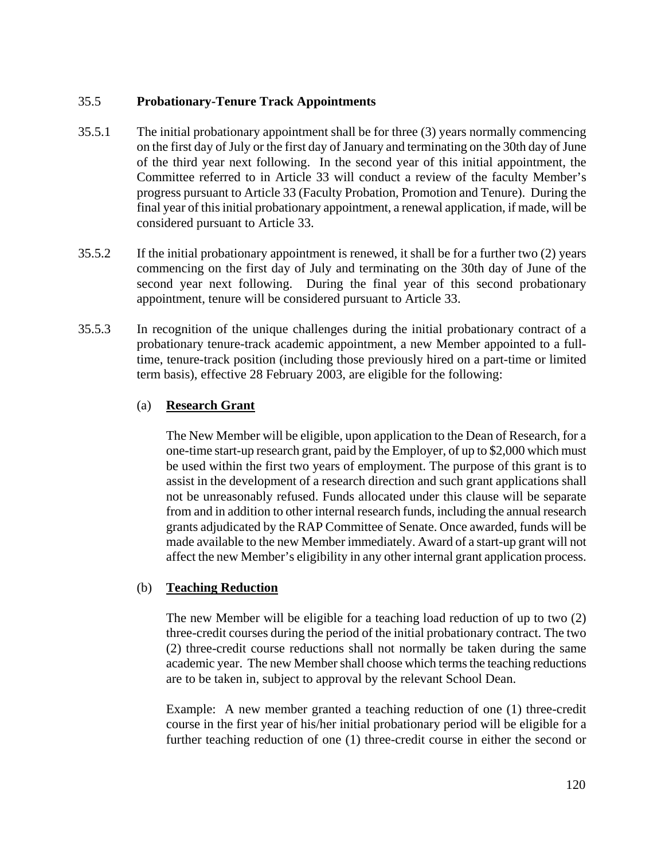## 35.5 **Probationary-Tenure Track Appointments**

- 35.5.1 The initial probationary appointment shall be for three (3) years normally commencing on the first day of July or the first day of January and terminating on the 30th day of June of the third year next following. In the second year of this initial appointment, the Committee referred to in Article 33 will conduct a review of the faculty Member's progress pursuant to Article 33 (Faculty Probation, Promotion and Tenure). During the final year of this initial probationary appointment, a renewal application, if made, will be considered pursuant to Article 33.
- 35.5.2 If the initial probationary appointment is renewed, it shall be for a further two (2) years commencing on the first day of July and terminating on the 30th day of June of the second year next following. During the final year of this second probationary appointment, tenure will be considered pursuant to Article 33.
- 35.5.3 In recognition of the unique challenges during the initial probationary contract of a probationary tenure-track academic appointment, a new Member appointed to a fulltime, tenure-track position (including those previously hired on a part-time or limited term basis), effective 28 February 2003, are eligible for the following:

### (a) **Research Grant**

The New Member will be eligible, upon application to the Dean of Research, for a one-time start-up research grant, paid by the Employer, of up to \$2,000 which must be used within the first two years of employment. The purpose of this grant is to assist in the development of a research direction and such grant applications shall not be unreasonably refused. Funds allocated under this clause will be separate from and in addition to other internal research funds, including the annual research grants adjudicated by the RAP Committee of Senate. Once awarded, funds will be made available to the new Member immediately. Award of a start-up grant will not affect the new Member's eligibility in any other internal grant application process.

## (b) **Teaching Reduction**

The new Member will be eligible for a teaching load reduction of up to two (2) three-credit courses during the period of the initial probationary contract. The two (2) three-credit course reductions shall not normally be taken during the same academic year. The new Member shall choose which terms the teaching reductions are to be taken in, subject to approval by the relevant School Dean.

Example: A new member granted a teaching reduction of one (1) three-credit course in the first year of his/her initial probationary period will be eligible for a further teaching reduction of one (1) three-credit course in either the second or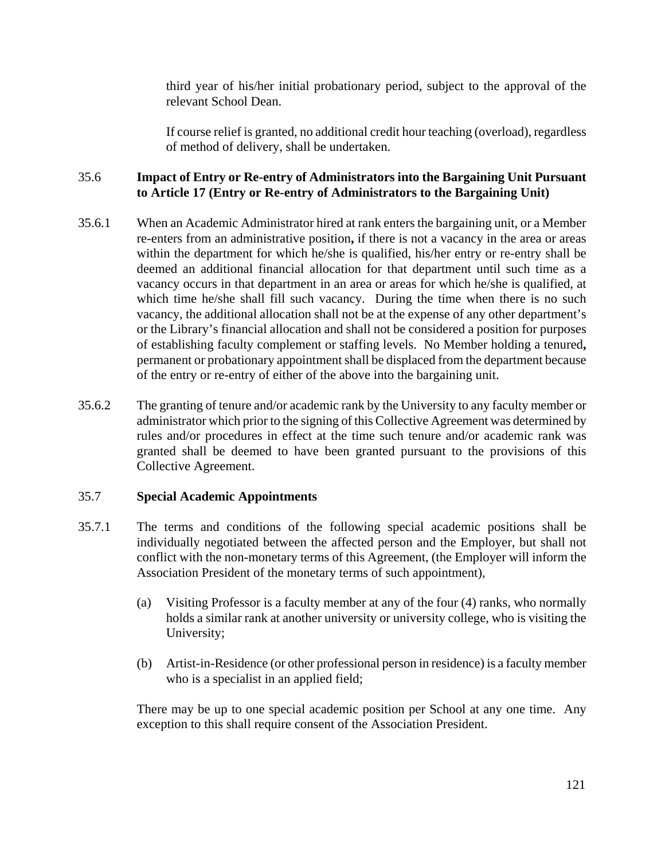third year of his/her initial probationary period, subject to the approval of the relevant School Dean.

If course relief is granted, no additional credit hour teaching (overload), regardless of method of delivery, shall be undertaken.

## 35.6 **Impact of Entry or Re-entry of Administrators into the Bargaining Unit Pursuant to Article 17 (Entry or Re-entry of Administrators to the Bargaining Unit)**

- 35.6.1 When an Academic Administrator hired at rank enters the bargaining unit, or a Member re-enters from an administrative position**,** if there is not a vacancy in the area or areas within the department for which he/she is qualified, his/her entry or re-entry shall be deemed an additional financial allocation for that department until such time as a vacancy occurs in that department in an area or areas for which he/she is qualified, at which time he/she shall fill such vacancy. During the time when there is no such vacancy, the additional allocation shall not be at the expense of any other department's or the Library's financial allocation and shall not be considered a position for purposes of establishing faculty complement or staffing levels. No Member holding a tenured**,** permanent or probationary appointment shall be displaced from the department because of the entry or re-entry of either of the above into the bargaining unit.
- 35.6.2 The granting of tenure and/or academic rank by the University to any faculty member or administrator which prior to the signing of this Collective Agreement was determined by rules and/or procedures in effect at the time such tenure and/or academic rank was granted shall be deemed to have been granted pursuant to the provisions of this Collective Agreement.

## 35.7 **Special Academic Appointments**

- 35.7.1 The terms and conditions of the following special academic positions shall be individually negotiated between the affected person and the Employer, but shall not conflict with the non-monetary terms of this Agreement, (the Employer will inform the Association President of the monetary terms of such appointment),
	- (a) Visiting Professor is a faculty member at any of the four (4) ranks, who normally holds a similar rank at another university or university college, who is visiting the University;
	- (b) Artist-in-Residence (or other professional person in residence) is a faculty member who is a specialist in an applied field;

There may be up to one special academic position per School at any one time. Any exception to this shall require consent of the Association President.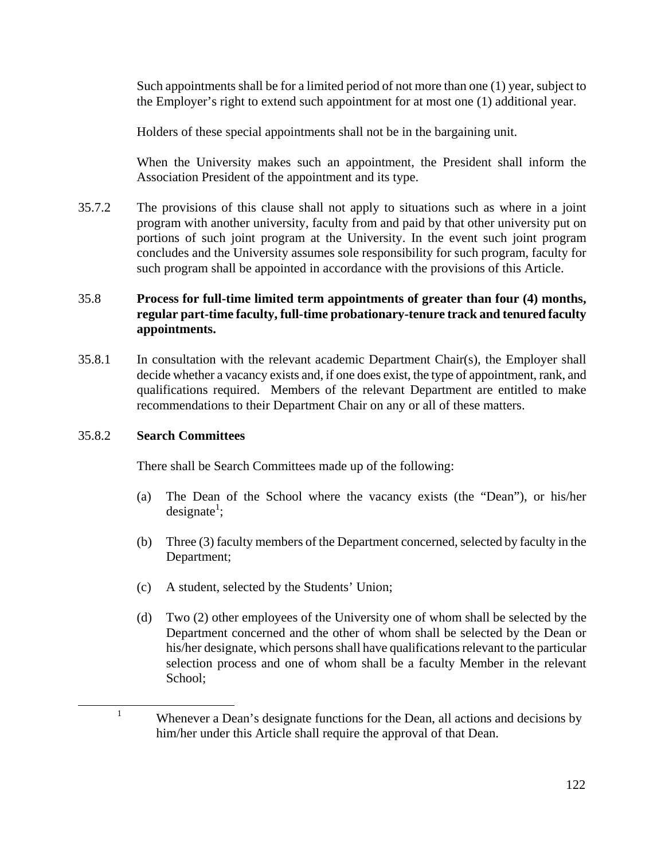Such appointments shall be for a limited period of not more than one (1) year, subject to the Employer's right to extend such appointment for at most one (1) additional year.

Holders of these special appointments shall not be in the bargaining unit.

When the University makes such an appointment, the President shall inform the Association President of the appointment and its type.

35.7.2 The provisions of this clause shall not apply to situations such as where in a joint program with another university, faculty from and paid by that other university put on portions of such joint program at the University. In the event such joint program concludes and the University assumes sole responsibility for such program, faculty for such program shall be appointed in accordance with the provisions of this Article.

# 35.8 **Process for full-time limited term appointments of greater than four (4) months, regular part-time faculty, full-time probationary-tenure track and tenured faculty appointments.**

35.8.1 In consultation with the relevant academic Department Chair(s), the Employer shall decide whether a vacancy exists and, if one does exist, the type of appointment, rank, and qualifications required. Members of the relevant Department are entitled to make recommendations to their Department Chair on any or all of these matters.

## 35.8.2 **Search Committees**

There shall be Search Committees made up of the following:

- (a) The Dean of the School where the vacancy exists (the "Dean"), or his/her  $designate<sup>1</sup>;$
- (b) Three (3) faculty members of the Department concerned, selected by faculty in the Department;
- (c) A student, selected by the Students' Union;
- (d) Two (2) other employees of the University one of whom shall be selected by the Department concerned and the other of whom shall be selected by the Dean or his/her designate, which persons shall have qualifications relevant to the particular selection process and one of whom shall be a faculty Member in the relevant School;

<sup>&</sup>lt;sup>1</sup> Whenever a Dean's designate functions for the Dean, all actions and decisions by him/her under this Article shall require the approval of that Dean.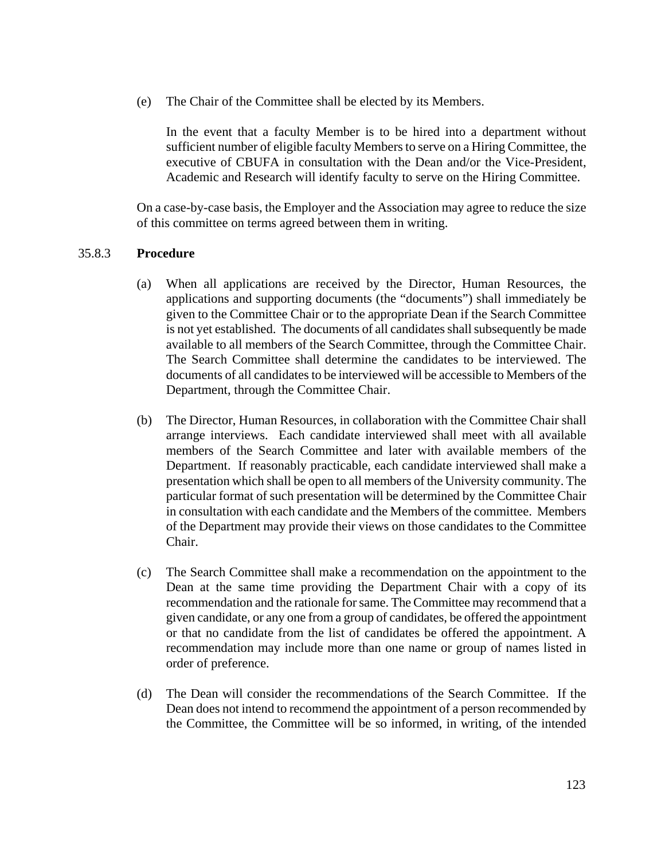(e) The Chair of the Committee shall be elected by its Members.

In the event that a faculty Member is to be hired into a department without sufficient number of eligible faculty Members to serve on a Hiring Committee, the executive of CBUFA in consultation with the Dean and/or the Vice-President, Academic and Research will identify faculty to serve on the Hiring Committee.

On a case-by-case basis, the Employer and the Association may agree to reduce the size of this committee on terms agreed between them in writing.

### 35.8.3 **Procedure**

- (a) When all applications are received by the Director, Human Resources, the applications and supporting documents (the "documents") shall immediately be given to the Committee Chair or to the appropriate Dean if the Search Committee is not yet established. The documents of all candidates shall subsequently be made available to all members of the Search Committee, through the Committee Chair. The Search Committee shall determine the candidates to be interviewed. The documents of all candidates to be interviewed will be accessible to Members of the Department, through the Committee Chair.
- (b) The Director, Human Resources, in collaboration with the Committee Chair shall arrange interviews. Each candidate interviewed shall meet with all available members of the Search Committee and later with available members of the Department. If reasonably practicable, each candidate interviewed shall make a presentation which shall be open to all members of the University community. The particular format of such presentation will be determined by the Committee Chair in consultation with each candidate and the Members of the committee. Members of the Department may provide their views on those candidates to the Committee Chair.
- (c) The Search Committee shall make a recommendation on the appointment to the Dean at the same time providing the Department Chair with a copy of its recommendation and the rationale for same. The Committee may recommend that a given candidate, or any one from a group of candidates, be offered the appointment or that no candidate from the list of candidates be offered the appointment. A recommendation may include more than one name or group of names listed in order of preference.
- (d) The Dean will consider the recommendations of the Search Committee. If the Dean does not intend to recommend the appointment of a person recommended by the Committee, the Committee will be so informed, in writing, of the intended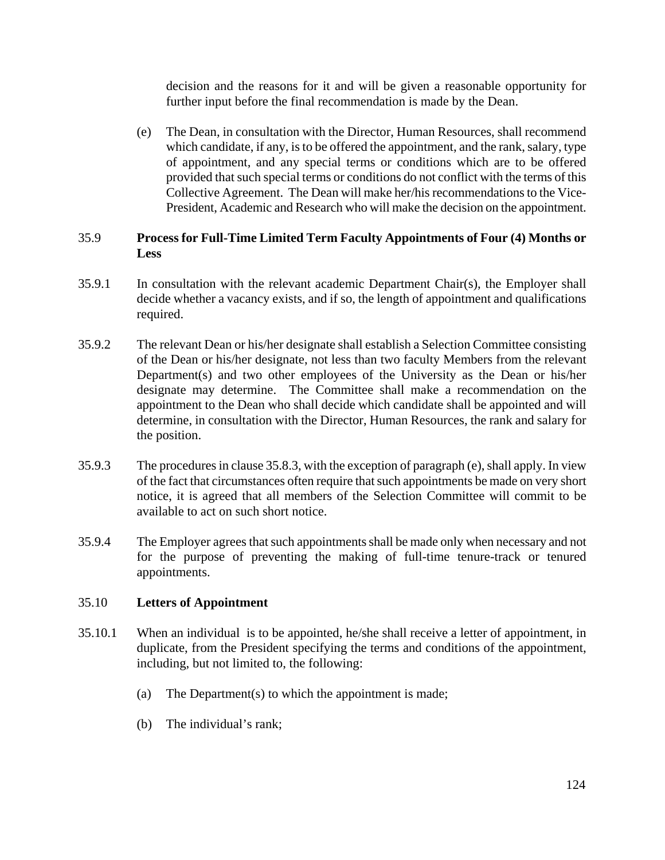decision and the reasons for it and will be given a reasonable opportunity for further input before the final recommendation is made by the Dean.

(e) The Dean, in consultation with the Director, Human Resources, shall recommend which candidate, if any, is to be offered the appointment, and the rank, salary, type of appointment, and any special terms or conditions which are to be offered provided that such special terms or conditions do not conflict with the terms of this Collective Agreement. The Dean will make her/his recommendations to the Vice-President, Academic and Research who will make the decision on the appointment.

## 35.9 **Process for Full-Time Limited Term Faculty Appointments of Four (4) Months or Less**

- 35.9.1 In consultation with the relevant academic Department Chair(s), the Employer shall decide whether a vacancy exists, and if so, the length of appointment and qualifications required.
- 35.9.2 The relevant Dean or his/her designate shall establish a Selection Committee consisting of the Dean or his/her designate, not less than two faculty Members from the relevant Department(s) and two other employees of the University as the Dean or his/her designate may determine. The Committee shall make a recommendation on the appointment to the Dean who shall decide which candidate shall be appointed and will determine, in consultation with the Director, Human Resources, the rank and salary for the position.
- 35.9.3 The procedures in clause 35.8.3, with the exception of paragraph (e), shall apply. In view of the fact that circumstances often require that such appointments be made on very short notice, it is agreed that all members of the Selection Committee will commit to be available to act on such short notice.
- 35.9.4 The Employer agrees that such appointments shall be made only when necessary and not for the purpose of preventing the making of full-time tenure-track or tenured appointments.

## 35.10 **Letters of Appointment**

- 35.10.1 When an individual is to be appointed, he/she shall receive a letter of appointment, in duplicate, from the President specifying the terms and conditions of the appointment, including, but not limited to, the following:
	- (a) The Department(s) to which the appointment is made;
	- (b) The individual's rank;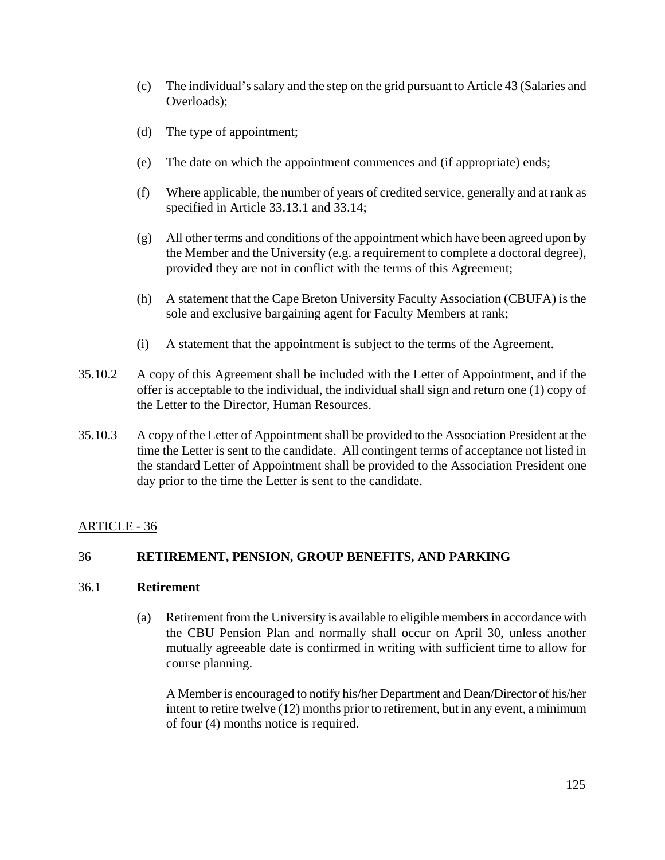- (c) The individual's salary and the step on the grid pursuant to Article 43 (Salaries and Overloads);
- (d) The type of appointment;
- (e) The date on which the appointment commences and (if appropriate) ends;
- (f) Where applicable, the number of years of credited service, generally and at rank as specified in Article 33.13.1 and 33.14;
- (g) All other terms and conditions of the appointment which have been agreed upon by the Member and the University (e.g. a requirement to complete a doctoral degree), provided they are not in conflict with the terms of this Agreement;
- (h) A statement that the Cape Breton University Faculty Association (CBUFA) is the sole and exclusive bargaining agent for Faculty Members at rank;
- (i) A statement that the appointment is subject to the terms of the Agreement.
- 35.10.2 A copy of this Agreement shall be included with the Letter of Appointment, and if the offer is acceptable to the individual, the individual shall sign and return one (1) copy of the Letter to the Director, Human Resources.
- 35.10.3 A copy of the Letter of Appointment shall be provided to the Association President at the time the Letter is sent to the candidate. All contingent terms of acceptance not listed in the standard Letter of Appointment shall be provided to the Association President one day prior to the time the Letter is sent to the candidate.

## ARTICLE - 36

## 36 **RETIREMENT, PENSION, GROUP BENEFITS, AND PARKING**

### 36.1 **Retirement**

 (a) Retirement from the University is available to eligible members in accordance with the CBU Pension Plan and normally shall occur on April 30, unless another mutually agreeable date is confirmed in writing with sufficient time to allow for course planning.

A Member is encouraged to notify his/her Department and Dean/Director of his/her intent to retire twelve (12) months prior to retirement, but in any event, a minimum of four (4) months notice is required.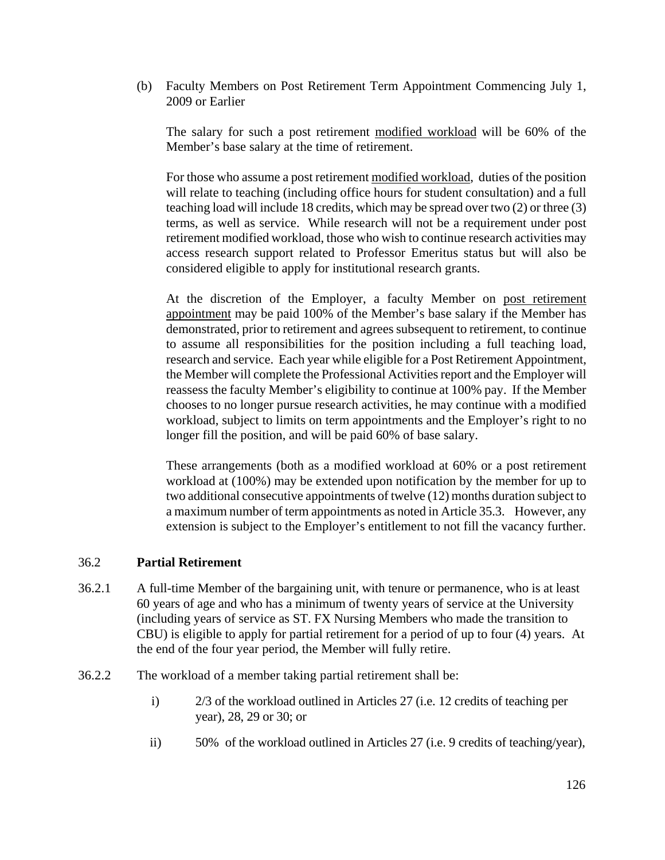(b) Faculty Members on Post Retirement Term Appointment Commencing July 1, 2009 or Earlier

The salary for such a post retirement modified workload will be 60% of the Member's base salary at the time of retirement.

For those who assume a post retirement modified workload, duties of the position will relate to teaching (including office hours for student consultation) and a full teaching load will include 18 credits, which may be spread over two (2) or three (3) terms, as well as service. While research will not be a requirement under post retirement modified workload, those who wish to continue research activities may access research support related to Professor Emeritus status but will also be considered eligible to apply for institutional research grants.

At the discretion of the Employer, a faculty Member on post retirement appointment may be paid 100% of the Member's base salary if the Member has demonstrated, prior to retirement and agrees subsequent to retirement, to continue to assume all responsibilities for the position including a full teaching load, research and service. Each year while eligible for a Post Retirement Appointment, the Member will complete the Professional Activities report and the Employer will reassess the faculty Member's eligibility to continue at 100% pay. If the Member chooses to no longer pursue research activities, he may continue with a modified workload, subject to limits on term appointments and the Employer's right to no longer fill the position, and will be paid 60% of base salary.

These arrangements (both as a modified workload at 60% or a post retirement workload at (100%) may be extended upon notification by the member for up to two additional consecutive appointments of twelve (12) months duration subject to a maximum number of term appointments as noted in Article 35.3. However, any extension is subject to the Employer's entitlement to not fill the vacancy further.

### 36.2 **Partial Retirement**

- 36.2.1A full-time Member of the bargaining unit, with tenure or permanence, who is at least 60 years of age and who has a minimum of twenty years of service at the University (including years of service as ST. FX Nursing Members who made the transition to CBU) is eligible to apply for partial retirement for a period of up to four (4) years. At the end of the four year period, the Member will fully retire.
- 36.2.2 The workload of a member taking partial retirement shall be:
	- i) 2/3 of the workload outlined in Articles 27 (i.e. 12 credits of teaching per year), 28, 29 or 30; or
	- ii) 50% of the workload outlined in Articles 27 (i.e. 9 credits of teaching/year),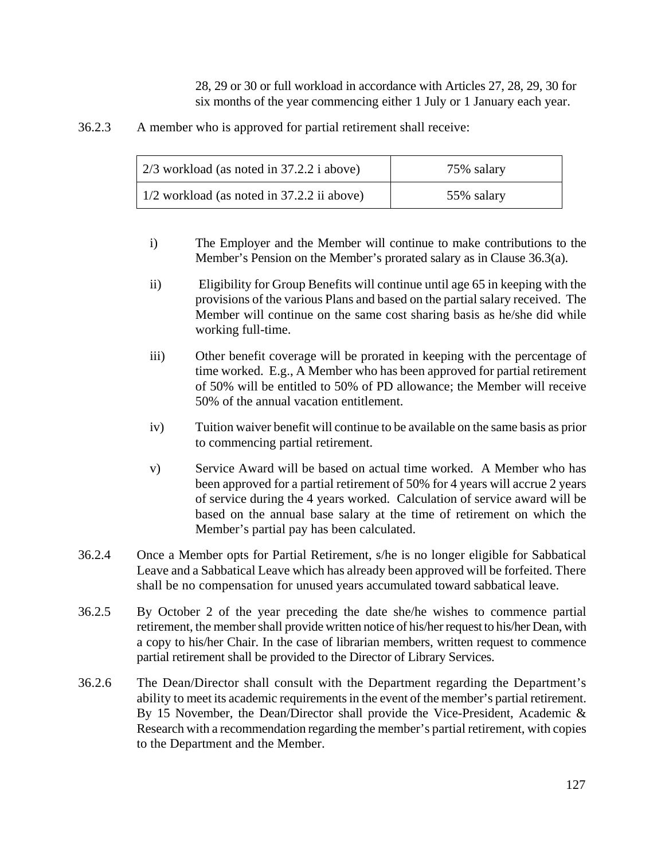28, 29 or 30 or full workload in accordance with Articles 27, 28, 29, 30 for six months of the year commencing either 1 July or 1 January each year.

36.2.3 A member who is approved for partial retirement shall receive:

| $\vert$ 2/3 workload (as noted in 37.2.2 i above)  | 75% salary |
|----------------------------------------------------|------------|
| $\vert$ 1/2 workload (as noted in 37.2.2 ii above) | 55% salary |

- i) The Employer and the Member will continue to make contributions to the Member's Pension on the Member's prorated salary as in Clause 36.3(a).
- ii) Eligibility for Group Benefits will continue until age 65 in keeping with the provisions of the various Plans and based on the partial salary received. The Member will continue on the same cost sharing basis as he/she did while working full-time.
- iii) Other benefit coverage will be prorated in keeping with the percentage of time worked. E.g., A Member who has been approved for partial retirement of 50% will be entitled to 50% of PD allowance; the Member will receive 50% of the annual vacation entitlement.
- iv) Tuition waiver benefit will continue to be available on the same basis as prior to commencing partial retirement.
- v) Service Award will be based on actual time worked. A Member who has been approved for a partial retirement of 50% for 4 years will accrue 2 years of service during the 4 years worked. Calculation of service award will be based on the annual base salary at the time of retirement on which the Member's partial pay has been calculated.
- 36.2.4 Once a Member opts for Partial Retirement, s/he is no longer eligible for Sabbatical Leave and a Sabbatical Leave which has already been approved will be forfeited. There shall be no compensation for unused years accumulated toward sabbatical leave.
- 36.2.5 By October 2 of the year preceding the date she/he wishes to commence partial retirement, the member shall provide written notice of his/her request to his/her Dean, with a copy to his/her Chair. In the case of librarian members, written request to commence partial retirement shall be provided to the Director of Library Services.
- 36.2.6 The Dean/Director shall consult with the Department regarding the Department's ability to meet its academic requirements in the event of the member's partial retirement. By 15 November, the Dean/Director shall provide the Vice-President, Academic & Research with a recommendation regarding the member's partial retirement, with copies to the Department and the Member.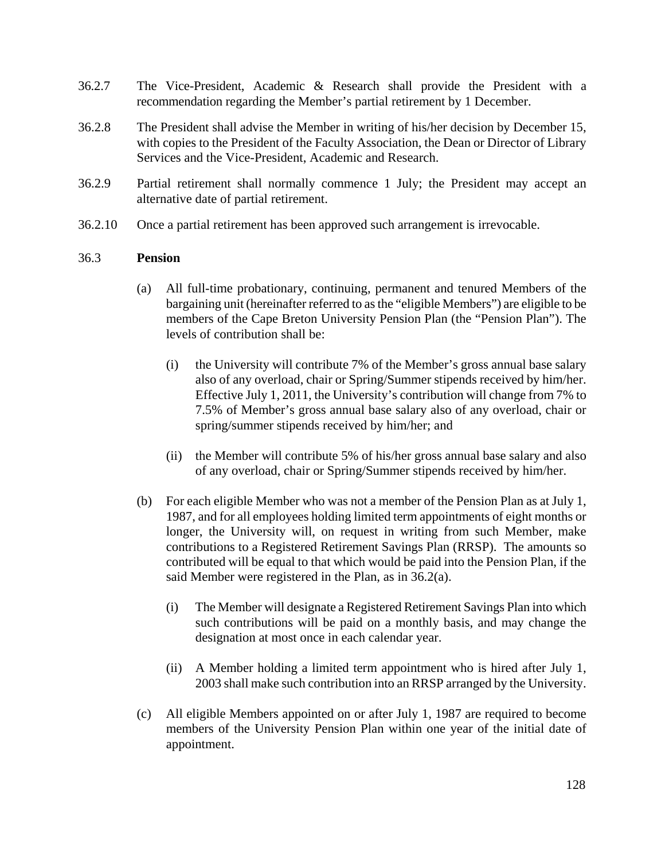- 36.2.7 The Vice-President, Academic & Research shall provide the President with a recommendation regarding the Member's partial retirement by 1 December.
- 36.2.8 The President shall advise the Member in writing of his/her decision by December 15, with copies to the President of the Faculty Association, the Dean or Director of Library Services and the Vice-President, Academic and Research.
- 36.2.9 Partial retirement shall normally commence 1 July; the President may accept an alternative date of partial retirement.
- 36.2.10 Once a partial retirement has been approved such arrangement is irrevocable.

### 36.3 **Pension**

- (a) All full-time probationary, continuing, permanent and tenured Members of the bargaining unit (hereinafter referred to as the "eligible Members") are eligible to be members of the Cape Breton University Pension Plan (the "Pension Plan"). The levels of contribution shall be:
	- (i) the University will contribute 7% of the Member's gross annual base salary also of any overload, chair or Spring/Summer stipends received by him/her. Effective July 1, 2011, the University's contribution will change from 7% to 7.5% of Member's gross annual base salary also of any overload, chair or spring/summer stipends received by him/her; and
	- (ii) the Member will contribute 5% of his/her gross annual base salary and also of any overload, chair or Spring/Summer stipends received by him/her.
- (b) For each eligible Member who was not a member of the Pension Plan as at July 1, 1987, and for all employees holding limited term appointments of eight months or longer, the University will, on request in writing from such Member, make contributions to a Registered Retirement Savings Plan (RRSP). The amounts so contributed will be equal to that which would be paid into the Pension Plan, if the said Member were registered in the Plan, as in 36.2(a).
	- (i) The Member will designate a Registered Retirement Savings Plan into which such contributions will be paid on a monthly basis, and may change the designation at most once in each calendar year.
	- (ii) A Member holding a limited term appointment who is hired after July 1, 2003 shall make such contribution into an RRSP arranged by the University.
- (c) All eligible Members appointed on or after July 1, 1987 are required to become members of the University Pension Plan within one year of the initial date of appointment.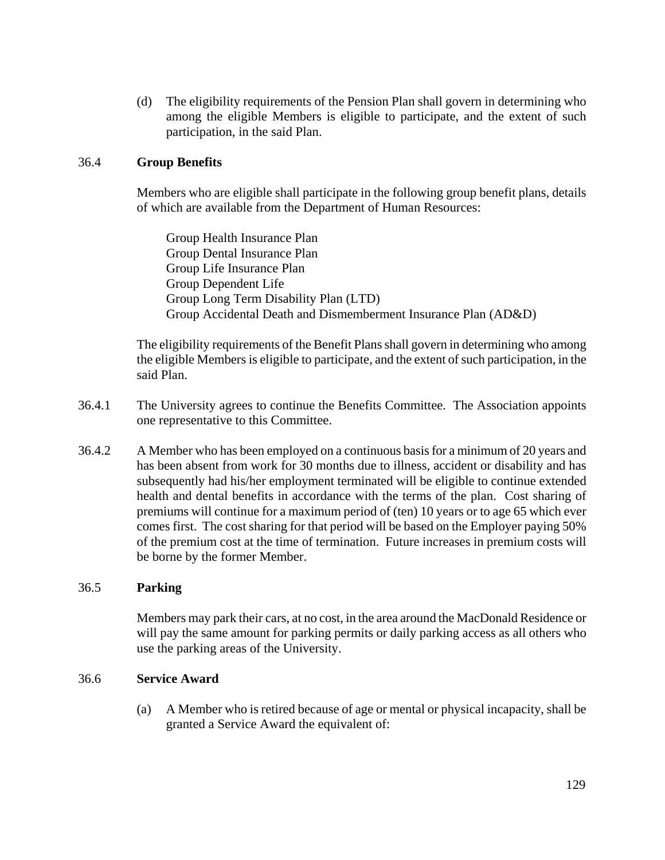(d) The eligibility requirements of the Pension Plan shall govern in determining who among the eligible Members is eligible to participate, and the extent of such participation, in the said Plan.

### 36.4 **Group Benefits**

Members who are eligible shall participate in the following group benefit plans, details of which are available from the Department of Human Resources:

Group Health Insurance Plan Group Dental Insurance Plan Group Life Insurance Plan Group Dependent Life Group Long Term Disability Plan (LTD) Group Accidental Death and Dismemberment Insurance Plan (AD&D)

The eligibility requirements of the Benefit Plans shall govern in determining who among the eligible Members is eligible to participate, and the extent of such participation, in the said Plan.

- 36.4.1 The University agrees to continue the Benefits Committee. The Association appoints one representative to this Committee.
- 36.4.2 A Member who has been employed on a continuous basis for a minimum of 20 years and has been absent from work for 30 months due to illness, accident or disability and has subsequently had his/her employment terminated will be eligible to continue extended health and dental benefits in accordance with the terms of the plan. Cost sharing of premiums will continue for a maximum period of (ten) 10 years or to age 65 which ever comes first. The cost sharing for that period will be based on the Employer paying 50% of the premium cost at the time of termination. Future increases in premium costs will be borne by the former Member.

## 36.5 **Parking**

Members may park their cars, at no cost, in the area around the MacDonald Residence or will pay the same amount for parking permits or daily parking access as all others who use the parking areas of the University.

### 36.6 **Service Award**

(a) A Member who is retired because of age or mental or physical incapacity, shall be granted a Service Award the equivalent of: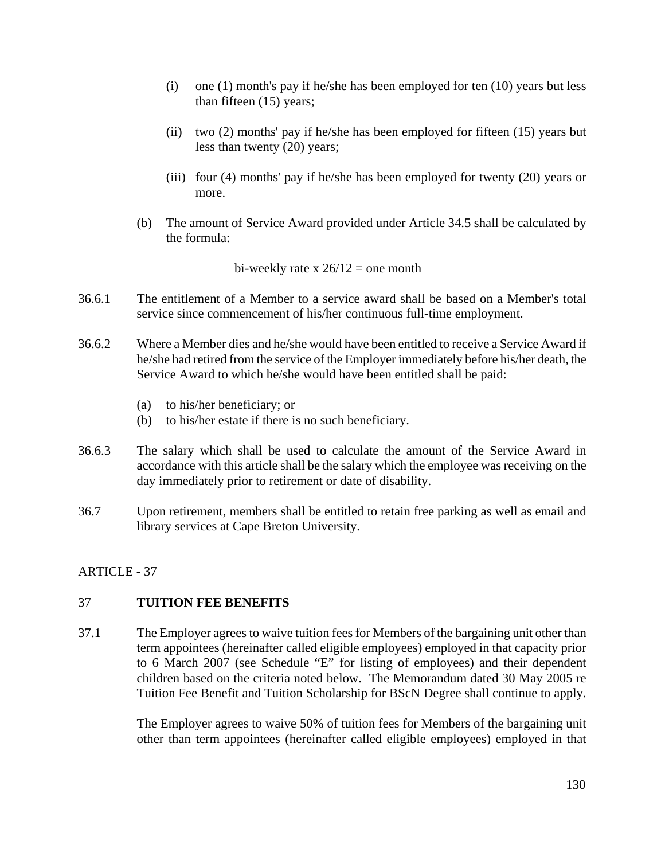- (i) one (1) month's pay if he/she has been employed for ten (10) years but less than fifteen (15) years;
- (ii) two (2) months' pay if he/she has been employed for fifteen (15) years but less than twenty (20) years;
- (iii) four (4) months' pay if he/she has been employed for twenty (20) years or more.
- (b) The amount of Service Award provided under Article 34.5 shall be calculated by the formula:

bi-weekly rate x  $26/12$  = one month

- 36.6.1 The entitlement of a Member to a service award shall be based on a Member's total service since commencement of his/her continuous full-time employment.
- 36.6.2 Where a Member dies and he/she would have been entitled to receive a Service Award if he/she had retired from the service of the Employer immediately before his/her death, the Service Award to which he/she would have been entitled shall be paid:
	- (a) to his/her beneficiary; or
	- (b) to his/her estate if there is no such beneficiary.
- 36.6.3 The salary which shall be used to calculate the amount of the Service Award in accordance with this article shall be the salary which the employee was receiving on the day immediately prior to retirement or date of disability.
- 36.7 Upon retirement, members shall be entitled to retain free parking as well as email and library services at Cape Breton University.

## ARTICLE - 37

### 37 **TUITION FEE BENEFITS**

37.1 The Employer agrees to waive tuition fees for Members of the bargaining unit other than term appointees (hereinafter called eligible employees) employed in that capacity prior to 6 March 2007 (see Schedule "E" for listing of employees) and their dependent children based on the criteria noted below. The Memorandum dated 30 May 2005 re Tuition Fee Benefit and Tuition Scholarship for BScN Degree shall continue to apply.

> The Employer agrees to waive 50% of tuition fees for Members of the bargaining unit other than term appointees (hereinafter called eligible employees) employed in that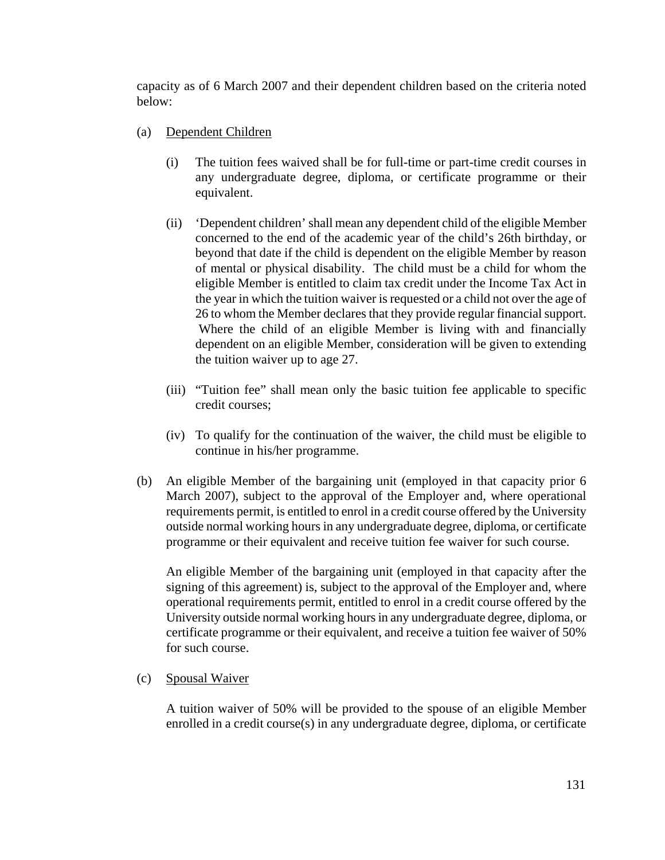capacity as of 6 March 2007 and their dependent children based on the criteria noted below:

- (a) Dependent Children
	- (i) The tuition fees waived shall be for full-time or part-time credit courses in any undergraduate degree, diploma, or certificate programme or their equivalent.
	- (ii) 'Dependent children' shall mean any dependent child of the eligible Member concerned to the end of the academic year of the child's 26th birthday, or beyond that date if the child is dependent on the eligible Member by reason of mental or physical disability. The child must be a child for whom the eligible Member is entitled to claim tax credit under the Income Tax Act in the year in which the tuition waiver is requested or a child not over the age of 26 to whom the Member declares that they provide regular financial support. Where the child of an eligible Member is living with and financially dependent on an eligible Member, consideration will be given to extending the tuition waiver up to age 27.
	- (iii) "Tuition fee" shall mean only the basic tuition fee applicable to specific credit courses;
	- (iv) To qualify for the continuation of the waiver, the child must be eligible to continue in his/her programme.
- (b) An eligible Member of the bargaining unit (employed in that capacity prior 6 March 2007), subject to the approval of the Employer and, where operational requirements permit, is entitled to enrol in a credit course offered by the University outside normal working hours in any undergraduate degree, diploma, or certificate programme or their equivalent and receive tuition fee waiver for such course.

 An eligible Member of the bargaining unit (employed in that capacity after the signing of this agreement) is, subject to the approval of the Employer and, where operational requirements permit, entitled to enrol in a credit course offered by the University outside normal working hours in any undergraduate degree, diploma, or certificate programme or their equivalent, and receive a tuition fee waiver of 50% for such course.

## (c) Spousal Waiver

A tuition waiver of 50% will be provided to the spouse of an eligible Member enrolled in a credit course(s) in any undergraduate degree, diploma, or certificate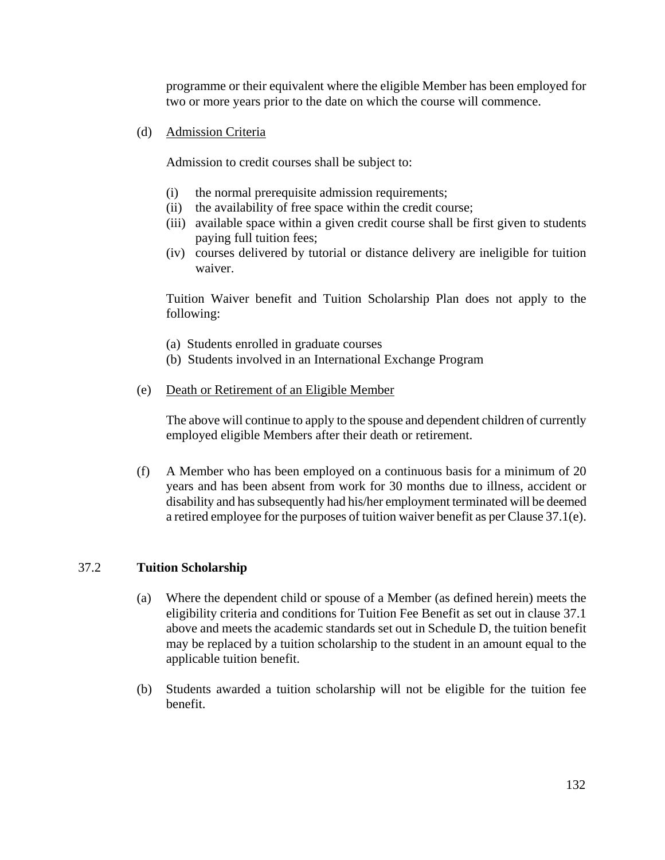programme or their equivalent where the eligible Member has been employed for two or more years prior to the date on which the course will commence.

(d) Admission Criteria

Admission to credit courses shall be subject to:

- (i) the normal prerequisite admission requirements;
- (ii) the availability of free space within the credit course;
- (iii) available space within a given credit course shall be first given to students paying full tuition fees;
- (iv) courses delivered by tutorial or distance delivery are ineligible for tuition waiver.

Tuition Waiver benefit and Tuition Scholarship Plan does not apply to the following:

- (a) Students enrolled in graduate courses
- (b) Students involved in an International Exchange Program
- (e) Death or Retirement of an Eligible Member

The above will continue to apply to the spouse and dependent children of currently employed eligible Members after their death or retirement.

(f) A Member who has been employed on a continuous basis for a minimum of 20 years and has been absent from work for 30 months due to illness, accident or disability and has subsequently had his/her employment terminated will be deemed a retired employee for the purposes of tuition waiver benefit as per Clause 37.1(e).

#### 37.2 **Tuition Scholarship**

- (a) Where the dependent child or spouse of a Member (as defined herein) meets the eligibility criteria and conditions for Tuition Fee Benefit as set out in clause 37.1 above and meets the academic standards set out in Schedule D, the tuition benefit may be replaced by a tuition scholarship to the student in an amount equal to the applicable tuition benefit.
- (b) Students awarded a tuition scholarship will not be eligible for the tuition fee benefit.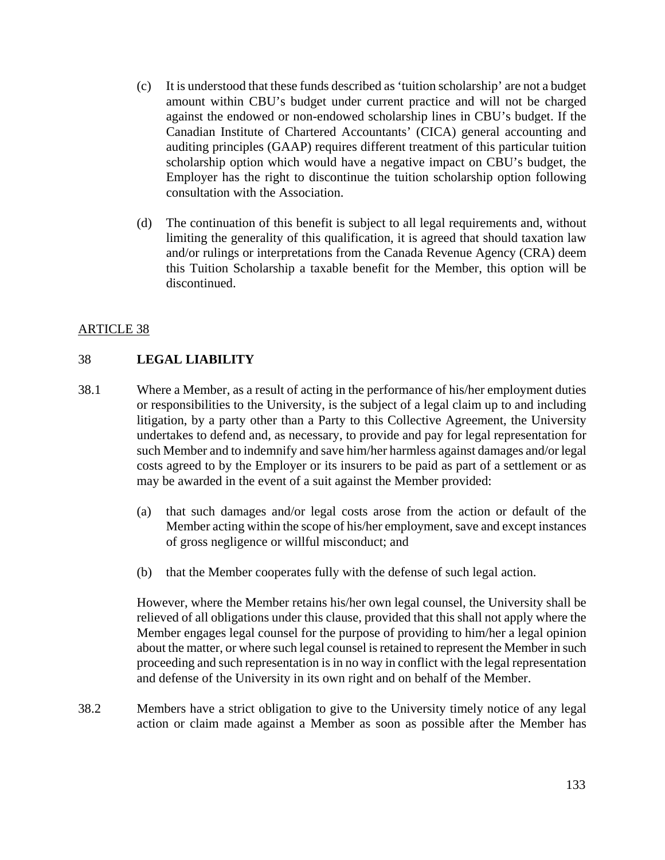- (c) It is understood that these funds described as 'tuition scholarship' are not a budget amount within CBU's budget under current practice and will not be charged against the endowed or non-endowed scholarship lines in CBU's budget. If the Canadian Institute of Chartered Accountants' (CICA) general accounting and auditing principles (GAAP) requires different treatment of this particular tuition scholarship option which would have a negative impact on CBU's budget, the Employer has the right to discontinue the tuition scholarship option following consultation with the Association.
- (d) The continuation of this benefit is subject to all legal requirements and, without limiting the generality of this qualification, it is agreed that should taxation law and/or rulings or interpretations from the Canada Revenue Agency (CRA) deem this Tuition Scholarship a taxable benefit for the Member, this option will be discontinued.

# ARTICLE 38

## 38 **LEGAL LIABILITY**

- 38.1 Where a Member, as a result of acting in the performance of his/her employment duties or responsibilities to the University, is the subject of a legal claim up to and including litigation, by a party other than a Party to this Collective Agreement, the University undertakes to defend and, as necessary, to provide and pay for legal representation for such Member and to indemnify and save him/her harmless against damages and/or legal costs agreed to by the Employer or its insurers to be paid as part of a settlement or as may be awarded in the event of a suit against the Member provided:
	- (a) that such damages and/or legal costs arose from the action or default of the Member acting within the scope of his/her employment, save and except instances of gross negligence or willful misconduct; and
	- (b) that the Member cooperates fully with the defense of such legal action.

However, where the Member retains his/her own legal counsel, the University shall be relieved of all obligations under this clause, provided that this shall not apply where the Member engages legal counsel for the purpose of providing to him/her a legal opinion about the matter, or where such legal counsel is retained to represent the Member in such proceeding and such representation is in no way in conflict with the legal representation and defense of the University in its own right and on behalf of the Member.

38.2 Members have a strict obligation to give to the University timely notice of any legal action or claim made against a Member as soon as possible after the Member has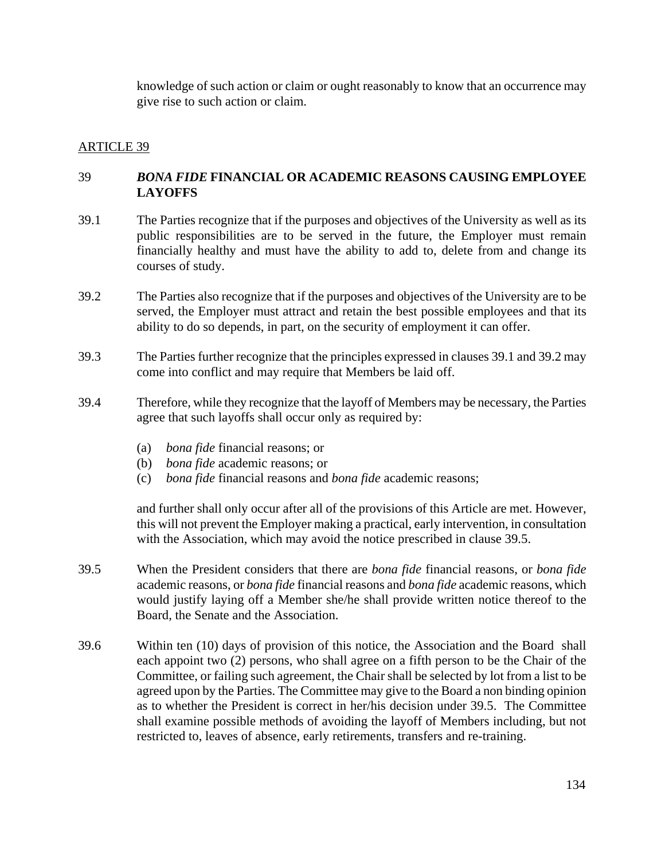knowledge of such action or claim or ought reasonably to know that an occurrence may give rise to such action or claim.

### ARTICLE 39

## 39 *BONA FIDE* **FINANCIAL OR ACADEMIC REASONS CAUSING EMPLOYEE LAYOFFS**

- 39.1 The Parties recognize that if the purposes and objectives of the University as well as its public responsibilities are to be served in the future, the Employer must remain financially healthy and must have the ability to add to, delete from and change its courses of study.
- 39.2 The Parties also recognize that if the purposes and objectives of the University are to be served, the Employer must attract and retain the best possible employees and that its ability to do so depends, in part, on the security of employment it can offer.
- 39.3 The Parties further recognize that the principles expressed in clauses 39.1 and 39.2 may come into conflict and may require that Members be laid off.
- 39.4 Therefore, while they recognize that the layoff of Members may be necessary, the Parties agree that such layoffs shall occur only as required by:
	- (a) *bona fide* financial reasons; or
	- (b) *bona fide* academic reasons; or
	- (c) *bona fide* financial reasons and *bona fide* academic reasons;

and further shall only occur after all of the provisions of this Article are met. However, this will not prevent the Employer making a practical, early intervention, in consultation with the Association, which may avoid the notice prescribed in clause 39.5.

- 39.5 When the President considers that there are *bona fide* financial reasons, or *bona fide* academic reasons, or *bona fide* financial reasons and *bona fide* academic reasons, which would justify laying off a Member she/he shall provide written notice thereof to the Board, the Senate and the Association.
- 39.6 Within ten (10) days of provision of this notice, the Association and the Board shall each appoint two (2) persons, who shall agree on a fifth person to be the Chair of the Committee, or failing such agreement, the Chair shall be selected by lot from a list to be agreed upon by the Parties. The Committee may give to the Board a non binding opinion as to whether the President is correct in her/his decision under 39.5. The Committee shall examine possible methods of avoiding the layoff of Members including, but not restricted to, leaves of absence, early retirements, transfers and re-training.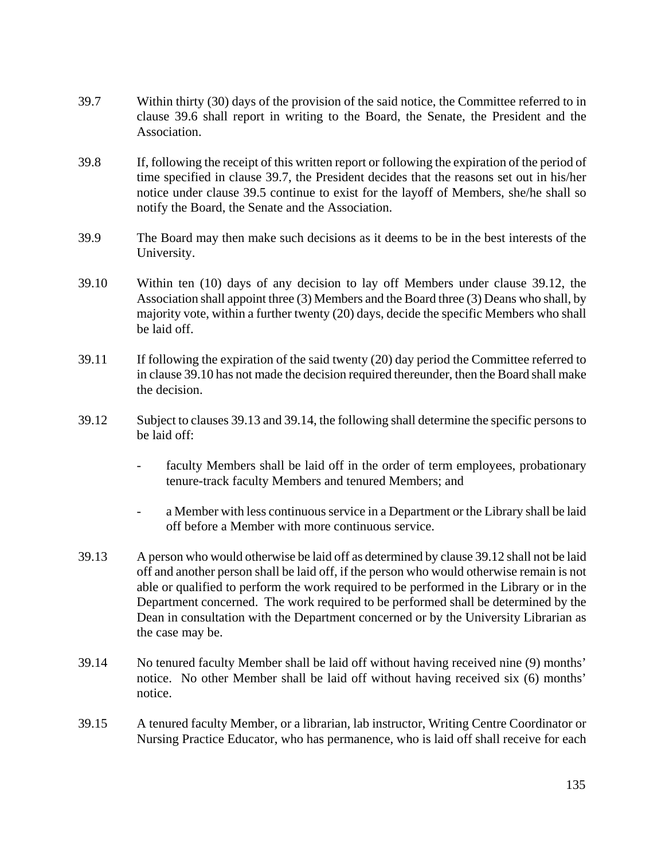- 39.7 Within thirty (30) days of the provision of the said notice, the Committee referred to in clause 39.6 shall report in writing to the Board, the Senate, the President and the Association.
- 39.8 If, following the receipt of this written report or following the expiration of the period of time specified in clause 39.7, the President decides that the reasons set out in his/her notice under clause 39.5 continue to exist for the layoff of Members, she/he shall so notify the Board, the Senate and the Association.
- 39.9 The Board may then make such decisions as it deems to be in the best interests of the University.
- 39.10 Within ten (10) days of any decision to lay off Members under clause 39.12, the Association shall appoint three (3) Members and the Board three (3) Deans who shall, by majority vote, within a further twenty (20) days, decide the specific Members who shall be laid off.
- 39.11 If following the expiration of the said twenty (20) day period the Committee referred to in clause 39.10 has not made the decision required thereunder, then the Board shall make the decision.
- 39.12 Subject to clauses 39.13 and 39.14, the following shall determine the specific persons to be laid off:
	- faculty Members shall be laid off in the order of term employees, probationary tenure-track faculty Members and tenured Members; and
	- a Member with less continuous service in a Department or the Library shall be laid off before a Member with more continuous service.
- 39.13 A person who would otherwise be laid off as determined by clause 39.12 shall not be laid off and another person shall be laid off, if the person who would otherwise remain is not able or qualified to perform the work required to be performed in the Library or in the Department concerned. The work required to be performed shall be determined by the Dean in consultation with the Department concerned or by the University Librarian as the case may be.
- 39.14 No tenured faculty Member shall be laid off without having received nine (9) months' notice. No other Member shall be laid off without having received six (6) months' notice.
- 39.15 A tenured faculty Member, or a librarian, lab instructor, Writing Centre Coordinator or Nursing Practice Educator, who has permanence, who is laid off shall receive for each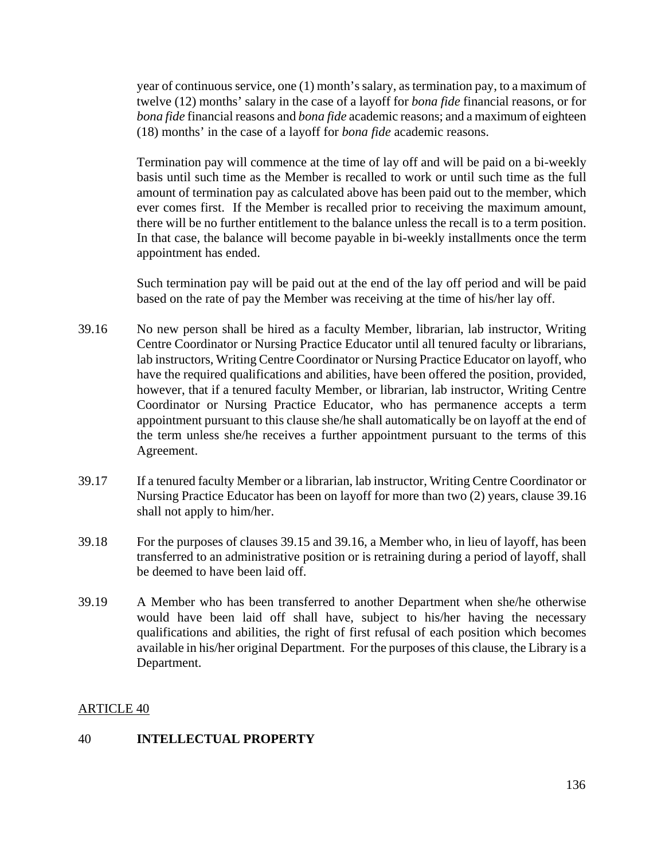year of continuous service, one (1) month's salary, as termination pay, to a maximum of twelve (12) months' salary in the case of a layoff for *bona fide* financial reasons, or for *bona fide* financial reasons and *bona fide* academic reasons; and a maximum of eighteen (18) months' in the case of a layoff for *bona fide* academic reasons.

Termination pay will commence at the time of lay off and will be paid on a bi-weekly basis until such time as the Member is recalled to work or until such time as the full amount of termination pay as calculated above has been paid out to the member, which ever comes first. If the Member is recalled prior to receiving the maximum amount, there will be no further entitlement to the balance unless the recall is to a term position. In that case, the balance will become payable in bi-weekly installments once the term appointment has ended.

 Such termination pay will be paid out at the end of the lay off period and will be paid based on the rate of pay the Member was receiving at the time of his/her lay off.

- 39.16 No new person shall be hired as a faculty Member, librarian, lab instructor, Writing Centre Coordinator or Nursing Practice Educator until all tenured faculty or librarians, lab instructors, Writing Centre Coordinator or Nursing Practice Educator on layoff, who have the required qualifications and abilities, have been offered the position, provided, however, that if a tenured faculty Member, or librarian, lab instructor, Writing Centre Coordinator or Nursing Practice Educator, who has permanence accepts a term appointment pursuant to this clause she/he shall automatically be on layoff at the end of the term unless she/he receives a further appointment pursuant to the terms of this Agreement.
- 39.17 If a tenured faculty Member or a librarian, lab instructor, Writing Centre Coordinator or Nursing Practice Educator has been on layoff for more than two (2) years, clause 39.16 shall not apply to him/her.
- 39.18 For the purposes of clauses 39.15 and 39.16, a Member who, in lieu of layoff, has been transferred to an administrative position or is retraining during a period of layoff, shall be deemed to have been laid off.
- 39.19 A Member who has been transferred to another Department when she/he otherwise would have been laid off shall have, subject to his/her having the necessary qualifications and abilities, the right of first refusal of each position which becomes available in his/her original Department. For the purposes of this clause, the Library is a Department.

## ARTICLE 40

### 40 **INTELLECTUAL PROPERTY**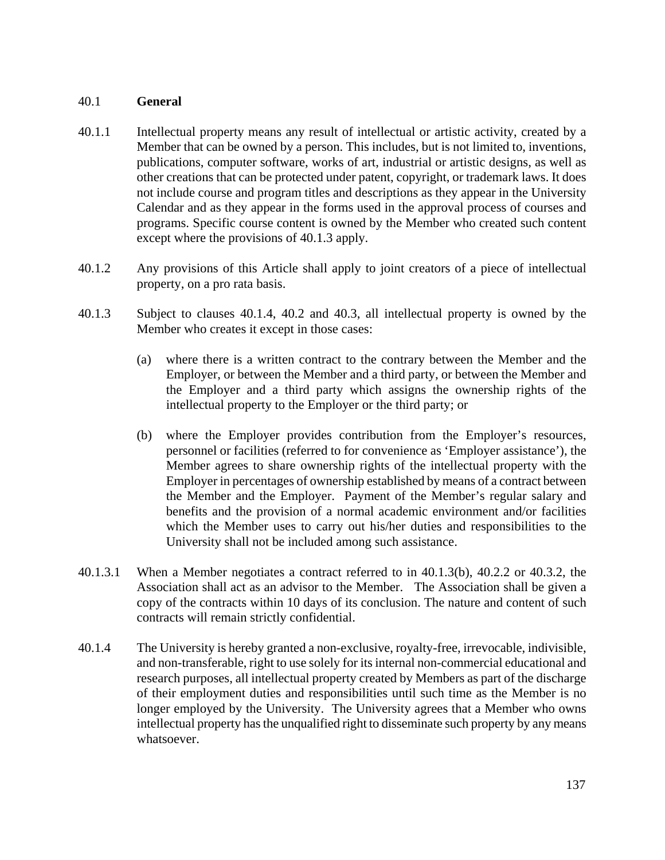### 40.1 **General**

- 40.1.1 Intellectual property means any result of intellectual or artistic activity, created by a Member that can be owned by a person. This includes, but is not limited to, inventions, publications, computer software, works of art, industrial or artistic designs, as well as other creations that can be protected under patent, copyright, or trademark laws. It does not include course and program titles and descriptions as they appear in the University Calendar and as they appear in the forms used in the approval process of courses and programs. Specific course content is owned by the Member who created such content except where the provisions of 40.1.3 apply.
- 40.1.2 Any provisions of this Article shall apply to joint creators of a piece of intellectual property, on a pro rata basis.
- 40.1.3 Subject to clauses 40.1.4, 40.2 and 40.3, all intellectual property is owned by the Member who creates it except in those cases:
	- (a) where there is a written contract to the contrary between the Member and the Employer, or between the Member and a third party, or between the Member and the Employer and a third party which assigns the ownership rights of the intellectual property to the Employer or the third party; or
	- (b) where the Employer provides contribution from the Employer's resources, personnel or facilities (referred to for convenience as 'Employer assistance'), the Member agrees to share ownership rights of the intellectual property with the Employer in percentages of ownership established by means of a contract between the Member and the Employer. Payment of the Member's regular salary and benefits and the provision of a normal academic environment and/or facilities which the Member uses to carry out his/her duties and responsibilities to the University shall not be included among such assistance.
- 40.1.3.1 When a Member negotiates a contract referred to in 40.1.3(b), 40.2.2 or 40.3.2, the Association shall act as an advisor to the Member. The Association shall be given a copy of the contracts within 10 days of its conclusion. The nature and content of such contracts will remain strictly confidential.
- 40.1.4 The University is hereby granted a non-exclusive, royalty-free, irrevocable, indivisible, and non-transferable, right to use solely for its internal non-commercial educational and research purposes, all intellectual property created by Members as part of the discharge of their employment duties and responsibilities until such time as the Member is no longer employed by the University. The University agrees that a Member who owns intellectual property has the unqualified right to disseminate such property by any means whatsoever.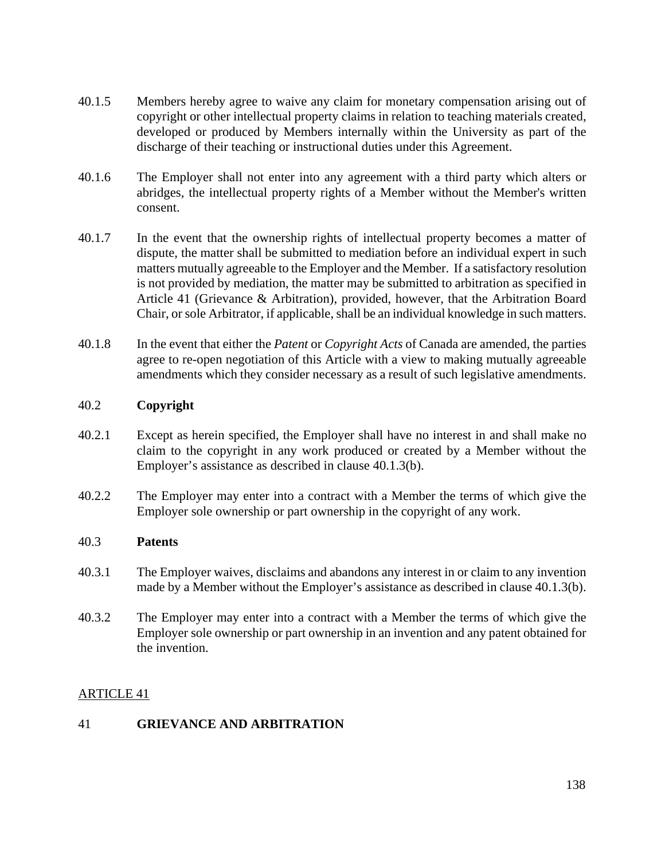- 40.1.5 Members hereby agree to waive any claim for monetary compensation arising out of copyright or other intellectual property claims in relation to teaching materials created, developed or produced by Members internally within the University as part of the discharge of their teaching or instructional duties under this Agreement.
- 40.1.6 The Employer shall not enter into any agreement with a third party which alters or abridges, the intellectual property rights of a Member without the Member's written consent.
- 40.1.7 In the event that the ownership rights of intellectual property becomes a matter of dispute, the matter shall be submitted to mediation before an individual expert in such matters mutually agreeable to the Employer and the Member. If a satisfactory resolution is not provided by mediation, the matter may be submitted to arbitration as specified in Article 41 (Grievance & Arbitration), provided, however, that the Arbitration Board Chair, or sole Arbitrator, if applicable, shall be an individual knowledge in such matters.
- 40.1.8 In the event that either the *Patent* or *Copyright Acts* of Canada are amended, the parties agree to re-open negotiation of this Article with a view to making mutually agreeable amendments which they consider necessary as a result of such legislative amendments.

### 40.2 **Copyright**

- 40.2.1 Except as herein specified, the Employer shall have no interest in and shall make no claim to the copyright in any work produced or created by a Member without the Employer's assistance as described in clause 40.1.3(b).
- 40.2.2 The Employer may enter into a contract with a Member the terms of which give the Employer sole ownership or part ownership in the copyright of any work.

### 40.3 **Patents**

- 40.3.1 The Employer waives, disclaims and abandons any interest in or claim to any invention made by a Member without the Employer's assistance as described in clause 40.1.3(b).
- 40.3.2 The Employer may enter into a contract with a Member the terms of which give the Employer sole ownership or part ownership in an invention and any patent obtained for the invention.

## ARTICLE 41

## 41 **GRIEVANCE AND ARBITRATION**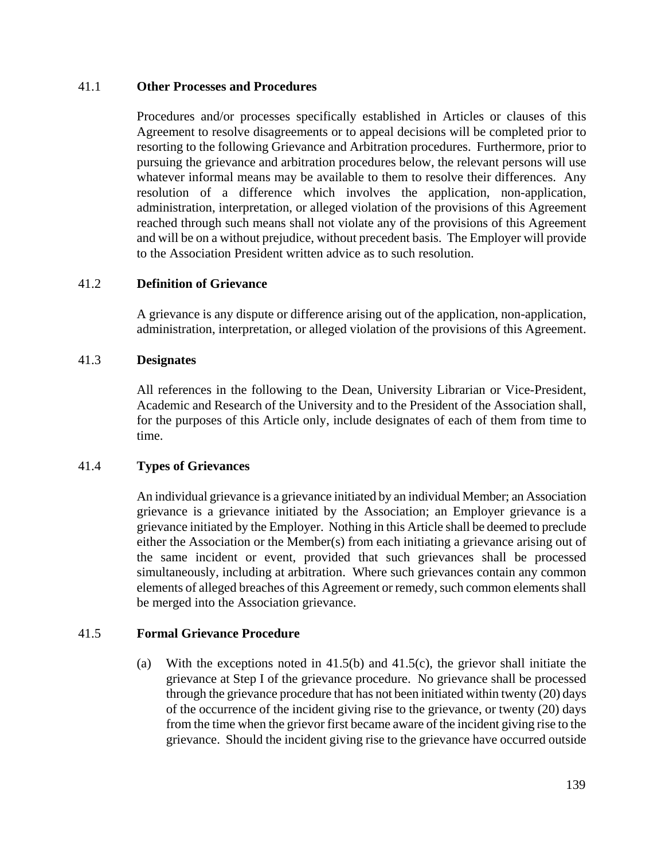### 41.1 **Other Processes and Procedures**

Procedures and/or processes specifically established in Articles or clauses of this Agreement to resolve disagreements or to appeal decisions will be completed prior to resorting to the following Grievance and Arbitration procedures. Furthermore, prior to pursuing the grievance and arbitration procedures below, the relevant persons will use whatever informal means may be available to them to resolve their differences. Any resolution of a difference which involves the application, non-application, administration, interpretation, or alleged violation of the provisions of this Agreement reached through such means shall not violate any of the provisions of this Agreement and will be on a without prejudice, without precedent basis. The Employer will provide to the Association President written advice as to such resolution.

### 41.2 **Definition of Grievance**

A grievance is any dispute or difference arising out of the application, non-application, administration, interpretation, or alleged violation of the provisions of this Agreement.

### 41.3 **Designates**

All references in the following to the Dean, University Librarian or Vice-President, Academic and Research of the University and to the President of the Association shall, for the purposes of this Article only, include designates of each of them from time to time.

### 41.4 **Types of Grievances**

An individual grievance is a grievance initiated by an individual Member; an Association grievance is a grievance initiated by the Association; an Employer grievance is a grievance initiated by the Employer. Nothing in this Article shall be deemed to preclude either the Association or the Member(s) from each initiating a grievance arising out of the same incident or event, provided that such grievances shall be processed simultaneously, including at arbitration. Where such grievances contain any common elements of alleged breaches of this Agreement or remedy, such common elements shall be merged into the Association grievance.

## 41.5 **Formal Grievance Procedure**

(a) With the exceptions noted in 41.5(b) and 41.5(c), the grievor shall initiate the grievance at Step I of the grievance procedure. No grievance shall be processed through the grievance procedure that has not been initiated within twenty (20) days of the occurrence of the incident giving rise to the grievance, or twenty (20) days from the time when the grievor first became aware of the incident giving rise to the grievance. Should the incident giving rise to the grievance have occurred outside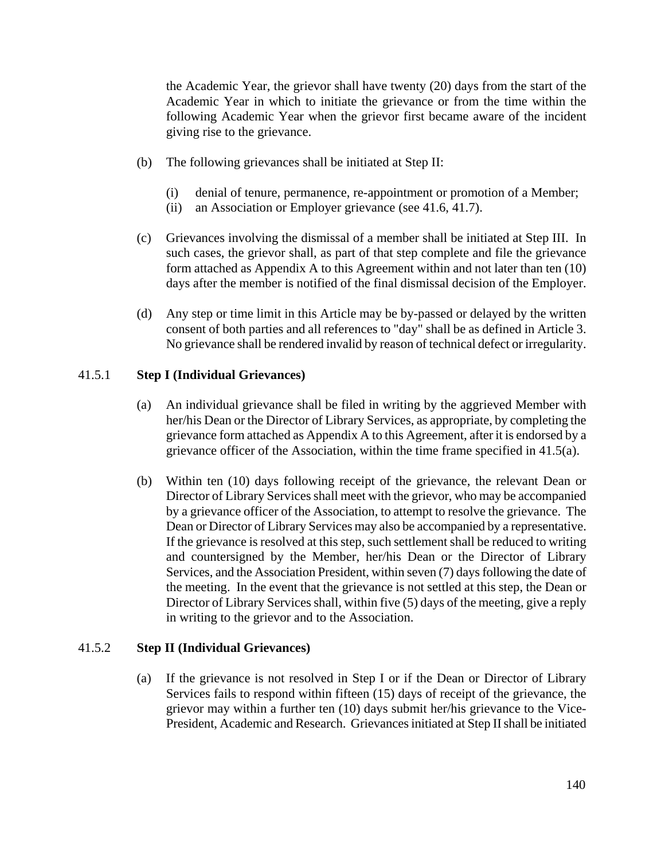the Academic Year, the grievor shall have twenty (20) days from the start of the Academic Year in which to initiate the grievance or from the time within the following Academic Year when the grievor first became aware of the incident giving rise to the grievance.

- (b) The following grievances shall be initiated at Step II:
	- (i) denial of tenure, permanence, re-appointment or promotion of a Member;
	- (ii) an Association or Employer grievance (see 41.6, 41.7).
- (c) Grievances involving the dismissal of a member shall be initiated at Step III. In such cases, the grievor shall, as part of that step complete and file the grievance form attached as Appendix A to this Agreement within and not later than ten (10) days after the member is notified of the final dismissal decision of the Employer.
- (d) Any step or time limit in this Article may be by-passed or delayed by the written consent of both parties and all references to "day" shall be as defined in Article 3. No grievance shall be rendered invalid by reason of technical defect or irregularity.

### 41.5.1 **Step I (Individual Grievances)**

- (a) An individual grievance shall be filed in writing by the aggrieved Member with her/his Dean or the Director of Library Services, as appropriate, by completing the grievance form attached as Appendix A to this Agreement, after it is endorsed by a grievance officer of the Association, within the time frame specified in 41.5(a).
- (b) Within ten (10) days following receipt of the grievance, the relevant Dean or Director of Library Services shall meet with the grievor, who may be accompanied by a grievance officer of the Association, to attempt to resolve the grievance. The Dean or Director of Library Services may also be accompanied by a representative. If the grievance is resolved at this step, such settlement shall be reduced to writing and countersigned by the Member, her/his Dean or the Director of Library Services, and the Association President, within seven (7) days following the date of the meeting. In the event that the grievance is not settled at this step, the Dean or Director of Library Services shall, within five (5) days of the meeting, give a reply in writing to the grievor and to the Association.

### 41.5.2 **Step II (Individual Grievances)**

(a) If the grievance is not resolved in Step I or if the Dean or Director of Library Services fails to respond within fifteen (15) days of receipt of the grievance, the grievor may within a further ten (10) days submit her/his grievance to the Vice-President, Academic and Research. Grievances initiated at Step II shall be initiated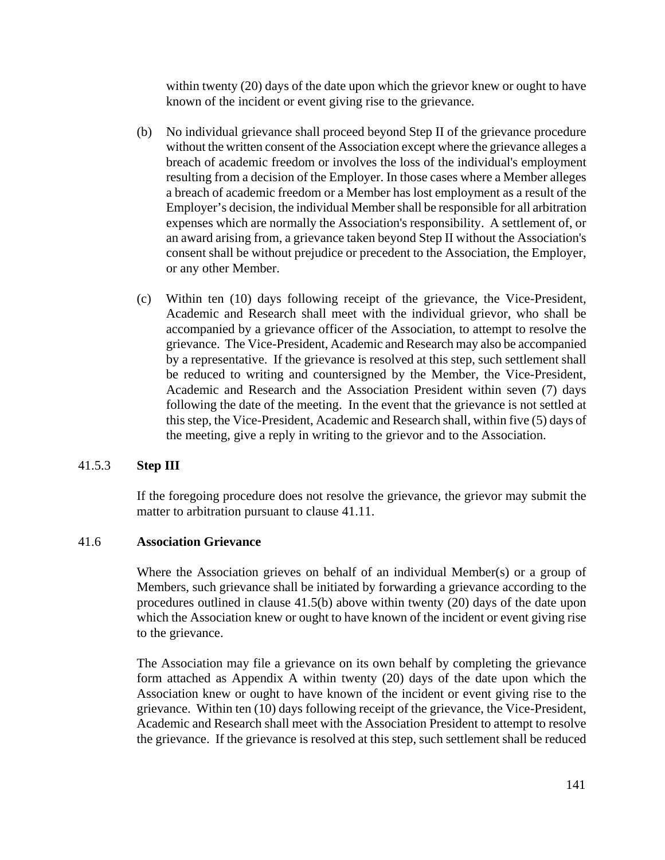within twenty (20) days of the date upon which the grievor knew or ought to have known of the incident or event giving rise to the grievance.

- (b) No individual grievance shall proceed beyond Step II of the grievance procedure without the written consent of the Association except where the grievance alleges a breach of academic freedom or involves the loss of the individual's employment resulting from a decision of the Employer. In those cases where a Member alleges a breach of academic freedom or a Member has lost employment as a result of the Employer's decision, the individual Member shall be responsible for all arbitration expenses which are normally the Association's responsibility. A settlement of, or an award arising from, a grievance taken beyond Step II without the Association's consent shall be without prejudice or precedent to the Association, the Employer, or any other Member.
- (c) Within ten (10) days following receipt of the grievance, the Vice-President, Academic and Research shall meet with the individual grievor, who shall be accompanied by a grievance officer of the Association, to attempt to resolve the grievance. The Vice-President, Academic and Research may also be accompanied by a representative. If the grievance is resolved at this step, such settlement shall be reduced to writing and countersigned by the Member, the Vice-President, Academic and Research and the Association President within seven (7) days following the date of the meeting. In the event that the grievance is not settled at this step, the Vice-President, Academic and Research shall, within five (5) days of the meeting, give a reply in writing to the grievor and to the Association.

## 41.5.3 **Step III**

If the foregoing procedure does not resolve the grievance, the grievor may submit the matter to arbitration pursuant to clause 41.11.

#### 41.6 **Association Grievance**

Where the Association grieves on behalf of an individual Member(s) or a group of Members, such grievance shall be initiated by forwarding a grievance according to the procedures outlined in clause 41.5(b) above within twenty (20) days of the date upon which the Association knew or ought to have known of the incident or event giving rise to the grievance.

The Association may file a grievance on its own behalf by completing the grievance form attached as Appendix A within twenty (20) days of the date upon which the Association knew or ought to have known of the incident or event giving rise to the grievance. Within ten (10) days following receipt of the grievance, the Vice-President, Academic and Research shall meet with the Association President to attempt to resolve the grievance. If the grievance is resolved at this step, such settlement shall be reduced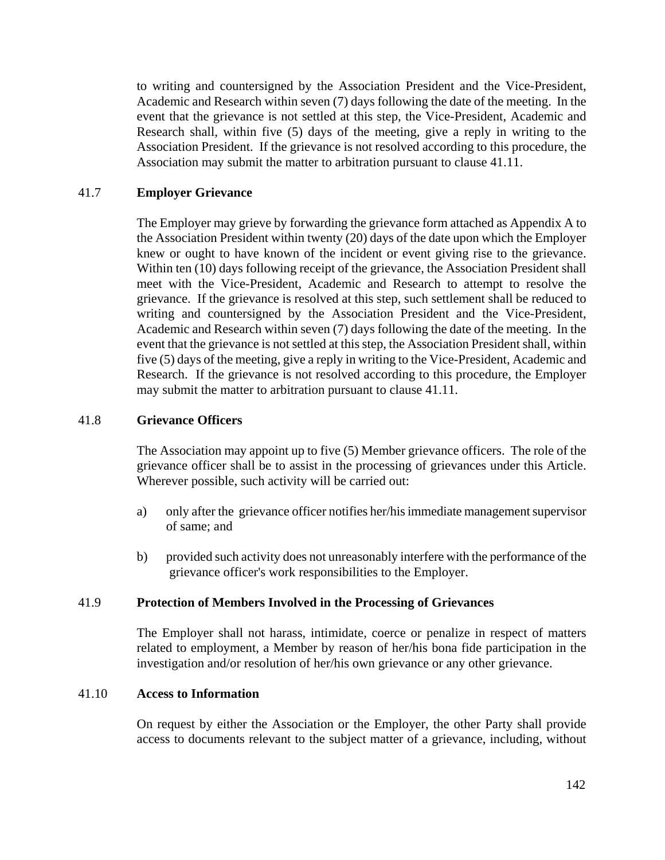to writing and countersigned by the Association President and the Vice-President, Academic and Research within seven (7) days following the date of the meeting. In the event that the grievance is not settled at this step, the Vice-President, Academic and Research shall, within five (5) days of the meeting, give a reply in writing to the Association President. If the grievance is not resolved according to this procedure, the Association may submit the matter to arbitration pursuant to clause 41.11.

### 41.7 **Employer Grievance**

The Employer may grieve by forwarding the grievance form attached as Appendix A to the Association President within twenty (20) days of the date upon which the Employer knew or ought to have known of the incident or event giving rise to the grievance. Within ten (10) days following receipt of the grievance, the Association President shall meet with the Vice-President, Academic and Research to attempt to resolve the grievance. If the grievance is resolved at this step, such settlement shall be reduced to writing and countersigned by the Association President and the Vice-President, Academic and Research within seven (7) days following the date of the meeting. In the event that the grievance is not settled at this step, the Association President shall, within five (5) days of the meeting, give a reply in writing to the Vice-President, Academic and Research. If the grievance is not resolved according to this procedure, the Employer may submit the matter to arbitration pursuant to clause 41.11.

### 41.8 **Grievance Officers**

The Association may appoint up to five (5) Member grievance officers. The role of the grievance officer shall be to assist in the processing of grievances under this Article. Wherever possible, such activity will be carried out:

- a) only after the grievance officer notifies her/his immediate management supervisor of same; and
- b) provided such activity does not unreasonably interfere with the performance of the grievance officer's work responsibilities to the Employer.

### 41.9 **Protection of Members Involved in the Processing of Grievances**

The Employer shall not harass, intimidate, coerce or penalize in respect of matters related to employment, a Member by reason of her/his bona fide participation in the investigation and/or resolution of her/his own grievance or any other grievance.

## 41.10 **Access to Information**

On request by either the Association or the Employer, the other Party shall provide access to documents relevant to the subject matter of a grievance, including, without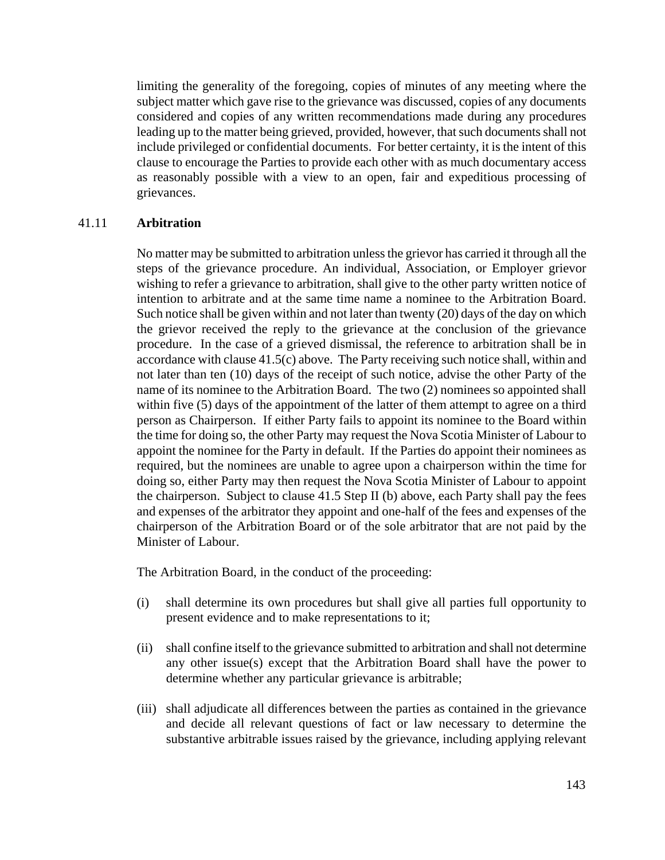limiting the generality of the foregoing, copies of minutes of any meeting where the subject matter which gave rise to the grievance was discussed, copies of any documents considered and copies of any written recommendations made during any procedures leading up to the matter being grieved, provided, however, that such documents shall not include privileged or confidential documents. For better certainty, it is the intent of this clause to encourage the Parties to provide each other with as much documentary access as reasonably possible with a view to an open, fair and expeditious processing of grievances.

#### 41.11 **Arbitration**

No matter may be submitted to arbitration unless the grievor has carried it through all the steps of the grievance procedure. An individual, Association, or Employer grievor wishing to refer a grievance to arbitration, shall give to the other party written notice of intention to arbitrate and at the same time name a nominee to the Arbitration Board. Such notice shall be given within and not later than twenty (20) days of the day on which the grievor received the reply to the grievance at the conclusion of the grievance procedure. In the case of a grieved dismissal, the reference to arbitration shall be in accordance with clause 41.5(c) above. The Party receiving such notice shall, within and not later than ten (10) days of the receipt of such notice, advise the other Party of the name of its nominee to the Arbitration Board. The two (2) nominees so appointed shall within five (5) days of the appointment of the latter of them attempt to agree on a third person as Chairperson. If either Party fails to appoint its nominee to the Board within the time for doing so, the other Party may request the Nova Scotia Minister of Labour to appoint the nominee for the Party in default. If the Parties do appoint their nominees as required, but the nominees are unable to agree upon a chairperson within the time for doing so, either Party may then request the Nova Scotia Minister of Labour to appoint the chairperson. Subject to clause 41.5 Step II (b) above, each Party shall pay the fees and expenses of the arbitrator they appoint and one-half of the fees and expenses of the chairperson of the Arbitration Board or of the sole arbitrator that are not paid by the Minister of Labour.

The Arbitration Board, in the conduct of the proceeding:

- (i) shall determine its own procedures but shall give all parties full opportunity to present evidence and to make representations to it;
- (ii) shall confine itself to the grievance submitted to arbitration and shall not determine any other issue(s) except that the Arbitration Board shall have the power to determine whether any particular grievance is arbitrable;
- (iii) shall adjudicate all differences between the parties as contained in the grievance and decide all relevant questions of fact or law necessary to determine the substantive arbitrable issues raised by the grievance, including applying relevant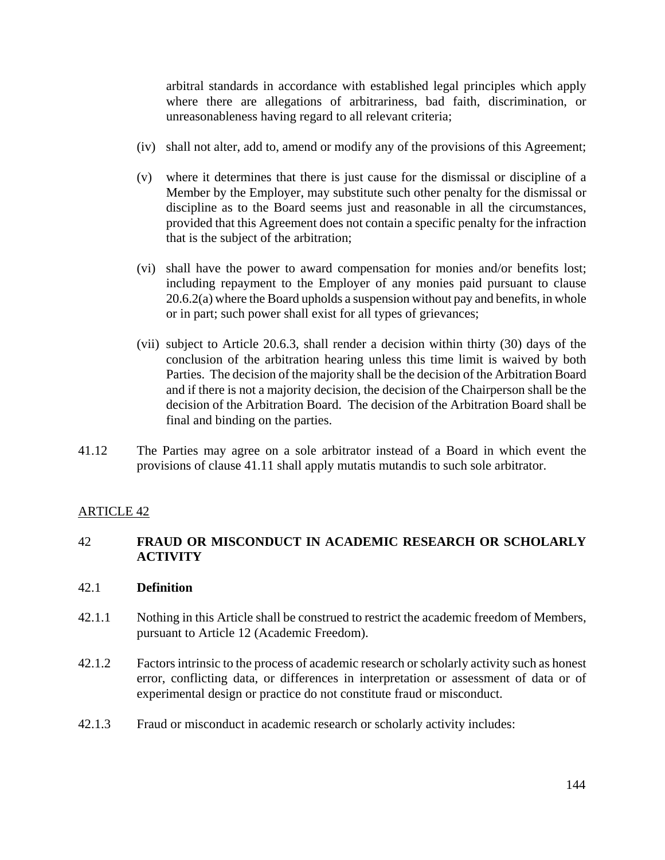arbitral standards in accordance with established legal principles which apply where there are allegations of arbitrariness, bad faith, discrimination, or unreasonableness having regard to all relevant criteria;

- (iv) shall not alter, add to, amend or modify any of the provisions of this Agreement;
- (v) where it determines that there is just cause for the dismissal or discipline of a Member by the Employer, may substitute such other penalty for the dismissal or discipline as to the Board seems just and reasonable in all the circumstances, provided that this Agreement does not contain a specific penalty for the infraction that is the subject of the arbitration;
- (vi) shall have the power to award compensation for monies and/or benefits lost; including repayment to the Employer of any monies paid pursuant to clause 20.6.2(a) where the Board upholds a suspension without pay and benefits, in whole or in part; such power shall exist for all types of grievances;
- (vii) subject to Article 20.6.3, shall render a decision within thirty (30) days of the conclusion of the arbitration hearing unless this time limit is waived by both Parties. The decision of the majority shall be the decision of the Arbitration Board and if there is not a majority decision, the decision of the Chairperson shall be the decision of the Arbitration Board. The decision of the Arbitration Board shall be final and binding on the parties.
- 41.12 The Parties may agree on a sole arbitrator instead of a Board in which event the provisions of clause 41.11 shall apply mutatis mutandis to such sole arbitrator.

### ARTICLE 42

### 42 **FRAUD OR MISCONDUCT IN ACADEMIC RESEARCH OR SCHOLARLY ACTIVITY**

### 42.1 **Definition**

- 42.1.1 Nothing in this Article shall be construed to restrict the academic freedom of Members, pursuant to Article 12 (Academic Freedom).
- 42.1.2 Factors intrinsic to the process of academic research or scholarly activity such as honest error, conflicting data, or differences in interpretation or assessment of data or of experimental design or practice do not constitute fraud or misconduct.
- 42.1.3 Fraud or misconduct in academic research or scholarly activity includes: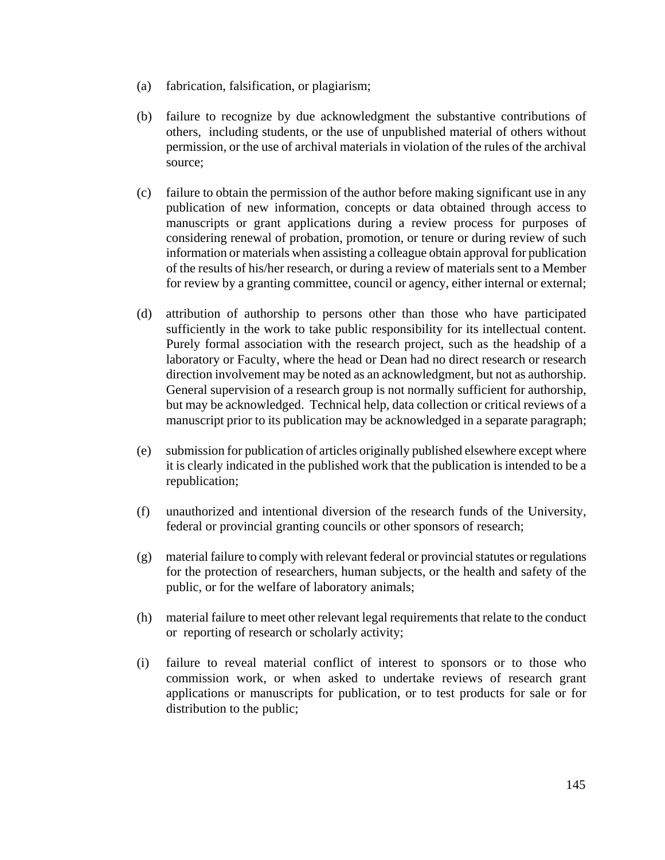- (a) fabrication, falsification, or plagiarism;
- (b) failure to recognize by due acknowledgment the substantive contributions of others, including students, or the use of unpublished material of others without permission, or the use of archival materials in violation of the rules of the archival source;
- (c) failure to obtain the permission of the author before making significant use in any publication of new information, concepts or data obtained through access to manuscripts or grant applications during a review process for purposes of considering renewal of probation, promotion, or tenure or during review of such information or materials when assisting a colleague obtain approval for publication of the results of his/her research, or during a review of materials sent to a Member for review by a granting committee, council or agency, either internal or external;
- (d) attribution of authorship to persons other than those who have participated sufficiently in the work to take public responsibility for its intellectual content. Purely formal association with the research project, such as the headship of a laboratory or Faculty, where the head or Dean had no direct research or research direction involvement may be noted as an acknowledgment, but not as authorship. General supervision of a research group is not normally sufficient for authorship, but may be acknowledged. Technical help, data collection or critical reviews of a manuscript prior to its publication may be acknowledged in a separate paragraph;
- (e) submission for publication of articles originally published elsewhere except where it is clearly indicated in the published work that the publication is intended to be a republication;
- (f) unauthorized and intentional diversion of the research funds of the University, federal or provincial granting councils or other sponsors of research;
- (g) material failure to comply with relevant federal or provincial statutes or regulations for the protection of researchers, human subjects, or the health and safety of the public, or for the welfare of laboratory animals;
- (h) material failure to meet other relevant legal requirements that relate to the conduct or reporting of research or scholarly activity;
- (i) failure to reveal material conflict of interest to sponsors or to those who commission work, or when asked to undertake reviews of research grant applications or manuscripts for publication, or to test products for sale or for distribution to the public;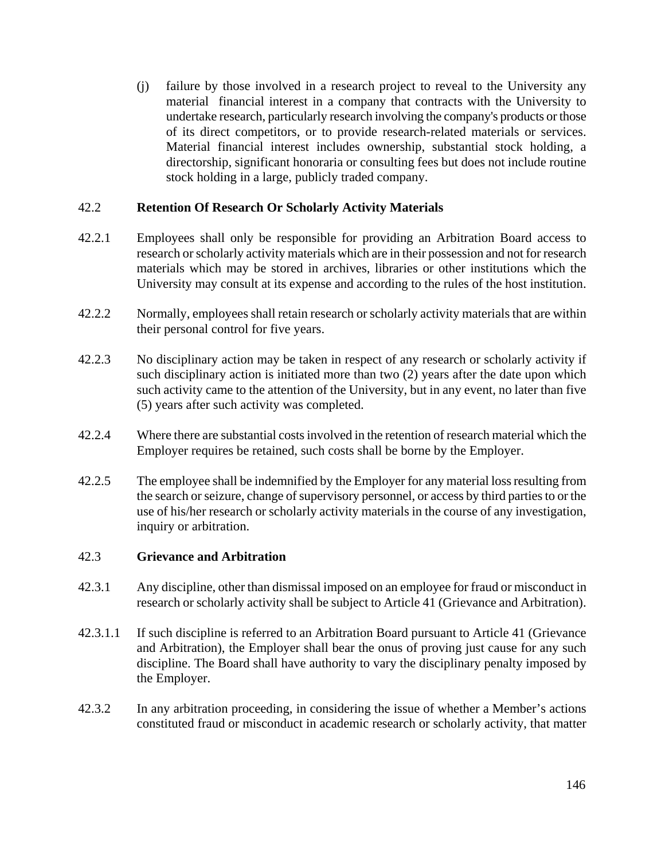(j) failure by those involved in a research project to reveal to the University any material financial interest in a company that contracts with the University to undertake research, particularly research involving the company's products or those of its direct competitors, or to provide research-related materials or services. Material financial interest includes ownership, substantial stock holding, a directorship, significant honoraria or consulting fees but does not include routine stock holding in a large, publicly traded company.

### 42.2 **Retention Of Research Or Scholarly Activity Materials**

- 42.2.1 Employees shall only be responsible for providing an Arbitration Board access to research or scholarly activity materials which are in their possession and not for research materials which may be stored in archives, libraries or other institutions which the University may consult at its expense and according to the rules of the host institution.
- 42.2.2 Normally, employees shall retain research or scholarly activity materials that are within their personal control for five years.
- 42.2.3 No disciplinary action may be taken in respect of any research or scholarly activity if such disciplinary action is initiated more than two (2) years after the date upon which such activity came to the attention of the University, but in any event, no later than five (5) years after such activity was completed.
- 42.2.4 Where there are substantial costs involved in the retention of research material which the Employer requires be retained, such costs shall be borne by the Employer.
- 42.2.5 The employee shall be indemnified by the Employer for any material loss resulting from the search or seizure, change of supervisory personnel, or access by third parties to or the use of his/her research or scholarly activity materials in the course of any investigation, inquiry or arbitration.

### 42.3 **Grievance and Arbitration**

- 42.3.1 Any discipline, other than dismissal imposed on an employee for fraud or misconduct in research or scholarly activity shall be subject to Article 41 (Grievance and Arbitration).
- 42.3.1.1 If such discipline is referred to an Arbitration Board pursuant to Article 41 (Grievance and Arbitration), the Employer shall bear the onus of proving just cause for any such discipline. The Board shall have authority to vary the disciplinary penalty imposed by the Employer.
- 42.3.2 In any arbitration proceeding, in considering the issue of whether a Member's actions constituted fraud or misconduct in academic research or scholarly activity, that matter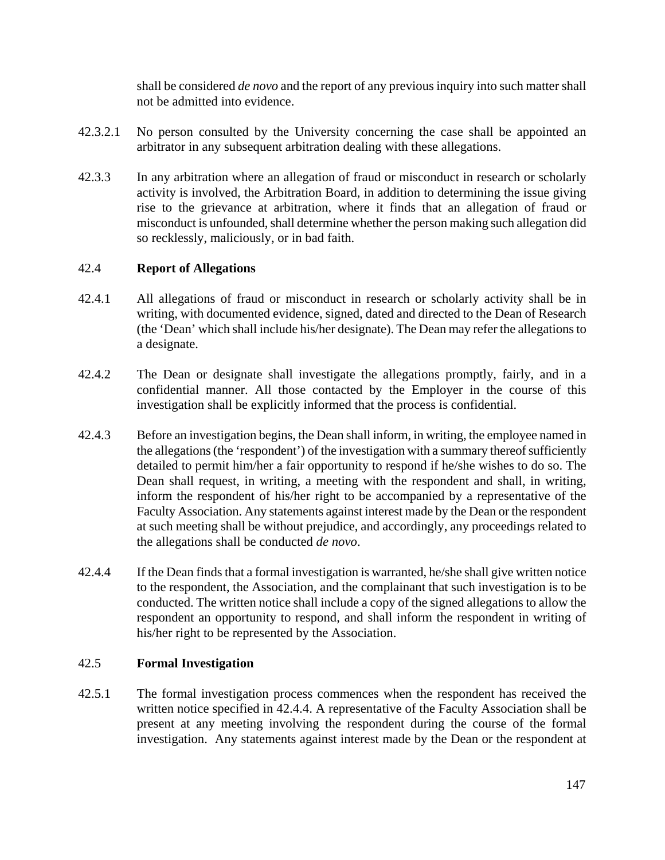shall be considered *de novo* and the report of any previous inquiry into such matter shall not be admitted into evidence.

- 42.3.2.1 No person consulted by the University concerning the case shall be appointed an arbitrator in any subsequent arbitration dealing with these allegations.
- 42.3.3 In any arbitration where an allegation of fraud or misconduct in research or scholarly activity is involved, the Arbitration Board, in addition to determining the issue giving rise to the grievance at arbitration, where it finds that an allegation of fraud or misconduct is unfounded, shall determine whether the person making such allegation did so recklessly, maliciously, or in bad faith.

### 42.4 **Report of Allegations**

- 42.4.1 All allegations of fraud or misconduct in research or scholarly activity shall be in writing, with documented evidence, signed, dated and directed to the Dean of Research (the 'Dean' which shall include his/her designate). The Dean may refer the allegations to a designate.
- 42.4.2 The Dean or designate shall investigate the allegations promptly, fairly, and in a confidential manner. All those contacted by the Employer in the course of this investigation shall be explicitly informed that the process is confidential.
- 42.4.3 Before an investigation begins, the Dean shall inform, in writing, the employee named in the allegations (the 'respondent') of the investigation with a summary thereof sufficiently detailed to permit him/her a fair opportunity to respond if he/she wishes to do so. The Dean shall request, in writing, a meeting with the respondent and shall, in writing, inform the respondent of his/her right to be accompanied by a representative of the Faculty Association. Any statements against interest made by the Dean or the respondent at such meeting shall be without prejudice, and accordingly, any proceedings related to the allegations shall be conducted *de novo*.
- 42.4.4 If the Dean finds that a formal investigation is warranted, he/she shall give written notice to the respondent, the Association, and the complainant that such investigation is to be conducted. The written notice shall include a copy of the signed allegations to allow the respondent an opportunity to respond, and shall inform the respondent in writing of his/her right to be represented by the Association.

### 42.5 **Formal Investigation**

42.5.1 The formal investigation process commences when the respondent has received the written notice specified in 42.4.4. A representative of the Faculty Association shall be present at any meeting involving the respondent during the course of the formal investigation. Any statements against interest made by the Dean or the respondent at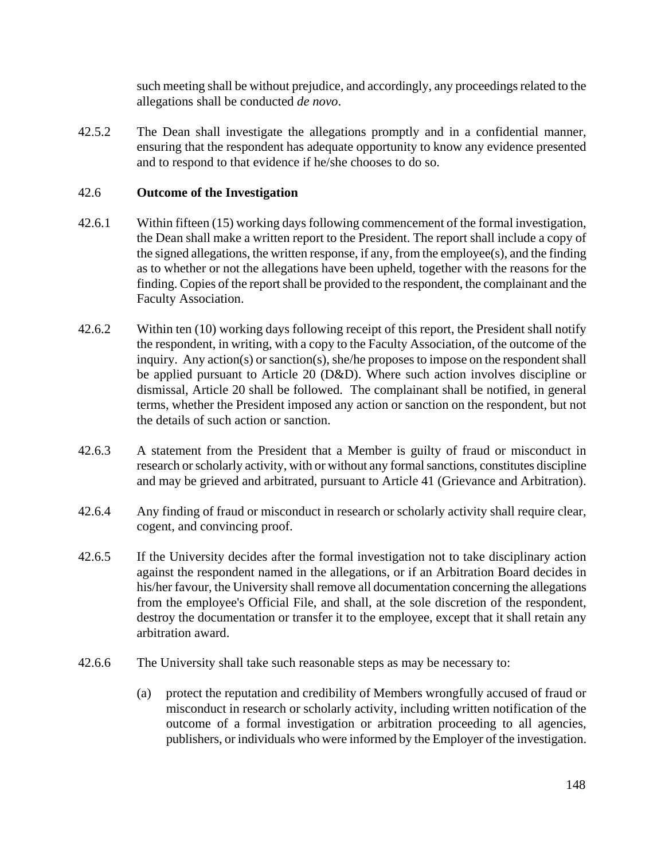such meeting shall be without prejudice, and accordingly, any proceedings related to the allegations shall be conducted *de novo*.

42.5.2 The Dean shall investigate the allegations promptly and in a confidential manner, ensuring that the respondent has adequate opportunity to know any evidence presented and to respond to that evidence if he/she chooses to do so.

### 42.6 **Outcome of the Investigation**

- 42.6.1 Within fifteen (15) working days following commencement of the formal investigation, the Dean shall make a written report to the President. The report shall include a copy of the signed allegations, the written response, if any, from the employee(s), and the finding as to whether or not the allegations have been upheld, together with the reasons for the finding. Copies of the report shall be provided to the respondent, the complainant and the Faculty Association.
- 42.6.2 Within ten (10) working days following receipt of this report, the President shall notify the respondent, in writing, with a copy to the Faculty Association, of the outcome of the inquiry. Any action(s) or sanction(s), she/he proposes to impose on the respondent shall be applied pursuant to Article 20 (D&D). Where such action involves discipline or dismissal, Article 20 shall be followed. The complainant shall be notified, in general terms, whether the President imposed any action or sanction on the respondent, but not the details of such action or sanction.
- 42.6.3 A statement from the President that a Member is guilty of fraud or misconduct in research or scholarly activity, with or without any formal sanctions, constitutes discipline and may be grieved and arbitrated, pursuant to Article 41 (Grievance and Arbitration).
- 42.6.4 Any finding of fraud or misconduct in research or scholarly activity shall require clear, cogent, and convincing proof.
- 42.6.5 If the University decides after the formal investigation not to take disciplinary action against the respondent named in the allegations, or if an Arbitration Board decides in his/her favour, the University shall remove all documentation concerning the allegations from the employee's Official File, and shall, at the sole discretion of the respondent, destroy the documentation or transfer it to the employee, except that it shall retain any arbitration award.
- 42.6.6 The University shall take such reasonable steps as may be necessary to:
	- (a) protect the reputation and credibility of Members wrongfully accused of fraud or misconduct in research or scholarly activity, including written notification of the outcome of a formal investigation or arbitration proceeding to all agencies, publishers, or individuals who were informed by the Employer of the investigation.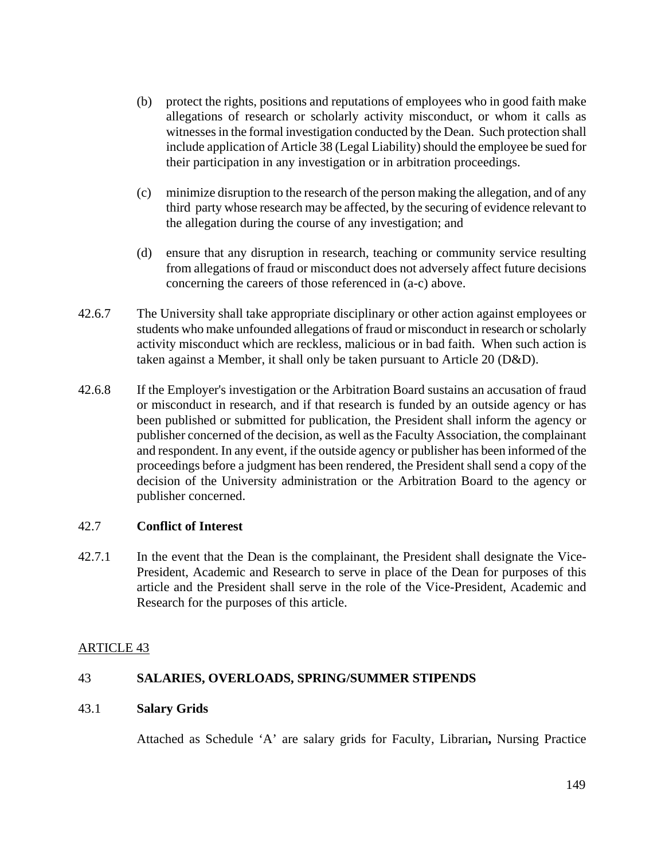- (b) protect the rights, positions and reputations of employees who in good faith make allegations of research or scholarly activity misconduct, or whom it calls as witnesses in the formal investigation conducted by the Dean. Such protection shall include application of Article 38 (Legal Liability) should the employee be sued for their participation in any investigation or in arbitration proceedings.
- (c) minimize disruption to the research of the person making the allegation, and of any third party whose research may be affected, by the securing of evidence relevant to the allegation during the course of any investigation; and
- (d) ensure that any disruption in research, teaching or community service resulting from allegations of fraud or misconduct does not adversely affect future decisions concerning the careers of those referenced in (a-c) above.
- 42.6.7 The University shall take appropriate disciplinary or other action against employees or students who make unfounded allegations of fraud or misconduct in research or scholarly activity misconduct which are reckless, malicious or in bad faith. When such action is taken against a Member, it shall only be taken pursuant to Article 20 (D&D).
- 42.6.8 If the Employer's investigation or the Arbitration Board sustains an accusation of fraud or misconduct in research, and if that research is funded by an outside agency or has been published or submitted for publication, the President shall inform the agency or publisher concerned of the decision, as well as the Faculty Association, the complainant and respondent. In any event, if the outside agency or publisher has been informed of the proceedings before a judgment has been rendered, the President shall send a copy of the decision of the University administration or the Arbitration Board to the agency or publisher concerned.

### 42.7 **Conflict of Interest**

42.7.1 In the event that the Dean is the complainant, the President shall designate the Vice-President, Academic and Research to serve in place of the Dean for purposes of this article and the President shall serve in the role of the Vice-President, Academic and Research for the purposes of this article.

### ARTICLE 43

### 43 **SALARIES, OVERLOADS, SPRING/SUMMER STIPENDS**

### 43.1 **Salary Grids**

Attached as Schedule 'A' are salary grids for Faculty, Librarian**,** Nursing Practice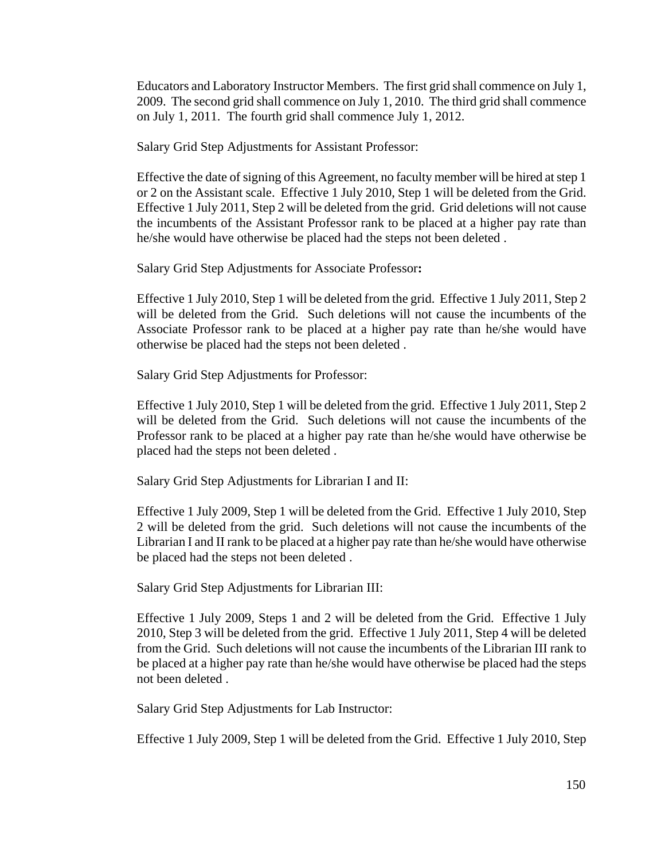Educators and Laboratory Instructor Members. The first grid shall commence on July 1, 2009. The second grid shall commence on July 1, 2010. The third grid shall commence on July 1, 2011. The fourth grid shall commence July 1, 2012.

Salary Grid Step Adjustments for Assistant Professor:

 Effective the date of signing of this Agreement, no faculty member will be hired at step 1 or 2 on the Assistant scale. Effective 1 July 2010, Step 1 will be deleted from the Grid. Effective 1 July 2011, Step 2 will be deleted from the grid. Grid deletions will not cause the incumbents of the Assistant Professor rank to be placed at a higher pay rate than he/she would have otherwise be placed had the steps not been deleted .

Salary Grid Step Adjustments for Associate Professor**:** 

Effective 1 July 2010, Step 1 will be deleted from the grid. Effective 1 July 2011, Step 2 will be deleted from the Grid. Such deletions will not cause the incumbents of the Associate Professor rank to be placed at a higher pay rate than he/she would have otherwise be placed had the steps not been deleted .

Salary Grid Step Adjustments for Professor:

 Effective 1 July 2010, Step 1 will be deleted from the grid. Effective 1 July 2011, Step 2 will be deleted from the Grid. Such deletions will not cause the incumbents of the Professor rank to be placed at a higher pay rate than he/she would have otherwise be placed had the steps not been deleted .

Salary Grid Step Adjustments for Librarian I and II:

 Effective 1 July 2009, Step 1 will be deleted from the Grid. Effective 1 July 2010, Step 2 will be deleted from the grid. Such deletions will not cause the incumbents of the Librarian I and II rank to be placed at a higher pay rate than he/she would have otherwise be placed had the steps not been deleted .

Salary Grid Step Adjustments for Librarian III:

Effective 1 July 2009, Steps 1 and 2 will be deleted from the Grid. Effective 1 July 2010, Step 3 will be deleted from the grid. Effective 1 July 2011, Step 4 will be deleted from the Grid. Such deletions will not cause the incumbents of the Librarian III rank to be placed at a higher pay rate than he/she would have otherwise be placed had the steps not been deleted .

Salary Grid Step Adjustments for Lab Instructor:

Effective 1 July 2009, Step 1 will be deleted from the Grid. Effective 1 July 2010, Step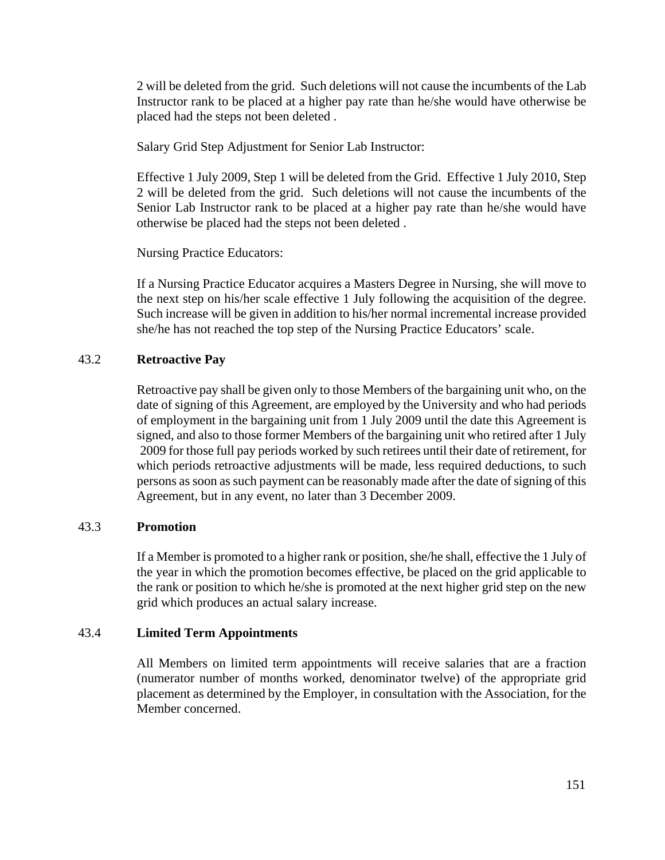2 will be deleted from the grid. Such deletions will not cause the incumbents of the Lab Instructor rank to be placed at a higher pay rate than he/she would have otherwise be placed had the steps not been deleted .

Salary Grid Step Adjustment for Senior Lab Instructor:

 Effective 1 July 2009, Step 1 will be deleted from the Grid. Effective 1 July 2010, Step 2 will be deleted from the grid. Such deletions will not cause the incumbents of the Senior Lab Instructor rank to be placed at a higher pay rate than he/she would have otherwise be placed had the steps not been deleted .

Nursing Practice Educators:

If a Nursing Practice Educator acquires a Masters Degree in Nursing, she will move to the next step on his/her scale effective 1 July following the acquisition of the degree. Such increase will be given in addition to his/her normal incremental increase provided she/he has not reached the top step of the Nursing Practice Educators' scale.

### 43.2 **Retroactive Pay**

Retroactive pay shall be given only to those Members of the bargaining unit who, on the date of signing of this Agreement, are employed by the University and who had periods of employment in the bargaining unit from 1 July 2009 until the date this Agreement is signed, and also to those former Members of the bargaining unit who retired after 1 July 2009 for those full pay periods worked by such retirees until their date of retirement, for which periods retroactive adjustments will be made, less required deductions, to such persons as soon as such payment can be reasonably made after the date of signing of this Agreement, but in any event, no later than 3 December 2009.

### 43.3 **Promotion**

If a Member is promoted to a higher rank or position, she/he shall, effective the 1 July of the year in which the promotion becomes effective, be placed on the grid applicable to the rank or position to which he/she is promoted at the next higher grid step on the new grid which produces an actual salary increase.

### 43.4 **Limited Term Appointments**

All Members on limited term appointments will receive salaries that are a fraction (numerator number of months worked, denominator twelve) of the appropriate grid placement as determined by the Employer, in consultation with the Association, for the Member concerned.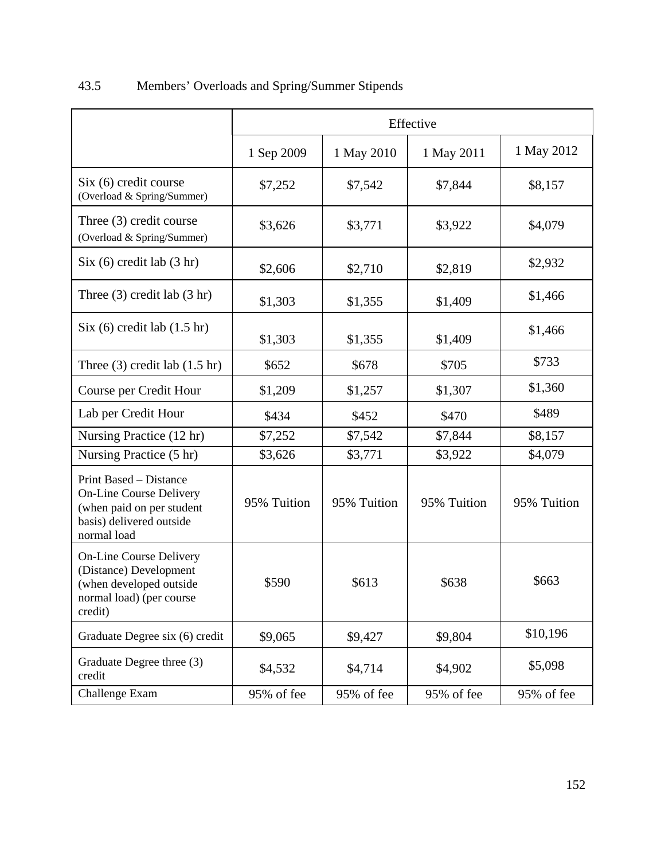|                                                                                                                                  | Effective   |             |             |             |  |
|----------------------------------------------------------------------------------------------------------------------------------|-------------|-------------|-------------|-------------|--|
|                                                                                                                                  | 1 Sep 2009  | 1 May 2010  | 1 May 2011  | 1 May 2012  |  |
| Six (6) credit course<br>(Overload & Spring/Summer)                                                                              | \$7,252     | \$7,542     | \$7,844     | \$8,157     |  |
| Three (3) credit course<br>(Overload & Spring/Summer)                                                                            | \$3,626     | \$3,771     | \$3,922     | \$4,079     |  |
| Six (6) credit lab (3 hr)                                                                                                        | \$2,606     | \$2,710     | \$2,819     | \$2,932     |  |
| Three $(3)$ credit lab $(3 \text{ hr})$                                                                                          | \$1,303     | \$1,355     | \$1,409     | \$1,466     |  |
| Six (6) credit lab (1.5 hr)                                                                                                      | \$1,303     | \$1,355     | \$1,409     | \$1,466     |  |
| Three $(3)$ credit lab $(1.5 \text{ hr})$                                                                                        | \$652       | \$678       | \$705       | \$733       |  |
| Course per Credit Hour                                                                                                           | \$1,209     | \$1,257     | \$1,307     | \$1,360     |  |
| Lab per Credit Hour                                                                                                              | \$434       | \$452       | \$470       | \$489       |  |
| Nursing Practice (12 hr)                                                                                                         | \$7,252     | \$7,542     | \$7,844     | \$8,157     |  |
| Nursing Practice (5 hr)                                                                                                          | \$3,626     | \$3,771     | \$3,922     | \$4,079     |  |
| Print Based – Distance<br><b>On-Line Course Delivery</b><br>(when paid on per student<br>basis) delivered outside<br>normal load | 95% Tuition | 95% Tuition | 95% Tuition | 95% Tuition |  |
| <b>On-Line Course Delivery</b><br>(Distance) Development<br>(when developed outside<br>normal load) (per course<br>credit)       | \$590       | \$613       | \$638       | \$663       |  |
| Graduate Degree six (6) credit                                                                                                   | \$9,065     | \$9,427     | \$9,804     | \$10,196    |  |
| Graduate Degree three (3)<br>credit                                                                                              | \$4,532     | \$4,714     | \$4,902     | \$5,098     |  |
| Challenge Exam                                                                                                                   | 95% of fee  | 95% of fee  | 95% of fee  | 95% of fee  |  |

# 43.5 Members' Overloads and Spring/Summer Stipends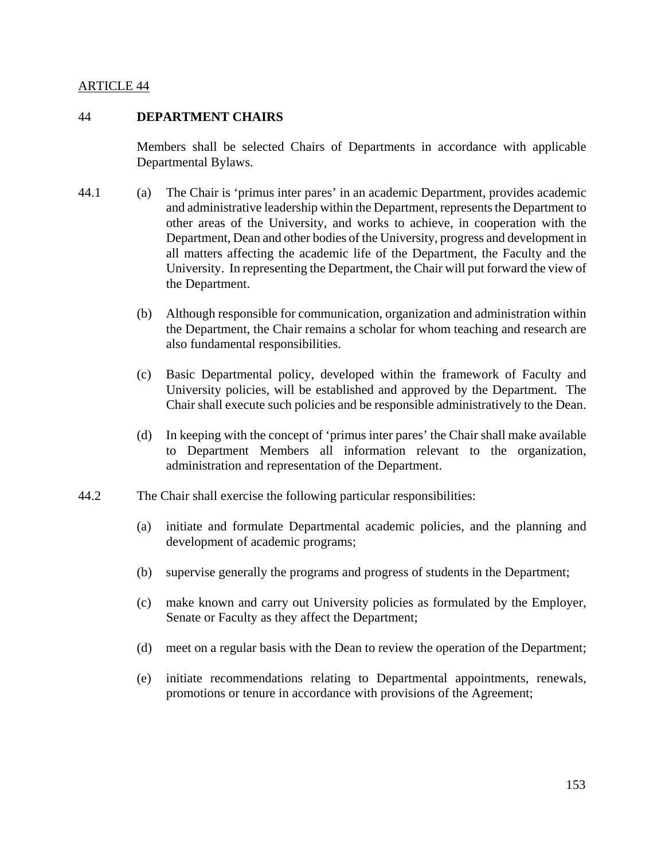### ARTICLE 44

#### 44 **DEPARTMENT CHAIRS**

Members shall be selected Chairs of Departments in accordance with applicable Departmental Bylaws.

- 44.1 (a) The Chair is 'primus inter pares' in an academic Department, provides academic and administrative leadership within the Department, represents the Department to other areas of the University, and works to achieve, in cooperation with the Department, Dean and other bodies of the University, progress and development in all matters affecting the academic life of the Department, the Faculty and the University. In representing the Department, the Chair will put forward the view of the Department.
	- (b) Although responsible for communication, organization and administration within the Department, the Chair remains a scholar for whom teaching and research are also fundamental responsibilities.
	- (c) Basic Departmental policy, developed within the framework of Faculty and University policies, will be established and approved by the Department. The Chair shall execute such policies and be responsible administratively to the Dean.
	- (d) In keeping with the concept of 'primus inter pares' the Chair shall make available to Department Members all information relevant to the organization, administration and representation of the Department.
- 44.2 The Chair shall exercise the following particular responsibilities:
	- (a) initiate and formulate Departmental academic policies, and the planning and development of academic programs;
	- (b) supervise generally the programs and progress of students in the Department;
	- (c) make known and carry out University policies as formulated by the Employer, Senate or Faculty as they affect the Department;
	- (d) meet on a regular basis with the Dean to review the operation of the Department;
	- (e) initiate recommendations relating to Departmental appointments, renewals, promotions or tenure in accordance with provisions of the Agreement;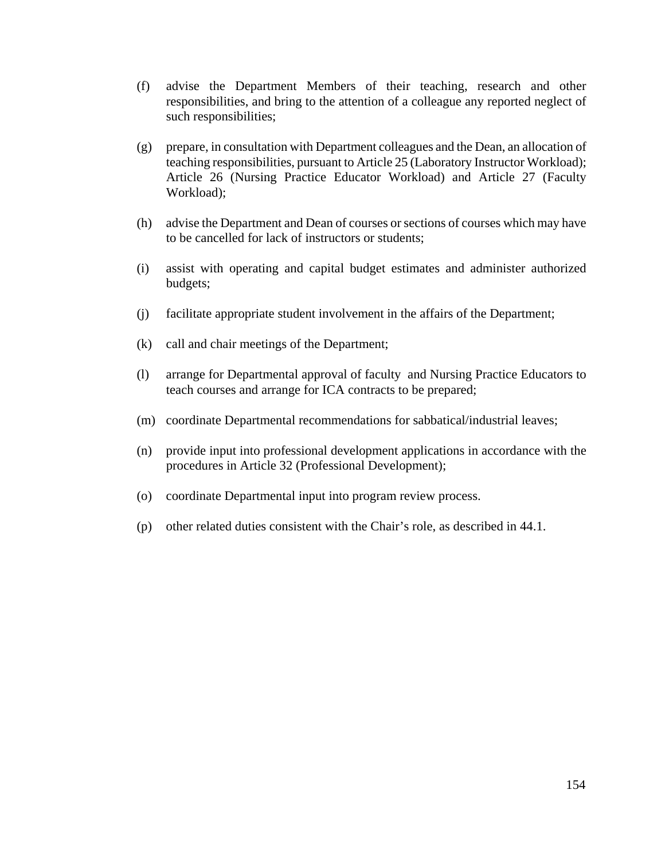- (f) advise the Department Members of their teaching, research and other responsibilities, and bring to the attention of a colleague any reported neglect of such responsibilities;
- (g) prepare, in consultation with Department colleagues and the Dean, an allocation of teaching responsibilities, pursuant to Article 25 (Laboratory Instructor Workload); Article 26 (Nursing Practice Educator Workload) and Article 27 (Faculty Workload);
- (h) advise the Department and Dean of courses or sections of courses which may have to be cancelled for lack of instructors or students;
- (i) assist with operating and capital budget estimates and administer authorized budgets;
- (j) facilitate appropriate student involvement in the affairs of the Department;
- (k) call and chair meetings of the Department;
- (l) arrange for Departmental approval of faculty and Nursing Practice Educators to teach courses and arrange for ICA contracts to be prepared;
- (m) coordinate Departmental recommendations for sabbatical/industrial leaves;
- (n) provide input into professional development applications in accordance with the procedures in Article 32 (Professional Development);
- (o) coordinate Departmental input into program review process.
- (p) other related duties consistent with the Chair's role, as described in 44.1.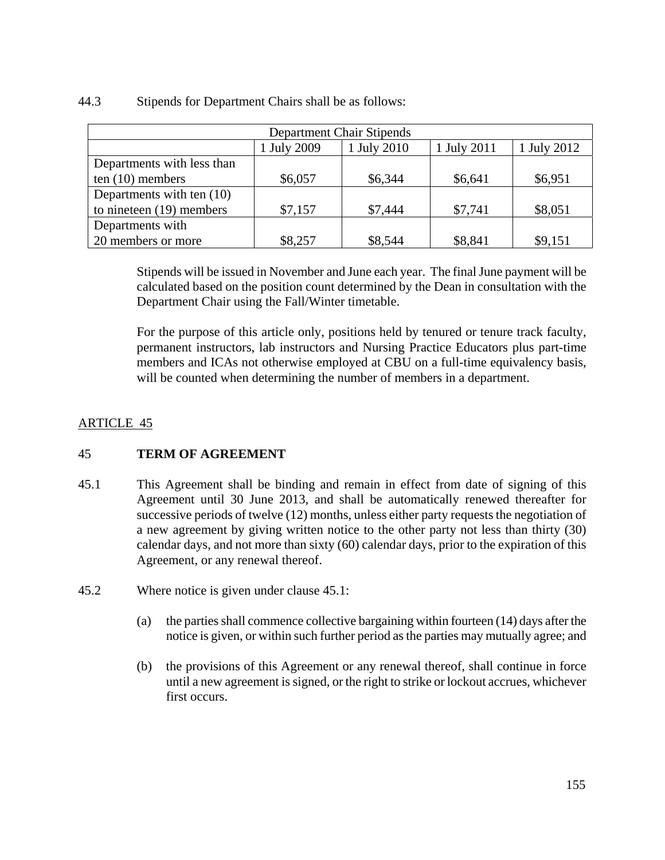### 44.3 Stipends for Department Chairs shall be as follows:

| Department Chair Stipends                                |         |         |         |         |  |  |  |
|----------------------------------------------------------|---------|---------|---------|---------|--|--|--|
| 1 July 2011<br>1 July 2009<br>1 July 2010<br>1 July 2012 |         |         |         |         |  |  |  |
| Departments with less than                               |         |         |         |         |  |  |  |
| ten $(10)$ members                                       | \$6,057 | \$6,344 | \$6,641 | \$6,951 |  |  |  |
| Departments with ten (10)                                |         |         |         |         |  |  |  |
| to nineteen $(19)$ members                               | \$7,157 | \$7,444 | \$7,741 | \$8,051 |  |  |  |
| Departments with                                         |         |         |         |         |  |  |  |
| 20 members or more                                       | \$8,257 | \$8,544 | \$8,841 | \$9,151 |  |  |  |

Stipends will be issued in November and June each year. The final June payment will be calculated based on the position count determined by the Dean in consultation with the Department Chair using the Fall/Winter timetable.

For the purpose of this article only, positions held by tenured or tenure track faculty, permanent instructors, lab instructors and Nursing Practice Educators plus part-time members and ICAs not otherwise employed at CBU on a full-time equivalency basis, will be counted when determining the number of members in a department.

### ARTICLE 45

### 45 **TERM OF AGREEMENT**

- 45.1 This Agreement shall be binding and remain in effect from date of signing of this Agreement until 30 June 2013, and shall be automatically renewed thereafter for successive periods of twelve (12) months, unless either party requests the negotiation of a new agreement by giving written notice to the other party not less than thirty (30) calendar days, and not more than sixty (60) calendar days, prior to the expiration of this Agreement, or any renewal thereof.
- 45.2 Where notice is given under clause 45.1:
	- (a) the parties shall commence collective bargaining within fourteen (14) days after the notice is given, or within such further period as the parties may mutually agree; and
	- (b) the provisions of this Agreement or any renewal thereof, shall continue in force until a new agreement is signed, or the right to strike or lockout accrues, whichever first occurs.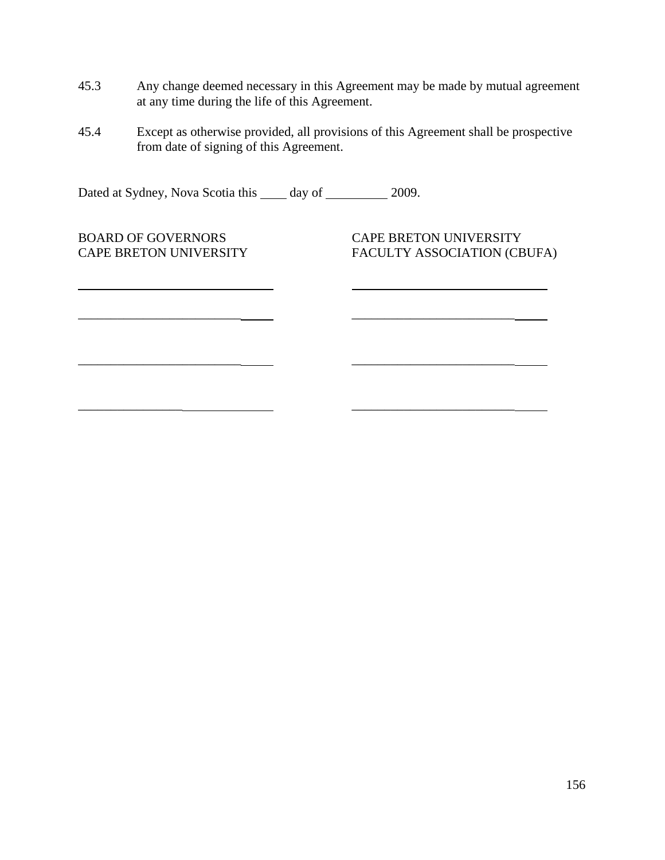- 45.3 Any change deemed necessary in this Agreement may be made by mutual agreement at any time during the life of this Agreement.
- 45.4 Except as otherwise provided, all provisions of this Agreement shall be prospective from date of signing of this Agreement.

\_\_\_\_\_\_\_\_\_\_\_\_\_\_\_\_\_\_\_\_\_\_\_\_\_ \_\_\_\_\_\_\_\_\_\_\_\_\_\_\_\_\_\_\_\_\_\_\_\_\_

 $\mathcal{L}_\mathcal{L} = \{ \mathcal{L}_\mathcal{L} = \mathcal{L}_\mathcal{L} \}$  , where  $\mathcal{L}_\mathcal{L} = \{ \mathcal{L}_\mathcal{L} = \mathcal{L}_\mathcal{L} \}$ 

Dated at Sydney, Nova Scotia this \_\_\_\_\_ day of \_\_\_\_\_\_\_\_\_\_ 2009.

BOARD OF GOVERNORS CAPE BRETON UNIVERSITY

l

CAPE BRETON UNIVERSITY FACULTY ASSOCIATION (CBUFA)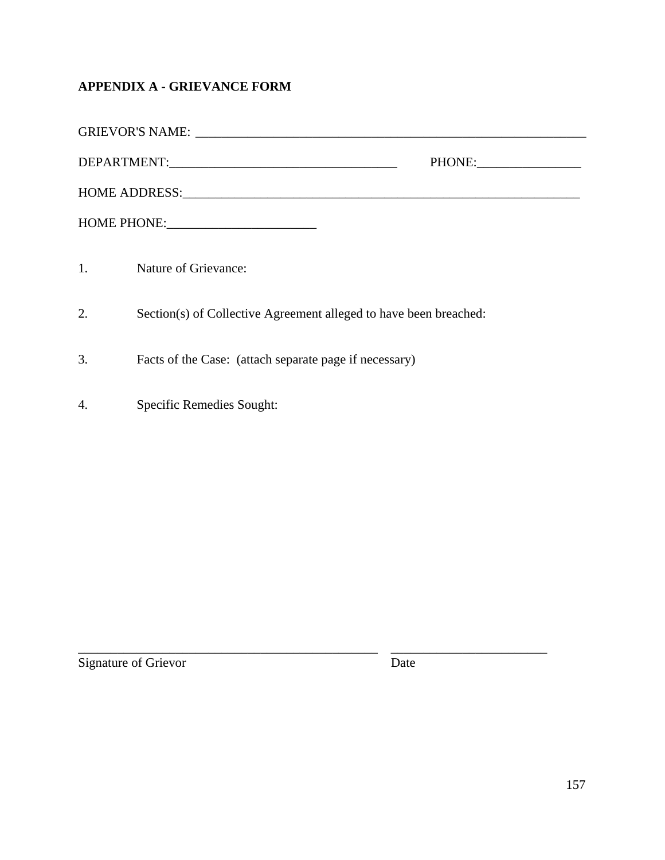## **APPENDIX A - GRIEVANCE FORM**

| PHONE: |                                                                   |  |  |  |
|--------|-------------------------------------------------------------------|--|--|--|
|        |                                                                   |  |  |  |
|        |                                                                   |  |  |  |
|        | 1. Nature of Grievance:                                           |  |  |  |
| 2.     | Section(s) of Collective Agreement alleged to have been breached: |  |  |  |
| 3.     | Facts of the Case: (attach separate page if necessary)            |  |  |  |
| 4.     | Specific Remedies Sought:                                         |  |  |  |

Signature of Grievor Date

\_\_\_\_\_\_\_\_\_\_\_\_\_\_\_\_\_\_\_\_\_\_\_\_\_\_\_\_\_\_\_\_\_\_\_\_\_\_\_\_\_\_\_\_\_\_ \_\_\_\_\_\_\_\_\_\_\_\_\_\_\_\_\_\_\_\_\_\_\_\_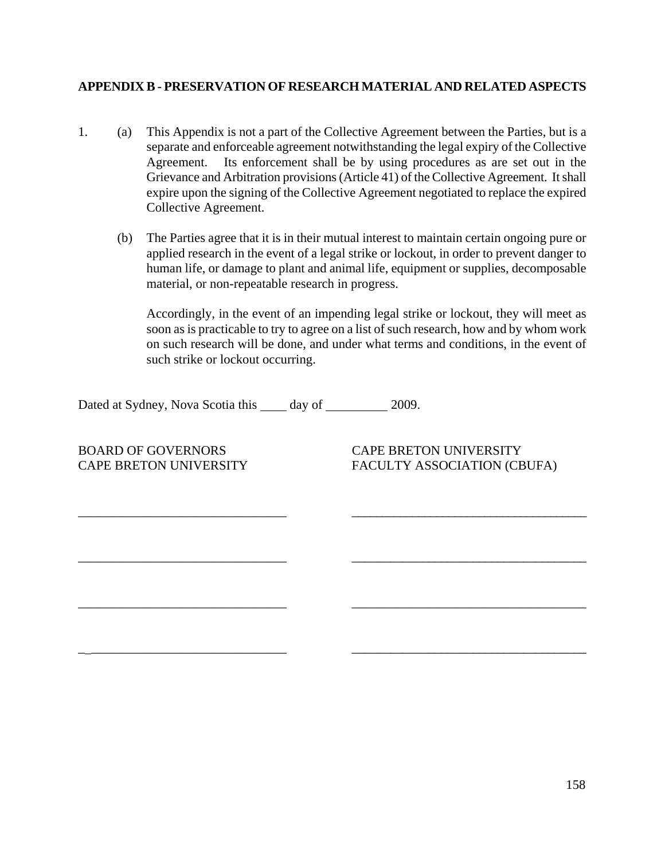### **APPENDIX B - PRESERVATION OF RESEARCH MATERIAL AND RELATED ASPECTS**

1. (a) This Appendix is not a part of the Collective Agreement between the Parties, but is a separate and enforceable agreement notwithstanding the legal expiry of the Collective Agreement. Its enforcement shall be by using procedures as are set out in the Grievance and Arbitration provisions (Article 41) of the Collective Agreement. It shall expire upon the signing of the Collective Agreement negotiated to replace the expired Collective Agreement.

\_\_\_\_\_\_\_\_\_\_\_\_\_\_\_\_\_\_\_\_\_\_\_\_\_\_\_\_\_\_\_\_ \_\_\_\_\_\_\_\_\_\_\_\_\_\_\_\_\_\_\_\_\_\_\_\_\_\_\_\_\_\_\_\_\_\_\_\_\_\_\_

\_\_\_\_\_\_\_\_\_\_\_\_\_\_\_\_\_\_\_\_\_\_\_\_\_\_\_\_\_\_\_\_ \_\_\_\_\_\_\_\_\_\_\_\_\_\_\_\_\_\_\_\_\_\_\_\_\_\_\_\_\_\_\_\_\_\_\_\_\_

\_\_\_\_\_\_\_\_\_\_\_\_\_\_\_\_\_\_\_\_\_\_\_\_\_\_\_\_\_\_\_\_ \_\_\_\_\_\_\_\_\_\_\_\_\_\_\_\_\_\_\_\_\_\_\_\_\_\_\_\_\_\_\_\_\_\_\_\_

 $\overline{\phantom{a}}$  , and the set of the set of the set of the set of the set of the set of the set of the set of the set of the set of the set of the set of the set of the set of the set of the set of the set of the set of the s

(b) The Parties agree that it is in their mutual interest to maintain certain ongoing pure or applied research in the event of a legal strike or lockout, in order to prevent danger to human life, or damage to plant and animal life, equipment or supplies, decomposable material, or non-repeatable research in progress.

Accordingly, in the event of an impending legal strike or lockout, they will meet as soon as is practicable to try to agree on a list of such research, how and by whom work on such research will be done, and under what terms and conditions, in the event of such strike or lockout occurring.

Dated at Sydney, Nova Scotia this \_\_\_\_\_ day of \_\_\_\_\_\_\_\_\_\_\_ 2009.

BOARD OF GOVERNORS CAPE BRETON UNIVERSITY

CAPE BRETON UNIVERSITY FACULTY ASSOCIATION (CBUFA)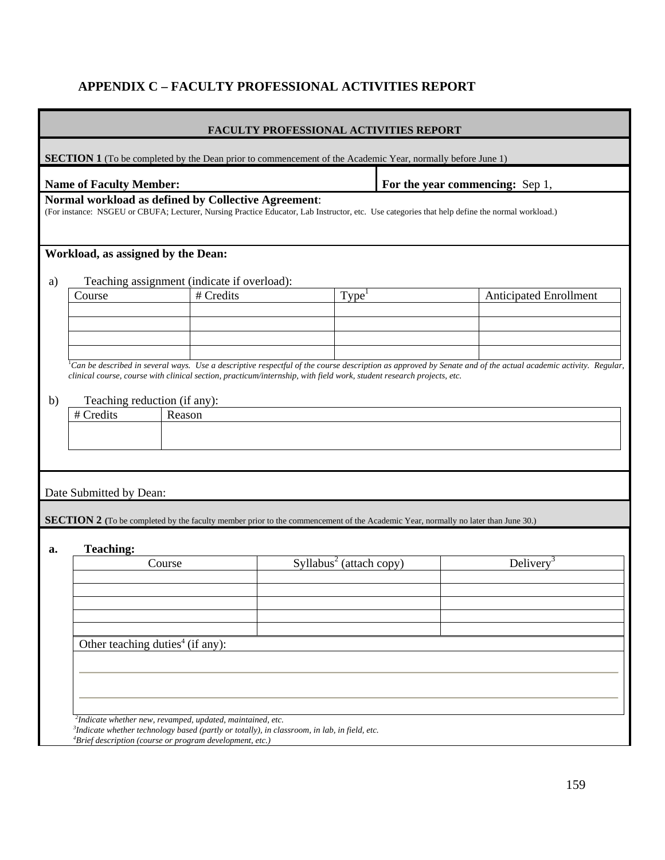### **APPENDIX C – FACULTY PROFESSIONAL ACTIVITIES REPORT**

| <b>FACULTY PROFESSIONAL ACTIVITIES REPORT</b> |                                              |                                                                                                                                                                                                       |                                     |  |                                                                                                                                                                       |
|-----------------------------------------------|----------------------------------------------|-------------------------------------------------------------------------------------------------------------------------------------------------------------------------------------------------------|-------------------------------------|--|-----------------------------------------------------------------------------------------------------------------------------------------------------------------------|
|                                               |                                              | <b>SECTION 1</b> (To be completed by the Dean prior to commencement of the Academic Year, normally before June 1)                                                                                     |                                     |  |                                                                                                                                                                       |
|                                               | <b>Name of Faculty Member:</b>               |                                                                                                                                                                                                       |                                     |  | For the year commencing: Sep 1,                                                                                                                                       |
|                                               |                                              | Normal workload as defined by Collective Agreement:<br>(For instance: NSGEU or CBUFA; Lecturer, Nursing Practice Educator, Lab Instructor, etc. Use categories that help define the normal workload.) |                                     |  |                                                                                                                                                                       |
|                                               | Workload, as assigned by the Dean:           |                                                                                                                                                                                                       |                                     |  |                                                                                                                                                                       |
| a)                                            |                                              | Teaching assignment (indicate if overload):                                                                                                                                                           |                                     |  |                                                                                                                                                                       |
|                                               | Course                                       | # Credits                                                                                                                                                                                             | Type <sup>1</sup>                   |  | <b>Anticipated Enrollment</b>                                                                                                                                         |
|                                               |                                              |                                                                                                                                                                                                       |                                     |  |                                                                                                                                                                       |
|                                               |                                              |                                                                                                                                                                                                       |                                     |  |                                                                                                                                                                       |
|                                               |                                              |                                                                                                                                                                                                       |                                     |  |                                                                                                                                                                       |
|                                               |                                              |                                                                                                                                                                                                       |                                     |  | ${}^{1}$ Can be described in several ways. Use a descriptive respectful of the course description as approved by Senate and of the actual academic activity. Regular, |
|                                               |                                              | clinical course, course with clinical section, practicum/internship, with field work, student research projects, etc.                                                                                 |                                     |  |                                                                                                                                                                       |
|                                               |                                              |                                                                                                                                                                                                       |                                     |  |                                                                                                                                                                       |
| b)                                            | Teaching reduction (if any):                 |                                                                                                                                                                                                       |                                     |  |                                                                                                                                                                       |
|                                               | # Credits                                    | Reason                                                                                                                                                                                                |                                     |  |                                                                                                                                                                       |
|                                               |                                              |                                                                                                                                                                                                       |                                     |  |                                                                                                                                                                       |
|                                               |                                              |                                                                                                                                                                                                       |                                     |  |                                                                                                                                                                       |
|                                               |                                              |                                                                                                                                                                                                       |                                     |  |                                                                                                                                                                       |
|                                               | Date Submitted by Dean:                      |                                                                                                                                                                                                       |                                     |  |                                                                                                                                                                       |
|                                               |                                              | <b>SECTION 2</b> (To be completed by the faculty member prior to the commencement of the Academic Year, normally no later than June 30.)                                                              |                                     |  |                                                                                                                                                                       |
|                                               |                                              |                                                                                                                                                                                                       |                                     |  |                                                                                                                                                                       |
| a.                                            | <b>Teaching:</b>                             |                                                                                                                                                                                                       |                                     |  |                                                                                                                                                                       |
|                                               |                                              | Course                                                                                                                                                                                                | Syllabus <sup>2</sup> (attach copy) |  | Delivery <sup>3</sup>                                                                                                                                                 |
|                                               |                                              |                                                                                                                                                                                                       |                                     |  |                                                                                                                                                                       |
|                                               |                                              |                                                                                                                                                                                                       |                                     |  |                                                                                                                                                                       |
|                                               |                                              |                                                                                                                                                                                                       |                                     |  |                                                                                                                                                                       |
|                                               |                                              |                                                                                                                                                                                                       |                                     |  |                                                                                                                                                                       |
|                                               |                                              |                                                                                                                                                                                                       |                                     |  |                                                                                                                                                                       |
|                                               | Other teaching duties <sup>4</sup> (if any): |                                                                                                                                                                                                       |                                     |  |                                                                                                                                                                       |
|                                               |                                              |                                                                                                                                                                                                       |                                     |  |                                                                                                                                                                       |
|                                               |                                              |                                                                                                                                                                                                       |                                     |  |                                                                                                                                                                       |
|                                               |                                              |                                                                                                                                                                                                       |                                     |  |                                                                                                                                                                       |
|                                               |                                              |                                                                                                                                                                                                       |                                     |  |                                                                                                                                                                       |
|                                               |                                              | <sup>2</sup> Indicate whether new, revamped, updated, maintained, etc.                                                                                                                                |                                     |  |                                                                                                                                                                       |
|                                               |                                              | ${}^{3}$ Indicate whether technology based (partly or totally), in classroom, in lab, in field, etc.<br>${}^{4}$ Brief description (course or program development, etc.)                              |                                     |  |                                                                                                                                                                       |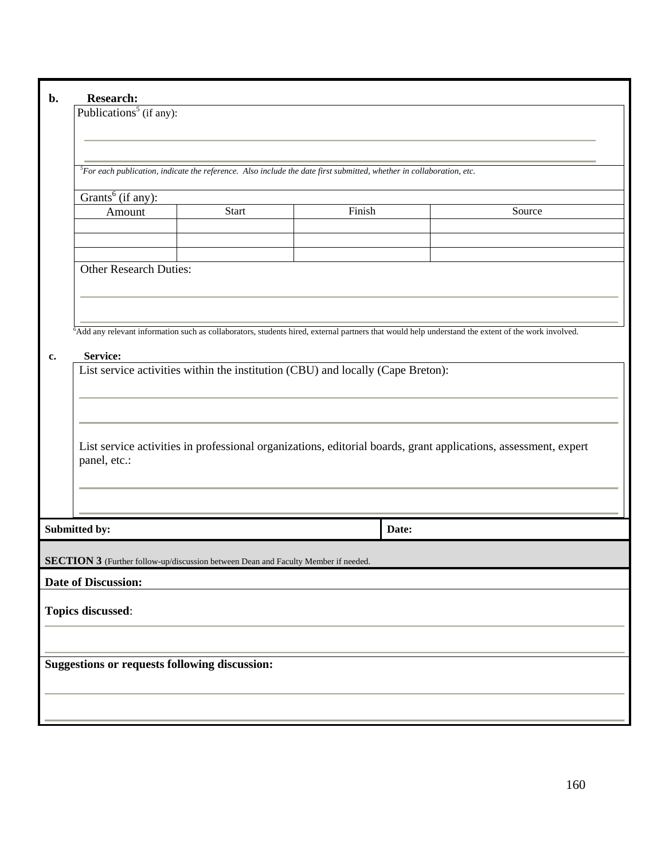| b. | <b>Research:</b>                                     |                                                                                    |                                                                                                                            |                                                                                                                                                                |  |  |  |
|----|------------------------------------------------------|------------------------------------------------------------------------------------|----------------------------------------------------------------------------------------------------------------------------|----------------------------------------------------------------------------------------------------------------------------------------------------------------|--|--|--|
|    | Publications <sup>5</sup> (if any):                  |                                                                                    |                                                                                                                            |                                                                                                                                                                |  |  |  |
|    |                                                      |                                                                                    |                                                                                                                            |                                                                                                                                                                |  |  |  |
|    |                                                      |                                                                                    |                                                                                                                            |                                                                                                                                                                |  |  |  |
|    |                                                      |                                                                                    | ${}^5$ For each publication, indicate the reference. Also include the date first submitted, whether in collaboration, etc. |                                                                                                                                                                |  |  |  |
|    | Grants <sup>6</sup> (if any):                        |                                                                                    |                                                                                                                            |                                                                                                                                                                |  |  |  |
|    | Amount                                               | <b>Start</b>                                                                       | Finish                                                                                                                     | Source                                                                                                                                                         |  |  |  |
|    |                                                      |                                                                                    |                                                                                                                            |                                                                                                                                                                |  |  |  |
|    |                                                      |                                                                                    |                                                                                                                            |                                                                                                                                                                |  |  |  |
|    | <b>Other Research Duties:</b>                        |                                                                                    |                                                                                                                            |                                                                                                                                                                |  |  |  |
|    |                                                      |                                                                                    |                                                                                                                            |                                                                                                                                                                |  |  |  |
|    |                                                      |                                                                                    |                                                                                                                            |                                                                                                                                                                |  |  |  |
|    |                                                      |                                                                                    |                                                                                                                            | <sup>6</sup> Add any relevant information such as collaborators, students hired, external partners that would help understand the extent of the work involved. |  |  |  |
| c. | Service:                                             |                                                                                    |                                                                                                                            |                                                                                                                                                                |  |  |  |
|    |                                                      |                                                                                    | List service activities within the institution (CBU) and locally (Cape Breton):                                            |                                                                                                                                                                |  |  |  |
|    |                                                      |                                                                                    |                                                                                                                            |                                                                                                                                                                |  |  |  |
|    |                                                      |                                                                                    |                                                                                                                            |                                                                                                                                                                |  |  |  |
|    |                                                      |                                                                                    |                                                                                                                            |                                                                                                                                                                |  |  |  |
|    |                                                      |                                                                                    |                                                                                                                            | List service activities in professional organizations, editorial boards, grant applications, assessment, expert                                                |  |  |  |
|    | panel, etc.:                                         |                                                                                    |                                                                                                                            |                                                                                                                                                                |  |  |  |
|    |                                                      |                                                                                    |                                                                                                                            |                                                                                                                                                                |  |  |  |
|    |                                                      |                                                                                    |                                                                                                                            |                                                                                                                                                                |  |  |  |
|    | Submitted by:                                        |                                                                                    | Date:                                                                                                                      |                                                                                                                                                                |  |  |  |
|    |                                                      |                                                                                    |                                                                                                                            |                                                                                                                                                                |  |  |  |
|    |                                                      | SECTION 3 (Further follow-up/discussion between Dean and Faculty Member if needed. |                                                                                                                            |                                                                                                                                                                |  |  |  |
|    | <b>Date of Discussion:</b>                           |                                                                                    |                                                                                                                            |                                                                                                                                                                |  |  |  |
|    | Topics discussed:                                    |                                                                                    |                                                                                                                            |                                                                                                                                                                |  |  |  |
|    |                                                      |                                                                                    |                                                                                                                            |                                                                                                                                                                |  |  |  |
|    |                                                      |                                                                                    |                                                                                                                            |                                                                                                                                                                |  |  |  |
|    | <b>Suggestions or requests following discussion:</b> |                                                                                    |                                                                                                                            |                                                                                                                                                                |  |  |  |
|    |                                                      |                                                                                    |                                                                                                                            |                                                                                                                                                                |  |  |  |
|    |                                                      |                                                                                    |                                                                                                                            |                                                                                                                                                                |  |  |  |
|    |                                                      |                                                                                    |                                                                                                                            |                                                                                                                                                                |  |  |  |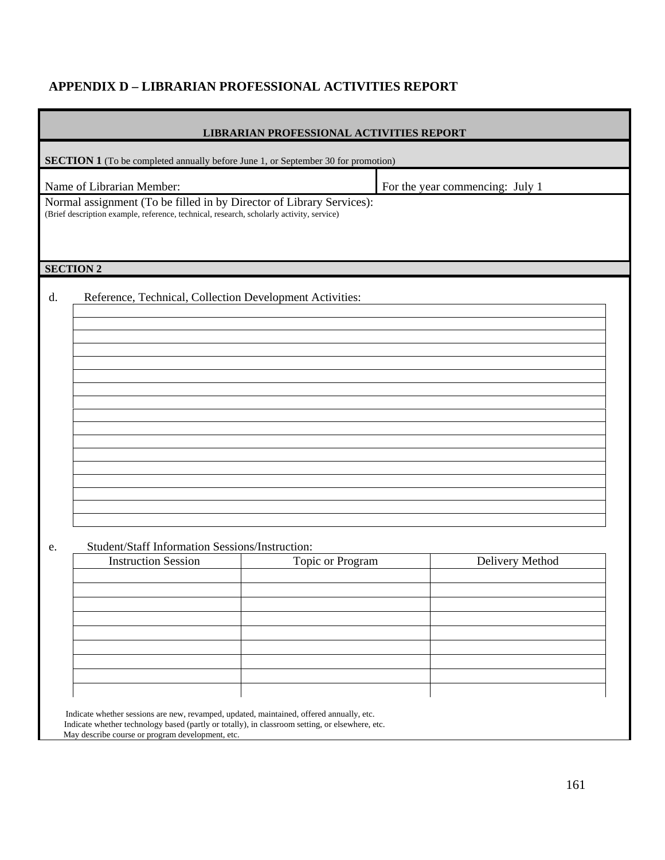## **APPENDIX D – LIBRARIAN PROFESSIONAL ACTIVITIES REPORT**

|                  | <b>LIBRARIAN PROFESSIONAL ACTIVITIES REPORT</b>                                                                                                                  |                                 |
|------------------|------------------------------------------------------------------------------------------------------------------------------------------------------------------|---------------------------------|
|                  | <b>SECTION 1</b> (To be completed annually before June 1, or September 30 for promotion)                                                                         |                                 |
|                  | Name of Librarian Member:                                                                                                                                        | For the year commencing: July 1 |
|                  | Normal assignment (To be filled in by Director of Library Services):<br>(Brief description example, reference, technical, research, scholarly activity, service) |                                 |
|                  |                                                                                                                                                                  |                                 |
| <b>SECTION 2</b> |                                                                                                                                                                  |                                 |
| d.               | Reference, Technical, Collection Development Activities:                                                                                                         |                                 |
|                  |                                                                                                                                                                  |                                 |
|                  |                                                                                                                                                                  |                                 |
|                  |                                                                                                                                                                  |                                 |
|                  |                                                                                                                                                                  |                                 |
|                  |                                                                                                                                                                  |                                 |
|                  |                                                                                                                                                                  |                                 |
|                  |                                                                                                                                                                  |                                 |
|                  |                                                                                                                                                                  |                                 |
|                  |                                                                                                                                                                  |                                 |
| e.               | Student/Staff Information Sessions/Instruction:                                                                                                                  |                                 |

| <b>Instruction Session</b> | Topic or Program | Delivery Method |
|----------------------------|------------------|-----------------|
|                            |                  |                 |
|                            |                  |                 |
|                            |                  |                 |
|                            |                  |                 |
|                            |                  |                 |
|                            |                  |                 |
|                            |                  |                 |
|                            |                  |                 |
|                            |                  |                 |

 Indicate whether sessions are new, revamped, updated, maintained, offered annually, etc. Indicate whether technology based (partly or totally), in classroom setting, or elsewhere, etc. May describe course or program development, etc.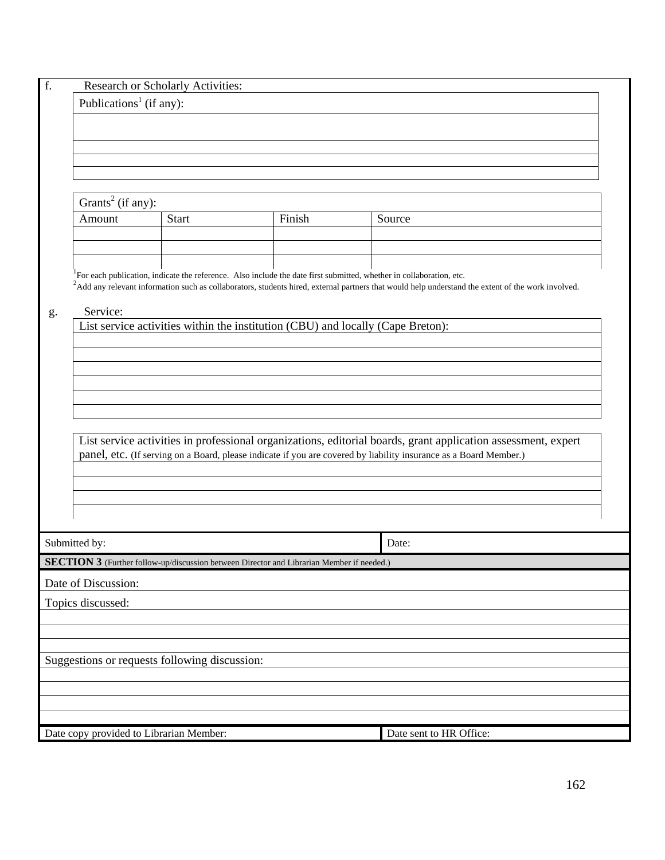| f. |                                         | Research or Scholarly Activities:                                                                                                |        |                                                                                                                                                                |
|----|-----------------------------------------|----------------------------------------------------------------------------------------------------------------------------------|--------|----------------------------------------------------------------------------------------------------------------------------------------------------------------|
|    | Publications <sup>1</sup> (if any):     |                                                                                                                                  |        |                                                                                                                                                                |
|    |                                         |                                                                                                                                  |        |                                                                                                                                                                |
|    |                                         |                                                                                                                                  |        |                                                                                                                                                                |
|    |                                         |                                                                                                                                  |        |                                                                                                                                                                |
|    |                                         |                                                                                                                                  |        |                                                                                                                                                                |
|    |                                         |                                                                                                                                  |        |                                                                                                                                                                |
|    | Grants <sup>2</sup> (if any):           |                                                                                                                                  |        |                                                                                                                                                                |
|    | Amount                                  | <b>Start</b>                                                                                                                     | Finish | Source                                                                                                                                                         |
|    |                                         |                                                                                                                                  |        |                                                                                                                                                                |
|    |                                         |                                                                                                                                  |        |                                                                                                                                                                |
|    |                                         | <sup>1</sup> For each publication, indicate the reference. Also include the date first submitted, whether in collaboration, etc. |        |                                                                                                                                                                |
|    |                                         |                                                                                                                                  |        | <sup>2</sup> Add any relevant information such as collaborators, students hired, external partners that would help understand the extent of the work involved. |
|    |                                         |                                                                                                                                  |        |                                                                                                                                                                |
| g. | Service:                                | List service activities within the institution (CBU) and locally (Cape Breton):                                                  |        |                                                                                                                                                                |
|    |                                         |                                                                                                                                  |        |                                                                                                                                                                |
|    |                                         |                                                                                                                                  |        |                                                                                                                                                                |
|    |                                         |                                                                                                                                  |        |                                                                                                                                                                |
|    |                                         |                                                                                                                                  |        |                                                                                                                                                                |
|    |                                         |                                                                                                                                  |        |                                                                                                                                                                |
|    |                                         |                                                                                                                                  |        |                                                                                                                                                                |
|    |                                         |                                                                                                                                  |        | List service activities in professional organizations, editorial boards, grant application assessment, expert                                                  |
|    |                                         |                                                                                                                                  |        | panel, etc. (If serving on a Board, please indicate if you are covered by liability insurance as a Board Member.)                                              |
|    |                                         |                                                                                                                                  |        |                                                                                                                                                                |
|    |                                         |                                                                                                                                  |        |                                                                                                                                                                |
|    |                                         |                                                                                                                                  |        |                                                                                                                                                                |
|    |                                         |                                                                                                                                  |        |                                                                                                                                                                |
|    | Submitted by:                           |                                                                                                                                  |        | Date:                                                                                                                                                          |
|    |                                         | <b>SECTION 3</b> (Further follow-up/discussion between Director and Librarian Member if needed.)                                 |        |                                                                                                                                                                |
|    |                                         |                                                                                                                                  |        |                                                                                                                                                                |
|    | Date of Discussion:                     |                                                                                                                                  |        |                                                                                                                                                                |
|    | Topics discussed:                       |                                                                                                                                  |        |                                                                                                                                                                |
|    |                                         |                                                                                                                                  |        |                                                                                                                                                                |
|    |                                         |                                                                                                                                  |        |                                                                                                                                                                |
|    |                                         | Suggestions or requests following discussion:                                                                                    |        |                                                                                                                                                                |
|    |                                         |                                                                                                                                  |        |                                                                                                                                                                |
|    |                                         |                                                                                                                                  |        |                                                                                                                                                                |
|    |                                         |                                                                                                                                  |        |                                                                                                                                                                |
|    |                                         |                                                                                                                                  |        |                                                                                                                                                                |
|    | Date copy provided to Librarian Member: |                                                                                                                                  |        | Date sent to HR Office:                                                                                                                                        |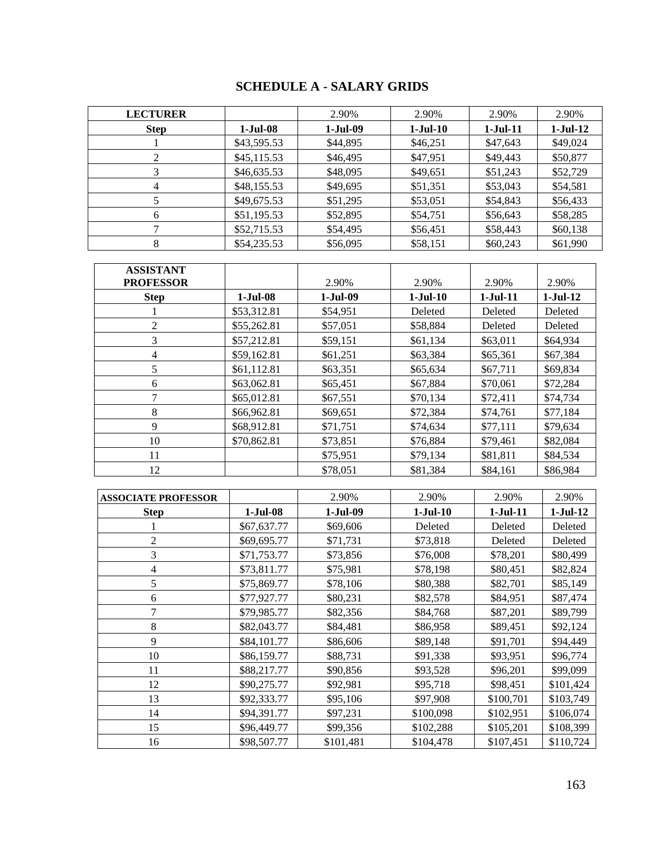## **SCHEDULE A - SALARY GRIDS**

| <b>LECTURER</b> |             | 2.90%      | 2.90%      | 2.90%      | 2.90%    |
|-----------------|-------------|------------|------------|------------|----------|
| <b>Step</b>     | 1-Jul-08    | $1-Jul-09$ | $1-Jul-10$ | $1-Jul-11$ | 1-Jul-12 |
|                 | \$43,595.53 | \$44,895   | \$46,251   | \$47,643   | \$49,024 |
| 2               | \$45,115.53 | \$46,495   | \$47,951   | \$49,443   | \$50,877 |
|                 | \$46,635.53 | \$48,095   | \$49,651   | \$51,243   | \$52,729 |
| 4               | \$48,155.53 | \$49,695   | \$51,351   | \$53,043   | \$54,581 |
|                 | \$49,675.53 | \$51,295   | \$53,051   | \$54,843   | \$56,433 |
| 6               | \$51,195.53 | \$52,895   | \$54,751   | \$56,643   | \$58,285 |
|                 | \$52,715.53 | \$54,495   | \$56,451   | \$58,443   | \$60,138 |
|                 | \$54,235.53 | \$56,095   | \$58,151   | \$60,243   | \$61,990 |

| <b>ASSISTANT</b><br><b>PROFESSOR</b> |             | 2.90%    | 2.90%      | 2.90%      | 2.90%      |
|--------------------------------------|-------------|----------|------------|------------|------------|
| <b>Step</b>                          | $1-Jul-08$  | 1-Jul-09 | $1-Jul-10$ | $1-Jul-11$ | $1-Jul-12$ |
|                                      | \$53,312.81 | \$54,951 | Deleted    | Deleted    | Deleted    |
| 2                                    | \$55,262.81 | \$57,051 | \$58,884   | Deleted    | Deleted    |
| 3                                    | \$57,212.81 | \$59,151 | \$61,134   | \$63,011   | \$64,934   |
| 4                                    | \$59,162.81 | \$61,251 | \$63,384   | \$65,361   | \$67,384   |
| 5                                    | \$61,112.81 | \$63,351 | \$65,634   | \$67,711   | \$69,834   |
| 6                                    | \$63,062.81 | \$65,451 | \$67,884   | \$70,061   | \$72,284   |
| 7                                    | \$65,012.81 | \$67,551 | \$70,134   | \$72,411   | \$74,734   |
| 8                                    | \$66,962.81 | \$69,651 | \$72,384   | \$74,761   | \$77,184   |
| 9                                    | \$68,912.81 | \$71,751 | \$74,634   | \$77,111   | \$79,634   |
| 10                                   | \$70,862.81 | \$73,851 | \$76,884   | \$79,461   | \$82,084   |
| 11                                   |             | \$75,951 | \$79,134   | \$81,811   | \$84,534   |
| 12                                   |             | \$78,051 | \$81,384   | \$84,161   | \$86,984   |

| <b>ASSOCIATE PROFESSOR</b> |             | 2.90%      | 2.90%      | 2.90%      | 2.90%      |
|----------------------------|-------------|------------|------------|------------|------------|
| <b>Step</b>                | $1-Jul-08$  | $1-Jul-09$ | $1-Jul-10$ | $1-Jul-11$ | $1-Jul-12$ |
|                            | \$67,637.77 | \$69,606   | Deleted    | Deleted    | Deleted    |
| 2                          | \$69,695.77 | \$71,731   | \$73,818   | Deleted    | Deleted    |
| 3                          | \$71,753.77 | \$73,856   | \$76,008   | \$78,201   | \$80,499   |
| 4                          | \$73,811.77 | \$75,981   | \$78,198   | \$80,451   | \$82,824   |
| 5                          | \$75,869.77 | \$78,106   | \$80,388   | \$82,701   | \$85,149   |
| 6                          | \$77,927.77 | \$80,231   | \$82,578   | \$84,951   | \$87,474   |
| 7                          | \$79,985.77 | \$82,356   | \$84,768   | \$87,201   | \$89,799   |
| 8                          | \$82,043.77 | \$84,481   | \$86,958   | \$89,451   | \$92,124   |
| 9                          | \$84,101.77 | \$86,606   | \$89,148   | \$91,701   | \$94,449   |
| 10                         | \$86,159.77 | \$88,731   | \$91,338   | \$93,951   | \$96,774   |
| 11                         | \$88,217.77 | \$90,856   | \$93,528   | \$96,201   | \$99,099   |
| 12                         | \$90,275.77 | \$92,981   | \$95,718   | \$98,451   | \$101,424  |
| 13                         | \$92,333.77 | \$95,106   | \$97,908   | \$100,701  | \$103,749  |
| 14                         | \$94,391.77 | \$97,231   | \$100,098  | \$102,951  | \$106,074  |
| 15                         | \$96,449.77 | \$99,356   | \$102,288  | \$105,201  | \$108,399  |
| 16                         | \$98,507.77 | \$101,481  | \$104,478  | \$107,451  | \$110,724  |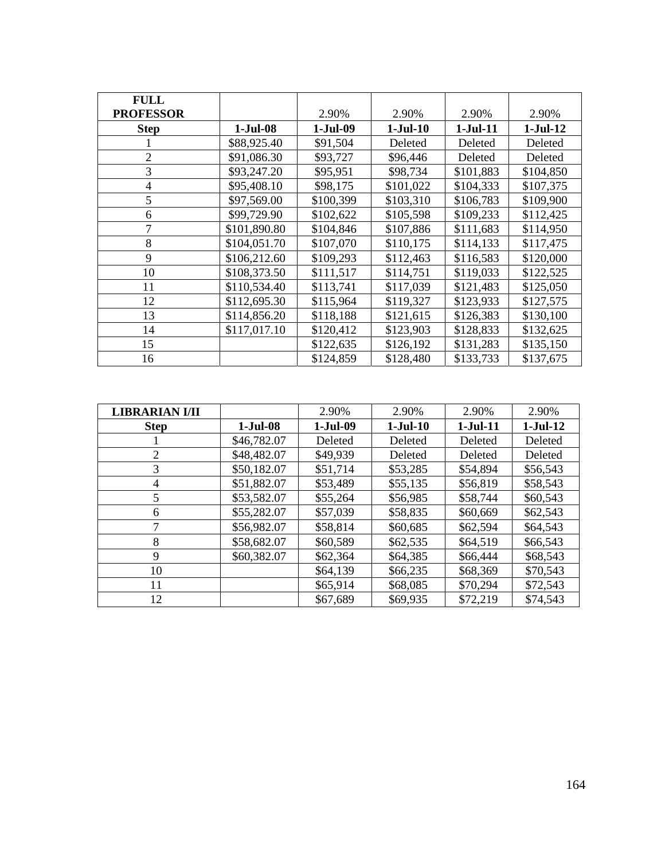| <b>FULL</b>      |              |            |            |            |            |
|------------------|--------------|------------|------------|------------|------------|
| <b>PROFESSOR</b> |              | 2.90%      | 2.90%      | 2.90%      | 2.90%      |
| <b>Step</b>      | $1-Jul-08$   | $1-Jul-09$ | $1-Jul-10$ | $1-Jul-11$ | $1-Jul-12$ |
|                  | \$88,925.40  | \$91,504   | Deleted    | Deleted    | Deleted    |
| $\overline{2}$   | \$91,086.30  | \$93,727   | \$96,446   | Deleted    | Deleted    |
| 3                | \$93,247.20  | \$95,951   | \$98,734   | \$101,883  | \$104,850  |
| $\overline{4}$   | \$95,408.10  | \$98,175   | \$101,022  | \$104,333  | \$107,375  |
| 5                | \$97,569.00  | \$100,399  | \$103,310  | \$106,783  | \$109,900  |
| 6                | \$99,729.90  | \$102,622  | \$105,598  | \$109,233  | \$112,425  |
|                  | \$101,890.80 | \$104,846  | \$107,886  | \$111,683  | \$114,950  |
| 8                | \$104,051.70 | \$107,070  | \$110,175  | \$114,133  | \$117,475  |
| 9                | \$106,212.60 | \$109,293  | \$112,463  | \$116,583  | \$120,000  |
| 10               | \$108,373.50 | \$111,517  | \$114,751  | \$119,033  | \$122,525  |
| 11               | \$110,534.40 | \$113,741  | \$117,039  | \$121,483  | \$125,050  |
| 12               | \$112,695.30 | \$115,964  | \$119,327  | \$123,933  | \$127,575  |
| 13               | \$114,856.20 | \$118,188  | \$121,615  | \$126,383  | \$130,100  |
| 14               | \$117,017.10 | \$120,412  | \$123,903  | \$128,833  | \$132,625  |
| 15               |              | \$122,635  | \$126,192  | \$131,283  | \$135,150  |
| 16               |              | \$124,859  | \$128,480  | \$133,733  | \$137,675  |

| <b>LIBRARIAN I/II</b> |             | 2.90%      | 2.90%      | 2.90%      | 2.90%      |
|-----------------------|-------------|------------|------------|------------|------------|
| <b>Step</b>           | $1-Jul-08$  | $1-Jul-09$ | $1-Jul-10$ | $1-Jul-11$ | $1-Jul-12$ |
|                       | \$46,782.07 | Deleted    | Deleted    | Deleted    | Deleted    |
| 2                     | \$48,482.07 | \$49,939   | Deleted    | Deleted    | Deleted    |
| 3                     | \$50,182.07 | \$51,714   | \$53,285   | \$54,894   | \$56,543   |
| 4                     | \$51,882.07 | \$53,489   | \$55,135   | \$56,819   | \$58,543   |
| 5                     | \$53,582.07 | \$55,264   | \$56,985   | \$58,744   | \$60,543   |
| 6                     | \$55,282.07 | \$57,039   | \$58,835   | \$60,669   | \$62,543   |
|                       | \$56,982.07 | \$58,814   | \$60,685   | \$62,594   | \$64,543   |
| 8                     | \$58,682.07 | \$60,589   | \$62,535   | \$64,519   | \$66,543   |
| 9                     | \$60,382.07 | \$62,364   | \$64,385   | \$66,444   | \$68,543   |
| 10                    |             | \$64,139   | \$66,235   | \$68,369   | \$70,543   |
| 11                    |             | \$65,914   | \$68,085   | \$70,294   | \$72,543   |
| 12                    |             | \$67,689   | \$69,935   | \$72,219   | \$74,543   |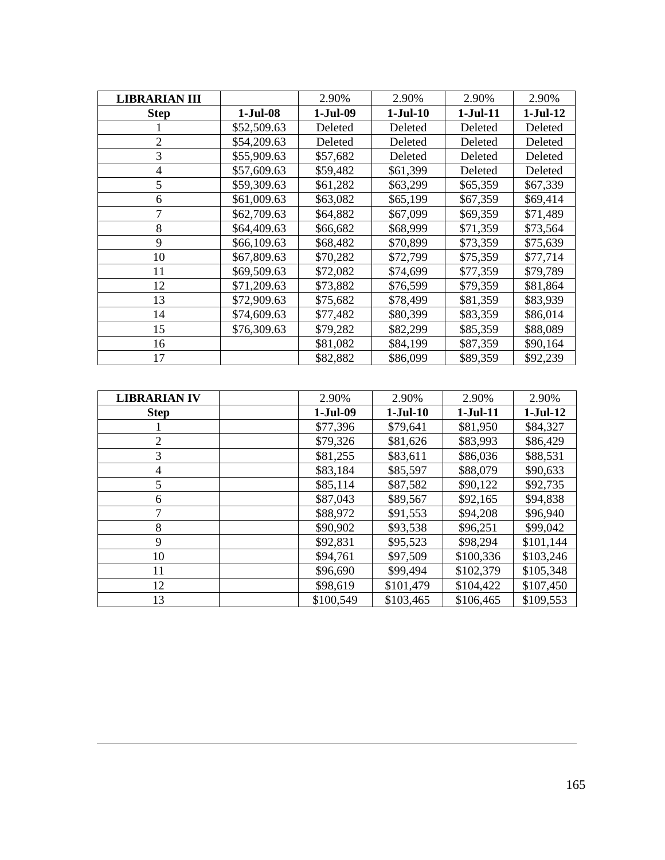| <b>LIBRARIAN III</b> |             | 2.90%      | 2.90%      | 2.90%      | 2.90%      |
|----------------------|-------------|------------|------------|------------|------------|
| <b>Step</b>          | $1-Jul-08$  | $1-Jul-09$ | $1-Jul-10$ | $1-Jul-11$ | $1-Jul-12$ |
|                      | \$52,509.63 | Deleted    | Deleted    | Deleted    | Deleted    |
| 2                    | \$54,209.63 | Deleted    | Deleted    | Deleted    | Deleted    |
| 3                    | \$55,909.63 | \$57,682   | Deleted    | Deleted    | Deleted    |
| 4                    | \$57,609.63 | \$59,482   | \$61,399   | Deleted    | Deleted    |
| 5                    | \$59,309.63 | \$61,282   | \$63,299   | \$65,359   | \$67,339   |
| 6                    | \$61,009.63 | \$63,082   | \$65,199   | \$67,359   | \$69,414   |
| 7                    | \$62,709.63 | \$64,882   | \$67,099   | \$69,359   | \$71,489   |
| 8                    | \$64,409.63 | \$66,682   | \$68,999   | \$71,359   | \$73,564   |
| 9                    | \$66,109.63 | \$68,482   | \$70,899   | \$73,359   | \$75,639   |
| 10                   | \$67,809.63 | \$70,282   | \$72,799   | \$75,359   | \$77,714   |
| 11                   | \$69,509.63 | \$72,082   | \$74,699   | \$77,359   | \$79,789   |
| 12                   | \$71,209.63 | \$73,882   | \$76,599   | \$79,359   | \$81,864   |
| 13                   | \$72,909.63 | \$75,682   | \$78,499   | \$81,359   | \$83,939   |
| 14                   | \$74,609.63 | \$77,482   | \$80,399   | \$83,359   | \$86,014   |
| 15                   | \$76,309.63 | \$79,282   | \$82,299   | \$85,359   | \$88,089   |
| 16                   |             | \$81,082   | \$84,199   | \$87,359   | \$90,164   |
| 17                   |             | \$82,882   | \$86,099   | \$89,359   | \$92,239   |

| <b>LIBRARIAN IV</b> | 2.90%      | 2.90%      | 2.90%      | 2.90%      |
|---------------------|------------|------------|------------|------------|
| <b>Step</b>         | $1-Jul-09$ | $1-Jul-10$ | $1-Jul-11$ | $1-Jul-12$ |
|                     | \$77,396   | \$79,641   | \$81,950   | \$84,327   |
| $\overline{2}$      | \$79,326   | \$81,626   | \$83,993   | \$86,429   |
| 3                   | \$81,255   | \$83,611   | \$86,036   | \$88,531   |
| 4                   | \$83,184   | \$85,597   | \$88,079   | \$90,633   |
| 5                   | \$85,114   | \$87,582   | \$90,122   | \$92,735   |
| 6                   | \$87,043   | \$89,567   | \$92,165   | \$94,838   |
| 7                   | \$88,972   | \$91,553   | \$94,208   | \$96,940   |
| 8                   | \$90,902   | \$93,538   | \$96,251   | \$99,042   |
| 9                   | \$92,831   | \$95,523   | \$98,294   | \$101,144  |
| 10                  | \$94,761   | \$97,509   | \$100,336  | \$103,246  |
| 11                  | \$96,690   | \$99,494   | \$102,379  | \$105,348  |
| 12                  | \$98,619   | \$101,479  | \$104,422  | \$107,450  |
| 13                  | \$100,549  | \$103,465  | \$106,465  | \$109,553  |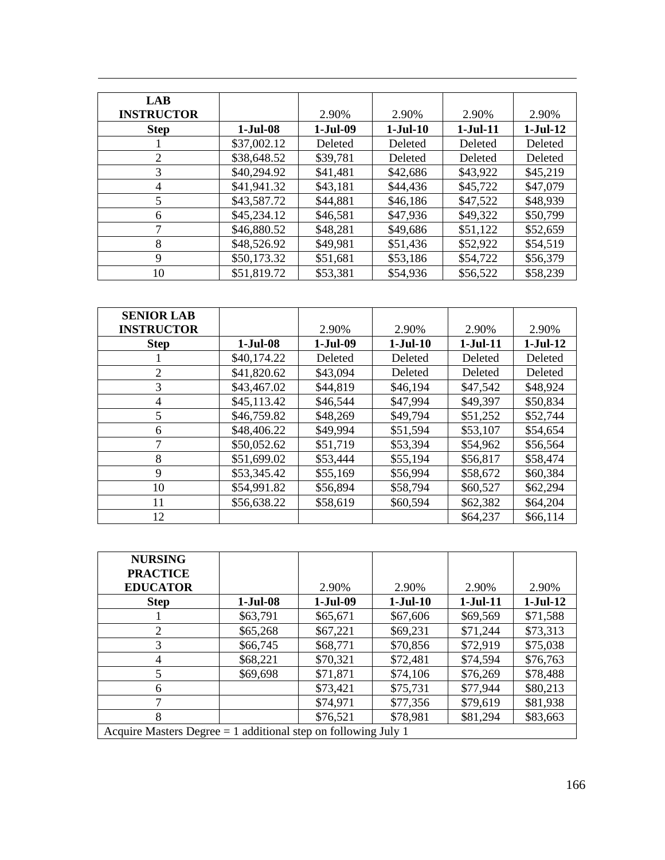| <b>LAB</b><br><b>INSTRUCTOR</b> |             | 2.90%    | 2.90%      | 2.90%      | 2.90%          |
|---------------------------------|-------------|----------|------------|------------|----------------|
| <b>Step</b>                     | 1-Jul-08    | 1-Jul-09 | $1-Jul-10$ | $1-Jul-11$ | $1-Jul-12$     |
|                                 | \$37,002.12 | Deleted  | Deleted    | Deleted    | Deleted        |
| 2                               | \$38,648.52 | \$39,781 | Deleted    | Deleted    | <b>Deleted</b> |
| 3                               | \$40,294.92 | \$41,481 | \$42,686   | \$43,922   | \$45,219       |
| 4                               | \$41,941.32 | \$43,181 | \$44,436   | \$45,722   | \$47,079       |
| 5                               | \$43,587.72 | \$44,881 | \$46,186   | \$47,522   | \$48,939       |
| 6                               | \$45,234.12 | \$46,581 | \$47,936   | \$49,322   | \$50,799       |
| 7                               | \$46,880.52 | \$48,281 | \$49,686   | \$51,122   | \$52,659       |
| 8                               | \$48,526.92 | \$49,981 | \$51,436   | \$52,922   | \$54,519       |
| 9                               | \$50,173.32 | \$51,681 | \$53,186   | \$54,722   | \$56,379       |
| 10                              | \$51,819.72 | \$53,381 | \$54,936   | \$56,522   | \$58,239       |

| <b>SENIOR LAB</b> |             |            |            |            |            |
|-------------------|-------------|------------|------------|------------|------------|
| <b>INSTRUCTOR</b> |             | 2.90%      | 2.90%      | 2.90%      | 2.90%      |
| <b>Step</b>       | $1-Jul-08$  | $1-Jul-09$ | $1-Jul-10$ | $1-Jul-11$ | $1-Jul-12$ |
|                   | \$40,174.22 | Deleted    | Deleted    | Deleted    | Deleted    |
| 2                 | \$41,820.62 | \$43,094   | Deleted    | Deleted    | Deleted    |
| 3                 | \$43,467.02 | \$44,819   | \$46,194   | \$47,542   | \$48,924   |
| 4                 | \$45,113.42 | \$46,544   | \$47,994   | \$49,397   | \$50,834   |
| 5                 | \$46,759.82 | \$48,269   | \$49,794   | \$51,252   | \$52,744   |
| 6                 | \$48,406.22 | \$49,994   | \$51,594   | \$53,107   | \$54,654   |
|                   | \$50,052.62 | \$51,719   | \$53,394   | \$54,962   | \$56,564   |
| 8                 | \$51,699.02 | \$53,444   | \$55,194   | \$56,817   | \$58,474   |
| 9                 | \$53,345.42 | \$55,169   | \$56,994   | \$58,672   | \$60,384   |
| 10                | \$54,991.82 | \$56,894   | \$58,794   | \$60,527   | \$62,294   |
| 11                | \$56,638.22 | \$58,619   | \$60,594   | \$62,382   | \$64,204   |
| 12                |             |            |            | \$64,237   | \$66,114   |

| <b>NURSING</b><br><b>PRACTICE</b><br><b>EDUCATOR</b>             |            | 2.90%      | 2.90%      | 2.90%      | 2.90%      |
|------------------------------------------------------------------|------------|------------|------------|------------|------------|
| <b>Step</b>                                                      | $1-Jul-08$ | $1-Jul-09$ | $1-Jul-10$ | $1-Jul-11$ | $1-Jul-12$ |
|                                                                  | \$63,791   | \$65,671   | \$67,606   | \$69,569   | \$71,588   |
| $\overline{2}$                                                   | \$65,268   | \$67,221   | \$69,231   | \$71,244   | \$73,313   |
| 3                                                                | \$66,745   | \$68,771   | \$70,856   | \$72,919   | \$75,038   |
| 4                                                                | \$68,221   | \$70,321   | \$72,481   | \$74,594   | \$76,763   |
| 5                                                                | \$69,698   | \$71,871   | \$74,106   | \$76,269   | \$78,488   |
| 6                                                                |            | \$73,421   | \$75,731   | \$77,944   | \$80,213   |
|                                                                  |            | \$74,971   | \$77,356   | \$79,619   | \$81,938   |
| 8                                                                |            | \$76,521   | \$78,981   | \$81,294   | \$83,663   |
| Acquire Masters Degree $= 1$ additional step on following July 1 |            |            |            |            |            |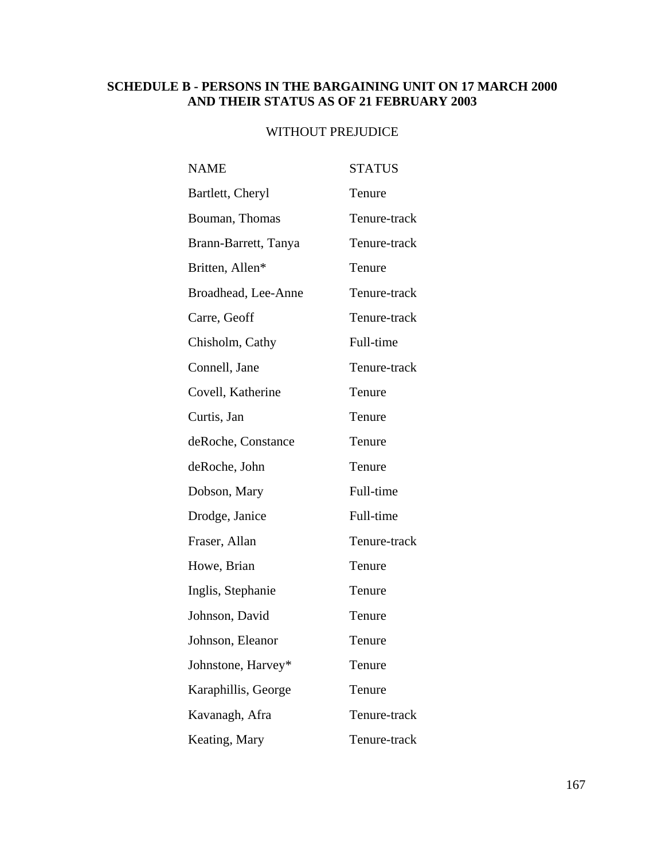### **SCHEDULE B - PERSONS IN THE BARGAINING UNIT ON 17 MARCH 2000 AND THEIR STATUS AS OF 21 FEBRUARY 2003**

### WITHOUT PREJUDICE

| <b>NAME</b>          | <b>STATUS</b> |
|----------------------|---------------|
| Bartlett, Cheryl     | Tenure        |
| Bouman, Thomas       | Tenure-track  |
| Brann-Barrett, Tanya | Tenure-track  |
| Britten, Allen*      | Tenure        |
| Broadhead, Lee-Anne  | Tenure-track  |
| Carre, Geoff         | Tenure-track  |
| Chisholm, Cathy      | Full-time     |
| Connell, Jane        | Tenure-track  |
| Covell, Katherine    | Tenure        |
| Curtis, Jan          | Tenure        |
| deRoche, Constance   | Tenure        |
| deRoche, John        | Tenure        |
| Dobson, Mary         | Full-time     |
| Drodge, Janice       | Full-time     |
| Fraser, Allan        | Tenure-track  |
| Howe, Brian          | Tenure        |
| Inglis, Stephanie    | Tenure        |
| Johnson, David       | Tenure        |
| Johnson, Eleanor     | Tenure        |
| Johnstone, Harvey*   | Tenure        |
| Karaphillis, George  | Tenure        |
| Kavanagh, Afra       | Tenure-track  |
| Keating, Mary        | Tenure-track  |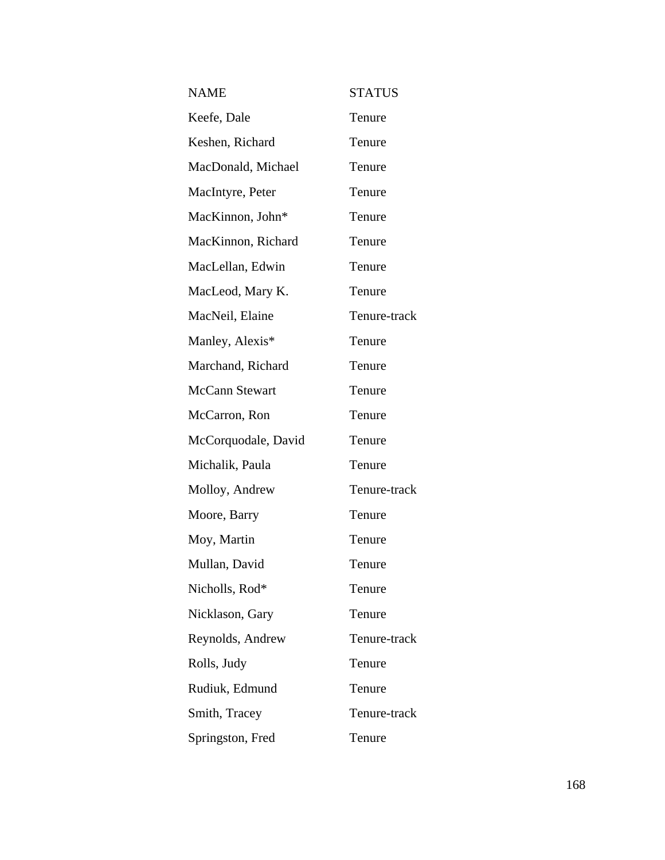| <b>NAME</b>         | <b>STATUS</b> |
|---------------------|---------------|
| Keefe, Dale         | Tenure        |
| Keshen, Richard     | Tenure        |
| MacDonald, Michael  | Tenure        |
| MacIntyre, Peter    | Tenure        |
| MacKinnon, John*    | Tenure        |
| MacKinnon, Richard  | Tenure        |
| MacLellan, Edwin    | Tenure        |
| MacLeod, Mary K.    | Tenure        |
| MacNeil, Elaine     | Tenure-track  |
| Manley, Alexis*     | Tenure        |
| Marchand, Richard   | Tenure        |
| McCann Stewart      | Tenure        |
| McCarron, Ron       | Tenure        |
| McCorquodale, David | Tenure        |
| Michalik, Paula     | Tenure        |
| Molloy, Andrew      | Tenure-track  |
| Moore, Barry        | Tenure        |
| Moy, Martin         | Tenure        |
| Mullan, David       | Tenure        |
| Nicholls, Rod*      | Tenure        |
| Nicklason, Gary     | Tenure        |
| Reynolds, Andrew    | Tenure-track  |
| Rolls, Judy         | Tenure        |
| Rudiuk, Edmund      | Tenure        |
| Smith, Tracey       | Tenure-track  |
| Springston, Fred    | Tenure        |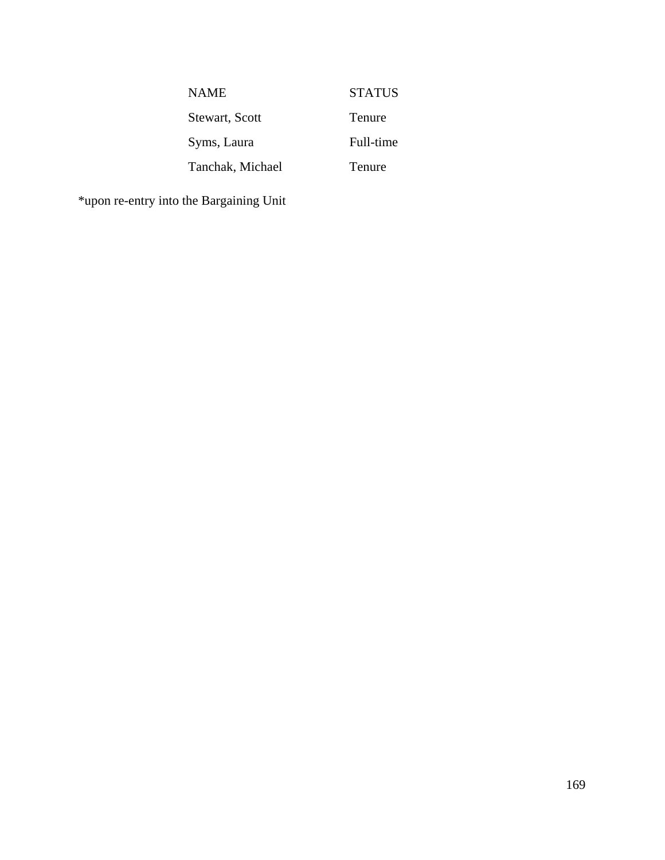| <b>NAME</b>      | <b>STATUS</b> |
|------------------|---------------|
| Stewart, Scott   | Tenure        |
| Syms, Laura      | Full-time     |
| Tanchak, Michael | Tenure        |

\*upon re-entry into the Bargaining Unit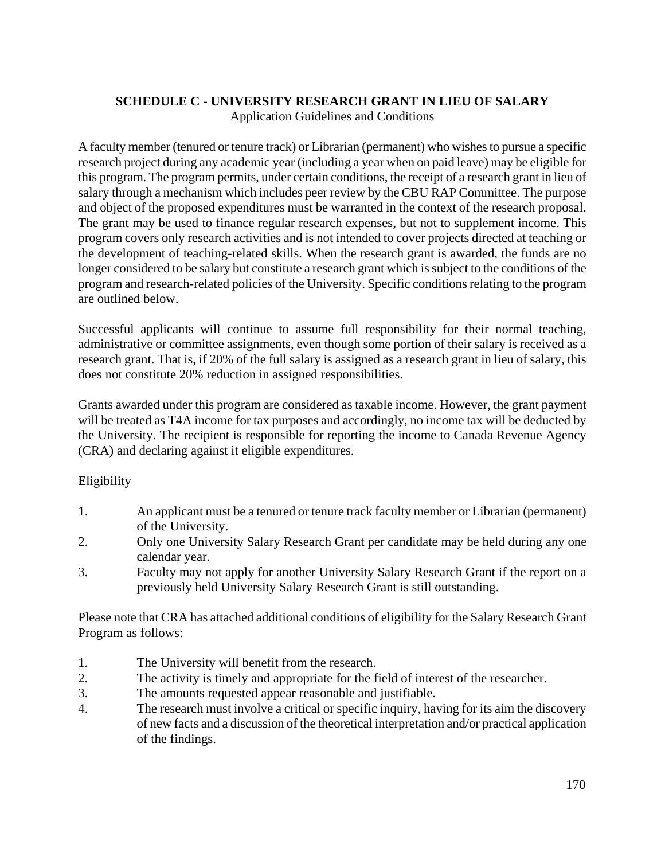### **SCHEDULE C - UNIVERSITY RESEARCH GRANT IN LIEU OF SALARY**  Application Guidelines and Conditions

A faculty member (tenured or tenure track) or Librarian (permanent) who wishes to pursue a specific research project during any academic year (including a year when on paid leave) may be eligible for this program. The program permits, under certain conditions, the receipt of a research grant in lieu of salary through a mechanism which includes peer review by the CBU RAP Committee. The purpose and object of the proposed expenditures must be warranted in the context of the research proposal. The grant may be used to finance regular research expenses, but not to supplement income. This program covers only research activities and is not intended to cover projects directed at teaching or the development of teaching-related skills. When the research grant is awarded, the funds are no longer considered to be salary but constitute a research grant which is subject to the conditions of the program and research-related policies of the University. Specific conditions relating to the program are outlined below.

Successful applicants will continue to assume full responsibility for their normal teaching, administrative or committee assignments, even though some portion of their salary is received as a research grant. That is, if 20% of the full salary is assigned as a research grant in lieu of salary, this does not constitute 20% reduction in assigned responsibilities.

Grants awarded under this program are considered as taxable income. However, the grant payment will be treated as T4A income for tax purposes and accordingly, no income tax will be deducted by the University. The recipient is responsible for reporting the income to Canada Revenue Agency (CRA) and declaring against it eligible expenditures.

### Eligibility

- 1. An applicant must be a tenured or tenure track faculty member or Librarian (permanent) of the University.
- 2. Only one University Salary Research Grant per candidate may be held during any one calendar year.
- 3. Faculty may not apply for another University Salary Research Grant if the report on a previously held University Salary Research Grant is still outstanding.

Please note that CRA has attached additional conditions of eligibility for the Salary Research Grant Program as follows:

- 1. The University will benefit from the research.
- 2. The activity is timely and appropriate for the field of interest of the researcher.
- 3. The amounts requested appear reasonable and justifiable.
- 4. The research must involve a critical or specific inquiry, having for its aim the discovery of new facts and a discussion of the theoretical interpretation and/or practical application of the findings.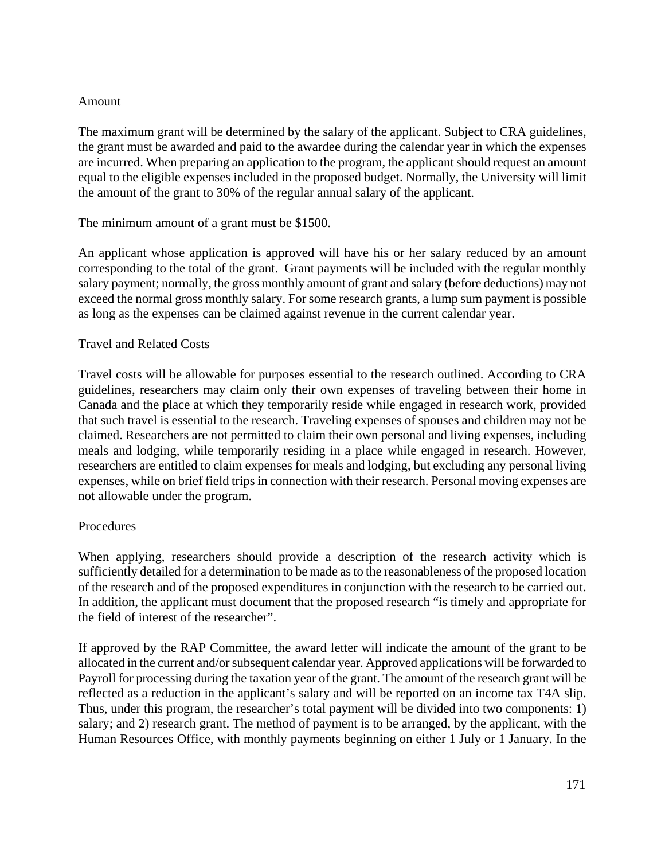### Amount

The maximum grant will be determined by the salary of the applicant. Subject to CRA guidelines, the grant must be awarded and paid to the awardee during the calendar year in which the expenses are incurred. When preparing an application to the program, the applicant should request an amount equal to the eligible expenses included in the proposed budget. Normally, the University will limit the amount of the grant to 30% of the regular annual salary of the applicant.

The minimum amount of a grant must be \$1500.

An applicant whose application is approved will have his or her salary reduced by an amount corresponding to the total of the grant. Grant payments will be included with the regular monthly salary payment; normally, the gross monthly amount of grant and salary (before deductions) may not exceed the normal gross monthly salary. For some research grants, a lump sum payment is possible as long as the expenses can be claimed against revenue in the current calendar year.

### Travel and Related Costs

Travel costs will be allowable for purposes essential to the research outlined. According to CRA guidelines, researchers may claim only their own expenses of traveling between their home in Canada and the place at which they temporarily reside while engaged in research work, provided that such travel is essential to the research. Traveling expenses of spouses and children may not be claimed. Researchers are not permitted to claim their own personal and living expenses, including meals and lodging, while temporarily residing in a place while engaged in research. However, researchers are entitled to claim expenses for meals and lodging, but excluding any personal living expenses, while on brief field trips in connection with their research. Personal moving expenses are not allowable under the program.

### Procedures

When applying, researchers should provide a description of the research activity which is sufficiently detailed for a determination to be made as to the reasonableness of the proposed location of the research and of the proposed expenditures in conjunction with the research to be carried out. In addition, the applicant must document that the proposed research "is timely and appropriate for the field of interest of the researcher".

If approved by the RAP Committee, the award letter will indicate the amount of the grant to be allocated in the current and/or subsequent calendar year. Approved applications will be forwarded to Payroll for processing during the taxation year of the grant. The amount of the research grant will be reflected as a reduction in the applicant's salary and will be reported on an income tax T4A slip. Thus, under this program, the researcher's total payment will be divided into two components: 1) salary; and 2) research grant. The method of payment is to be arranged, by the applicant, with the Human Resources Office, with monthly payments beginning on either 1 July or 1 January. In the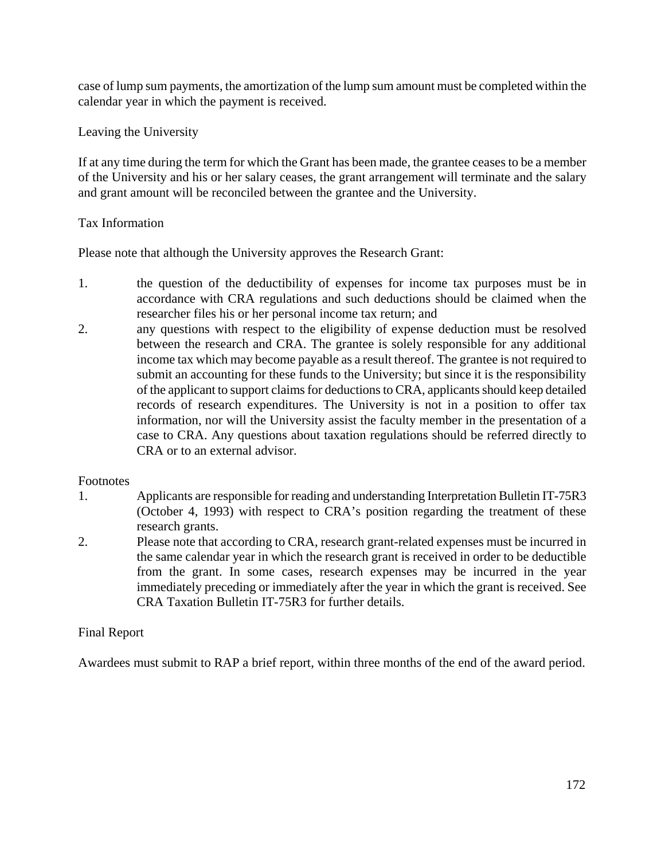case of lump sum payments, the amortization of the lump sum amount must be completed within the calendar year in which the payment is received.

Leaving the University

If at any time during the term for which the Grant has been made, the grantee ceases to be a member of the University and his or her salary ceases, the grant arrangement will terminate and the salary and grant amount will be reconciled between the grantee and the University.

### Tax Information

Please note that although the University approves the Research Grant:

- 1. the question of the deductibility of expenses for income tax purposes must be in accordance with CRA regulations and such deductions should be claimed when the researcher files his or her personal income tax return; and
- 2. any questions with respect to the eligibility of expense deduction must be resolved between the research and CRA. The grantee is solely responsible for any additional income tax which may become payable as a result thereof. The grantee is not required to submit an accounting for these funds to the University; but since it is the responsibility of the applicant to support claims for deductions to CRA, applicants should keep detailed records of research expenditures. The University is not in a position to offer tax information, nor will the University assist the faculty member in the presentation of a case to CRA. Any questions about taxation regulations should be referred directly to CRA or to an external advisor.

### Footnotes

- 1. Applicants are responsible for reading and understanding Interpretation Bulletin IT-75R3 (October 4, 1993) with respect to CRA's position regarding the treatment of these research grants.
- 2. Please note that according to CRA, research grant-related expenses must be incurred in the same calendar year in which the research grant is received in order to be deductible from the grant. In some cases, research expenses may be incurred in the year immediately preceding or immediately after the year in which the grant is received. See CRA Taxation Bulletin IT-75R3 for further details.

### Final Report

Awardees must submit to RAP a brief report, within three months of the end of the award period.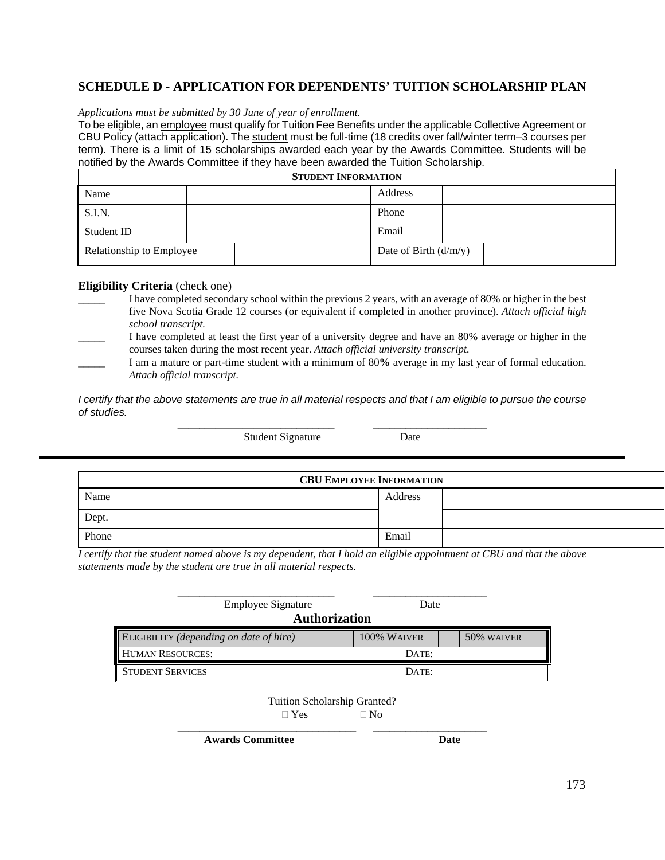### **SCHEDULE D - APPLICATION FOR DEPENDENTS' TUITION SCHOLARSHIP PLAN**

#### *Applications must be submitted by 30 June of year of enrollment.*

To be eligible, an employee must qualify for Tuition Fee Benefits under the applicable Collective Agreement or CBU Policy (attach application). The student must be full-time (18 credits over fall/winter term–3 courses per term). There is a limit of 15 scholarships awarded each year by the Awards Committee. Students will be notified by the Awards Committee if they have been awarded the Tuition Scholarship.

| <b>STUDENT INFORMATION</b>                          |  |  |         |  |  |  |
|-----------------------------------------------------|--|--|---------|--|--|--|
| Name                                                |  |  | Address |  |  |  |
| S.I.N.                                              |  |  | Phone   |  |  |  |
| Student ID                                          |  |  | Email   |  |  |  |
| Relationship to Employee<br>Date of Birth $(d/m/y)$ |  |  |         |  |  |  |

#### **Eligibility Criteria** (check one)

- I have completed secondary school within the previous 2 years, with an average of 80% or higher in the best five Nova Scotia Grade 12 courses (or equivalent if completed in another province). *Attach official high school transcript.*
- \_\_\_\_\_ I have completed at least the first year of a university degree and have an 80% average or higher in the courses taken during the most recent year. *Attach official university transcript.*
- \_\_\_\_\_ I am a mature or part-time student with a minimum of 80**%** average in my last year of formal education. *Attach official transcript.*

*I* certify that the above statements are true in all material respects and that I am eligible to pursue the course *of studies.* 

Student Signature Date

\_\_\_\_\_\_\_\_\_\_\_\_\_\_\_\_\_\_\_\_\_\_\_\_\_\_\_\_\_ \_\_\_\_\_\_\_\_\_\_\_\_\_\_\_\_\_\_\_\_\_

| <b>CBU EMPLOYEE INFORMATION</b> |  |         |  |  |  |
|---------------------------------|--|---------|--|--|--|
| Name                            |  | Address |  |  |  |
| Dept.                           |  |         |  |  |  |
| Phone                           |  | Email   |  |  |  |

*I certify that the student named above is my dependent, that I hold an eligible appointment at CBU and that the above statements made by the student are true in all material respects.*

| <b>Employee Signature</b><br>Date<br><b>Authorization</b> |             |  |       |            |  |
|-----------------------------------------------------------|-------------|--|-------|------------|--|
| ELIGIBILITY (depending on date of hire)                   | 100% WAIVER |  |       | 50% WAIVER |  |
| <b>HUMAN RESOURCES:</b>                                   |             |  | DATE: |            |  |
| <b>STUDENT SERVICES</b>                                   |             |  | DATE: |            |  |

Tuition Scholarship Granted?

 $\Box$  Yes  $\Box$  No

\_\_\_\_\_\_\_\_\_\_\_\_\_\_\_\_\_\_\_\_\_\_\_\_\_\_\_\_\_\_\_\_\_ \_\_\_\_\_\_\_\_\_\_\_\_\_\_\_\_\_\_\_\_\_ Awards Committee **Date**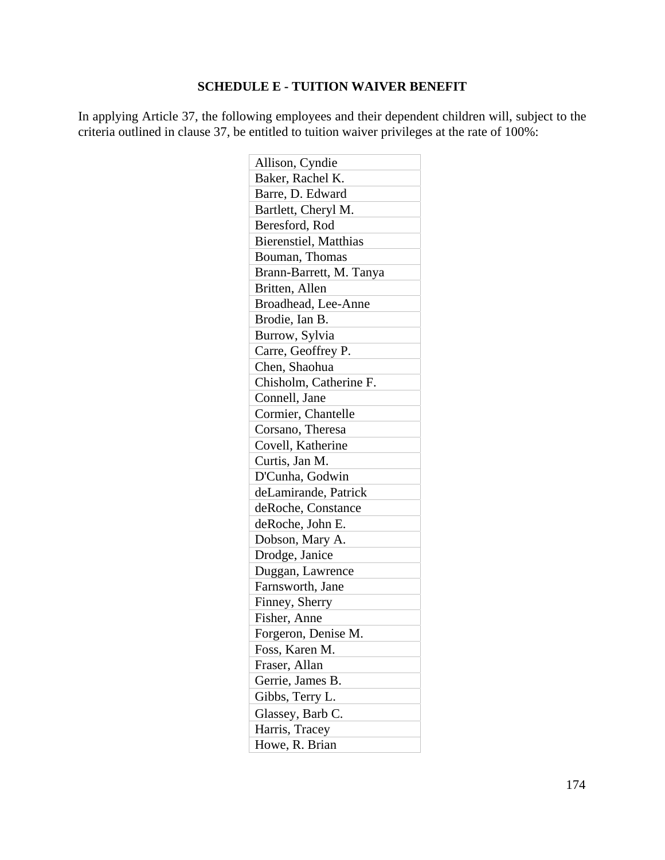### **SCHEDULE E - TUITION WAIVER BENEFIT**

In applying Article 37, the following employees and their dependent children will, subject to the criteria outlined in clause 37, be entitled to tuition waiver privileges at the rate of 100%:

| Allison, Cyndie               |
|-------------------------------|
| Baker, Rachel K.              |
| Barre, D. Edward              |
| Bartlett, Cheryl M.           |
| Beresford, Rod                |
| <b>Bierenstiel</b> , Matthias |
| Bouman, Thomas                |
| Brann-Barrett, M. Tanya       |
| Britten, Allen                |
| Broadhead, Lee-Anne           |
| Brodie, Ian B.                |
| Burrow, Sylvia                |
| Carre, Geoffrey P.            |
| Chen, Shaohua                 |
| Chisholm, Catherine F.        |
| Connell, Jane                 |
| Cormier, Chantelle            |
| Corsano, Theresa              |
| Covell, Katherine             |
| Curtis, Jan M.                |
| D'Cunha, Godwin               |
| deLamirande, Patrick          |
| deRoche, Constance            |
| deRoche, John E.              |
| Dobson, Mary A.               |
| Drodge, Janice                |
| Duggan, Lawrence              |
| Farnsworth, Jane              |
| Finney, Sherry                |
| Fisher, Anne                  |
| Forgeron, Denise M.           |
| Foss, Karen M.                |
| Fraser, Allan                 |
| Gerrie, James B.              |
| Gibbs, Terry L.               |
| Glassey, Barb C.              |
| Harris, Tracey                |
| Howe, R. Brian                |
|                               |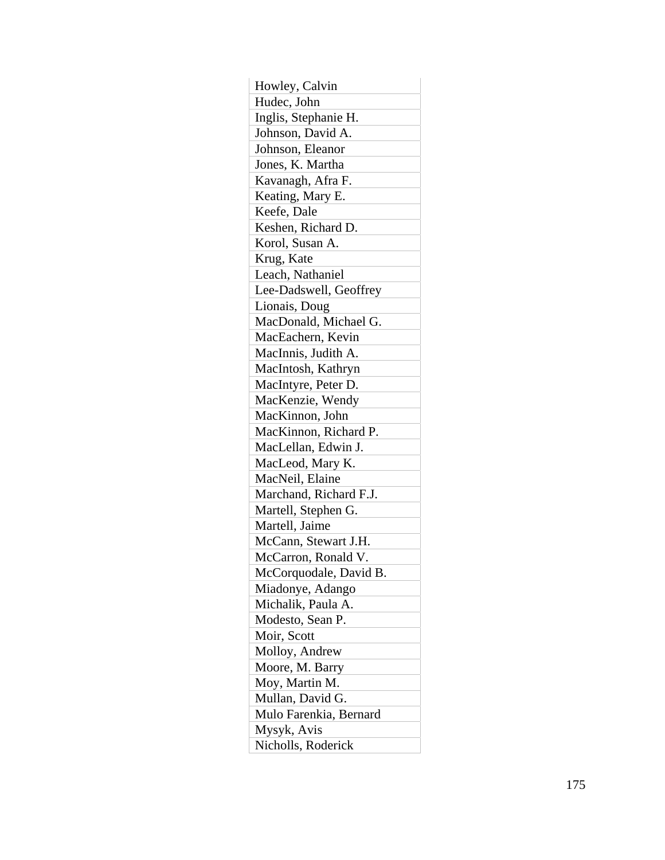| Howley, Calvin         |
|------------------------|
| Hudec, John            |
| Inglis, Stephanie H.   |
| Johnson, David A.      |
| Johnson, Eleanor       |
| Jones, K. Martha       |
| Kavanagh, Afra F.      |
| Keating, Mary E.       |
| Keefe, Dale            |
| Keshen, Richard D.     |
| Korol, Susan A.        |
| Krug, Kate             |
| Leach, Nathaniel       |
| Lee-Dadswell, Geoffrey |
| Lionais, Doug          |
| MacDonald, Michael G.  |
| MacEachern, Kevin      |
| MacInnis, Judith A.    |
| MacIntosh, Kathryn     |
| MacIntyre, Peter D.    |
| MacKenzie, Wendy       |
| MacKinnon, John        |
| MacKinnon, Richard P.  |
| MacLellan, Edwin J.    |
| MacLeod, Mary K.       |
| MacNeil, Elaine        |
| Marchand, Richard F.J. |
| Martell, Stephen G.    |
| Martell, Jaime         |
| McCann, Stewart J.H.   |
| McCarron, Ronald V.    |
| McCorquodale, David B. |
| Miadonye, Adango       |
| Michalik, Paula A.     |
| Modesto, Sean P.       |
| Moir, Scott            |
| Molloy, Andrew         |
| Moore, M. Barry        |
| Moy, Martin M.         |
| Mullan, David G.       |
| Mulo Farenkia, Bernard |
| Mysyk, Avis            |
| Nicholls, Roderick     |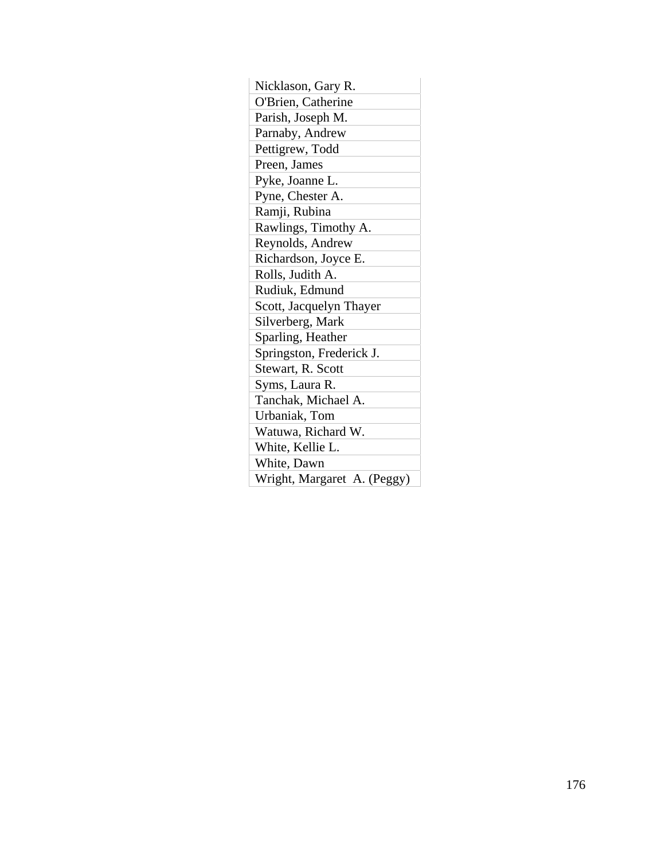| Nicklason, Gary R.          |
|-----------------------------|
| O'Brien, Catherine          |
| Parish, Joseph M.           |
| Parnaby, Andrew             |
| Pettigrew, Todd             |
| Preen, James                |
| Pyke, Joanne L.             |
| Pyne, Chester A.            |
| Ramji, Rubina               |
| Rawlings, Timothy A.        |
| Reynolds, Andrew            |
| Richardson, Joyce E.        |
| Rolls, Judith A.            |
| Rudiuk, Edmund              |
| Scott, Jacquelyn Thayer     |
| Silverberg, Mark            |
| Sparling, Heather           |
| Springston, Frederick J.    |
| Stewart, R. Scott           |
| Syms, Laura R.              |
| Tanchak, Michael A.         |
| Urbaniak, Tom               |
| Watuwa, Richard W.          |
| White, Kellie L.            |
| White, Dawn                 |
| Wright, Margaret A. (Peggy) |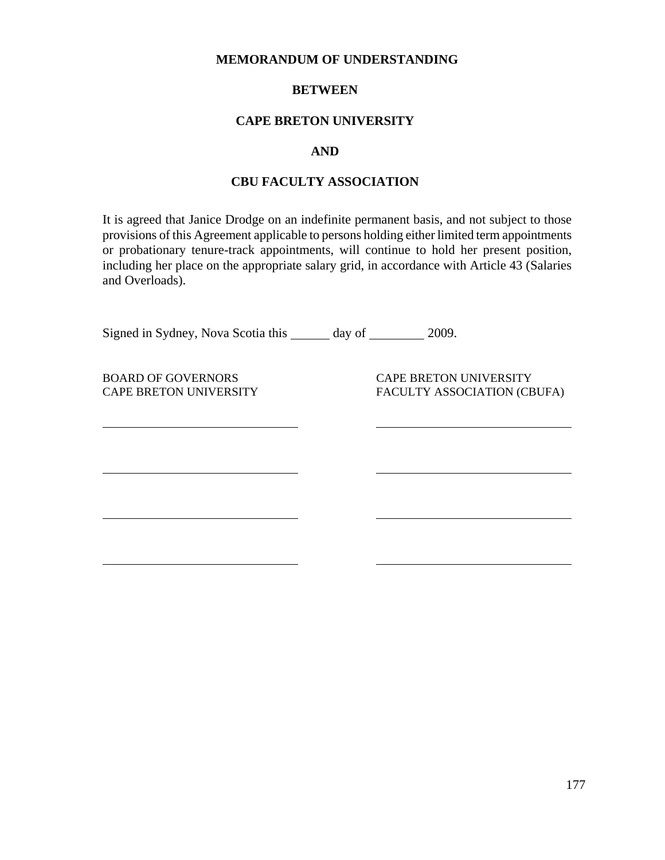#### **MEMORANDUM OF UNDERSTANDING**

### **BETWEEN**

### **CAPE BRETON UNIVERSITY**

#### **AND**

### **CBU FACULTY ASSOCIATION**

It is agreed that Janice Drodge on an indefinite permanent basis, and not subject to those provisions of this Agreement applicable to persons holding either limited term appointments or probationary tenure-track appointments, will continue to hold her present position, including her place on the appropriate salary grid, in accordance with Article 43 (Salaries and Overloads).

Signed in Sydney, Nova Scotia this \_\_\_\_\_\_ day of \_\_\_\_\_\_ 2009.

 $\overline{a}$ 

 $\overline{a}$ 

 $\overline{a}$ 

 $\overline{a}$ 

BOARD OF GOVERNORS CAPE BRETON UNIVERSITY CAPE BRETON UNIVERSITY FACULTY ASSOCIATION (CBUFA)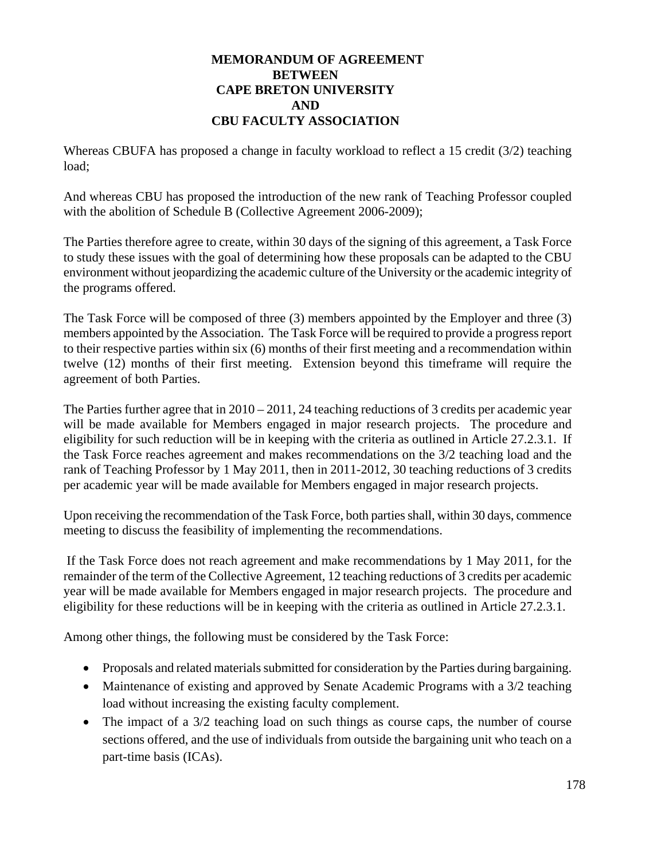### **MEMORANDUM OF AGREEMENT BETWEEN CAPE BRETON UNIVERSITY AND CBU FACULTY ASSOCIATION**

Whereas CBUFA has proposed a change in faculty workload to reflect a 15 credit (3/2) teaching load;

And whereas CBU has proposed the introduction of the new rank of Teaching Professor coupled with the abolition of Schedule B (Collective Agreement 2006-2009);

The Parties therefore agree to create, within 30 days of the signing of this agreement, a Task Force to study these issues with the goal of determining how these proposals can be adapted to the CBU environment without jeopardizing the academic culture of the University or the academic integrity of the programs offered.

The Task Force will be composed of three (3) members appointed by the Employer and three (3) members appointed by the Association. The Task Force will be required to provide a progress report to their respective parties within six (6) months of their first meeting and a recommendation within twelve (12) months of their first meeting. Extension beyond this timeframe will require the agreement of both Parties.

The Parties further agree that in  $2010 - 2011$ , 24 teaching reductions of 3 credits per academic year will be made available for Members engaged in major research projects. The procedure and eligibility for such reduction will be in keeping with the criteria as outlined in Article 27.2.3.1. If the Task Force reaches agreement and makes recommendations on the 3/2 teaching load and the rank of Teaching Professor by 1 May 2011, then in 2011-2012, 30 teaching reductions of 3 credits per academic year will be made available for Members engaged in major research projects.

Upon receiving the recommendation of the Task Force, both parties shall, within 30 days, commence meeting to discuss the feasibility of implementing the recommendations.

 If the Task Force does not reach agreement and make recommendations by 1 May 2011, for the remainder of the term of the Collective Agreement, 12 teaching reductions of 3 credits per academic year will be made available for Members engaged in major research projects. The procedure and eligibility for these reductions will be in keeping with the criteria as outlined in Article 27.2.3.1.

Among other things, the following must be considered by the Task Force:

- Proposals and related materials submitted for consideration by the Parties during bargaining.
- Maintenance of existing and approved by Senate Academic Programs with a 3/2 teaching load without increasing the existing faculty complement.
- The impact of a 3/2 teaching load on such things as course caps, the number of course sections offered, and the use of individuals from outside the bargaining unit who teach on a part-time basis (ICAs).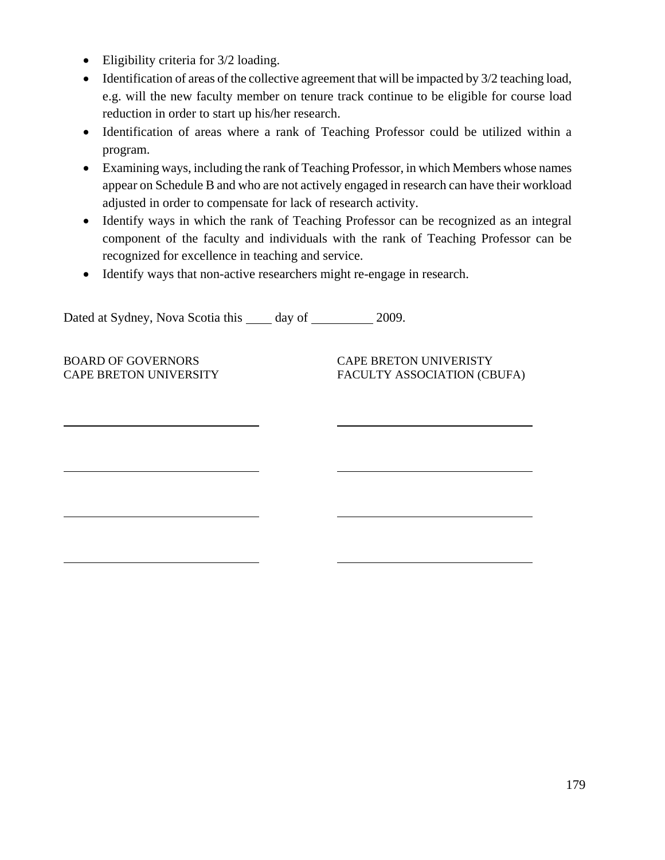- Eligibility criteria for 3/2 loading.
- Identification of areas of the collective agreement that will be impacted by  $3/2$  teaching load, e.g. will the new faculty member on tenure track continue to be eligible for course load reduction in order to start up his/her research.
- Identification of areas where a rank of Teaching Professor could be utilized within a program.
- Examining ways, including the rank of Teaching Professor, in which Members whose names appear on Schedule B and who are not actively engaged in research can have their workload adjusted in order to compensate for lack of research activity.
- Identify ways in which the rank of Teaching Professor can be recognized as an integral component of the faculty and individuals with the rank of Teaching Professor can be recognized for excellence in teaching and service.
- Identify ways that non-active researchers might re-engage in research.

Dated at Sydney, Nova Scotia this day of 2009.

 $\overline{a}$ 

l

l

l

BOARD OF GOVERNORS CAPE BRETON UNIVERISTY CAPE BRETON UNIVERSITY FACULTY ASSOCIATION (CBUFA)

179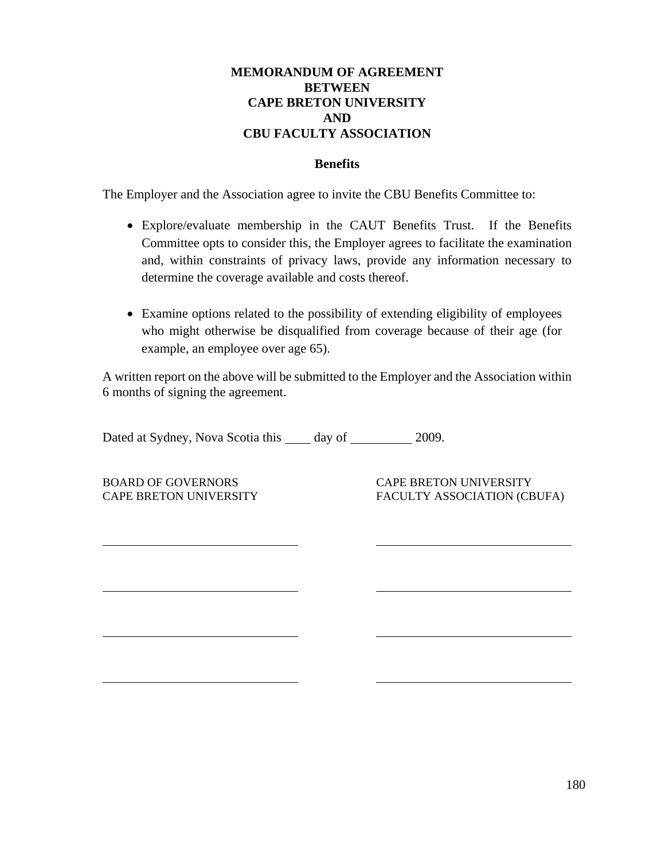# **MEMORANDUM OF AGREEMENT BETWEEN CAPE BRETON UNIVERSITY AND CBU FACULTY ASSOCIATION**

### **Benefits**

The Employer and the Association agree to invite the CBU Benefits Committee to:

- Explore/evaluate membership in the CAUT Benefits Trust. If the Benefits Committee opts to consider this, the Employer agrees to facilitate the examination and, within constraints of privacy laws, provide any information necessary to determine the coverage available and costs thereof.
- Examine options related to the possibility of extending eligibility of employees who might otherwise be disqualified from coverage because of their age (for example, an employee over age 65).

A written report on the above will be submitted to the Employer and the Association within 6 months of signing the agreement.

Dated at Sydney, Nova Scotia this day of 2009.

BOARD OF GOVERNORS CAPE BRETON UNIVERSITY

 $\overline{a}$ 

 $\overline{a}$ 

 $\overline{a}$ 

 $\overline{a}$ 

CAPE BRETON UNIVERSITY FACULTY ASSOCIATION (CBUFA)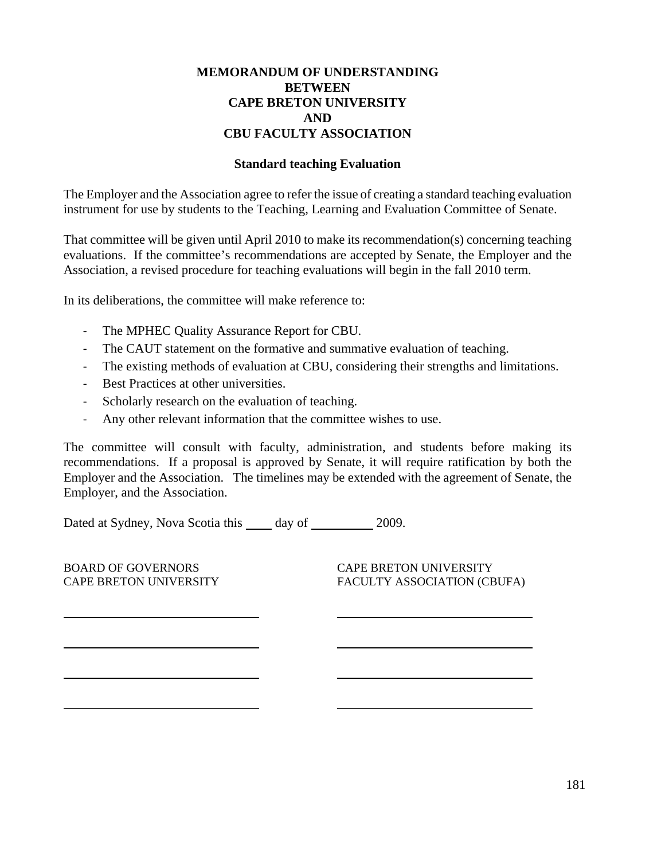# **MEMORANDUM OF UNDERSTANDING BETWEEN CAPE BRETON UNIVERSITY AND CBU FACULTY ASSOCIATION**

#### **Standard teaching Evaluation**

The Employer and the Association agree to refer the issue of creating a standard teaching evaluation instrument for use by students to the Teaching, Learning and Evaluation Committee of Senate.

That committee will be given until April 2010 to make its recommendation(s) concerning teaching evaluations. If the committee's recommendations are accepted by Senate, the Employer and the Association, a revised procedure for teaching evaluations will begin in the fall 2010 term.

In its deliberations, the committee will make reference to:

- ‐ The MPHEC Quality Assurance Report for CBU.
- The CAUT statement on the formative and summative evaluation of teaching.
- The existing methods of evaluation at CBU, considering their strengths and limitations.
- ‐ Best Practices at other universities.
- Scholarly research on the evaluation of teaching.
- ‐ Any other relevant information that the committee wishes to use.

The committee will consult with faculty, administration, and students before making its recommendations. If a proposal is approved by Senate, it will require ratification by both the Employer and the Association. The timelines may be extended with the agreement of Senate, the Employer, and the Association.

Dated at Sydney, Nova Scotia this \_\_\_\_\_ day of \_\_\_\_\_\_\_\_\_\_ 2009.

| <b>BOARD OF GOVERNORS</b><br><b>CAPE BRETON UNIVERSITY</b> | <b>CAPE BRETON UNIVERSITY</b><br>FACULTY ASSOCIATION (CBUFA) |
|------------------------------------------------------------|--------------------------------------------------------------|
|                                                            |                                                              |
|                                                            |                                                              |
|                                                            |                                                              |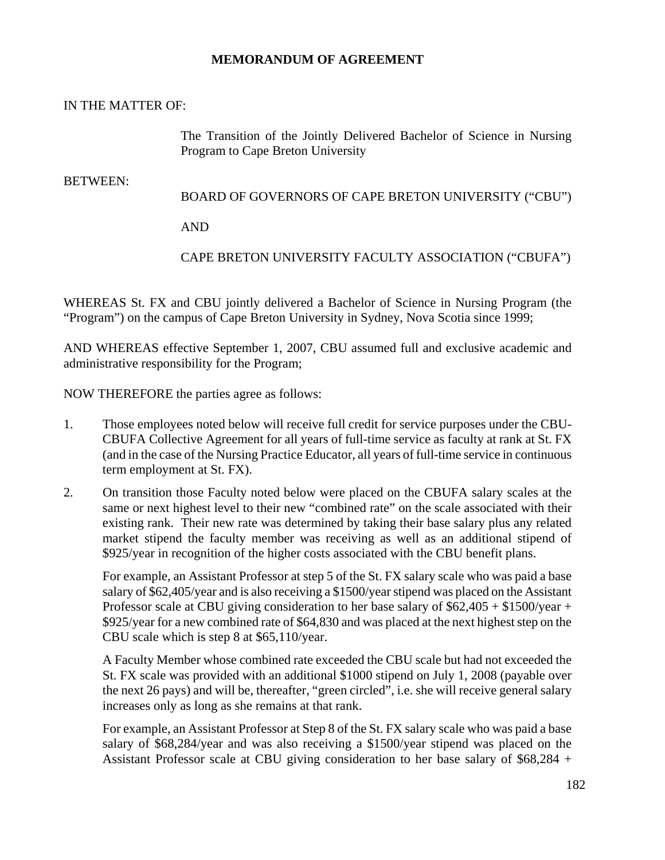### **MEMORANDUM OF AGREEMENT**

### IN THE MATTER OF:

The Transition of the Jointly Delivered Bachelor of Science in Nursing Program to Cape Breton University

### BETWEEN:

### BOARD OF GOVERNORS OF CAPE BRETON UNIVERSITY ("CBU")

AND

# CAPE BRETON UNIVERSITY FACULTY ASSOCIATION ("CBUFA")

WHEREAS St. FX and CBU jointly delivered a Bachelor of Science in Nursing Program (the "Program") on the campus of Cape Breton University in Sydney, Nova Scotia since 1999;

AND WHEREAS effective September 1, 2007, CBU assumed full and exclusive academic and administrative responsibility for the Program;

NOW THEREFORE the parties agree as follows:

- 1. Those employees noted below will receive full credit for service purposes under the CBU-CBUFA Collective Agreement for all years of full-time service as faculty at rank at St. FX (and in the case of the Nursing Practice Educator, all years of full-time service in continuous term employment at St. FX).
- 2. On transition those Faculty noted below were placed on the CBUFA salary scales at the same or next highest level to their new "combined rate" on the scale associated with their existing rank. Their new rate was determined by taking their base salary plus any related market stipend the faculty member was receiving as well as an additional stipend of \$925/year in recognition of the higher costs associated with the CBU benefit plans.

For example, an Assistant Professor at step 5 of the St. FX salary scale who was paid a base salary of \$62,405/year and is also receiving a \$1500/year stipend was placed on the Assistant Professor scale at CBU giving consideration to her base salary of \$62,405 + \$1500/year + \$925/year for a new combined rate of \$64,830 and was placed at the next highest step on the CBU scale which is step 8 at \$65,110/year.

A Faculty Member whose combined rate exceeded the CBU scale but had not exceeded the St. FX scale was provided with an additional \$1000 stipend on July 1, 2008 (payable over the next 26 pays) and will be, thereafter, "green circled", i.e. she will receive general salary increases only as long as she remains at that rank.

For example, an Assistant Professor at Step 8 of the St. FX salary scale who was paid a base salary of \$68,284/year and was also receiving a \$1500/year stipend was placed on the Assistant Professor scale at CBU giving consideration to her base salary of \$68,284 +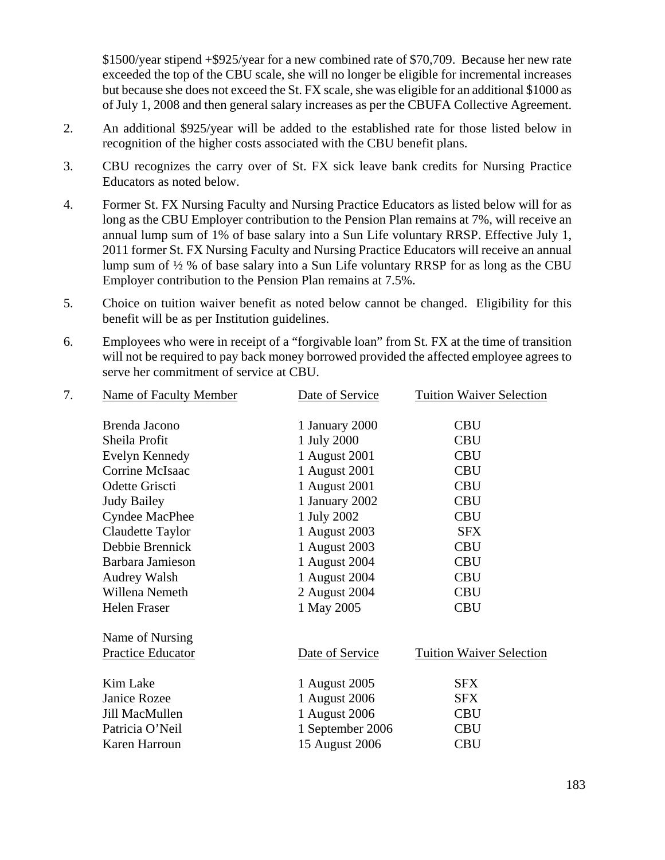\$1500/year stipend +\$925/year for a new combined rate of \$70,709. Because her new rate exceeded the top of the CBU scale, she will no longer be eligible for incremental increases but because she does not exceed the St. FX scale, she was eligible for an additional \$1000 as of July 1, 2008 and then general salary increases as per the CBUFA Collective Agreement.

- 2. An additional \$925/year will be added to the established rate for those listed below in recognition of the higher costs associated with the CBU benefit plans.
- 3. CBU recognizes the carry over of St. FX sick leave bank credits for Nursing Practice Educators as noted below.
- 4. Former St. FX Nursing Faculty and Nursing Practice Educators as listed below will for as long as the CBU Employer contribution to the Pension Plan remains at 7%, will receive an annual lump sum of 1% of base salary into a Sun Life voluntary RRSP. Effective July 1, 2011 former St. FX Nursing Faculty and Nursing Practice Educators will receive an annual lump sum of ½ % of base salary into a Sun Life voluntary RRSP for as long as the CBU Employer contribution to the Pension Plan remains at 7.5%.
- 5. Choice on tuition waiver benefit as noted below cannot be changed. Eligibility for this benefit will be as per Institution guidelines.
- 6. Employees who were in receipt of a "forgivable loan" from St. FX at the time of transition will not be required to pay back money borrowed provided the affected employee agrees to serve her commitment of service at CBU.

| 7. | Name of Faculty Member | Date of Service  | <b>Tuition Waiver Selection</b> |  |
|----|------------------------|------------------|---------------------------------|--|
|    | Brenda Jacono          | 1 January 2000   | <b>CBU</b>                      |  |
|    | Sheila Profit          | 1 July 2000      | <b>CBU</b>                      |  |
|    | Evelyn Kennedy         | 1 August 2001    | <b>CBU</b>                      |  |
|    | Corrine McIsaac        | 1 August 2001    | <b>CBU</b>                      |  |
|    | Odette Griscti         | 1 August 2001    | <b>CBU</b>                      |  |
|    | <b>Judy Bailey</b>     | 1 January 2002   | <b>CBU</b>                      |  |
|    | <b>Cyndee MacPhee</b>  | 1 July 2002      | <b>CBU</b>                      |  |
|    | Claudette Taylor       | 1 August 2003    | <b>SFX</b>                      |  |
|    | Debbie Brennick        | 1 August 2003    | <b>CBU</b>                      |  |
|    | Barbara Jamieson       | 1 August 2004    | <b>CBU</b>                      |  |
|    | <b>Audrey Walsh</b>    | 1 August 2004    | <b>CBU</b>                      |  |
|    | Willena Nemeth         | 2 August 2004    | <b>CBU</b>                      |  |
|    | <b>Helen Fraser</b>    | 1 May 2005       | <b>CBU</b>                      |  |
|    | Name of Nursing        |                  |                                 |  |
|    | Practice Educator      | Date of Service  | <b>Tuition Waiver Selection</b> |  |
|    | Kim Lake               | 1 August 2005    | <b>SFX</b>                      |  |
|    | Janice Rozee           | 1 August 2006    | <b>SFX</b>                      |  |
|    | Jill MacMullen         | 1 August 2006    | <b>CBU</b>                      |  |
|    | Patricia O'Neil        | 1 September 2006 | <b>CBU</b>                      |  |
|    | Karen Harroun          | 15 August 2006   | <b>CBU</b>                      |  |
|    |                        |                  |                                 |  |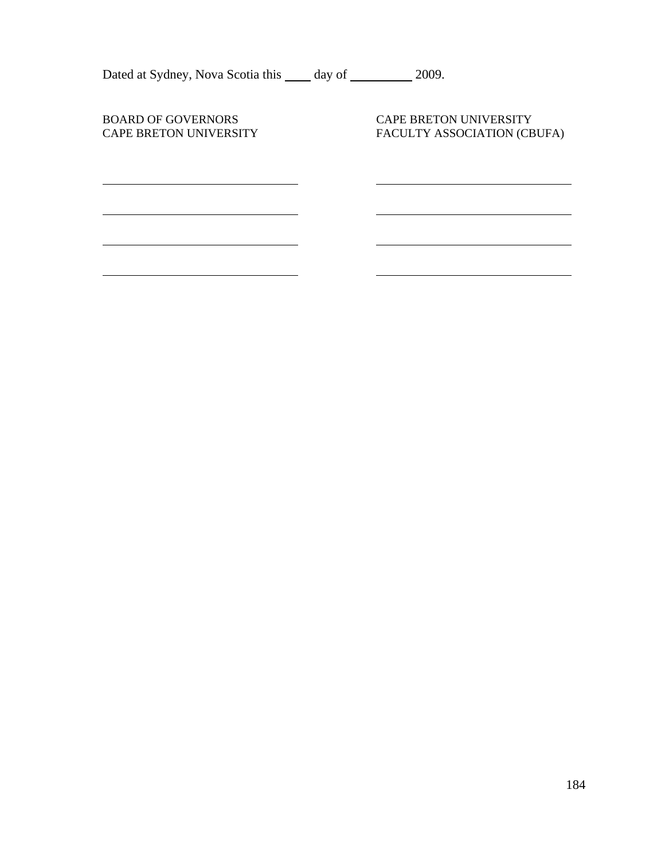| Dated at Sydney, Nova Scotia this _____ day of ____        | 2009.                                                        |  |
|------------------------------------------------------------|--------------------------------------------------------------|--|
| <b>BOARD OF GOVERNORS</b><br><b>CAPE BRETON UNIVERSITY</b> | <b>CAPE BRETON UNIVERSITY</b><br>FACULTY ASSOCIATION (CBUFA) |  |
|                                                            |                                                              |  |
|                                                            |                                                              |  |
|                                                            |                                                              |  |
|                                                            |                                                              |  |